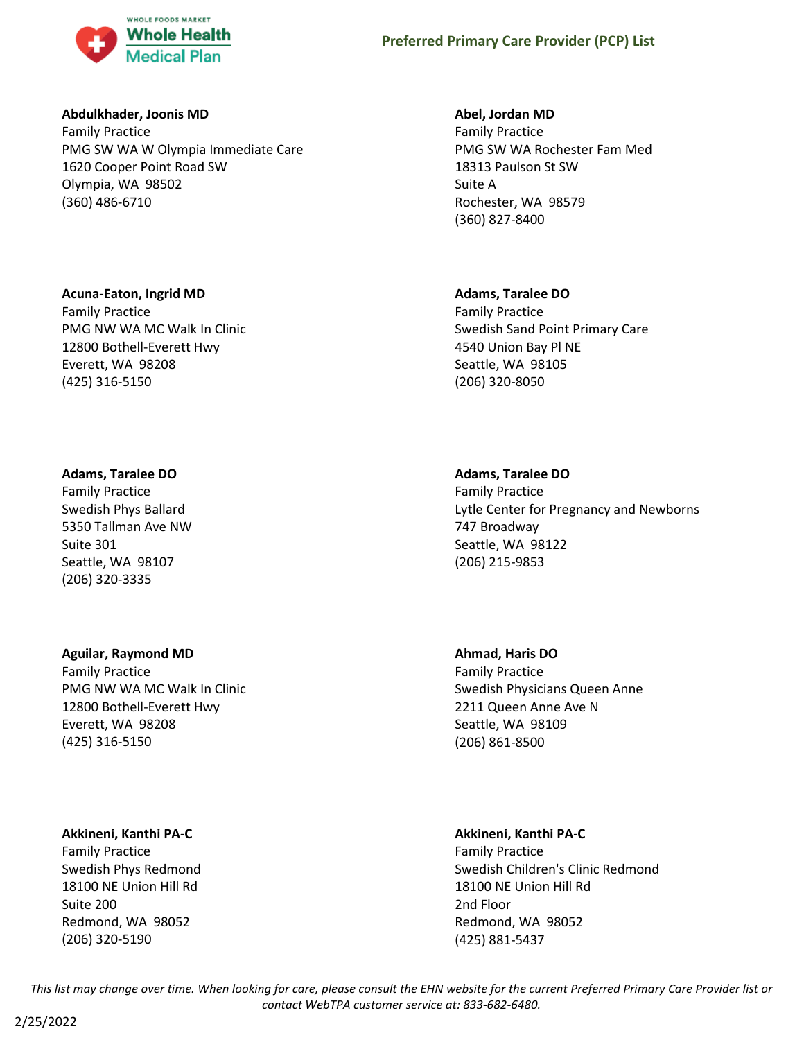

# **Abdulkhader, Joonis MD**

Family Practice PMG SW WA W Olympia Immediate Care 1620 Cooper Point Road SW Olympia, WA 98502 (360) 486-6710

# **Acuna-Eaton, Ingrid MD**

Family Practice PMG NW WA MC Walk In Clinic 12800 Bothell-Everett Hwy Everett, WA 98208 (425) 316-5150

# **Adams, Taralee DO**

Family Practice Swedish Phys Ballard 5350 Tallman Ave NW Suite 301 Seattle, WA 98107 (206) 320-3335

#### **Aguilar, Raymond MD**

Family Practice PMG NW WA MC Walk In Clinic 12800 Bothell-Everett Hwy Everett, WA 98208 (425) 316-5150

# **Akkineni, Kanthi PA-C**

Family Practice Swedish Phys Redmond 18100 NE Union Hill Rd Suite 200 Redmond, WA 98052 (206) 320-5190

## **Abel, Jordan MD**

Family Practice PMG SW WA Rochester Fam Med 18313 Paulson St SW Suite A Rochester, WA 98579 (360) 827-8400

## **Adams, Taralee DO**

Family Practice Swedish Sand Point Primary Care 4540 Union Bay Pl NE Seattle, WA 98105 (206) 320-8050

## **Adams, Taralee DO**

Family Practice Lytle Center for Pregnancy and Newborns 747 Broadway Seattle, WA 98122 (206) 215-9853

# **Ahmad, Haris DO**

Family Practice Swedish Physicians Queen Anne 2211 Queen Anne Ave N Seattle, WA 98109 (206) 861-8500

# **Akkineni, Kanthi PA-C**

Family Practice Swedish Children's Clinic Redmond 18100 NE Union Hill Rd 2nd Floor Redmond, WA 98052 (425) 881-5437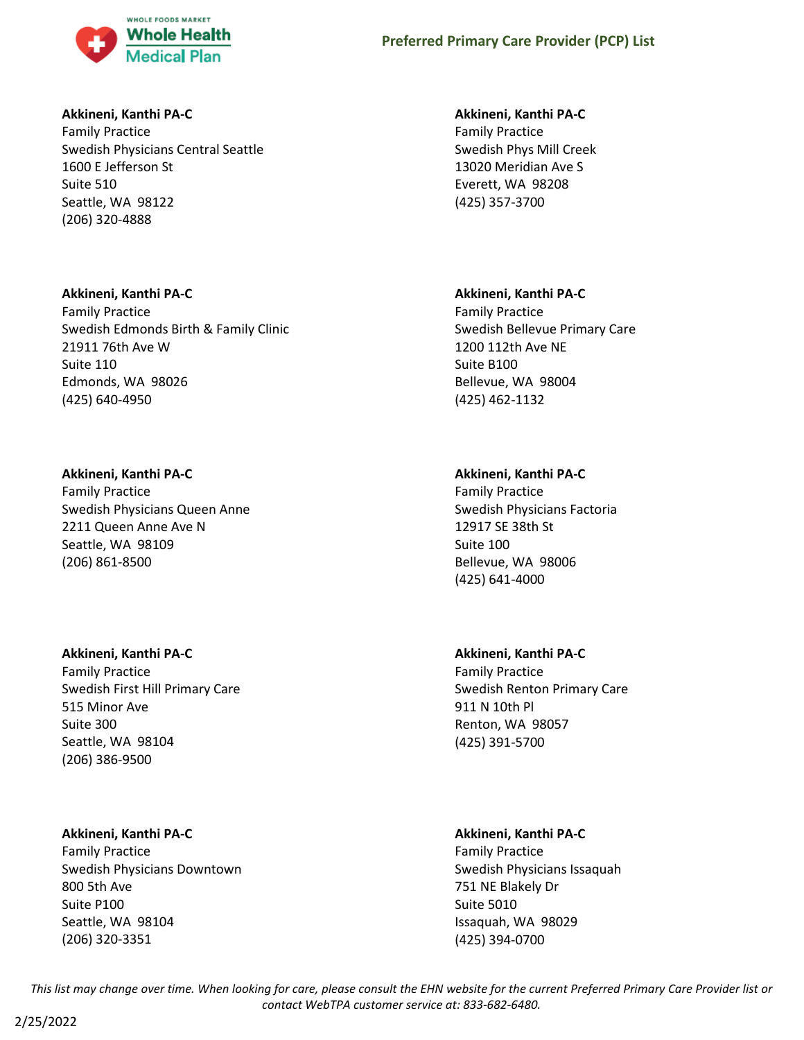

# **Akkineni, Kanthi PA-C**

Family Practice Swedish Physicians Central Seattle 1600 E Jefferson St Suite 510 Seattle, WA 98122 (206) 320-4888

# **Akkineni, Kanthi PA-C**

Family Practice Swedish Edmonds Birth & Family Clinic 21911 76th Ave W Suite 110 Edmonds, WA 98026 (425) 640-4950

# **Akkineni, Kanthi PA-C**

Family Practice Swedish Physicians Queen Anne 2211 Queen Anne Ave N Seattle, WA 98109 (206) 861-8500

# **Akkineni, Kanthi PA-C**

Family Practice Swedish First Hill Primary Care 515 Minor Ave Suite 300 Seattle, WA 98104 (206) 386-9500

# **Akkineni, Kanthi PA-C**

Family Practice Swedish Physicians Downtown 800 5th Ave Suite P100 Seattle, WA 98104 (206) 320-3351

# **Akkineni, Kanthi PA-C**

Family Practice Swedish Phys Mill Creek 13020 Meridian Ave S Everett, WA 98208 (425) 357-3700

# **Akkineni, Kanthi PA-C**

Family Practice Swedish Bellevue Primary Care 1200 112th Ave NE Suite B100 Bellevue, WA 98004 (425) 462-1132

# **Akkineni, Kanthi PA-C**

Family Practice Swedish Physicians Factoria 12917 SE 38th St Suite 100 Bellevue, WA 98006 (425) 641-4000

# **Akkineni, Kanthi PA-C**

Family Practice Swedish Renton Primary Care 911 N 10th Pl Renton, WA 98057 (425) 391-5700

# **Akkineni, Kanthi PA-C**

Family Practice Swedish Physicians Issaquah 751 NE Blakely Dr Suite 5010 Issaquah, WA 98029 (425) 394-0700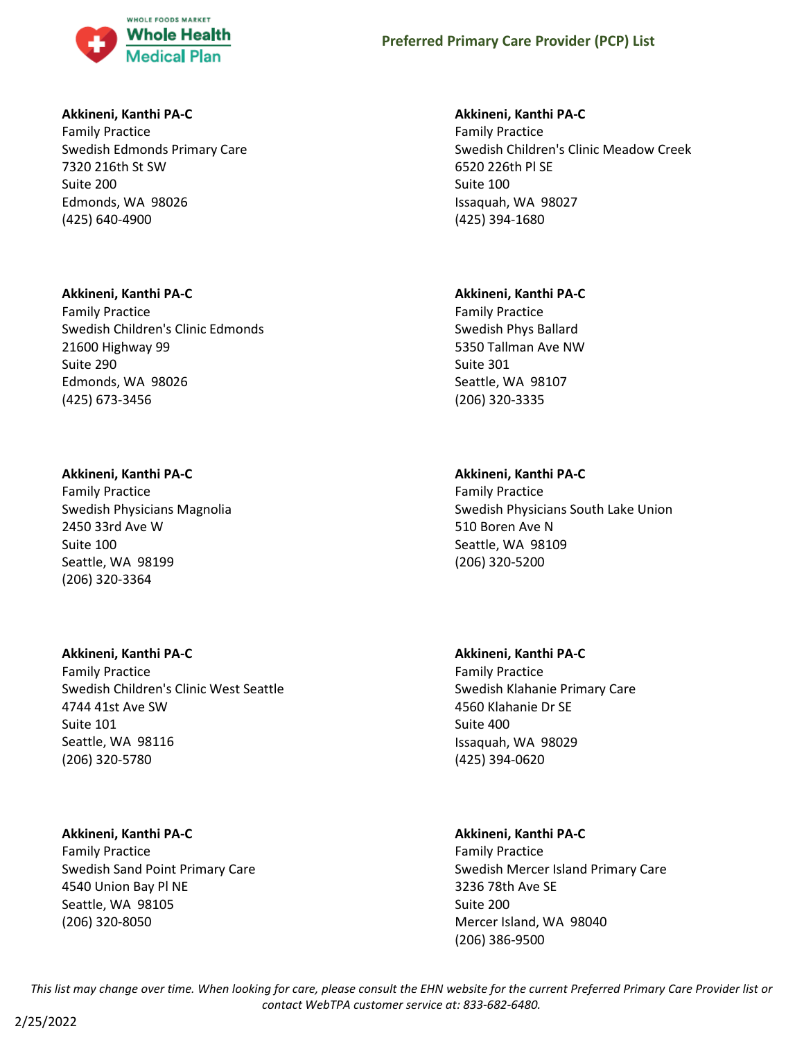

# **Akkineni, Kanthi PA-C**

Family Practice Swedish Edmonds Primary Care 7320 216th St SW Suite 200 Edmonds, WA 98026 (425) 640-4900

# **Akkineni, Kanthi PA-C**

Family Practice Swedish Children's Clinic Edmonds 21600 Highway 99 Suite 290 Edmonds, WA 98026 (425) 673-3456

# **Akkineni, Kanthi PA-C**

Family Practice Swedish Physicians Magnolia 2450 33rd Ave W Suite 100 Seattle, WA 98199 (206) 320-3364

# **Akkineni, Kanthi PA-C**

Family Practice Swedish Children's Clinic West Seattle 4744 41st Ave SW Suite 101 Seattle, WA 98116 (206) 320-5780

# **Akkineni, Kanthi PA-C**

Family Practice Swedish Sand Point Primary Care 4540 Union Bay Pl NE Seattle, WA 98105 (206) 320-8050

# **Akkineni, Kanthi PA-C**

Family Practice Swedish Children's Clinic Meadow Creek 6520 226th Pl SE Suite 100 Issaquah, WA 98027 (425) 394-1680

# **Akkineni, Kanthi PA-C**

Family Practice Swedish Phys Ballard 5350 Tallman Ave NW Suite 301 Seattle, WA 98107 (206) 320-3335

# **Akkineni, Kanthi PA-C**

Family Practice Swedish Physicians South Lake Union 510 Boren Ave N Seattle, WA 98109 (206) 320-5200

# **Akkineni, Kanthi PA-C**

Family Practice Swedish Klahanie Primary Care 4560 Klahanie Dr SE Suite 400 Issaquah, WA 98029 (425) 394-0620

# **Akkineni, Kanthi PA-C**

Family Practice Swedish Mercer Island Primary Care 3236 78th Ave SE Suite 200 Mercer Island, WA 98040 (206) 386-9500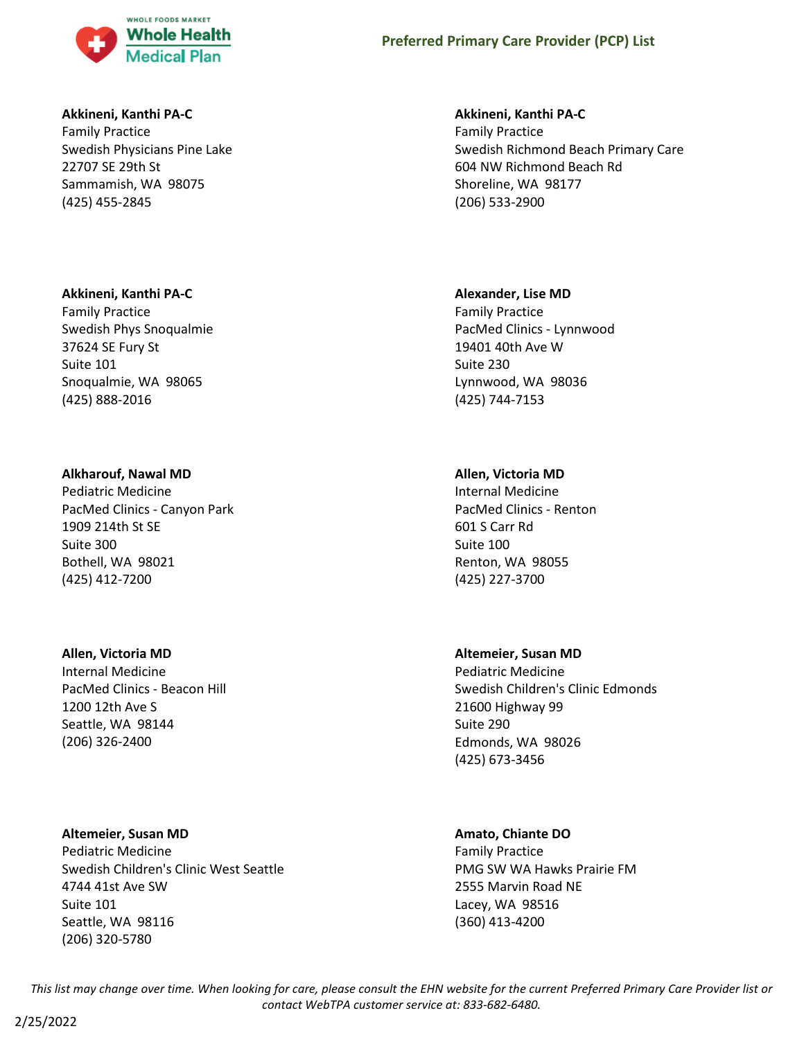

# **Akkineni, Kanthi PA-C**

Family Practice Swedish Physicians Pine Lake 22707 SE 29th St Sammamish, WA 98075 (425) 455-2845

## **Akkineni, Kanthi PA-C**

Family Practice Swedish Phys Snoqualmie 37624 SE Fury St Suite 101 Snoqualmie, WA 98065 (425) 888-2016

## **Alkharouf, Nawal MD**

Pediatric Medicine PacMed Clinics - Canyon Park 1909 214th St SE Suite 300 Bothell, WA 98021 (425) 412-7200

#### **Allen, Victoria MD**

Internal Medicine PacMed Clinics - Beacon Hill 1200 12th Ave S Seattle, WA 98144 (206) 326-2400

**Altemeier, Susan MD** Pediatric Medicine Swedish Children's Clinic West Seattle 4744 41st Ave SW Suite 101 Seattle, WA 98116 (206) 320-5780

#### **Akkineni, Kanthi PA-C**

Family Practice Swedish Richmond Beach Primary Care 604 NW Richmond Beach Rd Shoreline, WA 98177 (206) 533-2900

## **Alexander, Lise MD**

Family Practice PacMed Clinics - Lynnwood 19401 40th Ave W Suite 230 Lynnwood, WA 98036 (425) 744-7153

# **Allen, Victoria MD**

Internal Medicine PacMed Clinics - Renton 601 S Carr Rd Suite 100 Renton, WA 98055 (425) 227-3700

# **Altemeier, Susan MD**

Pediatric Medicine Swedish Children's Clinic Edmonds 21600 Highway 99 Suite 290 Edmonds, WA 98026 (425) 673-3456

# **Amato, Chiante DO**

Family Practice PMG SW WA Hawks Prairie FM 2555 Marvin Road NE Lacey, WA 98516 (360) 413-4200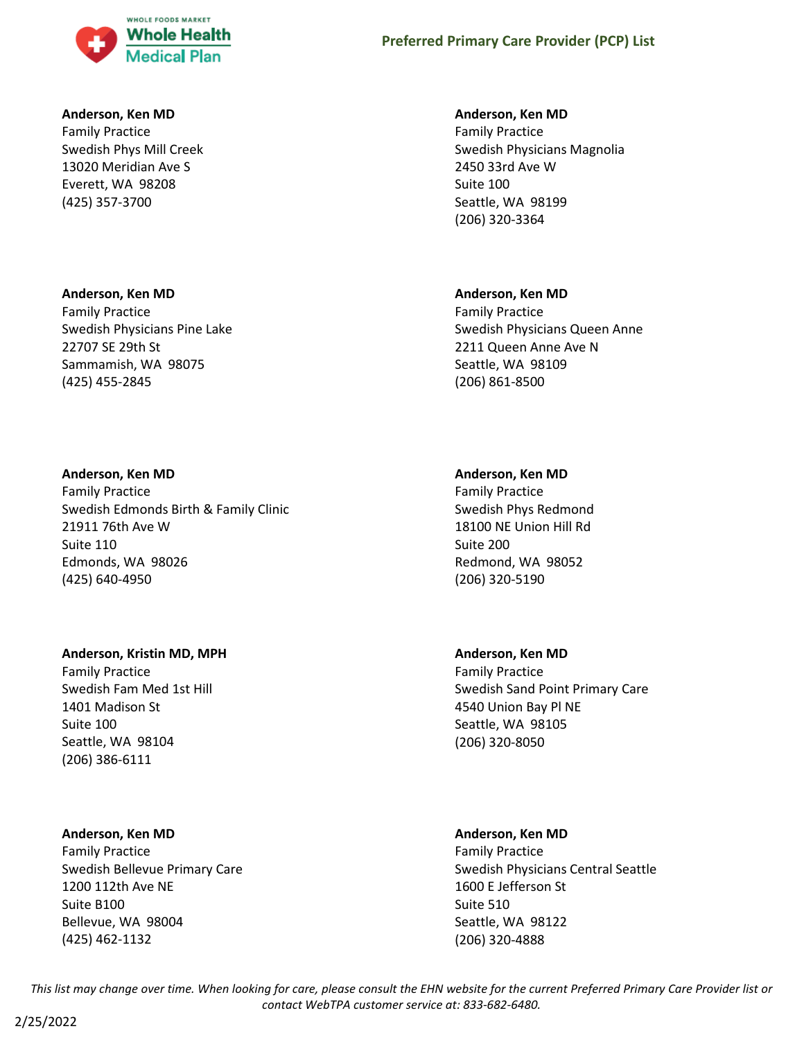

## **Anderson, Ken MD**

Family Practice Swedish Phys Mill Creek 13020 Meridian Ave S Everett, WA 98208 (425) 357-3700

## **Anderson, Ken MD**

Family Practice Swedish Physicians Pine Lake 22707 SE 29th St Sammamish, WA 98075 (425) 455-2845

## **Anderson, Ken MD**

Family Practice Swedish Edmonds Birth & Family Clinic 21911 76th Ave W Suite 110 Edmonds, WA 98026 (425) 640-4950

# **Anderson, Kristin MD, MPH**

Family Practice Swedish Fam Med 1st Hill 1401 Madison St Suite 100 Seattle, WA 98104 (206) 386-6111

# **Anderson, Ken MD**

Family Practice Swedish Bellevue Primary Care 1200 112th Ave NE Suite B100 Bellevue, WA 98004 (425) 462-1132

# **Anderson, Ken MD**

Family Practice Swedish Physicians Magnolia 2450 33rd Ave W Suite 100 Seattle, WA 98199 (206) 320-3364

## **Anderson, Ken MD**

Family Practice Swedish Physicians Queen Anne 2211 Queen Anne Ave N Seattle, WA 98109 (206) 861-8500

## **Anderson, Ken MD**

Family Practice Swedish Phys Redmond 18100 NE Union Hill Rd Suite 200 Redmond, WA 98052 (206) 320-5190

#### **Anderson, Ken MD**

Family Practice Swedish Sand Point Primary Care 4540 Union Bay Pl NE Seattle, WA 98105 (206) 320-8050

# **Anderson, Ken MD**

Family Practice Swedish Physicians Central Seattle 1600 E Jefferson St Suite 510 Seattle, WA 98122 (206) 320-4888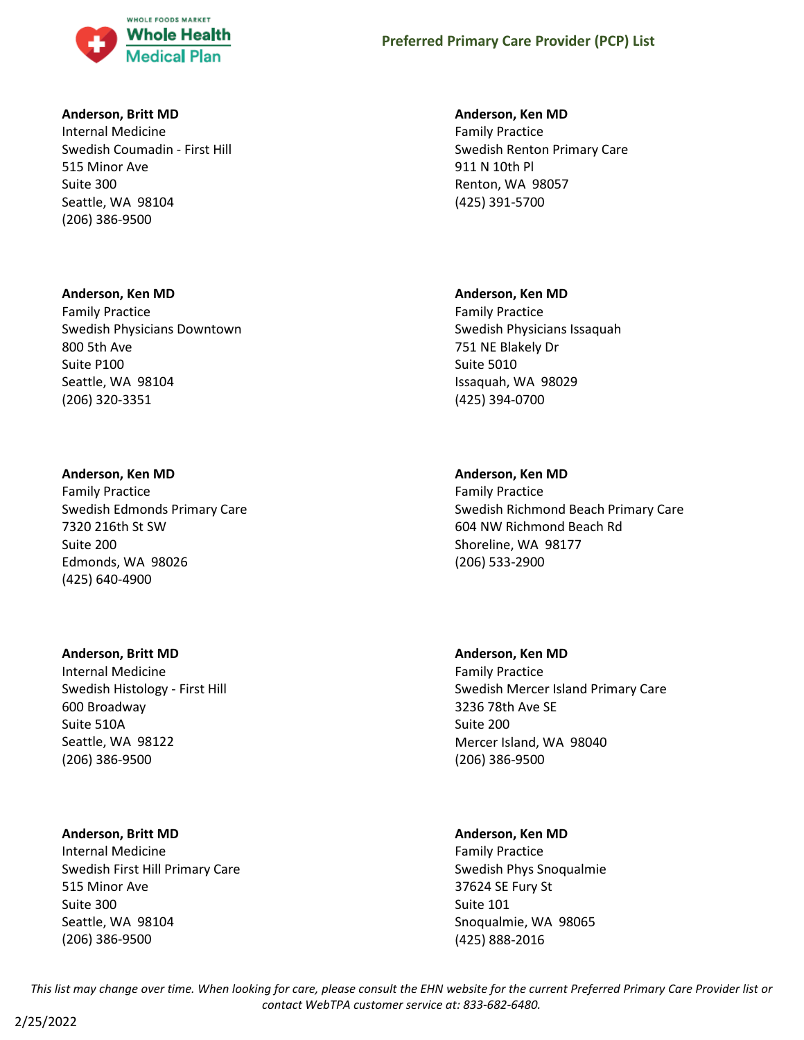

## **Anderson, Britt MD**

Internal Medicine Swedish Coumadin - First Hill 515 Minor Ave Suite 300 Seattle, WA 98104 (206) 386-9500

## **Anderson, Ken MD**

Family Practice Swedish Physicians Downtown 800 5th Ave Suite P100 Seattle, WA 98104 (206) 320-3351

## **Anderson, Ken MD**

Family Practice Swedish Edmonds Primary Care 7320 216th St SW Suite 200 Edmonds, WA 98026 (425) 640-4900

#### **Anderson, Britt MD**

Internal Medicine Swedish Histology - First Hill 600 Broadway Suite 510A Seattle, WA 98122 (206) 386-9500

# **Anderson, Britt MD**

Internal Medicine Swedish First Hill Primary Care 515 Minor Ave Suite 300 Seattle, WA 98104 (206) 386-9500

## **Anderson, Ken MD**

Family Practice Swedish Renton Primary Care 911 N 10th Pl Renton, WA 98057 (425) 391-5700

## **Anderson, Ken MD**

Family Practice Swedish Physicians Issaquah 751 NE Blakely Dr Suite 5010 Issaquah, WA 98029 (425) 394-0700

# **Anderson, Ken MD**

Family Practice Swedish Richmond Beach Primary Care 604 NW Richmond Beach Rd Shoreline, WA 98177 (206) 533-2900

#### **Anderson, Ken MD**

Family Practice Swedish Mercer Island Primary Care 3236 78th Ave SE Suite 200 Mercer Island, WA 98040 (206) 386-9500

# **Anderson, Ken MD**

Family Practice Swedish Phys Snoqualmie 37624 SE Fury St Suite 101 Snoqualmie, WA 98065 (425) 888-2016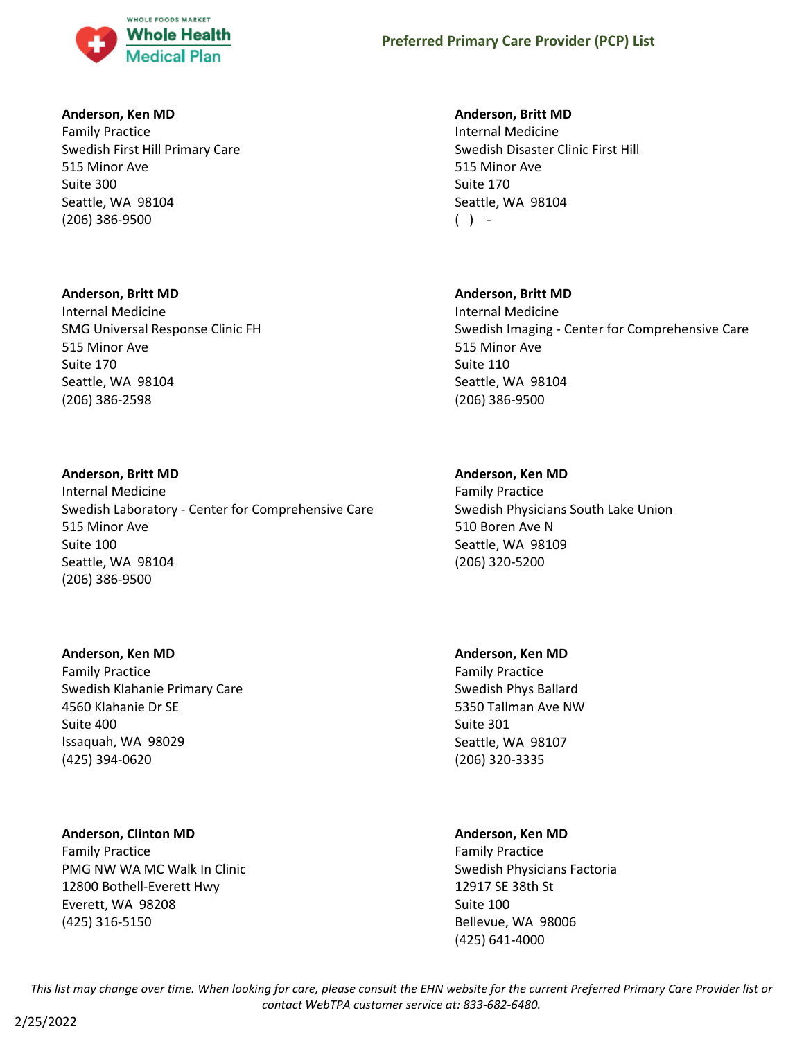

# **Anderson, Ken MD**

Family Practice Swedish First Hill Primary Care 515 Minor Ave Suite 300 Seattle, WA 98104 (206) 386-9500

# **Anderson, Britt MD**

Internal Medicine SMG Universal Response Clinic FH 515 Minor Ave Suite 170 Seattle, WA 98104 (206) 386-2598

# **Anderson, Britt MD**

Internal Medicine Swedish Laboratory - Center for Comprehensive Care 515 Minor Ave Suite 100 Seattle, WA 98104 (206) 386-9500

# **Anderson, Ken MD**

Family Practice Swedish Klahanie Primary Care 4560 Klahanie Dr SE Suite 400 Issaquah, WA 98029 (425) 394-0620

# **Anderson, Clinton MD**

Family Practice PMG NW WA MC Walk In Clinic 12800 Bothell-Everett Hwy Everett, WA 98208 (425) 316-5150

# **Anderson, Britt MD**

Internal Medicine Swedish Disaster Clinic First Hill 515 Minor Ave Suite 170 Seattle, WA 98104  $( )$  -

# **Anderson, Britt MD**

Internal Medicine Swedish Imaging - Center for Comprehensive Care 515 Minor Ave Suite 110 Seattle, WA 98104 (206) 386-9500

# **Anderson, Ken MD**

Family Practice Swedish Physicians South Lake Union 510 Boren Ave N Seattle, WA 98109 (206) 320-5200

# **Anderson, Ken MD**

Family Practice Swedish Phys Ballard 5350 Tallman Ave NW Suite 301 Seattle, WA 98107 (206) 320-3335

# **Anderson, Ken MD**

Family Practice Swedish Physicians Factoria 12917 SE 38th St Suite 100 Bellevue, WA 98006 (425) 641-4000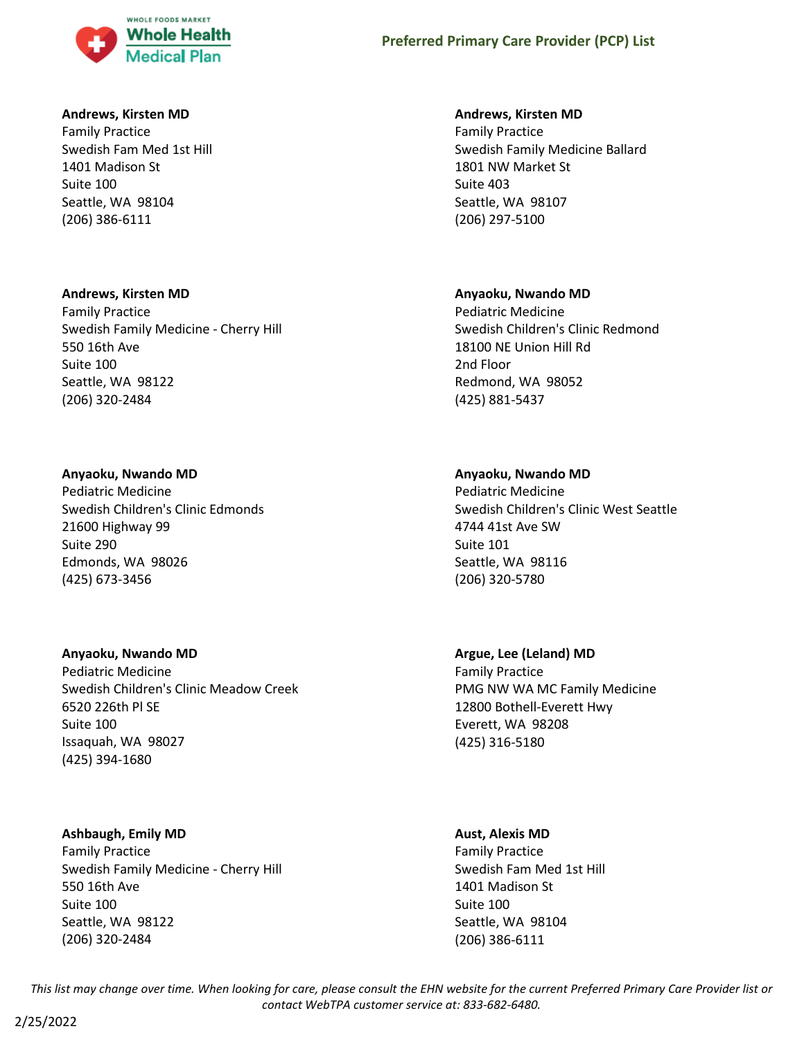

# **Andrews, Kirsten MD**

Family Practice Swedish Fam Med 1st Hill 1401 Madison St Suite 100 Seattle, WA 98104 (206) 386-6111

## **Andrews, Kirsten MD**

Family Practice Swedish Family Medicine - Cherry Hill 550 16th Ave Suite 100 Seattle, WA 98122 (206) 320-2484

## **Anyaoku, Nwando MD**

Pediatric Medicine Swedish Children's Clinic Edmonds 21600 Highway 99 Suite 290 Edmonds, WA 98026 (425) 673-3456

# **Anyaoku, Nwando MD**

Pediatric Medicine Swedish Children's Clinic Meadow Creek 6520 226th Pl SE Suite 100 Issaquah, WA 98027 (425) 394-1680

# **Ashbaugh, Emily MD**

Family Practice Swedish Family Medicine - Cherry Hill 550 16th Ave Suite 100 Seattle, WA 98122 (206) 320-2484

## **Andrews, Kirsten MD**

Family Practice Swedish Family Medicine Ballard 1801 NW Market St Suite 403 Seattle, WA 98107 (206) 297-5100

## **Anyaoku, Nwando MD**

Pediatric Medicine Swedish Children's Clinic Redmond 18100 NE Union Hill Rd 2nd Floor Redmond, WA 98052 (425) 881-5437

# **Anyaoku, Nwando MD**

Pediatric Medicine Swedish Children's Clinic West Seattle 4744 41st Ave SW Suite 101 Seattle, WA 98116 (206) 320-5780

# **Argue, Lee (Leland) MD**

Family Practice PMG NW WA MC Family Medicine 12800 Bothell-Everett Hwy Everett, WA 98208 (425) 316-5180

# **Aust, Alexis MD**

Family Practice Swedish Fam Med 1st Hill 1401 Madison St Suite 100 Seattle, WA 98104 (206) 386-6111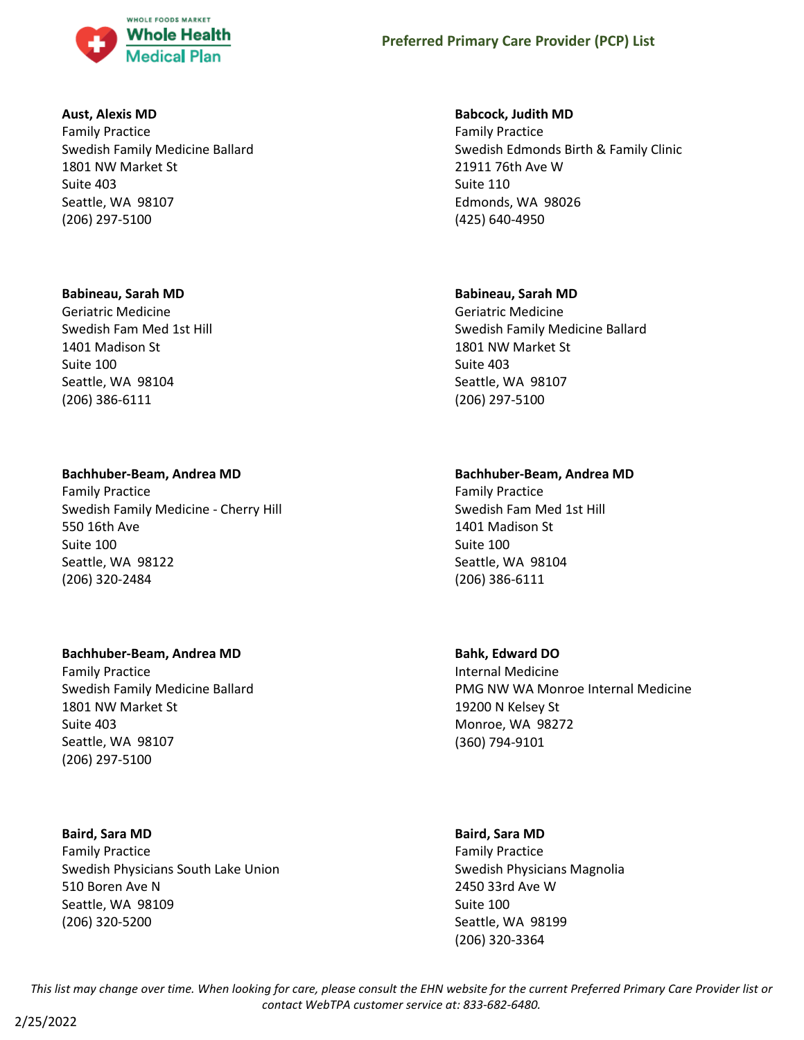

# **Aust, Alexis MD**

Family Practice Swedish Family Medicine Ballard 1801 NW Market St Suite 403 Seattle, WA 98107 (206) 297-5100

## **Babineau, Sarah MD**

Geriatric Medicine Swedish Fam Med 1st Hill 1401 Madison St Suite 100 Seattle, WA 98104 (206) 386-6111

# **Bachhuber-Beam, Andrea MD**

Family Practice Swedish Family Medicine - Cherry Hill 550 16th Ave Suite 100 Seattle, WA 98122 (206) 320-2484

# **Bachhuber-Beam, Andrea MD**

Family Practice Swedish Family Medicine Ballard 1801 NW Market St Suite 403 Seattle, WA 98107 (206) 297-5100

# **Baird, Sara MD**

Family Practice Swedish Physicians South Lake Union 510 Boren Ave N Seattle, WA 98109 (206) 320-5200

## **Babcock, Judith MD**

Family Practice Swedish Edmonds Birth & Family Clinic 21911 76th Ave W Suite 110 Edmonds, WA 98026 (425) 640-4950

## **Babineau, Sarah MD**

Geriatric Medicine Swedish Family Medicine Ballard 1801 NW Market St Suite 403 Seattle, WA 98107 (206) 297-5100

# **Bachhuber-Beam, Andrea MD**

Family Practice Swedish Fam Med 1st Hill 1401 Madison St Suite 100 Seattle, WA 98104 (206) 386-6111

# **Bahk, Edward DO**

Internal Medicine PMG NW WA Monroe Internal Medicine 19200 N Kelsey St Monroe, WA 98272 (360) 794-9101

#### **Baird, Sara MD**

Family Practice Swedish Physicians Magnolia 2450 33rd Ave W Suite 100 Seattle, WA 98199 (206) 320-3364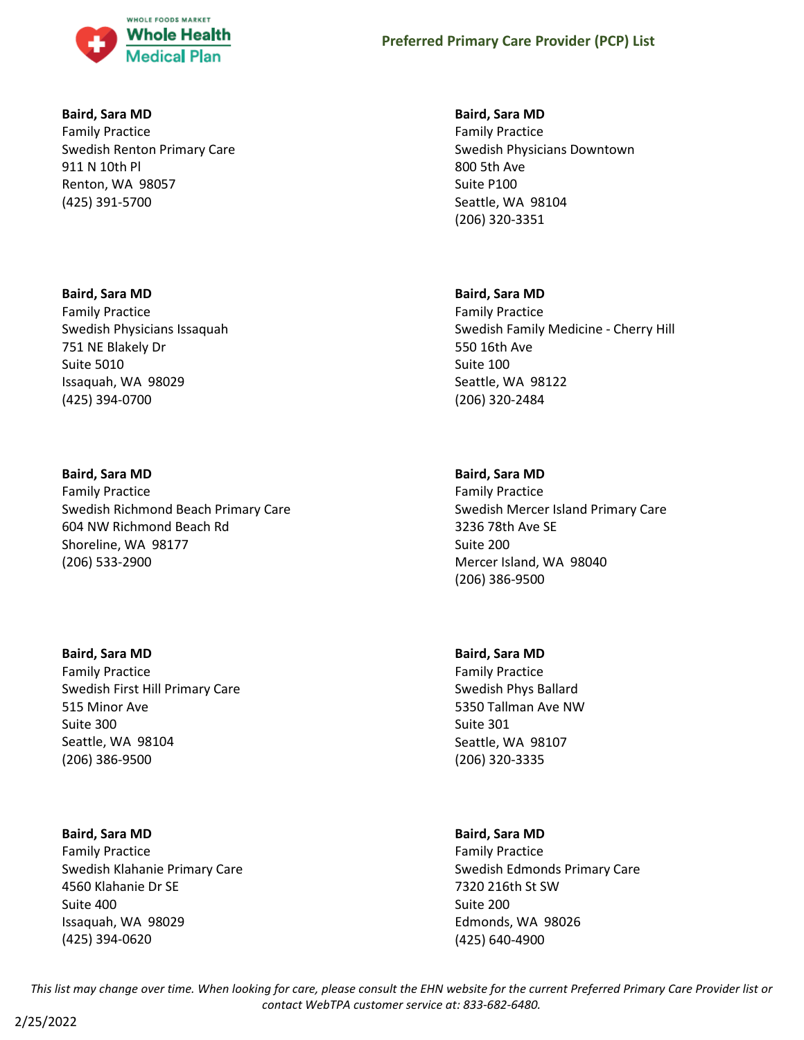

# **Baird, Sara MD**

Family Practice Swedish Renton Primary Care 911 N 10th Pl Renton, WA 98057 (425) 391-5700

# **Baird, Sara MD**

Family Practice Swedish Physicians Issaquah 751 NE Blakely Dr Suite 5010 Issaquah, WA 98029 (425) 394-0700

# **Baird, Sara MD**

Family Practice Swedish Richmond Beach Primary Care 604 NW Richmond Beach Rd Shoreline, WA 98177 (206) 533-2900

#### **Baird, Sara MD**

Family Practice Swedish First Hill Primary Care 515 Minor Ave Suite 300 Seattle, WA 98104 (206) 386-9500

# **Baird, Sara MD**

Family Practice Swedish Klahanie Primary Care 4560 Klahanie Dr SE Suite 400 Issaquah, WA 98029 (425) 394-0620

## **Baird, Sara MD**

Family Practice Swedish Physicians Downtown 800 5th Ave Suite P100 Seattle, WA 98104 (206) 320-3351

## **Baird, Sara MD**

Family Practice Swedish Family Medicine - Cherry Hill 550 16th Ave Suite 100 Seattle, WA 98122 (206) 320-2484

# **Baird, Sara MD**

Family Practice Swedish Mercer Island Primary Care 3236 78th Ave SE Suite 200 Mercer Island, WA 98040 (206) 386-9500

# **Baird, Sara MD**

Family Practice Swedish Phys Ballard 5350 Tallman Ave NW Suite 301 Seattle, WA 98107 (206) 320-3335

## **Baird, Sara MD**

Family Practice Swedish Edmonds Primary Care 7320 216th St SW Suite 200 Edmonds, WA 98026 (425) 640-4900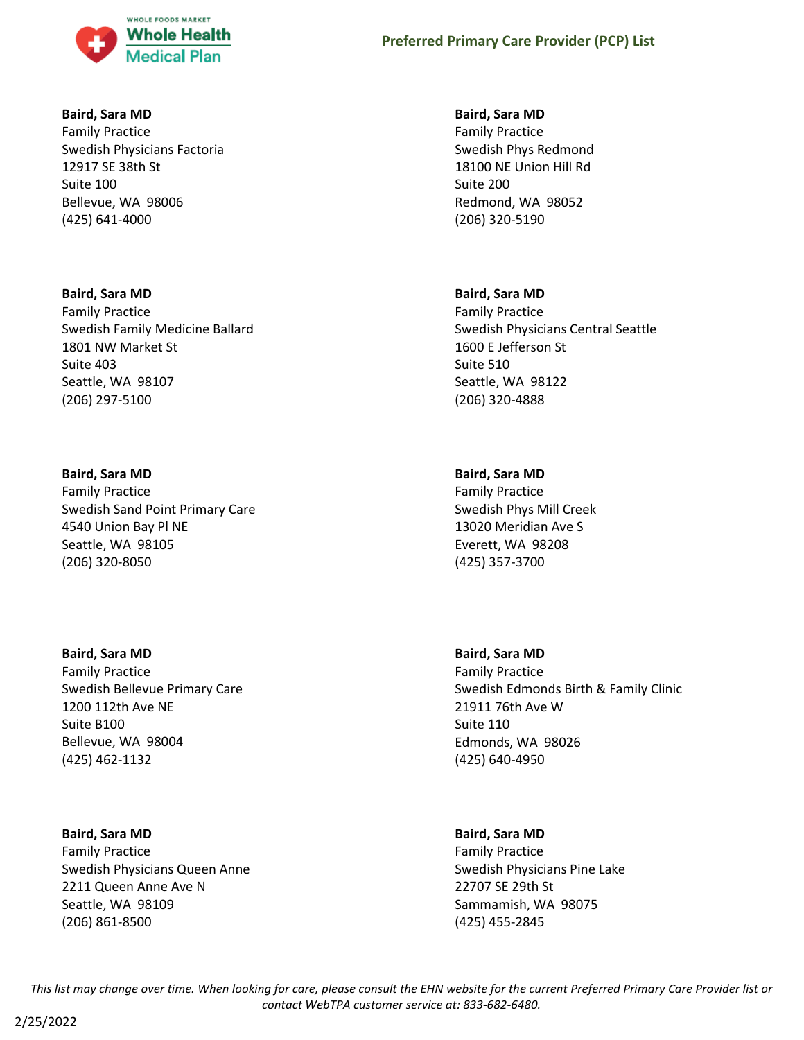

# **Baird, Sara MD**

Family Practice Swedish Physicians Factoria 12917 SE 38th St Suite 100 Bellevue, WA 98006 (425) 641-4000

# **Baird, Sara MD**

Family Practice Swedish Family Medicine Ballard 1801 NW Market St Suite 403 Seattle, WA 98107 (206) 297-5100

# **Baird, Sara MD**

Family Practice Swedish Sand Point Primary Care 4540 Union Bay Pl NE Seattle, WA 98105 (206) 320-8050

# **Baird, Sara MD**

Family Practice Swedish Bellevue Primary Care 1200 112th Ave NE Suite B100 Bellevue, WA 98004 (425) 462-1132

# **Baird, Sara MD**

Family Practice Swedish Physicians Queen Anne 2211 Queen Anne Ave N Seattle, WA 98109 (206) 861-8500

## **Baird, Sara MD**

Family Practice Swedish Phys Redmond 18100 NE Union Hill Rd Suite 200 Redmond, WA 98052 (206) 320-5190

## **Baird, Sara MD**

Family Practice Swedish Physicians Central Seattle 1600 E Jefferson St Suite 510 Seattle, WA 98122 (206) 320-4888

# **Baird, Sara MD**

Family Practice Swedish Phys Mill Creek 13020 Meridian Ave S Everett, WA 98208 (425) 357-3700

# **Baird, Sara MD**

Family Practice Swedish Edmonds Birth & Family Clinic 21911 76th Ave W Suite 110 Edmonds, WA 98026 (425) 640-4950

#### **Baird, Sara MD**

Family Practice Swedish Physicians Pine Lake 22707 SE 29th St Sammamish, WA 98075 (425) 455-2845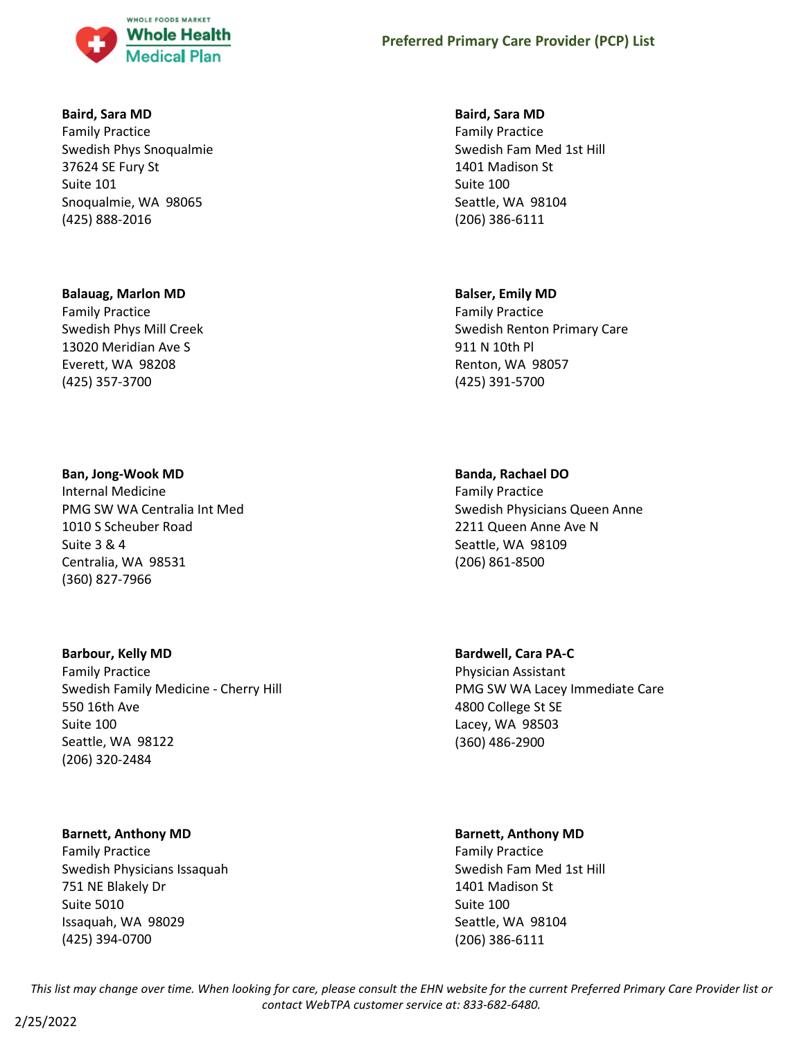

# **Baird, Sara MD**

Family Practice Swedish Phys Snoqualmie 37624 SE Fury St Suite 101 Snoqualmie, WA 98065 (425) 888-2016

#### **Balauag, Marlon MD**

Family Practice Swedish Phys Mill Creek 13020 Meridian Ave S Everett, WA 98208 (425) 357-3700

#### **Ban, Jong-Wook MD**

Internal Medicine PMG SW WA Centralia Int Med 1010 S Scheuber Road Suite 3 & 4 Centralia, WA 98531 (360) 827-7966

#### **Barbour, Kelly MD**

Family Practice Swedish Family Medicine - Cherry Hill 550 16th Ave Suite 100 Seattle, WA 98122 (206) 320-2484

# **Barnett, Anthony MD**

Family Practice Swedish Physicians Issaquah 751 NE Blakely Dr Suite 5010 Issaquah, WA 98029 (425) 394-0700

## **Baird, Sara MD**

Family Practice Swedish Fam Med 1st Hill 1401 Madison St Suite 100 Seattle, WA 98104 (206) 386-6111

# **Balser, Emily MD**

Family Practice Swedish Renton Primary Care 911 N 10th Pl Renton, WA 98057 (425) 391-5700

## **Banda, Rachael DO**

Family Practice Swedish Physicians Queen Anne 2211 Queen Anne Ave N Seattle, WA 98109 (206) 861-8500

# **Bardwell, Cara PA-C**

Physician Assistant PMG SW WA Lacey Immediate Care 4800 College St SE Lacey, WA 98503 (360) 486-2900

#### **Barnett, Anthony MD**

Family Practice Swedish Fam Med 1st Hill 1401 Madison St Suite 100 Seattle, WA 98104 (206) 386-6111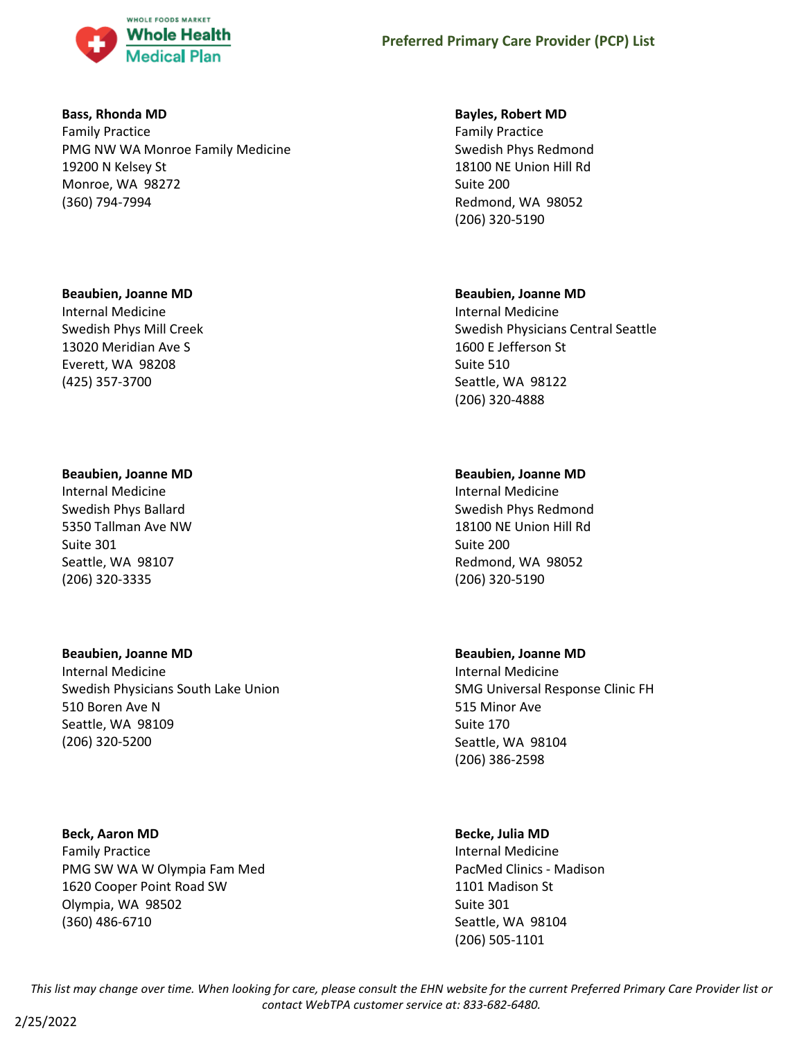

# **Bass, Rhonda MD**

Family Practice PMG NW WA Monroe Family Medicine 19200 N Kelsey St Monroe, WA 98272 (360) 794-7994

## **Beaubien, Joanne MD**

Internal Medicine Swedish Phys Mill Creek 13020 Meridian Ave S Everett, WA 98208 (425) 357-3700

# **Beaubien, Joanne MD**

Internal Medicine Swedish Phys Ballard 5350 Tallman Ave NW Suite 301 Seattle, WA 98107 (206) 320-3335

# **Beaubien, Joanne MD**

Internal Medicine Swedish Physicians South Lake Union 510 Boren Ave N Seattle, WA 98109 (206) 320-5200

Family Practice PMG SW WA W Olympia Fam Med

# **Beck, Aaron MD**

1620 Cooper Point Road SW Olympia, WA 98502 (360) 486-6710

## **Bayles, Robert MD**

Family Practice Swedish Phys Redmond 18100 NE Union Hill Rd Suite 200 Redmond, WA 98052 (206) 320-5190

# **Beaubien, Joanne MD**

Internal Medicine Swedish Physicians Central Seattle 1600 E Jefferson St Suite 510 Seattle, WA 98122 (206) 320-4888

# **Beaubien, Joanne MD**

Internal Medicine Swedish Phys Redmond 18100 NE Union Hill Rd Suite 200 Redmond, WA 98052 (206) 320-5190

# **Beaubien, Joanne MD**

Internal Medicine SMG Universal Response Clinic FH 515 Minor Ave Suite 170 Seattle, WA 98104 (206) 386-2598

# **Becke, Julia MD**

Internal Medicine PacMed Clinics - Madison 1101 Madison St Suite 301 Seattle, WA 98104 (206) 505-1101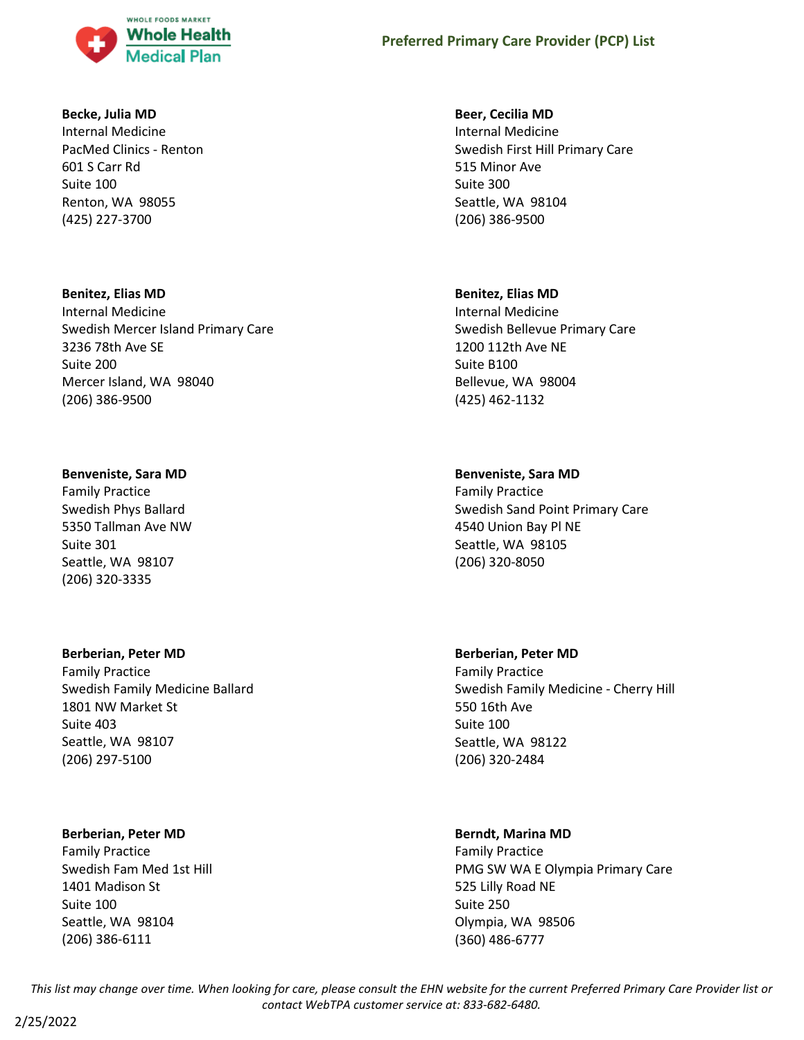

## **Becke, Julia MD**

Internal Medicine PacMed Clinics - Renton 601 S Carr Rd Suite 100 Renton, WA 98055 (425) 227-3700

# **Benitez, Elias MD**

Internal Medicine Swedish Mercer Island Primary Care 3236 78th Ave SE Suite 200 Mercer Island, WA 98040 (206) 386-9500

# **Benveniste, Sara MD**

Family Practice Swedish Phys Ballard 5350 Tallman Ave NW Suite 301 Seattle, WA 98107 (206) 320-3335

# **Berberian, Peter MD**

Family Practice Swedish Family Medicine Ballard 1801 NW Market St Suite 403 Seattle, WA 98107 (206) 297-5100

# **Berberian, Peter MD**

Family Practice Swedish Fam Med 1st Hill 1401 Madison St Suite 100 Seattle, WA 98104 (206) 386-6111

# **Beer, Cecilia MD**

Internal Medicine Swedish First Hill Primary Care 515 Minor Ave Suite 300 Seattle, WA 98104 (206) 386-9500

# **Benitez, Elias MD**

Internal Medicine Swedish Bellevue Primary Care 1200 112th Ave NE Suite B100 Bellevue, WA 98004 (425) 462-1132

# **Benveniste, Sara MD**

Family Practice Swedish Sand Point Primary Care 4540 Union Bay Pl NE Seattle, WA 98105 (206) 320-8050

# **Berberian, Peter MD**

Family Practice Swedish Family Medicine - Cherry Hill 550 16th Ave Suite 100 Seattle, WA 98122 (206) 320-2484

# **Berndt, Marina MD**

Family Practice PMG SW WA E Olympia Primary Care 525 Lilly Road NE Suite 250 Olympia, WA 98506 (360) 486-6777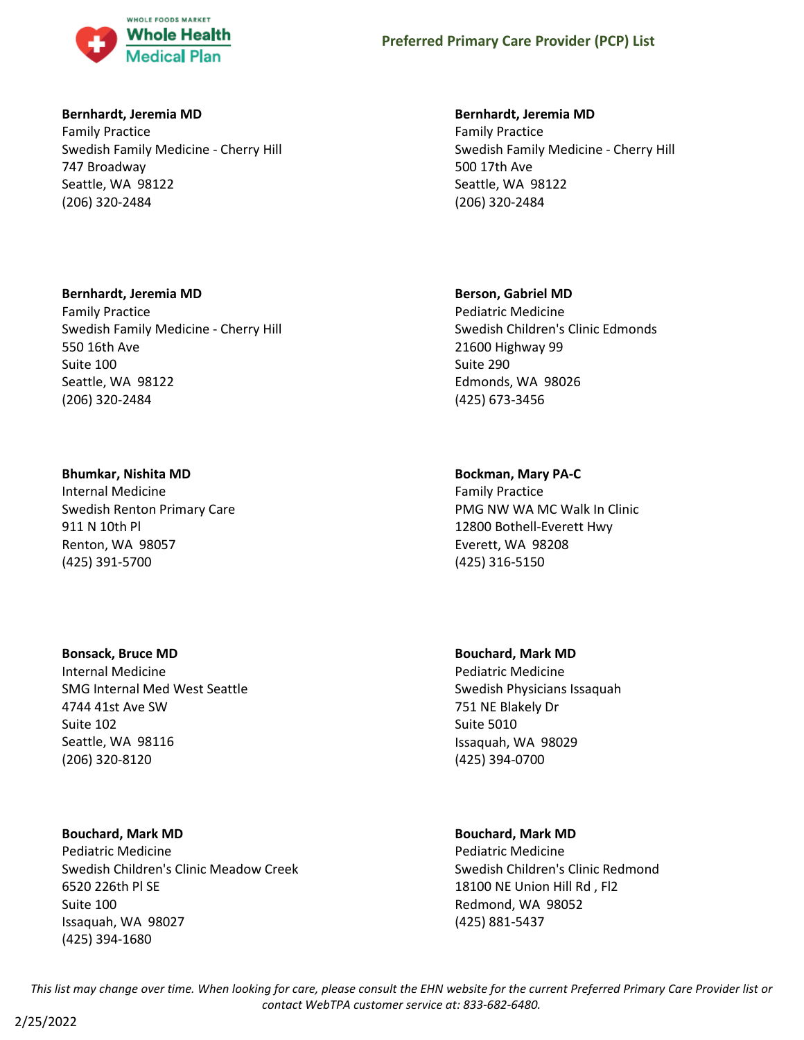

# **Bernhardt, Jeremia MD**

Family Practice Swedish Family Medicine - Cherry Hill 747 Broadway Seattle, WA 98122 (206) 320-2484

# **Bernhardt, Jeremia MD**

Family Practice Swedish Family Medicine - Cherry Hill 550 16th Ave Suite 100 Seattle, WA 98122 (206) 320-2484

# **Bhumkar, Nishita MD**

Internal Medicine Swedish Renton Primary Care 911 N 10th Pl Renton, WA 98057 (425) 391-5700

# **Bonsack, Bruce MD**

Internal Medicine SMG Internal Med West Seattle 4744 41st Ave SW Suite 102 Seattle, WA 98116 (206) 320-8120

# **Bouchard, Mark MD**

Pediatric Medicine Swedish Children's Clinic Meadow Creek 6520 226th Pl SE Suite 100 Issaquah, WA 98027 (425) 394-1680

# **Bernhardt, Jeremia MD**

Family Practice Swedish Family Medicine - Cherry Hill 500 17th Ave Seattle, WA 98122 (206) 320-2484

# **Berson, Gabriel MD**

Pediatric Medicine Swedish Children's Clinic Edmonds 21600 Highway 99 Suite 290 Edmonds, WA 98026 (425) 673-3456

# **Bockman, Mary PA-C**

Family Practice PMG NW WA MC Walk In Clinic 12800 Bothell-Everett Hwy Everett, WA 98208 (425) 316-5150

# **Bouchard, Mark MD**

Pediatric Medicine Swedish Physicians Issaquah 751 NE Blakely Dr Suite 5010 Issaquah, WA 98029 (425) 394-0700

# **Bouchard, Mark MD**

Pediatric Medicine Swedish Children's Clinic Redmond 18100 NE Union Hill Rd , Fl2 Redmond, WA 98052 (425) 881-5437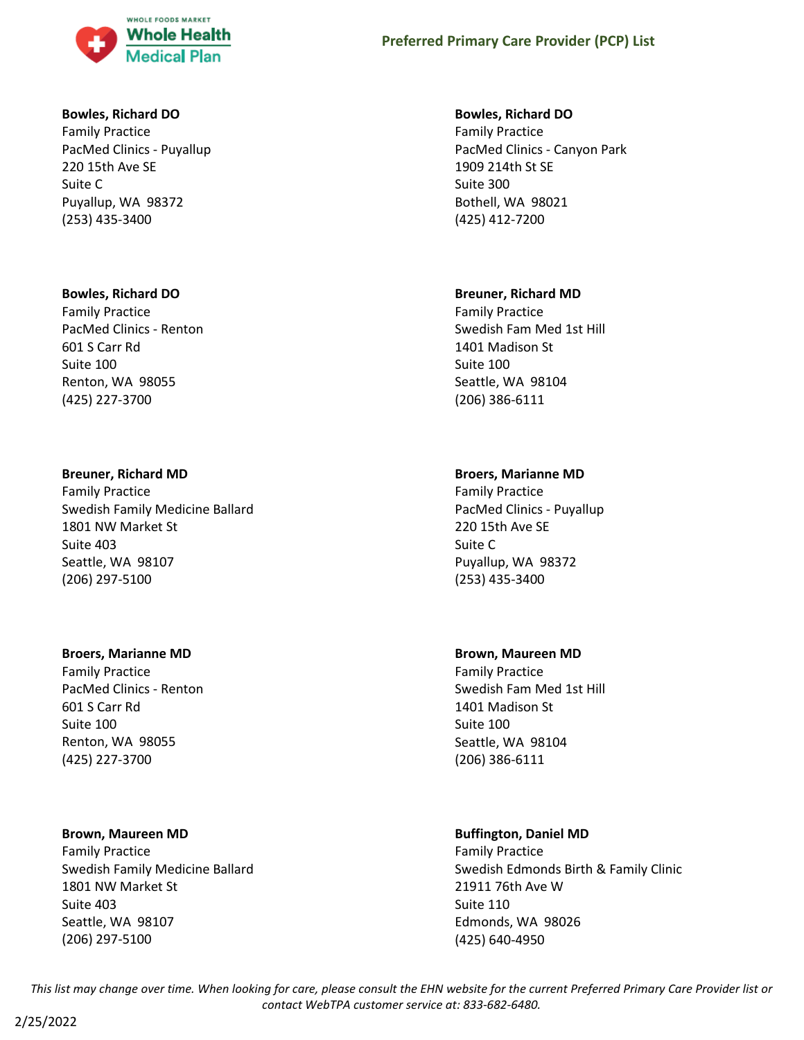

# **Bowles, Richard DO**

Family Practice PacMed Clinics - Puyallup 220 15th Ave SE Suite C Puyallup, WA 98372 (253) 435-3400

## **Bowles, Richard DO**

Family Practice PacMed Clinics - Renton 601 S Carr Rd Suite 100 Renton, WA 98055 (425) 227-3700

## **Breuner, Richard MD**

Family Practice Swedish Family Medicine Ballard 1801 NW Market St Suite 403 Seattle, WA 98107 (206) 297-5100

#### **Broers, Marianne MD**

Family Practice PacMed Clinics - Renton 601 S Carr Rd Suite 100 Renton, WA 98055 (425) 227-3700

# **Brown, Maureen MD**

Family Practice Swedish Family Medicine Ballard 1801 NW Market St Suite 403 Seattle, WA 98107 (206) 297-5100

## **Bowles, Richard DO**

Family Practice PacMed Clinics - Canyon Park 1909 214th St SE Suite 300 Bothell, WA 98021 (425) 412-7200

## **Breuner, Richard MD**

Family Practice Swedish Fam Med 1st Hill 1401 Madison St Suite 100 Seattle, WA 98104 (206) 386-6111

# **Broers, Marianne MD**

Family Practice PacMed Clinics - Puyallup 220 15th Ave SE Suite C Puyallup, WA 98372 (253) 435-3400

#### **Brown, Maureen MD**

Family Practice Swedish Fam Med 1st Hill 1401 Madison St Suite 100 Seattle, WA 98104 (206) 386-6111

# **Buffington, Daniel MD**

Family Practice Swedish Edmonds Birth & Family Clinic 21911 76th Ave W Suite 110 Edmonds, WA 98026 (425) 640-4950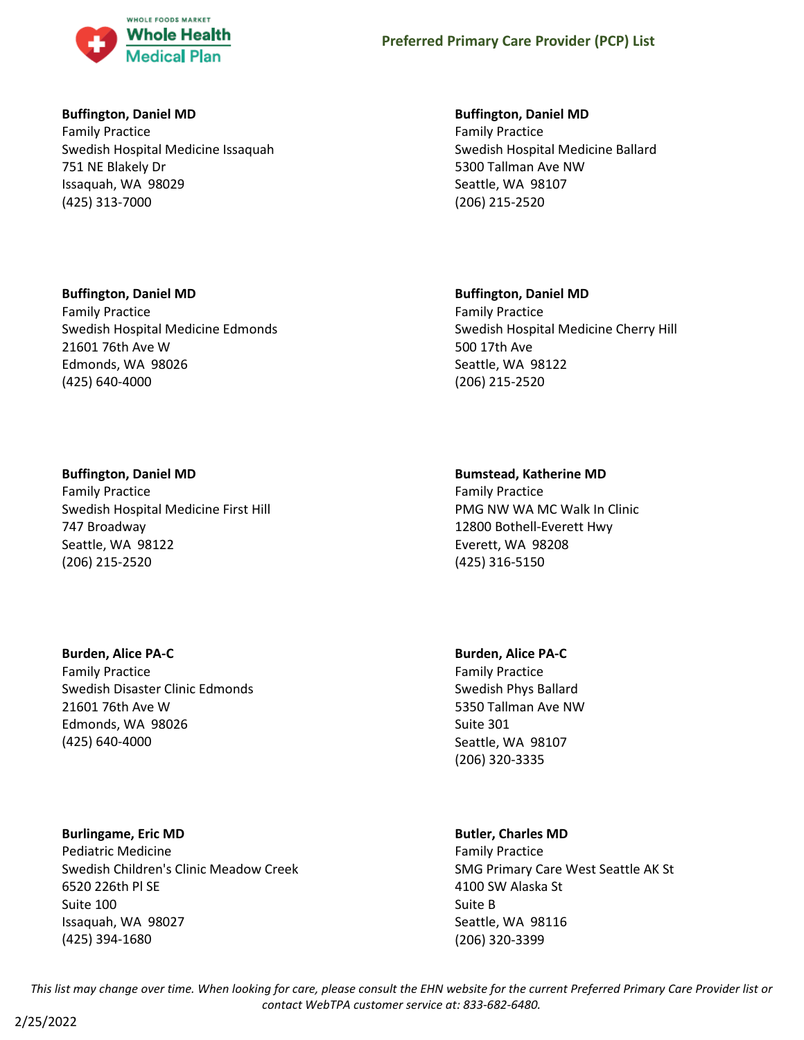

# **Buffington, Daniel MD**

**Buffington, Daniel MD**

Family Practice

21601 76th Ave W Edmonds, WA 98026 (425) 640-4000

Family Practice Swedish Hospital Medicine Issaquah 751 NE Blakely Dr Issaquah, WA 98029 (425) 313-7000

Swedish Hospital Medicine Edmonds

# **Buffington, Daniel MD**

Family Practice Swedish Hospital Medicine Ballard 5300 Tallman Ave NW Seattle, WA 98107 (206) 215-2520

# **Buffington, Daniel MD**

Family Practice Swedish Hospital Medicine Cherry Hill 500 17th Ave Seattle, WA 98122 (206) 215-2520

# **Buffington, Daniel MD**

Family Practice Swedish Hospital Medicine First Hill 747 Broadway Seattle, WA 98122 (206) 215-2520

# **Burden, Alice PA-C**

Family Practice Swedish Disaster Clinic Edmonds 21601 76th Ave W Edmonds, WA 98026 (425) 640-4000

# **Burlingame, Eric MD**

2/25/2022

Pediatric Medicine Swedish Children's Clinic Meadow Creek 6520 226th Pl SE Suite 100 Issaquah, WA 98027 (425) 394-1680

# **Bumstead, Katherine MD**

Family Practice PMG NW WA MC Walk In Clinic 12800 Bothell-Everett Hwy Everett, WA 98208 (425) 316-5150

# **Burden, Alice PA-C**

Family Practice Swedish Phys Ballard 5350 Tallman Ave NW Suite 301 Seattle, WA 98107 (206) 320-3335

# **Butler, Charles MD**

Family Practice SMG Primary Care West Seattle AK St 4100 SW Alaska St Suite B Seattle, WA 98116 (206) 320-3399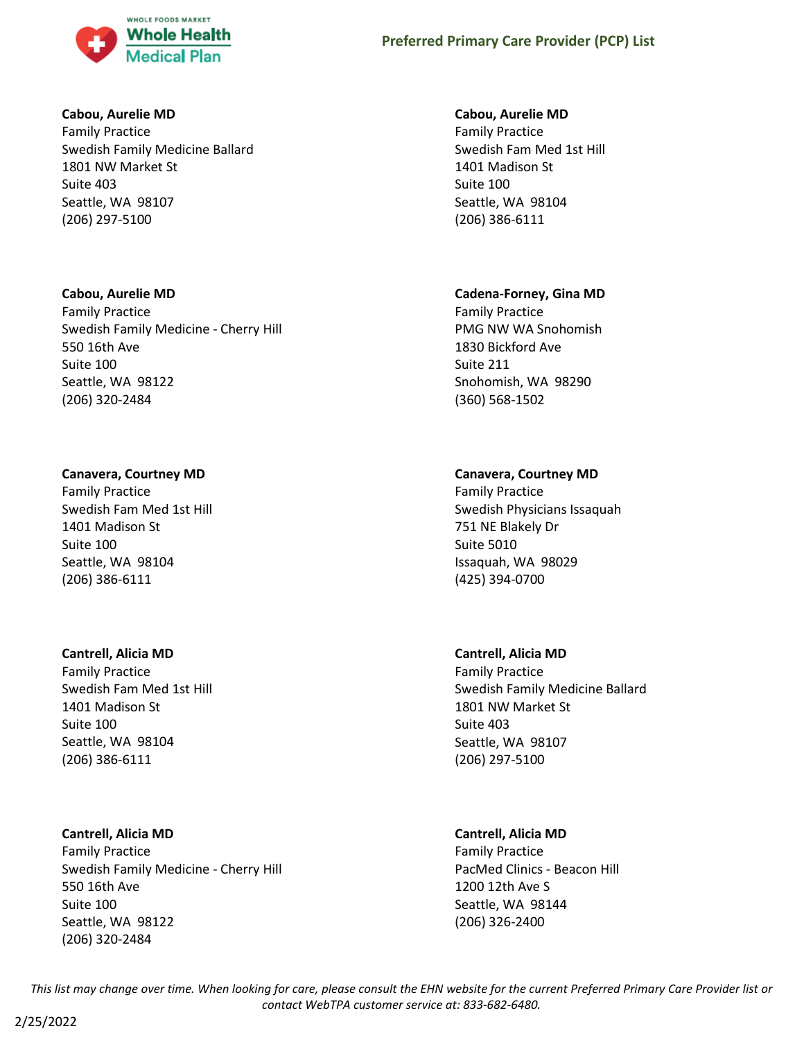

# **Cabou, Aurelie MD**

Family Practice Swedish Family Medicine Ballard 1801 NW Market St Suite 403 Seattle, WA 98107 (206) 297-5100

# **Cabou, Aurelie MD**

Family Practice Swedish Family Medicine - Cherry Hill 550 16th Ave Suite 100 Seattle, WA 98122 (206) 320-2484

# **Canavera, Courtney MD**

Family Practice Swedish Fam Med 1st Hill 1401 Madison St Suite 100 Seattle, WA 98104 (206) 386-6111

# **Cantrell, Alicia MD**

Family Practice Swedish Fam Med 1st Hill 1401 Madison St Suite 100 Seattle, WA 98104 (206) 386-6111

# **Cantrell, Alicia MD**

Family Practice Swedish Family Medicine - Cherry Hill 550 16th Ave Suite 100 Seattle, WA 98122 (206) 320-2484

# **Cabou, Aurelie MD**

Family Practice Swedish Fam Med 1st Hill 1401 Madison St Suite 100 Seattle, WA 98104 (206) 386-6111

# **Cadena-Forney, Gina MD**

Family Practice PMG NW WA Snohomish 1830 Bickford Ave Suite 211 Snohomish, WA 98290 (360) 568-1502

# **Canavera, Courtney MD**

Family Practice Swedish Physicians Issaquah 751 NE Blakely Dr Suite 5010 Issaquah, WA 98029 (425) 394-0700

# **Cantrell, Alicia MD**

Family Practice Swedish Family Medicine Ballard 1801 NW Market St Suite 403 Seattle, WA 98107 (206) 297-5100

# **Cantrell, Alicia MD**

Family Practice PacMed Clinics - Beacon Hill 1200 12th Ave S Seattle, WA 98144 (206) 326-2400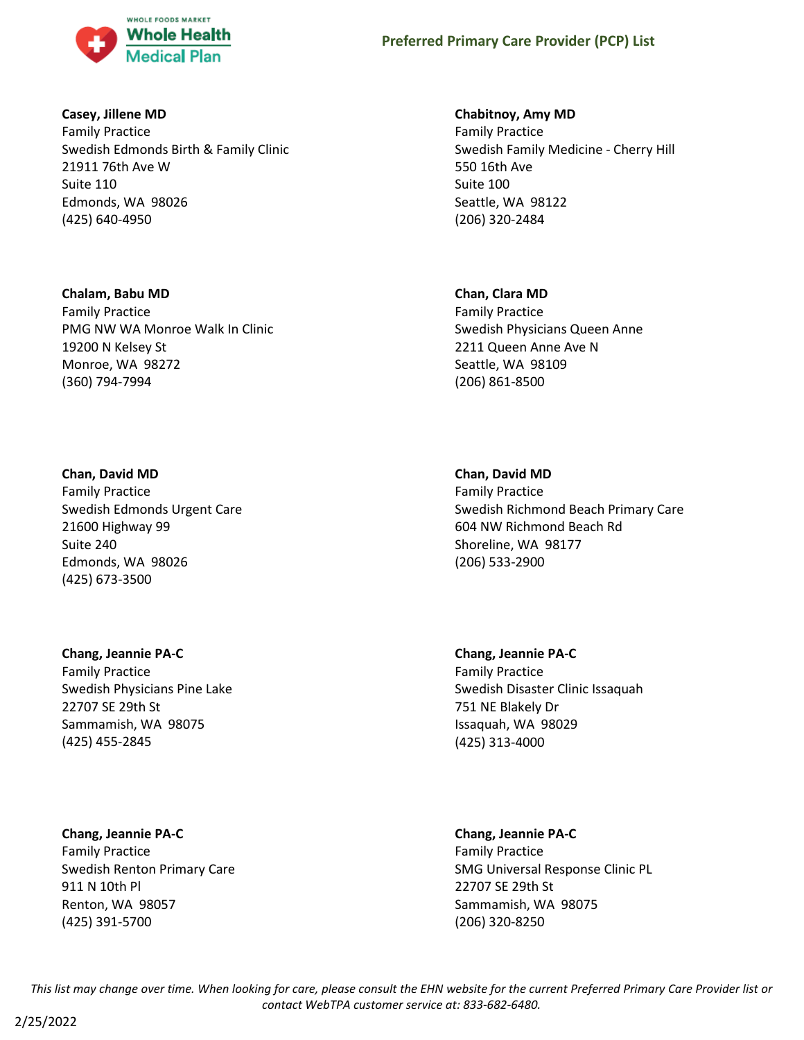

# **Casey, Jillene MD**

Family Practice Swedish Edmonds Birth & Family Clinic 21911 76th Ave W Suite 110 Edmonds, WA 98026 (425) 640-4950

## **Chalam, Babu MD**

Family Practice PMG NW WA Monroe Walk In Clinic 19200 N Kelsey St Monroe, WA 98272 (360) 794-7994

# **Chan, David MD**

Family Practice Swedish Edmonds Urgent Care 21600 Highway 99 Suite 240 Edmonds, WA 98026 (425) 673-3500

# **Chang, Jeannie PA-C**

Family Practice Swedish Physicians Pine Lake 22707 SE 29th St Sammamish, WA 98075 (425) 455-2845

# **Chang, Jeannie PA-C**

Family Practice Swedish Renton Primary Care 911 N 10th Pl Renton, WA 98057 (425) 391-5700

# **Chabitnoy, Amy MD**

Family Practice Swedish Family Medicine - Cherry Hill 550 16th Ave Suite 100 Seattle, WA 98122 (206) 320-2484

## **Chan, Clara MD**

Family Practice Swedish Physicians Queen Anne 2211 Queen Anne Ave N Seattle, WA 98109 (206) 861-8500

# **Chan, David MD**

Family Practice Swedish Richmond Beach Primary Care 604 NW Richmond Beach Rd Shoreline, WA 98177 (206) 533-2900

# **Chang, Jeannie PA-C** Family Practice Swedish Disaster Clinic Issaquah 751 NE Blakely Dr Issaquah, WA 98029 (425) 313-4000

# **Chang, Jeannie PA-C**

Family Practice SMG Universal Response Clinic PL 22707 SE 29th St Sammamish, WA 98075 (206) 320-8250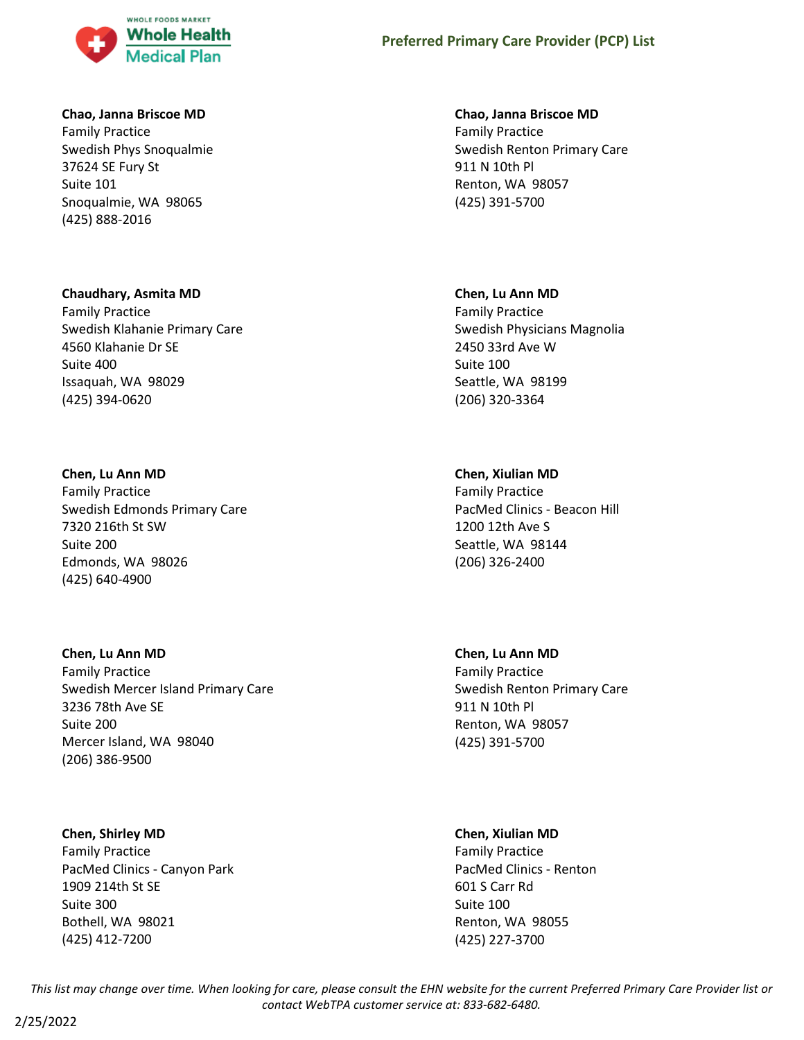

## **Chao, Janna Briscoe MD**

Family Practice Swedish Phys Snoqualmie 37624 SE Fury St Suite 101 Snoqualmie, WA 98065 (425) 888-2016

## **Chaudhary, Asmita MD**

Family Practice Swedish Klahanie Primary Care 4560 Klahanie Dr SE Suite 400 Issaquah, WA 98029 (425) 394-0620

## **Chen, Lu Ann MD**

Family Practice Swedish Edmonds Primary Care 7320 216th St SW Suite 200 Edmonds, WA 98026 (425) 640-4900

#### **Chen, Lu Ann MD**

Family Practice Swedish Mercer Island Primary Care 3236 78th Ave SE Suite 200 Mercer Island, WA 98040 (206) 386-9500

#### **Chen, Shirley MD**

Family Practice PacMed Clinics - Canyon Park 1909 214th St SE Suite 300 Bothell, WA 98021 (425) 412-7200

## **Chao, Janna Briscoe MD**

Family Practice Swedish Renton Primary Care 911 N 10th Pl Renton, WA 98057 (425) 391-5700

#### **Chen, Lu Ann MD**

Family Practice Swedish Physicians Magnolia 2450 33rd Ave W Suite 100 Seattle, WA 98199 (206) 320-3364

# **Chen, Xiulian MD**

Family Practice PacMed Clinics - Beacon Hill 1200 12th Ave S Seattle, WA 98144 (206) 326-2400

# **Chen, Lu Ann MD**

Family Practice Swedish Renton Primary Care 911 N 10th Pl Renton, WA 98057 (425) 391-5700

# **Chen, Xiulian MD**

Family Practice PacMed Clinics - Renton 601 S Carr Rd Suite 100 Renton, WA 98055 (425) 227-3700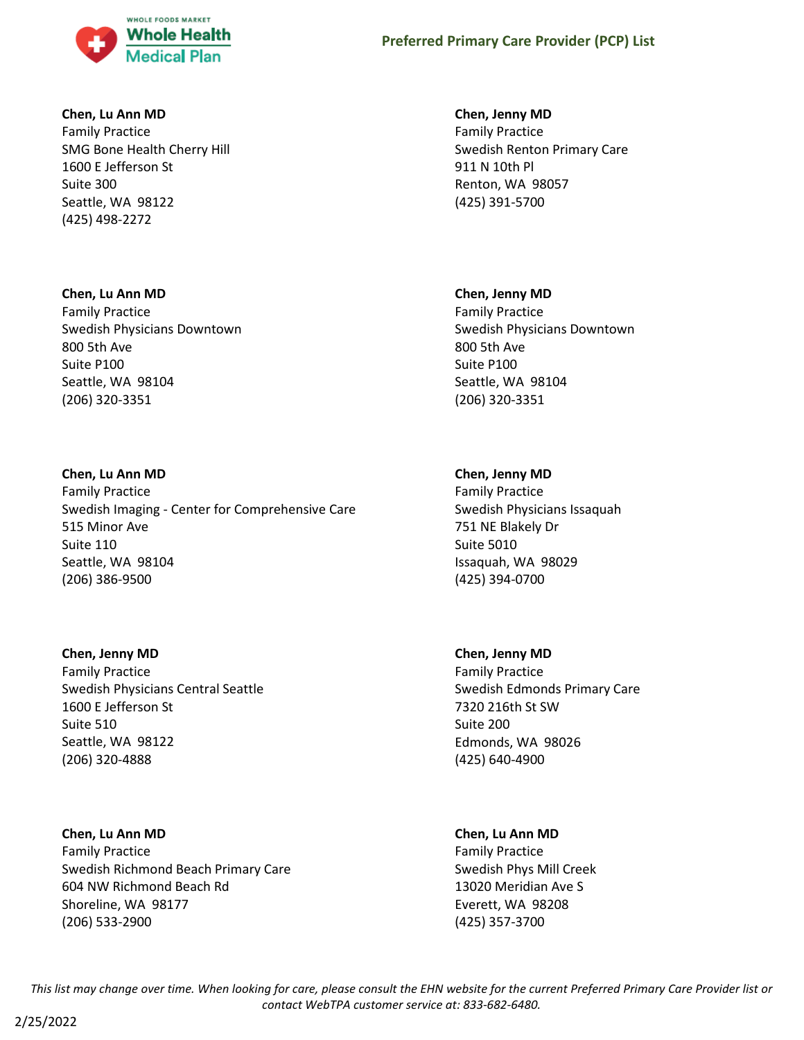

# **Chen, Lu Ann MD**

Family Practice SMG Bone Health Cherry Hill 1600 E Jefferson St Suite 300 Seattle, WA 98122 (425) 498-2272

# **Chen, Lu Ann MD**

Family Practice Swedish Physicians Downtown 800 5th Ave Suite P100 Seattle, WA 98104 (206) 320-3351

# **Chen, Lu Ann MD**

Family Practice Swedish Imaging - Center for Comprehensive Care 515 Minor Ave Suite 110 Seattle, WA 98104 (206) 386-9500

# **Chen, Jenny MD**

Family Practice Swedish Physicians Central Seattle 1600 E Jefferson St Suite 510 Seattle, WA 98122 (206) 320-4888

# **Chen, Lu Ann MD**

Family Practice Swedish Richmond Beach Primary Care 604 NW Richmond Beach Rd Shoreline, WA 98177 (206) 533-2900

# **Chen, Jenny MD**

Family Practice Swedish Renton Primary Care 911 N 10th Pl Renton, WA 98057 (425) 391-5700

# **Chen, Jenny MD**

Family Practice Swedish Physicians Downtown 800 5th Ave Suite P100 Seattle, WA 98104 (206) 320-3351

# **Chen, Jenny MD**

Family Practice Swedish Physicians Issaquah 751 NE Blakely Dr Suite 5010 Issaquah, WA 98029 (425) 394-0700

# **Chen, Jenny MD**

Family Practice Swedish Edmonds Primary Care 7320 216th St SW Suite 200 Edmonds, WA 98026 (425) 640-4900

# **Chen, Lu Ann MD**

Family Practice Swedish Phys Mill Creek 13020 Meridian Ave S Everett, WA 98208 (425) 357-3700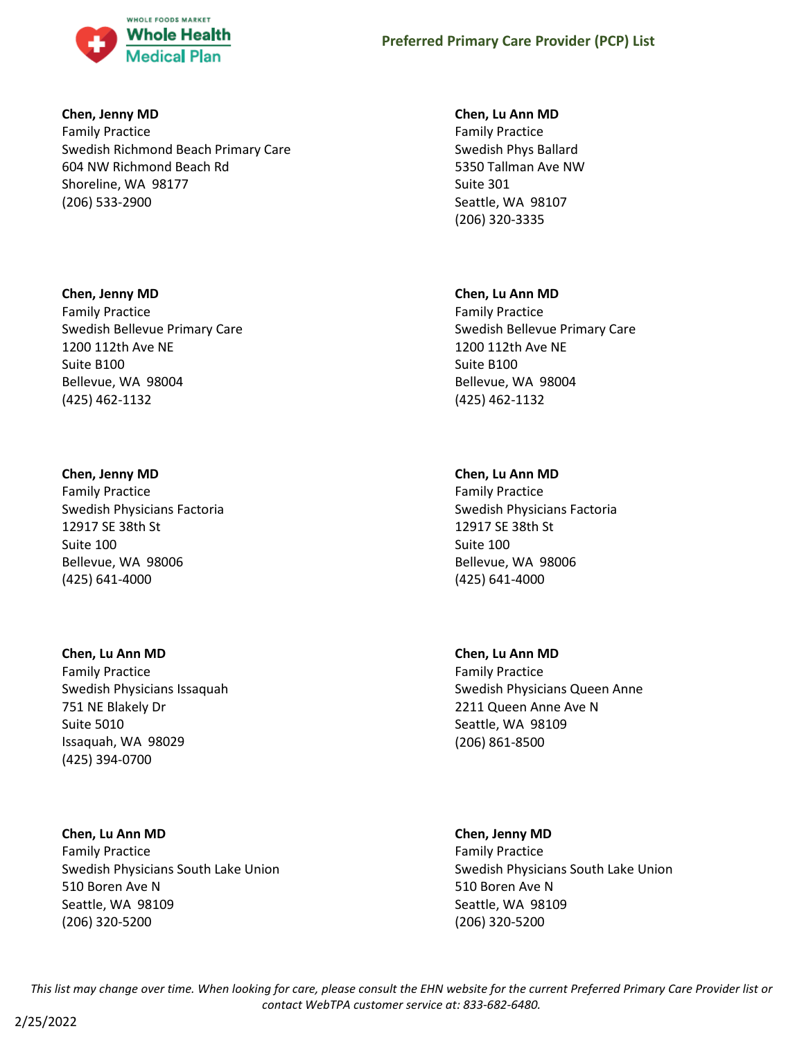

## **Chen, Jenny MD**

Family Practice Swedish Richmond Beach Primary Care 604 NW Richmond Beach Rd Shoreline, WA 98177 (206) 533-2900

# **Chen, Jenny MD**

Family Practice Swedish Bellevue Primary Care 1200 112th Ave NE Suite B100 Bellevue, WA 98004 (425) 462-1132

# **Chen, Jenny MD**

Family Practice Swedish Physicians Factoria 12917 SE 38th St Suite 100 Bellevue, WA 98006 (425) 641-4000

# **Chen, Lu Ann MD**

Family Practice Swedish Physicians Issaquah 751 NE Blakely Dr Suite 5010 Issaquah, WA 98029 (425) 394-0700

# **Chen, Lu Ann MD**

Family Practice Swedish Physicians South Lake Union 510 Boren Ave N Seattle, WA 98109 (206) 320-5200

# **Chen, Lu Ann MD**

Family Practice Swedish Phys Ballard 5350 Tallman Ave NW Suite 301 Seattle, WA 98107 (206) 320-3335

# **Chen, Lu Ann MD**

Family Practice Swedish Bellevue Primary Care 1200 112th Ave NE Suite B100 Bellevue, WA 98004 (425) 462-1132

# **Chen, Lu Ann MD**

Family Practice Swedish Physicians Factoria 12917 SE 38th St Suite 100 Bellevue, WA 98006 (425) 641-4000

# **Chen, Lu Ann MD**

Family Practice Swedish Physicians Queen Anne 2211 Queen Anne Ave N Seattle, WA 98109 (206) 861-8500

# **Chen, Jenny MD**

Family Practice Swedish Physicians South Lake Union 510 Boren Ave N Seattle, WA 98109 (206) 320-5200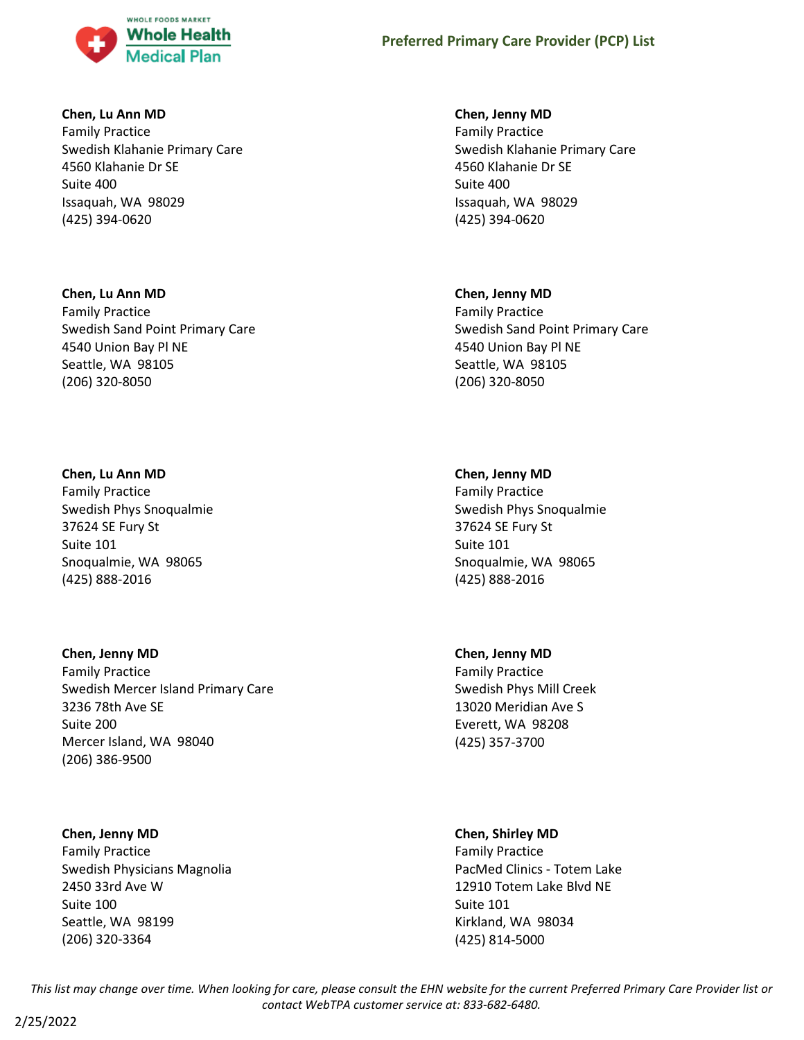

# **Chen, Lu Ann MD**

Family Practice Swedish Klahanie Primary Care 4560 Klahanie Dr SE Suite 400 Issaquah, WA 98029 (425) 394-0620

## **Chen, Lu Ann MD**

Family Practice Swedish Sand Point Primary Care 4540 Union Bay Pl NE Seattle, WA 98105 (206) 320-8050

# **Chen, Lu Ann MD**

Family Practice Swedish Phys Snoqualmie 37624 SE Fury St Suite 101 Snoqualmie, WA 98065 (425) 888-2016

# **Chen, Jenny MD**

Family Practice Swedish Mercer Island Primary Care 3236 78th Ave SE Suite 200 Mercer Island, WA 98040 (206) 386-9500

# **Chen, Jenny MD**

Family Practice Swedish Physicians Magnolia 2450 33rd Ave W Suite 100 Seattle, WA 98199 (206) 320-3364

## **Chen, Jenny MD**

Family Practice Swedish Klahanie Primary Care 4560 Klahanie Dr SE Suite 400 Issaquah, WA 98029 (425) 394-0620

## **Chen, Jenny MD**

Family Practice Swedish Sand Point Primary Care 4540 Union Bay Pl NE Seattle, WA 98105 (206) 320-8050

## **Chen, Jenny MD**

Family Practice Swedish Phys Snoqualmie 37624 SE Fury St Suite 101 Snoqualmie, WA 98065 (425) 888-2016

#### **Chen, Jenny MD**

Family Practice Swedish Phys Mill Creek 13020 Meridian Ave S Everett, WA 98208 (425) 357-3700

#### **Chen, Shirley MD**

Family Practice PacMed Clinics - Totem Lake 12910 Totem Lake Blvd NE Suite 101 Kirkland, WA 98034 (425) 814-5000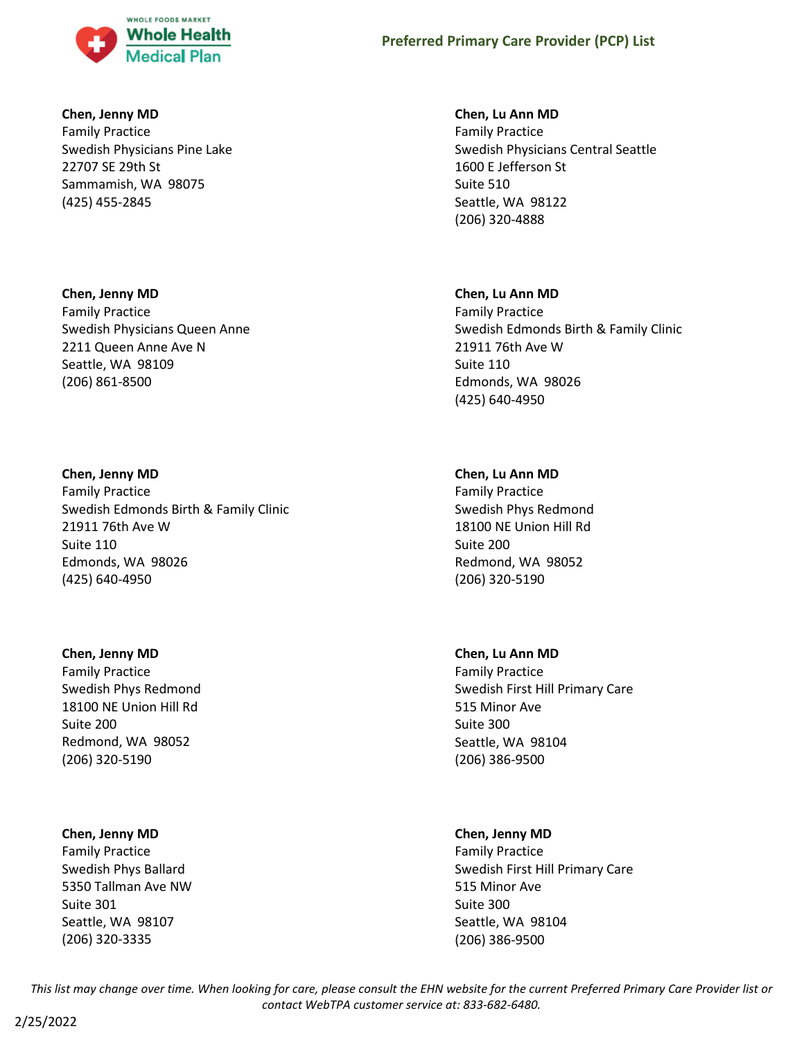

# **Chen, Jenny MD**

Family Practice Swedish Physicians Pine Lake 22707 SE 29th St Sammamish, WA 98075 (425) 455-2845

# **Chen, Jenny MD**

Family Practice Swedish Physicians Queen Anne 2211 Queen Anne Ave N Seattle, WA 98109 (206) 861-8500

# **Chen, Jenny MD**

Family Practice Swedish Edmonds Birth & Family Clinic 21911 76th Ave W Suite 110 Edmonds, WA 98026 (425) 640-4950

# **Chen, Jenny MD**

Family Practice Swedish Phys Redmond 18100 NE Union Hill Rd Suite 200 Redmond, WA 98052 (206) 320-5190

# **Chen, Jenny MD**

Family Practice Swedish Phys Ballard 5350 Tallman Ave NW Suite 301 Seattle, WA 98107 (206) 320-3335

# **Chen, Lu Ann MD**

Family Practice Swedish Physicians Central Seattle 1600 E Jefferson St Suite 510 Seattle, WA 98122 (206) 320-4888

# **Chen, Lu Ann MD**

Family Practice Swedish Edmonds Birth & Family Clinic 21911 76th Ave W Suite 110 Edmonds, WA 98026 (425) 640-4950

# **Chen, Lu Ann MD**

Family Practice Swedish Phys Redmond 18100 NE Union Hill Rd Suite 200 Redmond, WA 98052 (206) 320-5190

# **Chen, Lu Ann MD**

Family Practice Swedish First Hill Primary Care 515 Minor Ave Suite 300 Seattle, WA 98104 (206) 386-9500

# **Chen, Jenny MD**

Family Practice Swedish First Hill Primary Care 515 Minor Ave Suite 300 Seattle, WA 98104 (206) 386-9500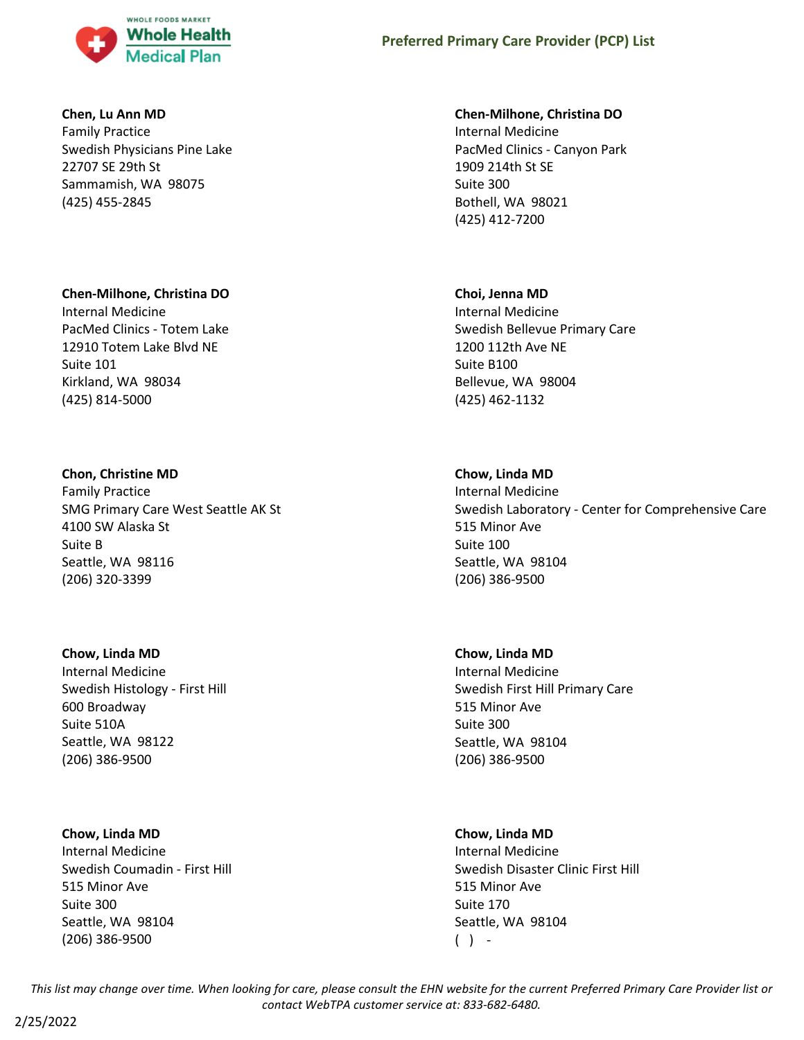

## **Chen, Lu Ann MD**

Family Practice Swedish Physicians Pine Lake 22707 SE 29th St Sammamish, WA 98075 (425) 455-2845

## **Chen-Milhone, Christina DO**

Internal Medicine PacMed Clinics - Totem Lake 12910 Totem Lake Blvd NE Suite 101 Kirkland, WA 98034 (425) 814-5000

# **Chon, Christine MD**

Family Practice SMG Primary Care West Seattle AK St 4100 SW Alaska St Suite B Seattle, WA 98116 (206) 320-3399

#### **Chow, Linda MD**

Internal Medicine Swedish Histology - First Hill 600 Broadway Suite 510A Seattle, WA 98122 (206) 386-9500

#### **Chow, Linda MD**

Internal Medicine Swedish Coumadin - First Hill 515 Minor Ave Suite 300 Seattle, WA 98104 (206) 386-9500

## **Chen-Milhone, Christina DO**

Internal Medicine PacMed Clinics - Canyon Park 1909 214th St SE Suite 300 Bothell, WA 98021 (425) 412-7200

### **Choi, Jenna MD**

Internal Medicine Swedish Bellevue Primary Care 1200 112th Ave NE Suite B100 Bellevue, WA 98004 (425) 462-1132

# **Chow, Linda MD**

Internal Medicine Swedish Laboratory - Center for Comprehensive Care 515 Minor Ave Suite 100 Seattle, WA 98104 (206) 386-9500

# **Chow, Linda MD**

Internal Medicine Swedish First Hill Primary Care 515 Minor Ave Suite 300 Seattle, WA 98104 (206) 386-9500

#### **Chow, Linda MD**

Internal Medicine Swedish Disaster Clinic First Hill 515 Minor Ave Suite 170 Seattle, WA 98104  $( )$  -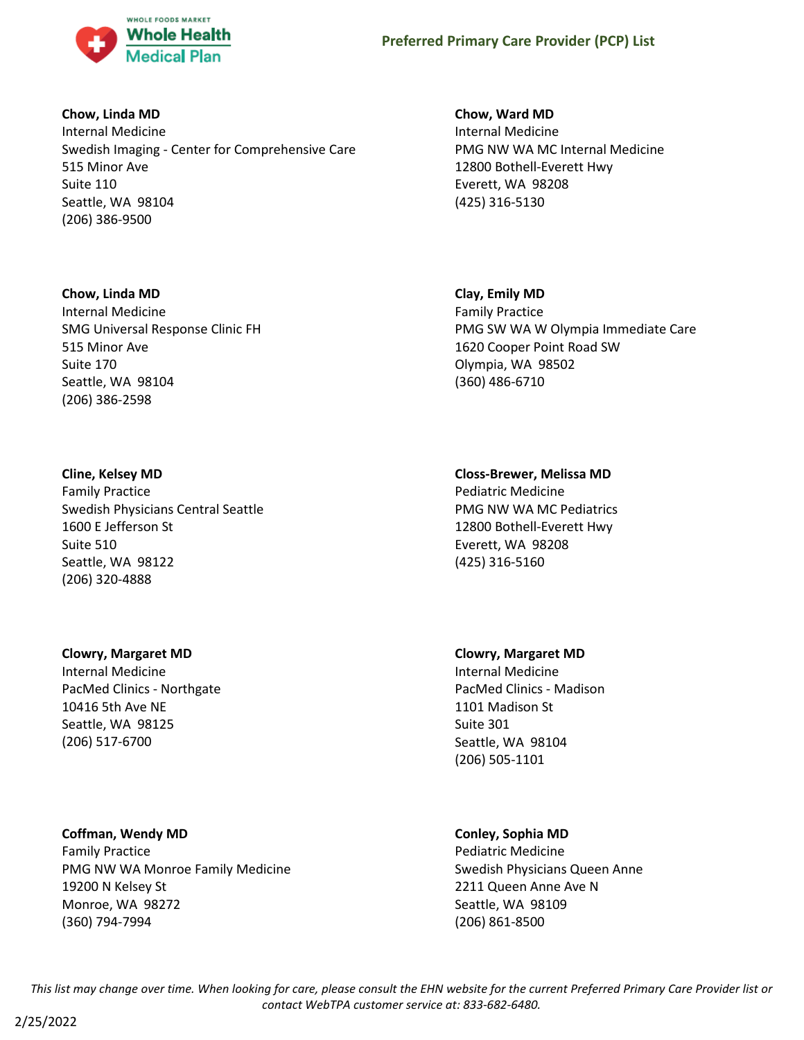

# **Chow, Linda MD**

Internal Medicine Swedish Imaging - Center for Comprehensive Care 515 Minor Ave Suite 110 Seattle, WA 98104 (206) 386-9500

# **Chow, Linda MD**

Internal Medicine SMG Universal Response Clinic FH 515 Minor Ave Suite 170 Seattle, WA 98104 (206) 386-2598

# **Cline, Kelsey MD**

Family Practice Swedish Physicians Central Seattle 1600 E Jefferson St Suite 510 Seattle, WA 98122 (206) 320-4888

# **Clowry, Margaret MD**

Internal Medicine PacMed Clinics - Northgate 10416 5th Ave NE Seattle, WA 98125 (206) 517-6700

# **Coffman, Wendy MD**

Family Practice PMG NW WA Monroe Family Medicine 19200 N Kelsey St Monroe, WA 98272 (360) 794-7994

# **Chow, Ward MD**

Internal Medicine PMG NW WA MC Internal Medicine 12800 Bothell-Everett Hwy Everett, WA 98208 (425) 316-5130

# **Clay, Emily MD**

Family Practice PMG SW WA W Olympia Immediate Care 1620 Cooper Point Road SW Olympia, WA 98502 (360) 486-6710

# **Closs-Brewer, Melissa MD**

Pediatric Medicine PMG NW WA MC Pediatrics 12800 Bothell-Everett Hwy Everett, WA 98208 (425) 316-5160

# **Clowry, Margaret MD**

Internal Medicine PacMed Clinics - Madison 1101 Madison St Suite 301 Seattle, WA 98104 (206) 505-1101

# **Conley, Sophia MD**

Pediatric Medicine Swedish Physicians Queen Anne 2211 Queen Anne Ave N Seattle, WA 98109 (206) 861-8500

*This list may change over time. When looking for care, please consult the EHN website for the current Preferred Primary Care Provider list or contact WebTPA customer service at: 833-682-6480.*

2/25/2022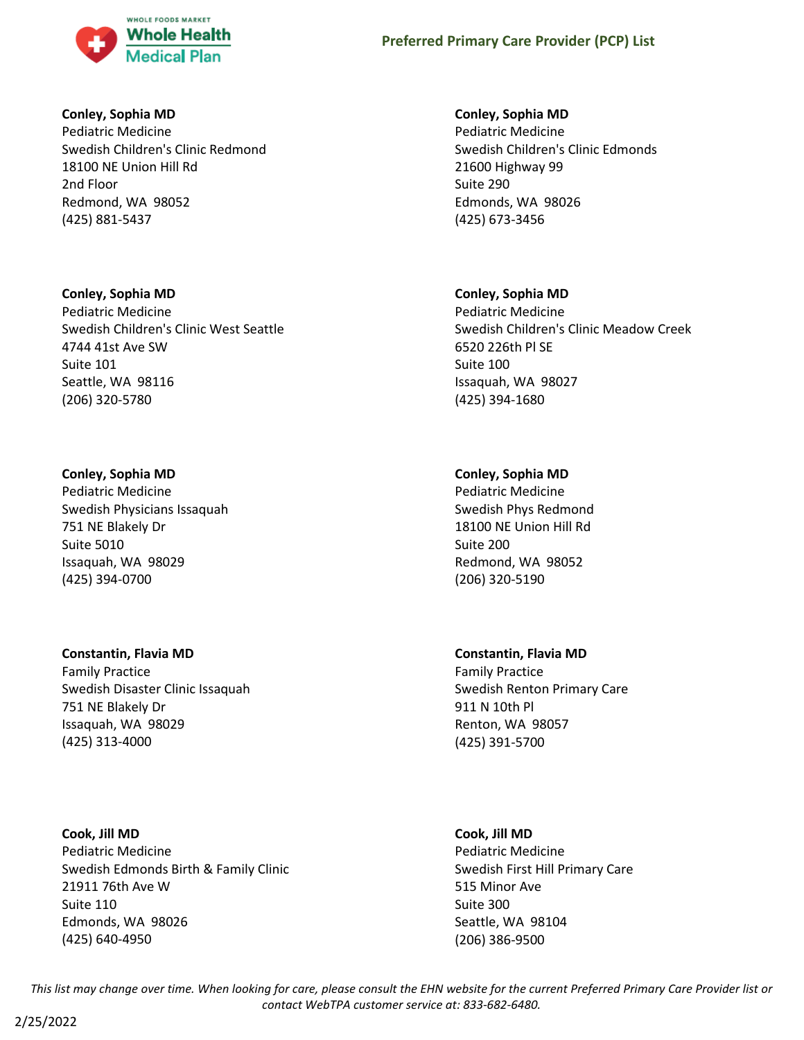

# **Conley, Sophia MD**

Pediatric Medicine Swedish Children's Clinic Redmond 18100 NE Union Hill Rd 2nd Floor Redmond, WA 98052 (425) 881-5437

# **Conley, Sophia MD** Pediatric Medicine Swedish Children's Clinic West Seattle 4744 41st Ave SW Suite 101 Seattle, WA 98116 (206) 320-5780

# **Conley, Sophia MD**

Pediatric Medicine Swedish Physicians Issaquah 751 NE Blakely Dr Suite 5010 Issaquah, WA 98029 (425) 394-0700

# **Constantin, Flavia MD**

Family Practice Swedish Disaster Clinic Issaquah 751 NE Blakely Dr Issaquah, WA 98029 (425) 313-4000

**Cook, Jill MD** Pediatric Medicine Swedish Edmonds Birth & Family Clinic 21911 76th Ave W Suite 110 Edmonds, WA 98026 (425) 640-4950

# **Conley, Sophia MD**

Pediatric Medicine Swedish Children's Clinic Edmonds 21600 Highway 99 Suite 290 Edmonds, WA 98026 (425) 673-3456

# **Conley, Sophia MD**

Pediatric Medicine Swedish Children's Clinic Meadow Creek 6520 226th Pl SE Suite 100 Issaquah, WA 98027 (425) 394-1680

# **Conley, Sophia MD**

Pediatric Medicine Swedish Phys Redmond 18100 NE Union Hill Rd Suite 200 Redmond, WA 98052 (206) 320-5190

# **Constantin, Flavia MD**

Family Practice Swedish Renton Primary Care 911 N 10th Pl Renton, WA 98057 (425) 391-5700

# **Cook, Jill MD**

Pediatric Medicine Swedish First Hill Primary Care 515 Minor Ave Suite 300 Seattle, WA 98104 (206) 386-9500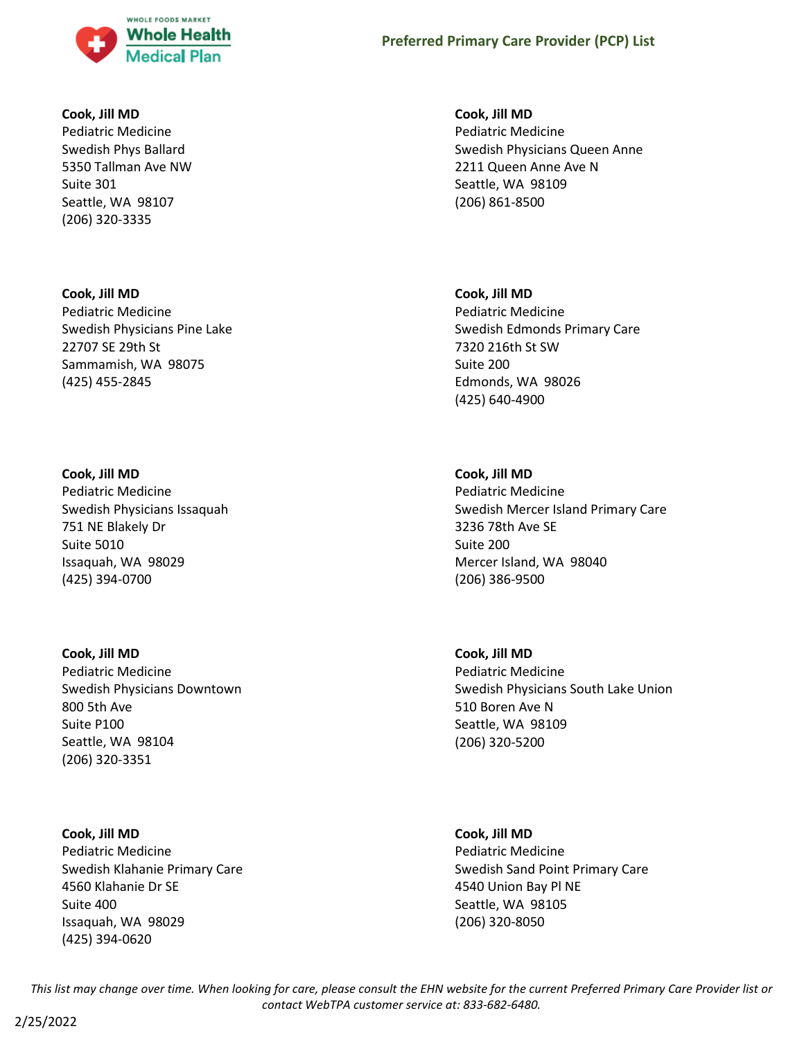

## **Cook, Jill MD**

Pediatric Medicine Swedish Phys Ballard 5350 Tallman Ave NW Suite 301 Seattle, WA 98107 (206) 320-3335

# **Cook, Jill MD**

Pediatric Medicine Swedish Physicians Pine Lake 22707 SE 29th St Sammamish, WA 98075 (425) 455-2845

## **Cook, Jill MD**

Pediatric Medicine Swedish Physicians Issaquah 751 NE Blakely Dr Suite 5010 Issaquah, WA 98029 (425) 394-0700

# **Cook, Jill MD** Pediatric Medicine Swedish Physicians Downtown 800 5th Ave Suite P100 Seattle, WA 98104 (206) 320-3351

# **Cook, Jill MD** Pediatric Medicine Swedish Klahanie Primary Care 4560 Klahanie Dr SE Suite 400 Issaquah, WA 98029 (425) 394-0620

**Cook, Jill MD** Pediatric Medicine Swedish Physicians Queen Anne 2211 Queen Anne Ave N Seattle, WA 98109 (206) 861-8500

# **Cook, Jill MD**

Pediatric Medicine Swedish Edmonds Primary Care 7320 216th St SW Suite 200 Edmonds, WA 98026 (425) 640-4900

# **Cook, Jill MD**

Pediatric Medicine Swedish Mercer Island Primary Care 3236 78th Ave SE Suite 200 Mercer Island, WA 98040 (206) 386-9500

# **Cook, Jill MD** Pediatric Medicine Swedish Physicians South Lake Union 510 Boren Ave N Seattle, WA 98109 (206) 320-5200

# **Cook, Jill MD** Pediatric Medicine Swedish Sand Point Primary Care 4540 Union Bay Pl NE Seattle, WA 98105 (206) 320-8050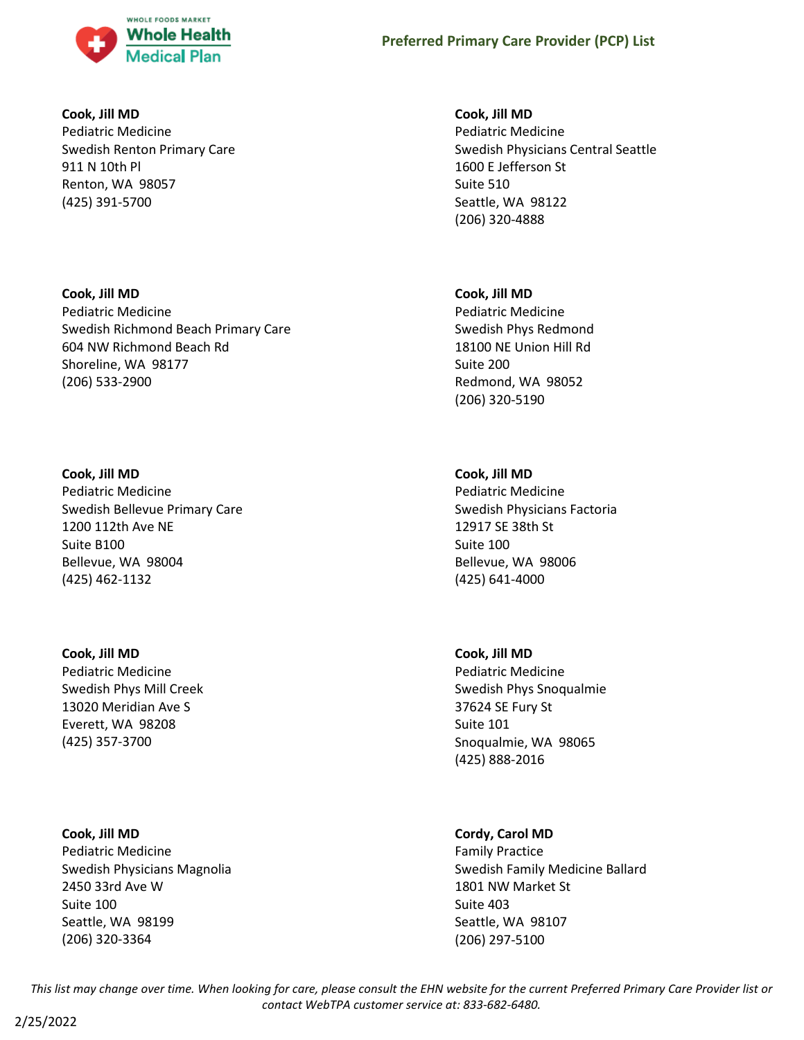

# **Cook, Jill MD**

Pediatric Medicine Swedish Renton Primary Care 911 N 10th Pl Renton, WA 98057 (425) 391-5700

# **Cook, Jill MD** Pediatric Medicine Swedish Richmond Beach Primary Care 604 NW Richmond Beach Rd Shoreline, WA 98177 (206) 533-2900

# **Cook, Jill MD**

Pediatric Medicine Swedish Bellevue Primary Care 1200 112th Ave NE Suite B100 Bellevue, WA 98004 (425) 462-1132

# **Cook, Jill MD**

Pediatric Medicine Swedish Phys Mill Creek 13020 Meridian Ave S Everett, WA 98208 (425) 357-3700

# **Cook, Jill MD**

Pediatric Medicine Swedish Physicians Magnolia 2450 33rd Ave W Suite 100 Seattle, WA 98199 (206) 320-3364

# **Cook, Jill MD**

Pediatric Medicine Swedish Physicians Central Seattle 1600 E Jefferson St Suite 510 Seattle, WA 98122 (206) 320-4888

# **Cook, Jill MD**

Pediatric Medicine Swedish Phys Redmond 18100 NE Union Hill Rd Suite 200 Redmond, WA 98052 (206) 320-5190

# **Cook, Jill MD**

Pediatric Medicine Swedish Physicians Factoria 12917 SE 38th St Suite 100 Bellevue, WA 98006 (425) 641-4000

# **Cook, Jill MD**

Pediatric Medicine Swedish Phys Snoqualmie 37624 SE Fury St Suite 101 Snoqualmie, WA 98065 (425) 888-2016

# **Cordy, Carol MD**

Family Practice Swedish Family Medicine Ballard 1801 NW Market St Suite 403 Seattle, WA 98107 (206) 297-5100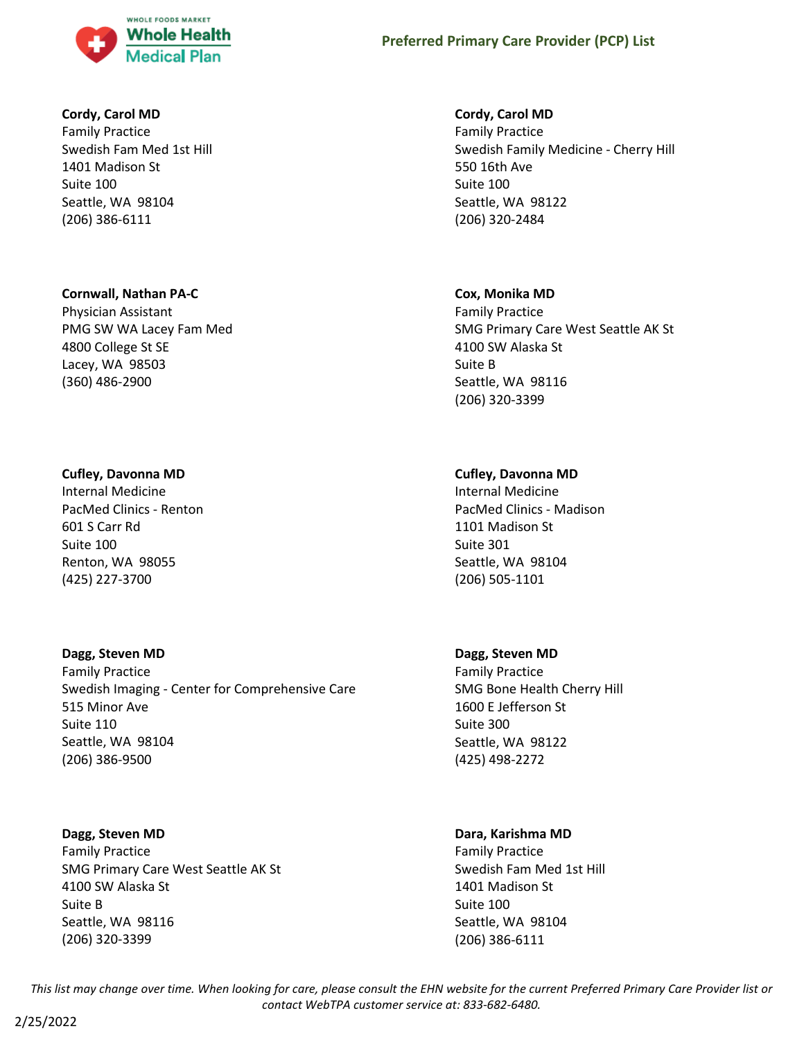

# **Cordy, Carol MD**

Family Practice Swedish Fam Med 1st Hill 1401 Madison St Suite 100 Seattle, WA 98104 (206) 386-6111

#### **Cornwall, Nathan PA-C**

Physician Assistant PMG SW WA Lacey Fam Med 4800 College St SE Lacey, WA 98503 (360) 486-2900

## **Cufley, Davonna MD**

Internal Medicine PacMed Clinics - Renton 601 S Carr Rd Suite 100 Renton, WA 98055 (425) 227-3700

# **Dagg, Steven MD**

Family Practice Swedish Imaging - Center for Comprehensive Care 515 Minor Ave Suite 110 Seattle, WA 98104 (206) 386-9500

#### **Dagg, Steven MD**

Family Practice SMG Primary Care West Seattle AK St 4100 SW Alaska St Suite B Seattle, WA 98116 (206) 320-3399

## **Cordy, Carol MD**

Family Practice Swedish Family Medicine - Cherry Hill 550 16th Ave Suite 100 Seattle, WA 98122 (206) 320-2484

#### **Cox, Monika MD**

Family Practice SMG Primary Care West Seattle AK St 4100 SW Alaska St Suite B Seattle, WA 98116 (206) 320-3399

## **Cufley, Davonna MD**

Internal Medicine PacMed Clinics - Madison 1101 Madison St Suite 301 Seattle, WA 98104 (206) 505-1101

#### **Dagg, Steven MD**

Family Practice SMG Bone Health Cherry Hill 1600 E Jefferson St Suite 300 Seattle, WA 98122 (425) 498-2272

# **Dara, Karishma MD**

Family Practice Swedish Fam Med 1st Hill 1401 Madison St Suite 100 Seattle, WA 98104 (206) 386-6111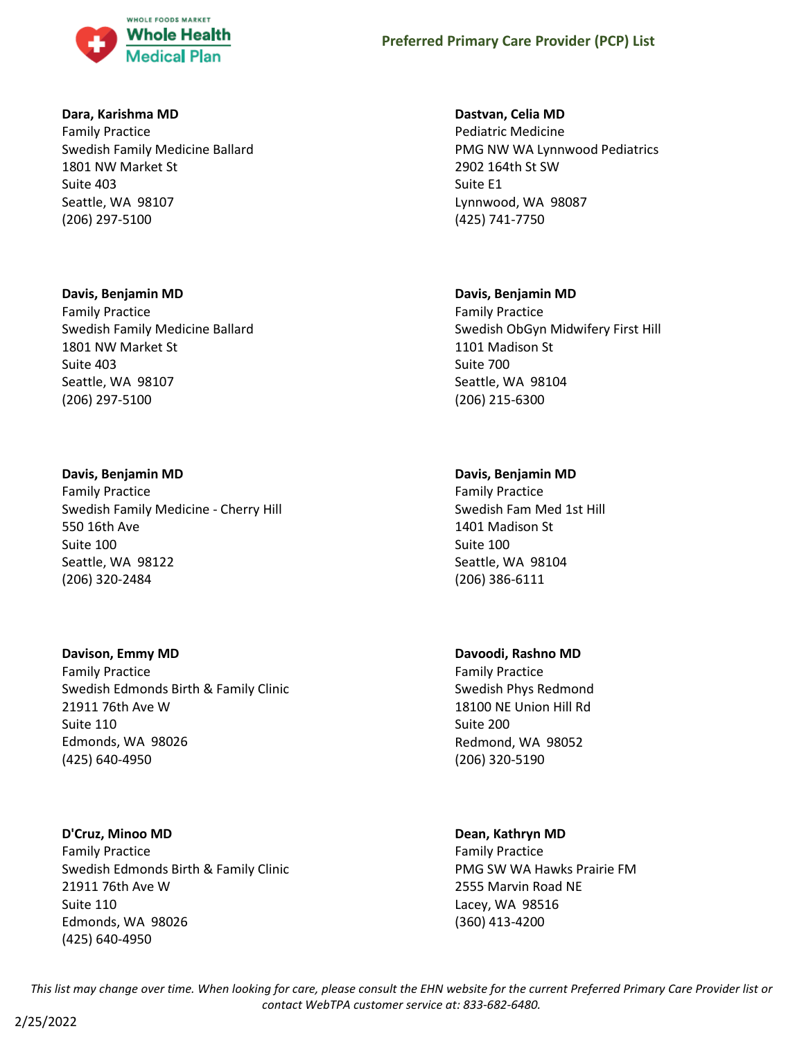

# **Dara, Karishma MD**

Family Practice Swedish Family Medicine Ballard 1801 NW Market St Suite 403 Seattle, WA 98107 (206) 297-5100

# **Davis, Benjamin MD**

Family Practice Swedish Family Medicine Ballard 1801 NW Market St Suite 403 Seattle, WA 98107 (206) 297-5100

# **Davis, Benjamin MD**

Family Practice Swedish Family Medicine - Cherry Hill 550 16th Ave Suite 100 Seattle, WA 98122 (206) 320-2484

# **Davison, Emmy MD**

Family Practice Swedish Edmonds Birth & Family Clinic 21911 76th Ave W Suite 110 Edmonds, WA 98026 (425) 640-4950

# **D'Cruz, Minoo MD**

Family Practice Swedish Edmonds Birth & Family Clinic 21911 76th Ave W Suite 110 Edmonds, WA 98026 (425) 640-4950

# **Dastvan, Celia MD**

Pediatric Medicine PMG NW WA Lynnwood Pediatrics 2902 164th St SW Suite E1 Lynnwood, WA 98087 (425) 741-7750

# **Davis, Benjamin MD**

Family Practice Swedish ObGyn Midwifery First Hill 1101 Madison St Suite 700 Seattle, WA 98104 (206) 215-6300

# **Davis, Benjamin MD**

Family Practice Swedish Fam Med 1st Hill 1401 Madison St Suite 100 Seattle, WA 98104 (206) 386-6111

# **Davoodi, Rashno MD**

Family Practice Swedish Phys Redmond 18100 NE Union Hill Rd Suite 200 Redmond, WA 98052 (206) 320-5190

# **Dean, Kathryn MD**

Family Practice PMG SW WA Hawks Prairie FM 2555 Marvin Road NE Lacey, WA 98516 (360) 413-4200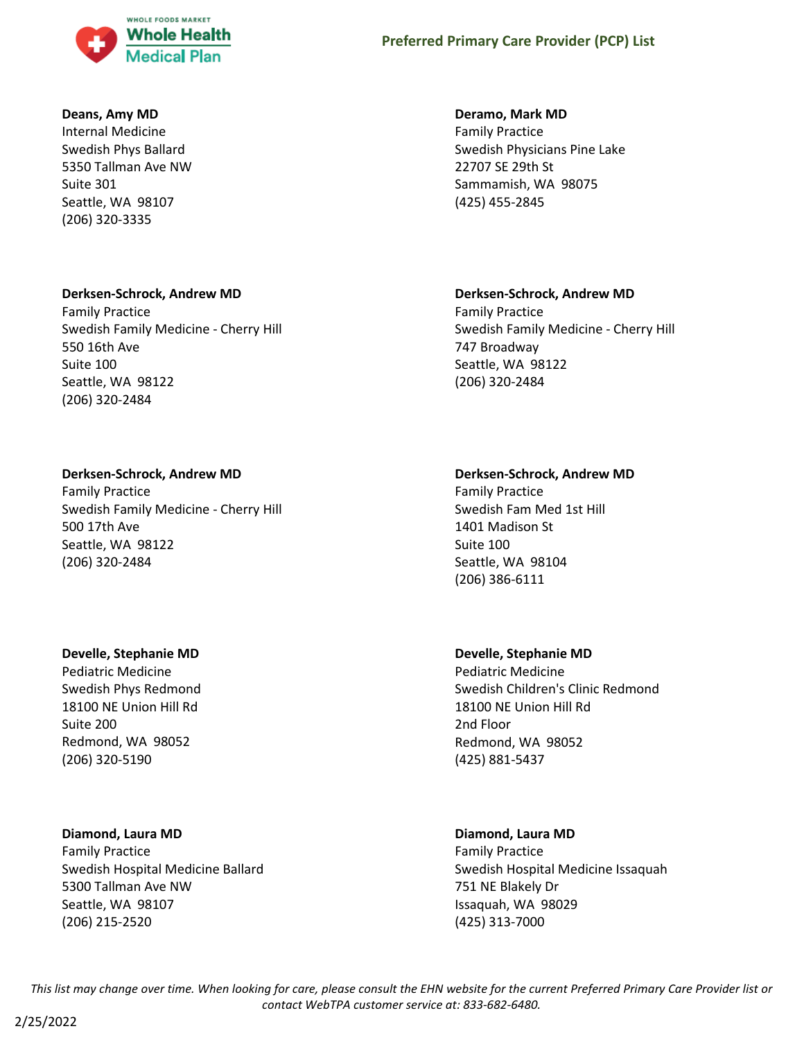

# **Deans, Amy MD**

Internal Medicine Swedish Phys Ballard 5350 Tallman Ave NW Suite 301 Seattle, WA 98107 (206) 320-3335

# **Derksen-Schrock, Andrew MD**

Family Practice Swedish Family Medicine - Cherry Hill 550 16th Ave Suite 100 Seattle, WA 98122 (206) 320-2484

# **Derksen-Schrock, Andrew MD**

Family Practice Swedish Family Medicine - Cherry Hill 500 17th Ave Seattle, WA 98122 (206) 320-2484

# **Develle, Stephanie MD**

Pediatric Medicine Swedish Phys Redmond 18100 NE Union Hill Rd Suite 200 Redmond, WA 98052 (206) 320-5190

# **Diamond, Laura MD**

Family Practice Swedish Hospital Medicine Ballard 5300 Tallman Ave NW Seattle, WA 98107 (206) 215-2520

# **Deramo, Mark MD**

Family Practice Swedish Physicians Pine Lake 22707 SE 29th St Sammamish, WA 98075 (425) 455-2845

# **Derksen-Schrock, Andrew MD**

Family Practice Swedish Family Medicine - Cherry Hill 747 Broadway Seattle, WA 98122 (206) 320-2484

# **Derksen-Schrock, Andrew MD**

Family Practice Swedish Fam Med 1st Hill 1401 Madison St Suite 100 Seattle, WA 98104 (206) 386-6111

# **Develle, Stephanie MD**

Pediatric Medicine Swedish Children's Clinic Redmond 18100 NE Union Hill Rd 2nd Floor Redmond, WA 98052 (425) 881-5437

# **Diamond, Laura MD**

Family Practice Swedish Hospital Medicine Issaquah 751 NE Blakely Dr Issaquah, WA 98029 (425) 313-7000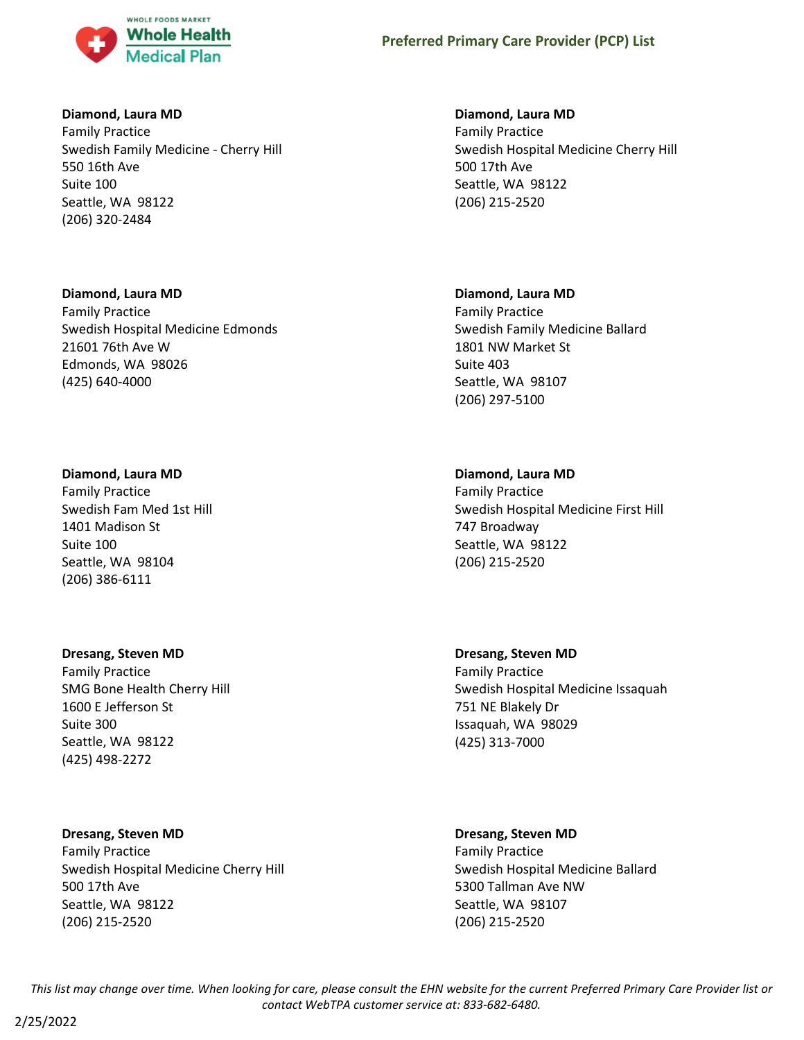

# **Diamond, Laura MD**

Family Practice Swedish Family Medicine - Cherry Hill 550 16th Ave Suite 100 Seattle, WA 98122 (206) 320-2484

# **Diamond, Laura MD**

Family Practice Swedish Hospital Medicine Edmonds 21601 76th Ave W Edmonds, WA 98026 (425) 640-4000

# **Diamond, Laura MD**

Family Practice Swedish Fam Med 1st Hill 1401 Madison St Suite 100 Seattle, WA 98104 (206) 386-6111

# **Dresang, Steven MD**

Family Practice SMG Bone Health Cherry Hill 1600 E Jefferson St Suite 300 Seattle, WA 98122 (425) 498-2272

# **Dresang, Steven MD**

Family Practice Swedish Hospital Medicine Cherry Hill 500 17th Ave Seattle, WA 98122 (206) 215-2520

# **Diamond, Laura MD**

Family Practice Swedish Hospital Medicine Cherry Hill 500 17th Ave Seattle, WA 98122 (206) 215-2520

# **Diamond, Laura MD**

Family Practice Swedish Family Medicine Ballard 1801 NW Market St Suite 403 Seattle, WA 98107 (206) 297-5100

# **Diamond, Laura MD**

Family Practice Swedish Hospital Medicine First Hill 747 Broadway Seattle, WA 98122 (206) 215-2520

**Dresang, Steven MD** Family Practice Swedish Hospital Medicine Issaquah 751 NE Blakely Dr Issaquah, WA 98029 (425) 313-7000

# **Dresang, Steven MD**

Family Practice Swedish Hospital Medicine Ballard 5300 Tallman Ave NW Seattle, WA 98107 (206) 215-2520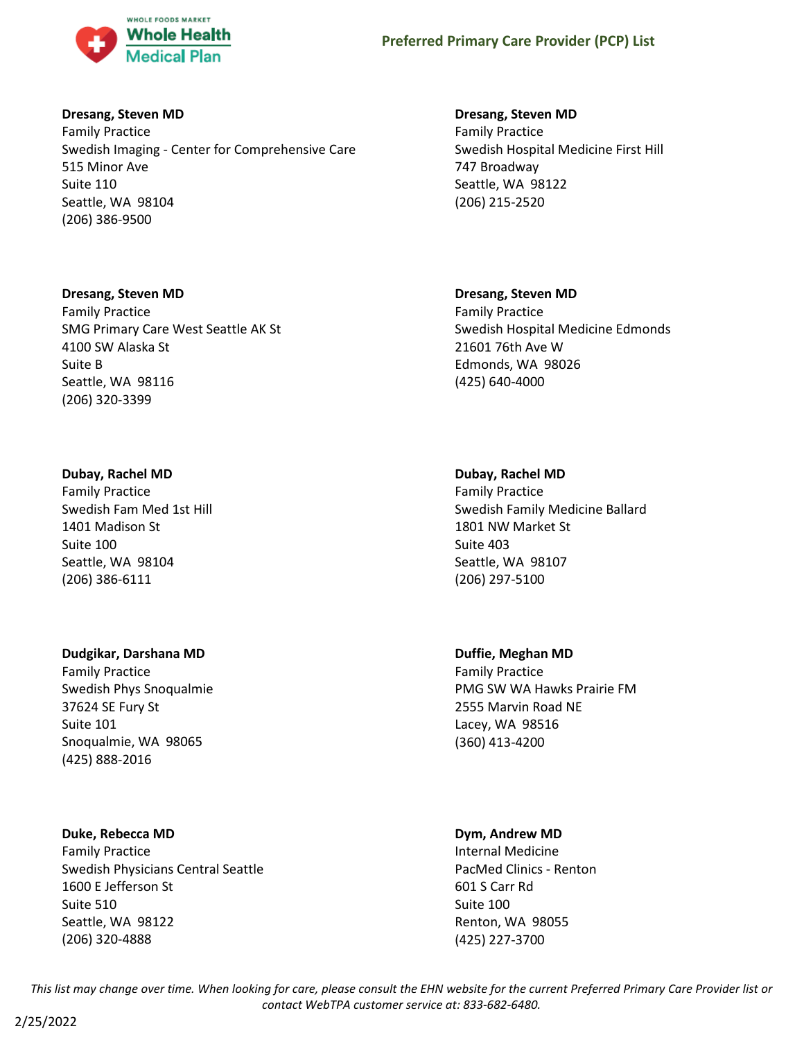

# **Dresang, Steven MD**

Family Practice Swedish Imaging - Center for Comprehensive Care 515 Minor Ave Suite 110 Seattle, WA 98104 (206) 386-9500

# **Dresang, Steven MD**

Family Practice SMG Primary Care West Seattle AK St 4100 SW Alaska St Suite B Seattle, WA 98116 (206) 320-3399

# **Dubay, Rachel MD**

Family Practice Swedish Fam Med 1st Hill 1401 Madison St Suite 100 Seattle, WA 98104 (206) 386-6111

# **Dudgikar, Darshana MD**

Family Practice Swedish Phys Snoqualmie 37624 SE Fury St Suite 101 Snoqualmie, WA 98065 (425) 888-2016

# **Duke, Rebecca MD**

Family Practice Swedish Physicians Central Seattle 1600 E Jefferson St Suite 510 Seattle, WA 98122 (206) 320-4888

# **Dresang, Steven MD**

Family Practice Swedish Hospital Medicine First Hill 747 Broadway Seattle, WA 98122 (206) 215-2520

# **Dresang, Steven MD**

Family Practice Swedish Hospital Medicine Edmonds 21601 76th Ave W Edmonds, WA 98026 (425) 640-4000

# **Dubay, Rachel MD**

Family Practice Swedish Family Medicine Ballard 1801 NW Market St Suite 403 Seattle, WA 98107 (206) 297-5100

# **Duffie, Meghan MD**

Family Practice PMG SW WA Hawks Prairie FM 2555 Marvin Road NE Lacey, WA 98516 (360) 413-4200

# **Dym, Andrew MD**

Internal Medicine PacMed Clinics - Renton 601 S Carr Rd Suite 100 Renton, WA 98055 (425) 227-3700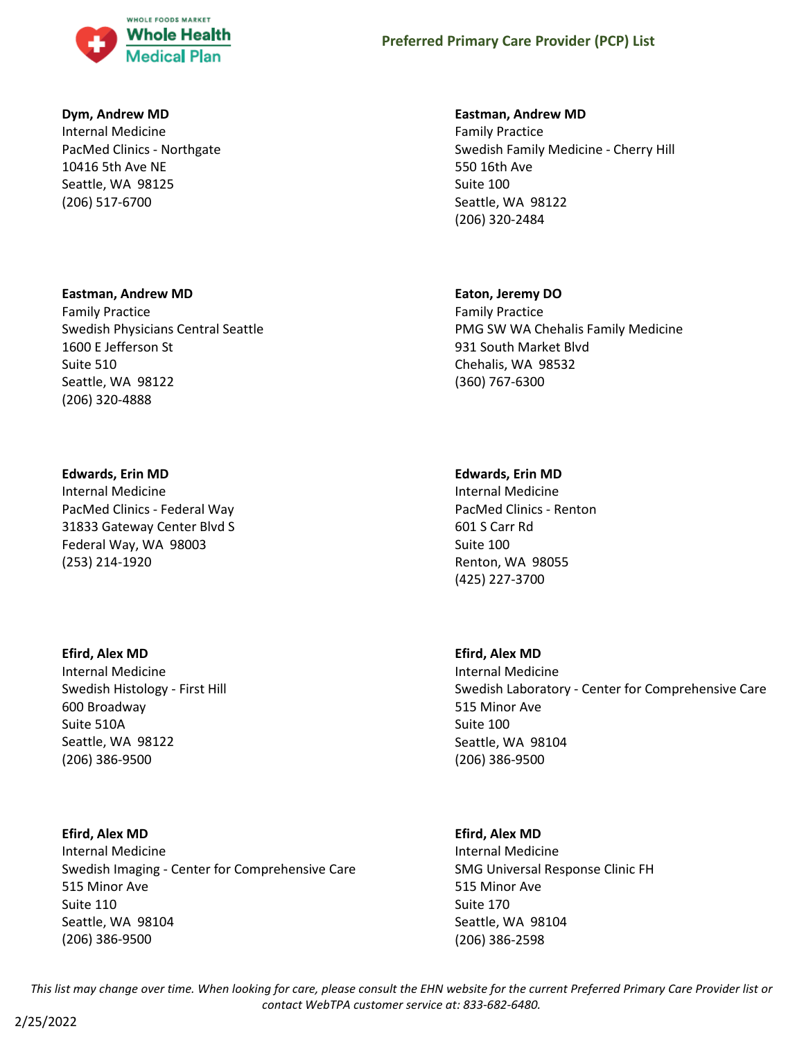

## **Dym, Andrew MD**

Internal Medicine PacMed Clinics - Northgate 10416 5th Ave NE Seattle, WA 98125 (206) 517-6700

## **Eastman, Andrew MD**

Family Practice Swedish Physicians Central Seattle 1600 E Jefferson St Suite 510 Seattle, WA 98122 (206) 320-4888

## **Edwards, Erin MD**

Internal Medicine PacMed Clinics - Federal Way 31833 Gateway Center Blvd S Federal Way, WA 98003 (253) 214-1920

#### **Efird, Alex MD**

Internal Medicine Swedish Histology - First Hill 600 Broadway Suite 510A Seattle, WA 98122 (206) 386-9500

# **Efird, Alex MD**

Internal Medicine Swedish Imaging - Center for Comprehensive Care 515 Minor Ave Suite 110 Seattle, WA 98104 (206) 386-9500

## **Eastman, Andrew MD**

Family Practice Swedish Family Medicine - Cherry Hill 550 16th Ave Suite 100 Seattle, WA 98122 (206) 320-2484

#### **Eaton, Jeremy DO**

Family Practice PMG SW WA Chehalis Family Medicine 931 South Market Blvd Chehalis, WA 98532 (360) 767-6300

#### **Edwards, Erin MD**

Internal Medicine PacMed Clinics - Renton 601 S Carr Rd Suite 100 Renton, WA 98055 (425) 227-3700

## **Efird, Alex MD**

Internal Medicine Swedish Laboratory - Center for Comprehensive Care 515 Minor Ave Suite 100 Seattle, WA 98104 (206) 386-9500

#### **Efird, Alex MD**

Internal Medicine SMG Universal Response Clinic FH 515 Minor Ave Suite 170 Seattle, WA 98104 (206) 386-2598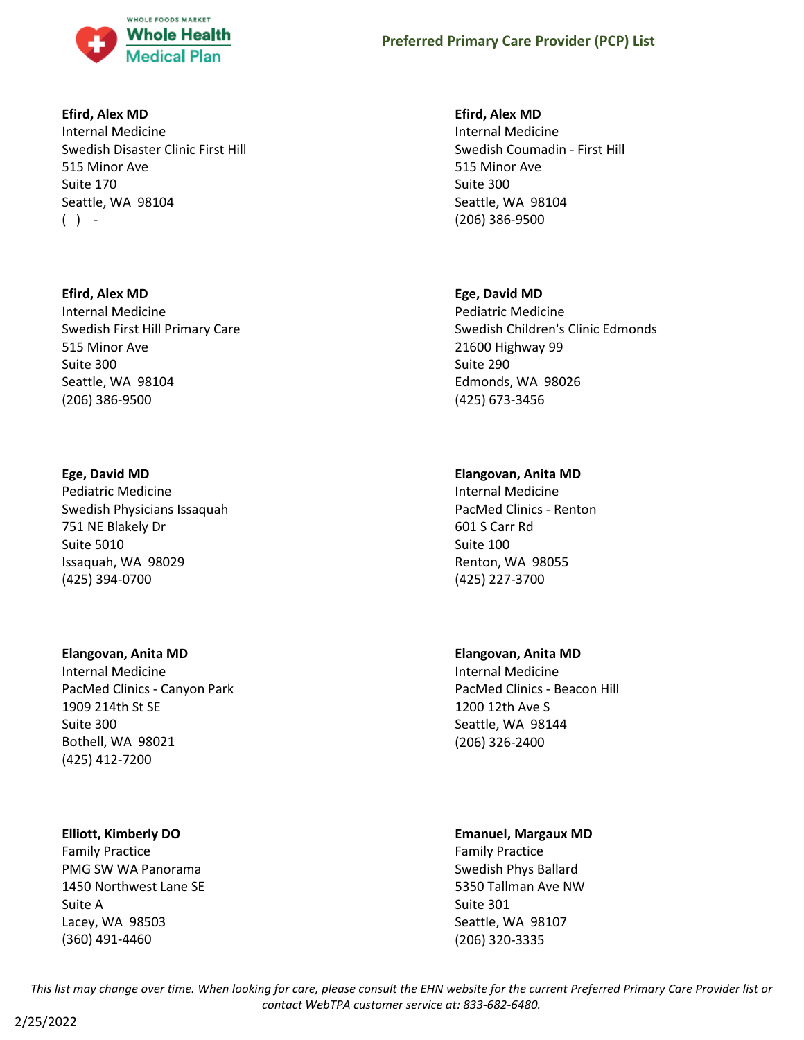

# **Efird, Alex MD**

Internal Medicine Swedish Disaster Clinic First Hill 515 Minor Ave Suite 170 Seattle, WA 98104  $( )$  -

# **Efird, Alex MD**

Internal Medicine Swedish First Hill Primary Care 515 Minor Ave Suite 300 Seattle, WA 98104 (206) 386-9500

# **Ege, David MD**

Pediatric Medicine Swedish Physicians Issaquah 751 NE Blakely Dr Suite 5010 Issaquah, WA 98029 (425) 394-0700

# **Elangovan, Anita MD**

Internal Medicine PacMed Clinics - Canyon Park 1909 214th St SE Suite 300 Bothell, WA 98021 (425) 412-7200

# **Elliott, Kimberly DO**

Family Practice PMG SW WA Panorama 1450 Northwest Lane SE Suite A Lacey, WA 98503 (360) 491-4460

# **Efird, Alex MD**

Internal Medicine Swedish Coumadin - First Hill 515 Minor Ave Suite 300 Seattle, WA 98104 (206) 386-9500

# **Ege, David MD**

Pediatric Medicine Swedish Children's Clinic Edmonds 21600 Highway 99 Suite 290 Edmonds, WA 98026 (425) 673-3456

# **Elangovan, Anita MD**

Internal Medicine PacMed Clinics - Renton 601 S Carr Rd Suite 100 Renton, WA 98055 (425) 227-3700

# **Elangovan, Anita MD**

Internal Medicine PacMed Clinics - Beacon Hill 1200 12th Ave S Seattle, WA 98144 (206) 326-2400

# **Emanuel, Margaux MD**

Family Practice Swedish Phys Ballard 5350 Tallman Ave NW Suite 301 Seattle, WA 98107 (206) 320-3335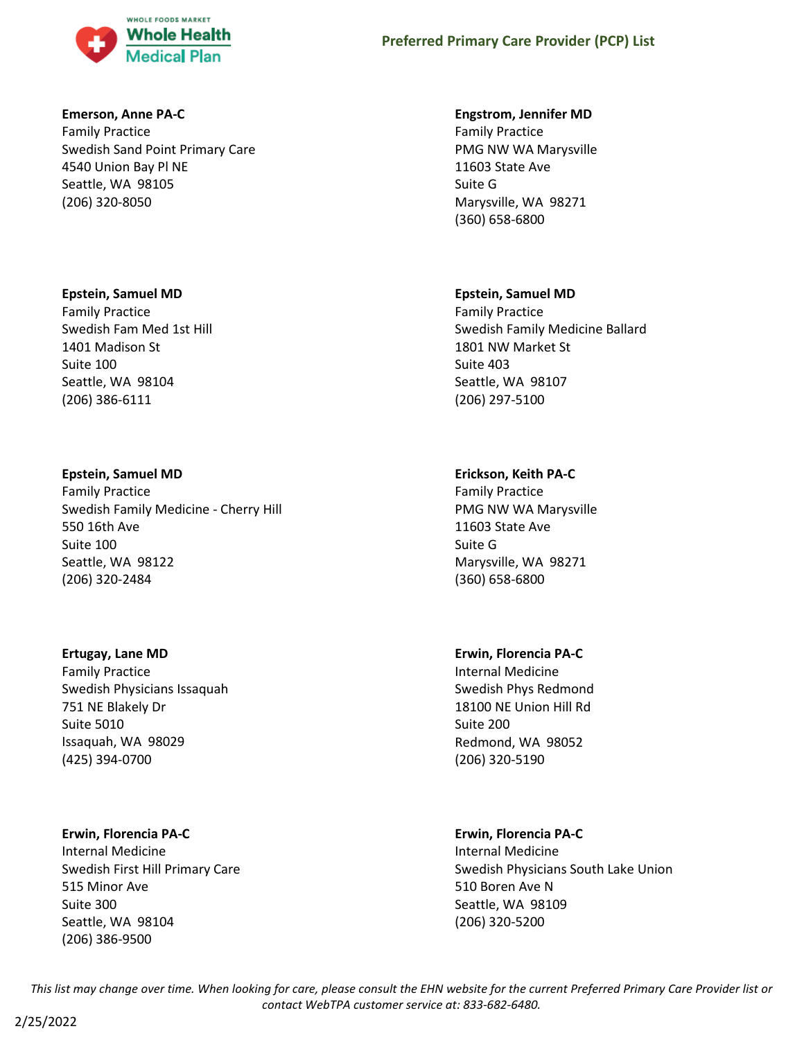

### **Emerson, Anne PA-C**

Family Practice Swedish Sand Point Primary Care 4540 Union Bay Pl NE Seattle, WA 98105 (206) 320-8050

### **Epstein, Samuel MD**

Family Practice Swedish Fam Med 1st Hill 1401 Madison St Suite 100 Seattle, WA 98104 (206) 386-6111

#### **Epstein, Samuel MD**

Family Practice Swedish Family Medicine - Cherry Hill 550 16th Ave Suite 100 Seattle, WA 98122 (206) 320-2484

#### **Ertugay, Lane MD**

Family Practice Swedish Physicians Issaquah 751 NE Blakely Dr Suite 5010 Issaquah, WA 98029 (425) 394-0700

#### **Erwin, Florencia PA-C**

Internal Medicine Swedish First Hill Primary Care 515 Minor Ave Suite 300 Seattle, WA 98104 (206) 386-9500

#### **Engstrom, Jennifer MD**

Family Practice PMG NW WA Marysville 11603 State Ave Suite G Marysville, WA 98271 (360) 658-6800

#### **Epstein, Samuel MD**

Family Practice Swedish Family Medicine Ballard 1801 NW Market St Suite 403 Seattle, WA 98107 (206) 297-5100

### **Erickson, Keith PA-C**

Family Practice PMG NW WA Marysville 11603 State Ave Suite G Marysville, WA 98271 (360) 658-6800

### **Erwin, Florencia PA-C**

Internal Medicine Swedish Phys Redmond 18100 NE Union Hill Rd Suite 200 Redmond, WA 98052 (206) 320-5190

#### **Erwin, Florencia PA-C**

Internal Medicine Swedish Physicians South Lake Union 510 Boren Ave N Seattle, WA 98109 (206) 320-5200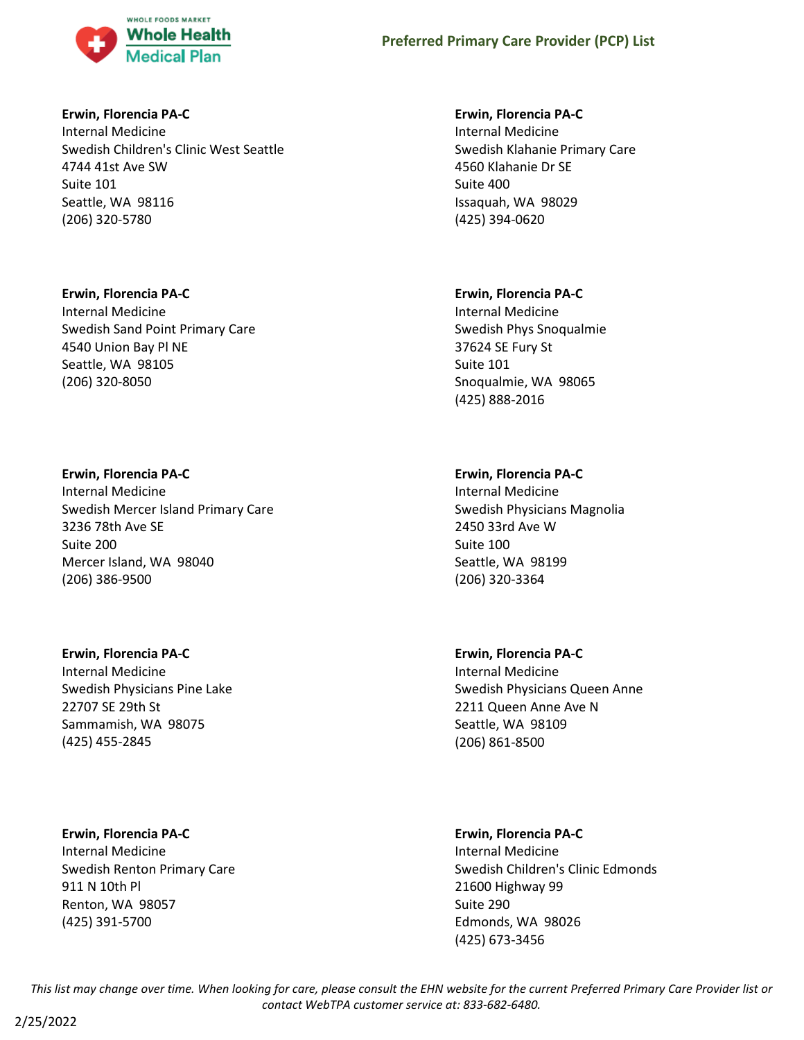

### **Erwin, Florencia PA-C**

Internal Medicine Swedish Children's Clinic West Seattle 4744 41st Ave SW Suite 101 Seattle, WA 98116 (206) 320-5780

### **Erwin, Florencia PA-C**

Internal Medicine Swedish Sand Point Primary Care 4540 Union Bay Pl NE Seattle, WA 98105 (206) 320-8050

### **Erwin, Florencia PA-C**

Internal Medicine Swedish Mercer Island Primary Care 3236 78th Ave SE Suite 200 Mercer Island, WA 98040 (206) 386-9500

# **Erwin, Florencia PA-C**

Internal Medicine Swedish Physicians Pine Lake 22707 SE 29th St Sammamish, WA 98075 (425) 455-2845

# **Erwin, Florencia PA-C**

Internal Medicine Swedish Renton Primary Care 911 N 10th Pl Renton, WA 98057 (425) 391-5700

### **Erwin, Florencia PA-C**

Internal Medicine Swedish Klahanie Primary Care 4560 Klahanie Dr SE Suite 400 Issaquah, WA 98029 (425) 394-0620

### **Erwin, Florencia PA-C**

Internal Medicine Swedish Phys Snoqualmie 37624 SE Fury St Suite 101 Snoqualmie, WA 98065 (425) 888-2016

# **Erwin, Florencia PA-C**

Internal Medicine Swedish Physicians Magnolia 2450 33rd Ave W Suite 100 Seattle, WA 98199 (206) 320-3364

# **Erwin, Florencia PA-C**

Internal Medicine Swedish Physicians Queen Anne 2211 Queen Anne Ave N Seattle, WA 98109 (206) 861-8500

### **Erwin, Florencia PA-C**

Internal Medicine Swedish Children's Clinic Edmonds 21600 Highway 99 Suite 290 Edmonds, WA 98026 (425) 673-3456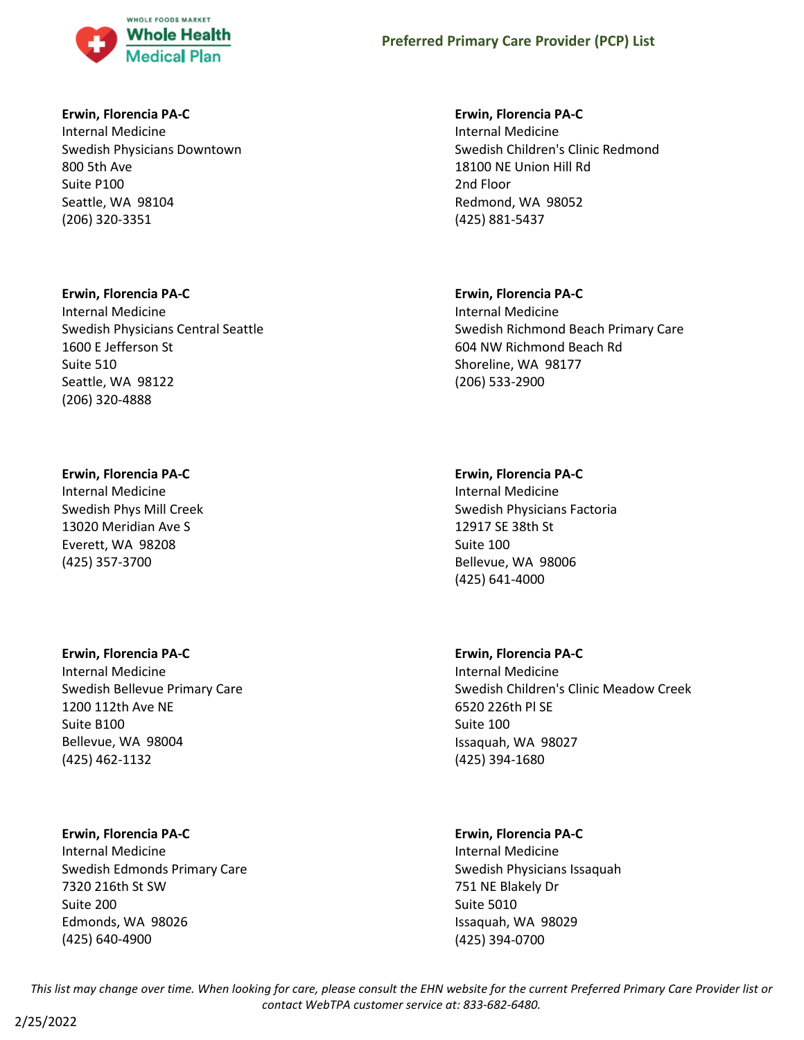

### **Erwin, Florencia PA-C**

Internal Medicine Swedish Physicians Downtown 800 5th Ave Suite P100 Seattle, WA 98104 (206) 320-3351

#### **Erwin, Florencia PA-C**

Internal Medicine Swedish Physicians Central Seattle 1600 E Jefferson St Suite 510 Seattle, WA 98122 (206) 320-4888

#### **Erwin, Florencia PA-C**

Internal Medicine Swedish Phys Mill Creek 13020 Meridian Ave S Everett, WA 98208 (425) 357-3700

### **Erwin, Florencia PA-C**

Internal Medicine Swedish Bellevue Primary Care 1200 112th Ave NE Suite B100 Bellevue, WA 98004 (425) 462-1132

### **Erwin, Florencia PA-C**

Internal Medicine Swedish Edmonds Primary Care 7320 216th St SW Suite 200 Edmonds, WA 98026 (425) 640-4900

#### **Erwin, Florencia PA-C**

Internal Medicine Swedish Children's Clinic Redmond 18100 NE Union Hill Rd 2nd Floor Redmond, WA 98052 (425) 881-5437

#### **Erwin, Florencia PA-C**

Internal Medicine Swedish Richmond Beach Primary Care 604 NW Richmond Beach Rd Shoreline, WA 98177 (206) 533-2900

#### **Erwin, Florencia PA-C**

Internal Medicine Swedish Physicians Factoria 12917 SE 38th St Suite 100 Bellevue, WA 98006 (425) 641-4000

### **Erwin, Florencia PA-C**

Internal Medicine Swedish Children's Clinic Meadow Creek 6520 226th Pl SE Suite 100 Issaquah, WA 98027 (425) 394-1680

#### **Erwin, Florencia PA-C**

Internal Medicine Swedish Physicians Issaquah 751 NE Blakely Dr Suite 5010 Issaquah, WA 98029 (425) 394-0700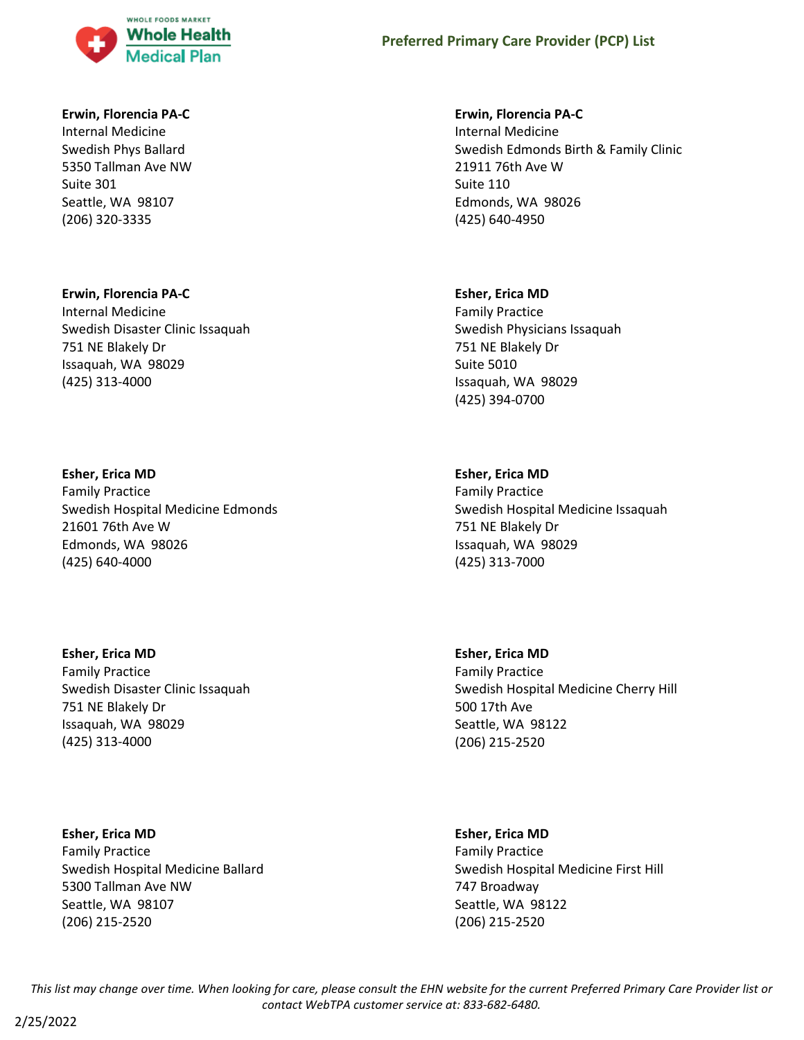

#### **Erwin, Florencia PA-C**

Internal Medicine Swedish Phys Ballard 5350 Tallman Ave NW Suite 301 Seattle, WA 98107 (206) 320-3335

#### **Erwin, Florencia PA-C**

Internal Medicine Swedish Disaster Clinic Issaquah 751 NE Blakely Dr Issaquah, WA 98029 (425) 313-4000

#### **Esher, Erica MD**

Family Practice Swedish Hospital Medicine Edmonds 21601 76th Ave W Edmonds, WA 98026 (425) 640-4000

**Esher, Erica MD** Family Practice Swedish Disaster Clinic Issaquah 751 NE Blakely Dr Issaquah, WA 98029 (425) 313-4000

**Esher, Erica MD** Family Practice Swedish Hospital Medicine Ballard 5300 Tallman Ave NW Seattle, WA 98107 (206) 215-2520

#### **Erwin, Florencia PA-C**

Internal Medicine Swedish Edmonds Birth & Family Clinic 21911 76th Ave W Suite 110 Edmonds, WA 98026 (425) 640-4950

#### **Esher, Erica MD**

Family Practice Swedish Physicians Issaquah 751 NE Blakely Dr Suite 5010 Issaquah, WA 98029 (425) 394-0700

### **Esher, Erica MD**

Family Practice Swedish Hospital Medicine Issaquah 751 NE Blakely Dr Issaquah, WA 98029 (425) 313-7000

**Esher, Erica MD** Family Practice Swedish Hospital Medicine Cherry Hill 500 17th Ave Seattle, WA 98122 (206) 215-2520

**Esher, Erica MD** Family Practice Swedish Hospital Medicine First Hill 747 Broadway Seattle, WA 98122 (206) 215-2520

*This list may change over time. When looking for care, please consult the EHN website for the current Preferred Primary Care Provider list or contact WebTPA customer service at: 833-682-6480.*

2/25/2022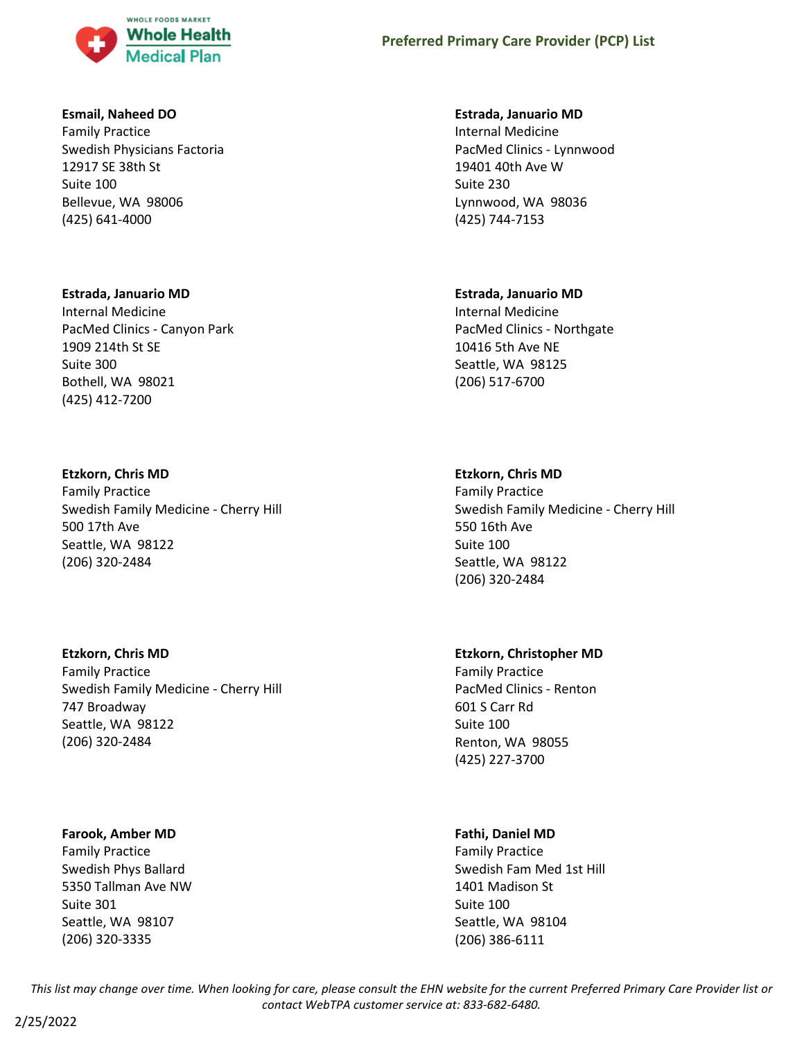

### **Esmail, Naheed DO**

Family Practice Swedish Physicians Factoria 12917 SE 38th St Suite 100 Bellevue, WA 98006 (425) 641-4000

#### **Estrada, Januario MD**

Internal Medicine PacMed Clinics - Canyon Park 1909 214th St SE Suite 300 Bothell, WA 98021 (425) 412-7200

### **Etzkorn, Chris MD**

Family Practice Swedish Family Medicine - Cherry Hill 500 17th Ave Seattle, WA 98122 (206) 320-2484

# **Etzkorn, Chris MD**

Family Practice Swedish Family Medicine - Cherry Hill 747 Broadway Seattle, WA 98122 (206) 320-2484

### **Farook, Amber MD**

Family Practice Swedish Phys Ballard 5350 Tallman Ave NW Suite 301 Seattle, WA 98107 (206) 320-3335

#### **Estrada, Januario MD**

Internal Medicine PacMed Clinics - Lynnwood 19401 40th Ave W Suite 230 Lynnwood, WA 98036 (425) 744-7153

### **Estrada, Januario MD**

Internal Medicine PacMed Clinics - Northgate 10416 5th Ave NE Seattle, WA 98125 (206) 517-6700

# **Etzkorn, Chris MD**

Family Practice Swedish Family Medicine - Cherry Hill 550 16th Ave Suite 100 Seattle, WA 98122 (206) 320-2484

# **Etzkorn, Christopher MD**

Family Practice PacMed Clinics - Renton 601 S Carr Rd Suite 100 Renton, WA 98055 (425) 227-3700

# **Fathi, Daniel MD**

Family Practice Swedish Fam Med 1st Hill 1401 Madison St Suite 100 Seattle, WA 98104 (206) 386-6111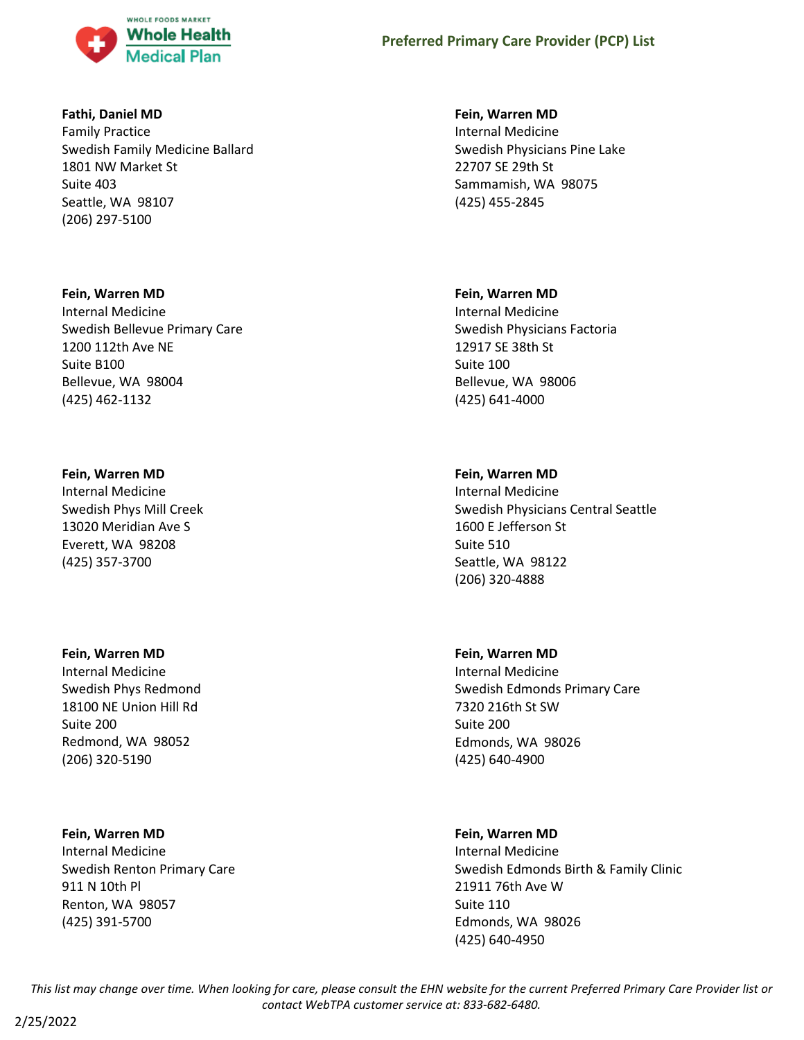

### **Fathi, Daniel MD**

Family Practice Swedish Family Medicine Ballard 1801 NW Market St Suite 403 Seattle, WA 98107 (206) 297-5100

### **Fein, Warren MD**

Internal Medicine Swedish Bellevue Primary Care 1200 112th Ave NE Suite B100 Bellevue, WA 98004 (425) 462-1132

### **Fein, Warren MD**

Internal Medicine Swedish Phys Mill Creek 13020 Meridian Ave S Everett, WA 98208 (425) 357-3700

### **Fein, Warren MD**

Internal Medicine Swedish Phys Redmond 18100 NE Union Hill Rd Suite 200 Redmond, WA 98052 (206) 320-5190

### **Fein, Warren MD**

Internal Medicine Swedish Renton Primary Care 911 N 10th Pl Renton, WA 98057 (425) 391-5700

### **Fein, Warren MD**

Internal Medicine Swedish Physicians Pine Lake 22707 SE 29th St Sammamish, WA 98075 (425) 455-2845

### **Fein, Warren MD**

Internal Medicine Swedish Physicians Factoria 12917 SE 38th St Suite 100 Bellevue, WA 98006 (425) 641-4000

# **Fein, Warren MD**

Internal Medicine Swedish Physicians Central Seattle 1600 E Jefferson St Suite 510 Seattle, WA 98122 (206) 320-4888

# **Fein, Warren MD**

Internal Medicine Swedish Edmonds Primary Care 7320 216th St SW Suite 200 Edmonds, WA 98026 (425) 640-4900

# **Fein, Warren MD**

Internal Medicine Swedish Edmonds Birth & Family Clinic 21911 76th Ave W Suite 110 Edmonds, WA 98026 (425) 640-4950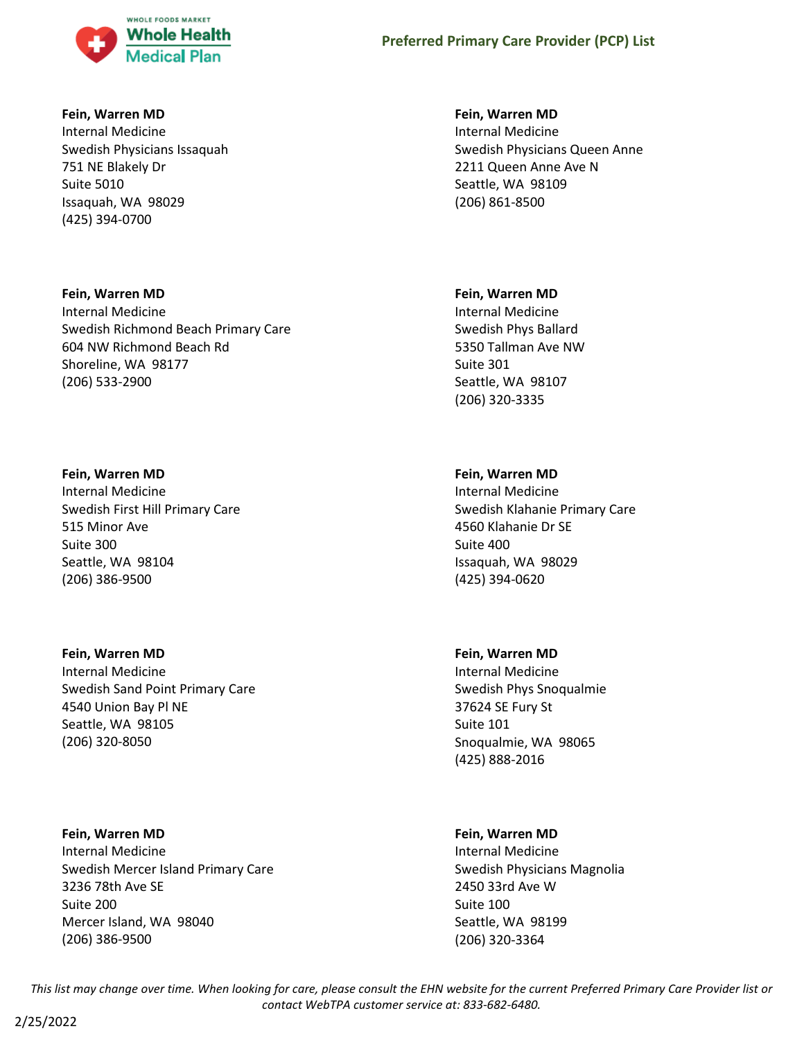

### **Fein, Warren MD**

Internal Medicine Swedish Physicians Issaquah 751 NE Blakely Dr Suite 5010 Issaquah, WA 98029 (425) 394-0700

### **Fein, Warren MD**

Internal Medicine Swedish Richmond Beach Primary Care 604 NW Richmond Beach Rd Shoreline, WA 98177 (206) 533-2900

#### **Fein, Warren MD**

Internal Medicine Swedish First Hill Primary Care 515 Minor Ave Suite 300 Seattle, WA 98104 (206) 386-9500

#### **Fein, Warren MD**

Internal Medicine Swedish Sand Point Primary Care 4540 Union Bay Pl NE Seattle, WA 98105 (206) 320-8050

### **Fein, Warren MD**

Internal Medicine Swedish Mercer Island Primary Care 3236 78th Ave SE Suite 200 Mercer Island, WA 98040 (206) 386-9500

### **Fein, Warren MD**

Internal Medicine Swedish Physicians Queen Anne 2211 Queen Anne Ave N Seattle, WA 98109 (206) 861-8500

#### **Fein, Warren MD**

Internal Medicine Swedish Phys Ballard 5350 Tallman Ave NW Suite 301 Seattle, WA 98107 (206) 320-3335

### **Fein, Warren MD**

Internal Medicine Swedish Klahanie Primary Care 4560 Klahanie Dr SE Suite 400 Issaquah, WA 98029 (425) 394-0620

### **Fein, Warren MD**

Internal Medicine Swedish Phys Snoqualmie 37624 SE Fury St Suite 101 Snoqualmie, WA 98065 (425) 888-2016

### **Fein, Warren MD**

Internal Medicine Swedish Physicians Magnolia 2450 33rd Ave W Suite 100 Seattle, WA 98199 (206) 320-3364

*This list may change over time. When looking for care, please consult the EHN website for the current Preferred Primary Care Provider list or contact WebTPA customer service at: 833-682-6480.*

### 2/25/2022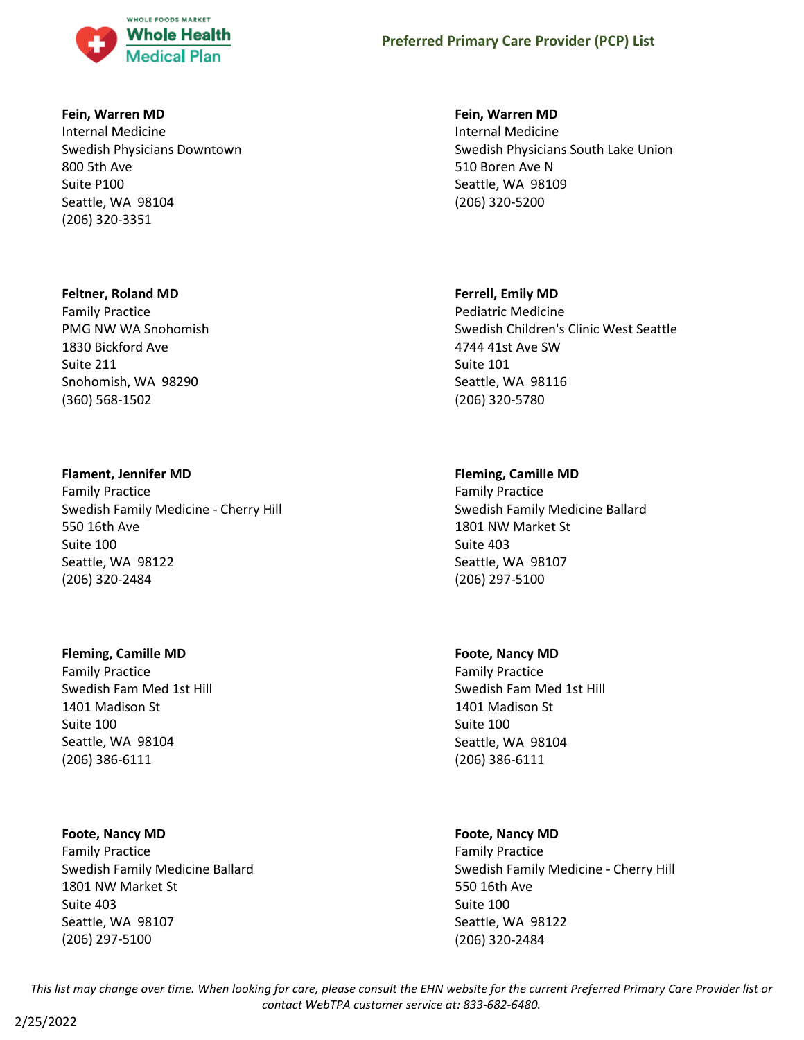

#### **Fein, Warren MD**

Internal Medicine Swedish Physicians Downtown 800 5th Ave Suite P100 Seattle, WA 98104 (206) 320-3351

#### **Feltner, Roland MD**

Family Practice PMG NW WA Snohomish 1830 Bickford Ave Suite 211 Snohomish, WA 98290 (360) 568-1502

### **Flament, Jennifer MD**

Family Practice Swedish Family Medicine - Cherry Hill 550 16th Ave Suite 100 Seattle, WA 98122 (206) 320-2484

### **Fleming, Camille MD**

Family Practice Swedish Fam Med 1st Hill 1401 Madison St Suite 100 Seattle, WA 98104 (206) 386-6111

### **Foote, Nancy MD**

Family Practice Swedish Family Medicine Ballard 1801 NW Market St Suite 403 Seattle, WA 98107 (206) 297-5100

#### **Fein, Warren MD**

Internal Medicine Swedish Physicians South Lake Union 510 Boren Ave N Seattle, WA 98109 (206) 320-5200

#### **Ferrell, Emily MD**

Pediatric Medicine Swedish Children's Clinic West Seattle 4744 41st Ave SW Suite 101 Seattle, WA 98116 (206) 320-5780

### **Fleming, Camille MD**

Family Practice Swedish Family Medicine Ballard 1801 NW Market St Suite 403 Seattle, WA 98107 (206) 297-5100

#### **Foote, Nancy MD**

Family Practice Swedish Fam Med 1st Hill 1401 Madison St Suite 100 Seattle, WA 98104 (206) 386-6111

### **Foote, Nancy MD**

Family Practice Swedish Family Medicine - Cherry Hill 550 16th Ave Suite 100 Seattle, WA 98122 (206) 320-2484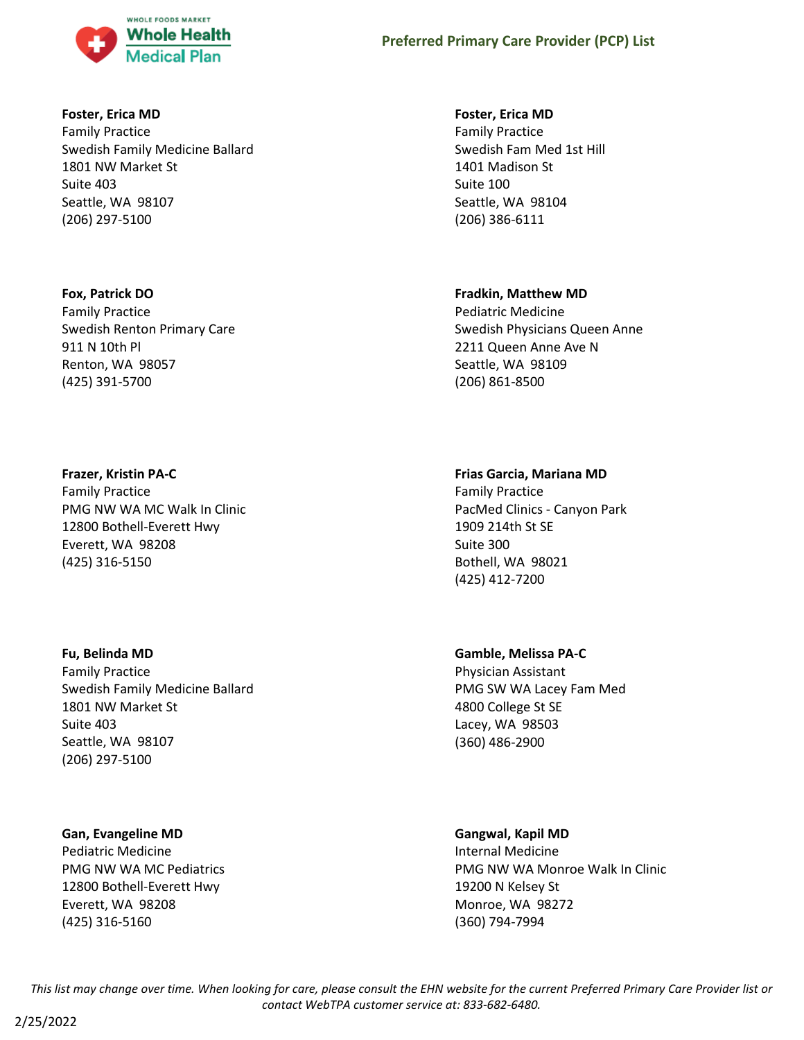

### **Foster, Erica MD**

Family Practice Swedish Family Medicine Ballard 1801 NW Market St Suite 403 Seattle, WA 98107 (206) 297-5100

### **Fox, Patrick DO**

Family Practice Swedish Renton Primary Care 911 N 10th Pl Renton, WA 98057 (425) 391-5700

### **Frazer, Kristin PA-C**

Family Practice PMG NW WA MC Walk In Clinic 12800 Bothell-Everett Hwy Everett, WA 98208 (425) 316-5150

### **Fu, Belinda MD**

Family Practice Swedish Family Medicine Ballard 1801 NW Market St Suite 403 Seattle, WA 98107 (206) 297-5100

### **Gan, Evangeline MD**

Pediatric Medicine PMG NW WA MC Pediatrics 12800 Bothell-Everett Hwy Everett, WA 98208 (425) 316-5160

### **Foster, Erica MD**

Family Practice Swedish Fam Med 1st Hill 1401 Madison St Suite 100 Seattle, WA 98104 (206) 386-6111

### **Fradkin, Matthew MD**

Pediatric Medicine Swedish Physicians Queen Anne 2211 Queen Anne Ave N Seattle, WA 98109 (206) 861-8500

# **Frias Garcia, Mariana MD**

Family Practice PacMed Clinics - Canyon Park 1909 214th St SE Suite 300 Bothell, WA 98021 (425) 412-7200

### **Gamble, Melissa PA-C**

Physician Assistant PMG SW WA Lacey Fam Med 4800 College St SE Lacey, WA 98503 (360) 486-2900

### **Gangwal, Kapil MD**

Internal Medicine PMG NW WA Monroe Walk In Clinic 19200 N Kelsey St Monroe, WA 98272 (360) 794-7994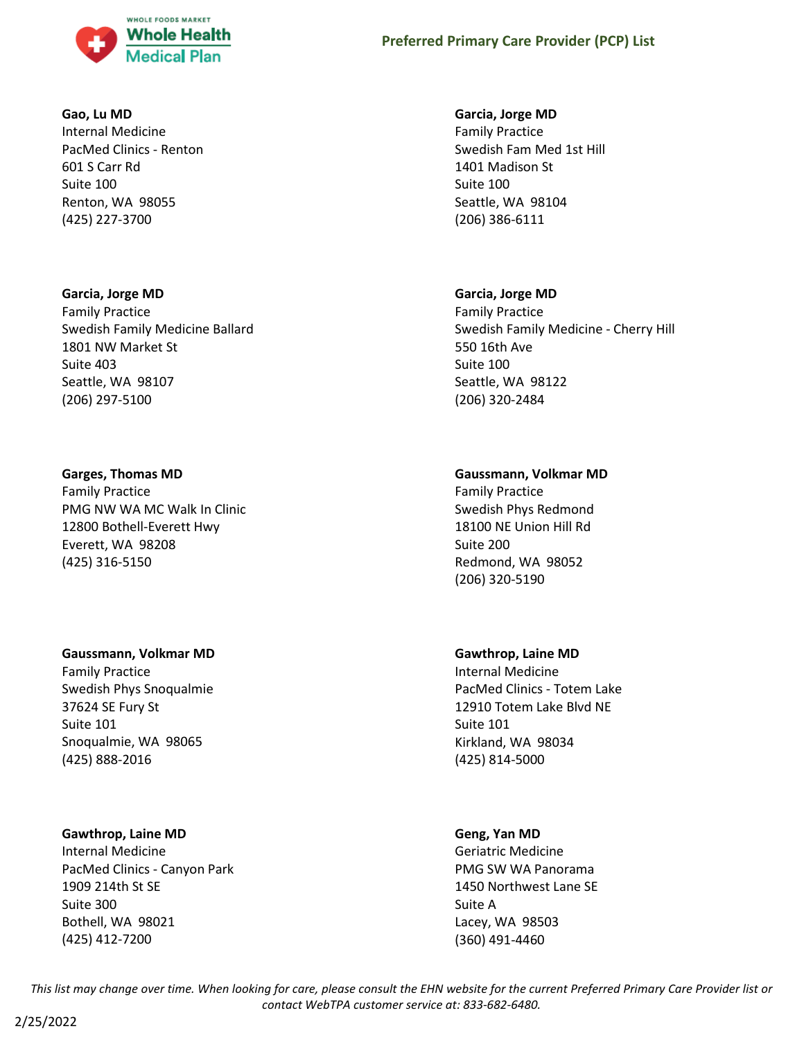

#### **Gao, Lu MD**

Internal Medicine PacMed Clinics - Renton 601 S Carr Rd Suite 100 Renton, WA 98055 (425) 227-3700

### **Garcia, Jorge MD**

Family Practice Swedish Family Medicine Ballard 1801 NW Market St Suite 403 Seattle, WA 98107 (206) 297-5100

### **Garges, Thomas MD**

Family Practice PMG NW WA MC Walk In Clinic 12800 Bothell-Everett Hwy Everett, WA 98208 (425) 316-5150

### **Gaussmann, Volkmar MD**

Family Practice Swedish Phys Snoqualmie 37624 SE Fury St Suite 101 Snoqualmie, WA 98065 (425) 888-2016

### **Gawthrop, Laine MD**

Internal Medicine PacMed Clinics - Canyon Park 1909 214th St SE Suite 300 Bothell, WA 98021 (425) 412-7200

#### **Garcia, Jorge MD**

Family Practice Swedish Fam Med 1st Hill 1401 Madison St Suite 100 Seattle, WA 98104 (206) 386-6111

### **Garcia, Jorge MD**

Family Practice Swedish Family Medicine - Cherry Hill 550 16th Ave Suite 100 Seattle, WA 98122 (206) 320-2484

### **Gaussmann, Volkmar MD**

Family Practice Swedish Phys Redmond 18100 NE Union Hill Rd Suite 200 Redmond, WA 98052 (206) 320-5190

### **Gawthrop, Laine MD**

Internal Medicine PacMed Clinics - Totem Lake 12910 Totem Lake Blvd NE Suite 101 Kirkland, WA 98034 (425) 814-5000

### **Geng, Yan MD**

Geriatric Medicine PMG SW WA Panorama 1450 Northwest Lane SE Suite A Lacey, WA 98503 (360) 491-4460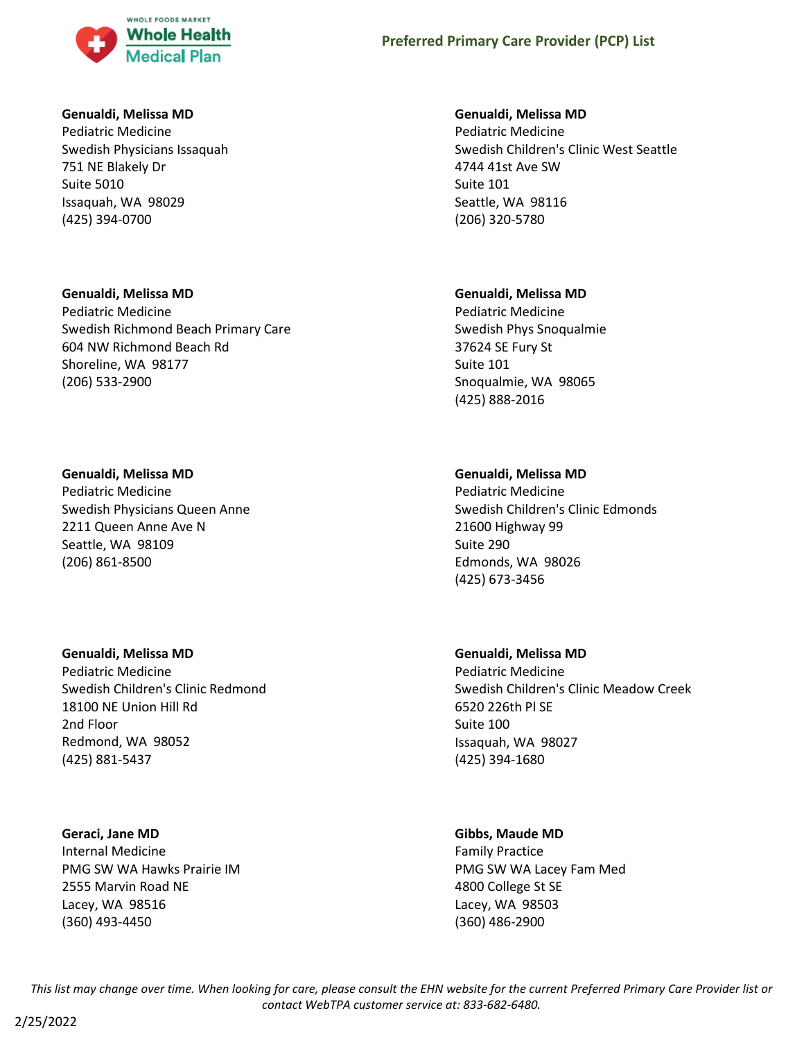

### **Genualdi, Melissa MD**

Pediatric Medicine Swedish Physicians Issaquah 751 NE Blakely Dr Suite 5010 Issaquah, WA 98029 (425) 394-0700

### **Genualdi, Melissa MD**

Pediatric Medicine Swedish Richmond Beach Primary Care 604 NW Richmond Beach Rd Shoreline, WA 98177 (206) 533-2900

### **Genualdi, Melissa MD**

Pediatric Medicine Swedish Physicians Queen Anne 2211 Queen Anne Ave N Seattle, WA 98109 (206) 861-8500

### **Genualdi, Melissa MD**

Pediatric Medicine Swedish Children's Clinic Redmond 18100 NE Union Hill Rd 2nd Floor Redmond, WA 98052 (425) 881-5437

### **Geraci, Jane MD**

Internal Medicine PMG SW WA Hawks Prairie IM 2555 Marvin Road NE Lacey, WA 98516 (360) 493-4450

### **Genualdi, Melissa MD**

Pediatric Medicine Swedish Children's Clinic West Seattle 4744 41st Ave SW Suite 101 Seattle, WA 98116 (206) 320-5780

### **Genualdi, Melissa MD**

Pediatric Medicine Swedish Phys Snoqualmie 37624 SE Fury St Suite 101 Snoqualmie, WA 98065 (425) 888-2016

# **Genualdi, Melissa MD**

Pediatric Medicine Swedish Children's Clinic Edmonds 21600 Highway 99 Suite 290 Edmonds, WA 98026 (425) 673-3456

### **Genualdi, Melissa MD**

Pediatric Medicine Swedish Children's Clinic Meadow Creek 6520 226th Pl SE Suite 100 Issaquah, WA 98027 (425) 394-1680

# **Gibbs, Maude MD**

Family Practice PMG SW WA Lacey Fam Med 4800 College St SE Lacey, WA 98503 (360) 486-2900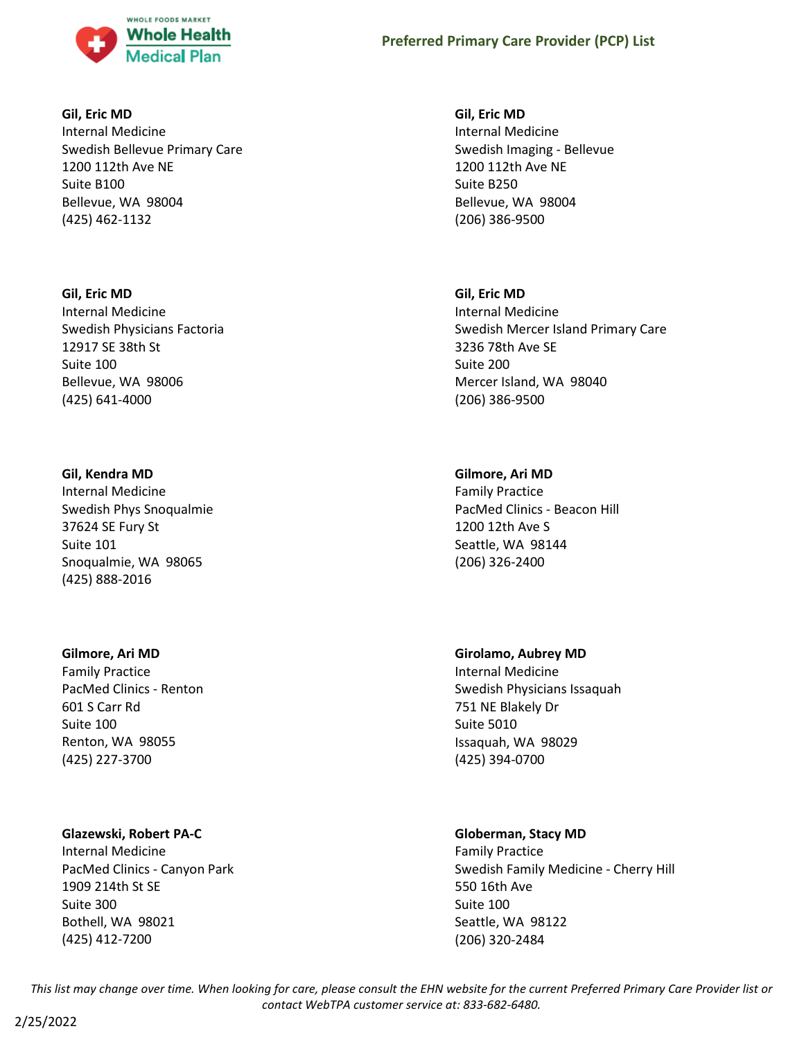

#### **Gil, Eric MD**

Internal Medicine Swedish Bellevue Primary Care 1200 112th Ave NE Suite B100 Bellevue, WA 98004 (425) 462-1132

### **Gil, Eric MD**

Internal Medicine Swedish Physicians Factoria 12917 SE 38th St Suite 100 Bellevue, WA 98006 (425) 641-4000

### **Gil, Kendra MD**

Internal Medicine Swedish Phys Snoqualmie 37624 SE Fury St Suite 101 Snoqualmie, WA 98065 (425) 888-2016

### **Gilmore, Ari MD**

Family Practice PacMed Clinics - Renton 601 S Carr Rd Suite 100 Renton, WA 98055 (425) 227-3700

# **Glazewski, Robert PA-C**

Internal Medicine PacMed Clinics - Canyon Park 1909 214th St SE Suite 300 Bothell, WA 98021 (425) 412-7200

**Gil, Eric MD** Internal Medicine Swedish Imaging - Bellevue 1200 112th Ave NE Suite B250 Bellevue, WA 98004 (206) 386-9500

# **Gil, Eric MD**

Internal Medicine Swedish Mercer Island Primary Care 3236 78th Ave SE Suite 200 Mercer Island, WA 98040 (206) 386-9500

# **Gilmore, Ari MD**

Family Practice PacMed Clinics - Beacon Hill 1200 12th Ave S Seattle, WA 98144 (206) 326-2400

# **Girolamo, Aubrey MD**

Internal Medicine Swedish Physicians Issaquah 751 NE Blakely Dr Suite 5010 Issaquah, WA 98029 (425) 394-0700

# **Globerman, Stacy MD**

Family Practice Swedish Family Medicine - Cherry Hill 550 16th Ave Suite 100 Seattle, WA 98122 (206) 320-2484

*This list may change over time. When looking for care, please consult the EHN website for the current Preferred Primary Care Provider list or contact WebTPA customer service at: 833-682-6480.*

2/25/2022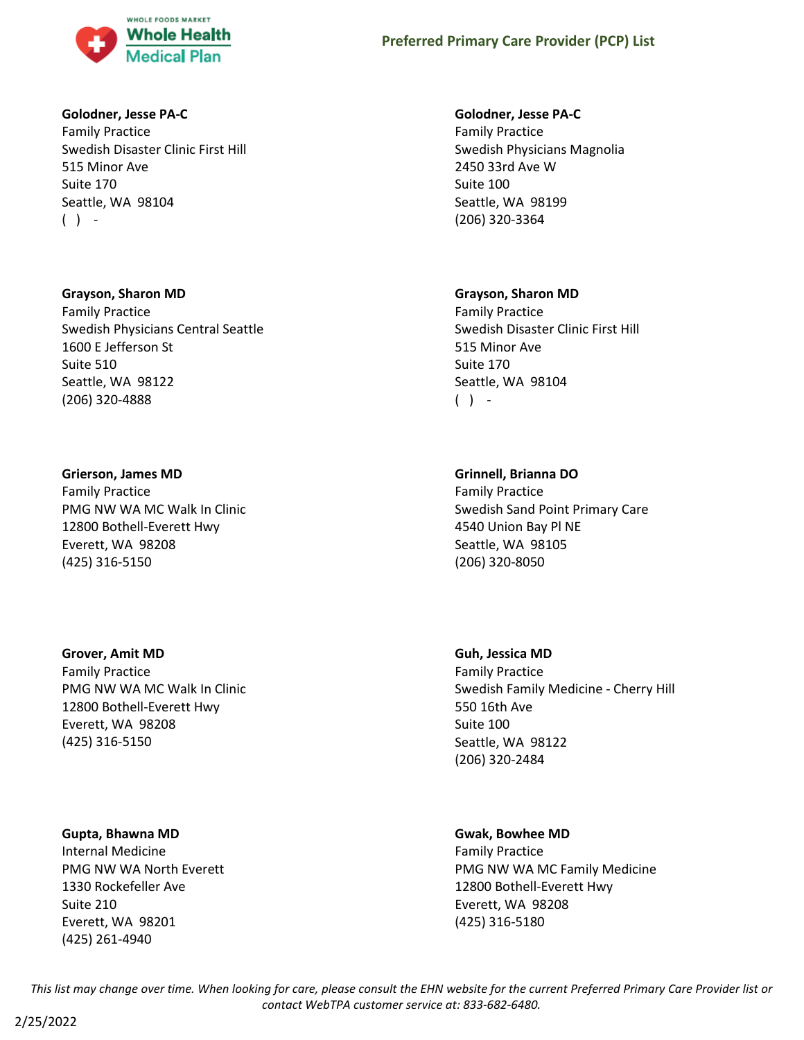

#### **Golodner, Jesse PA-C**

Family Practice Swedish Disaster Clinic First Hill 515 Minor Ave Suite 170 Seattle, WA 98104  $( )$  -

#### **Grayson, Sharon MD**

Family Practice Swedish Physicians Central Seattle 1600 E Jefferson St Suite 510 Seattle, WA 98122 (206) 320-4888

#### **Grierson, James MD**

Family Practice PMG NW WA MC Walk In Clinic 12800 Bothell-Everett Hwy Everett, WA 98208 (425) 316-5150

### **Grover, Amit MD**

Family Practice PMG NW WA MC Walk In Clinic 12800 Bothell-Everett Hwy Everett, WA 98208 (425) 316-5150

### **Gupta, Bhawna MD**

Internal Medicine PMG NW WA North Everett 1330 Rockefeller Ave Suite 210 Everett, WA 98201 (425) 261-4940

#### **Golodner, Jesse PA-C**

Family Practice Swedish Physicians Magnolia 2450 33rd Ave W Suite 100 Seattle, WA 98199 (206) 320-3364

#### **Grayson, Sharon MD**

Family Practice Swedish Disaster Clinic First Hill 515 Minor Ave Suite 170 Seattle, WA 98104  $( )$  -

### **Grinnell, Brianna DO**

Family Practice Swedish Sand Point Primary Care 4540 Union Bay Pl NE Seattle, WA 98105 (206) 320-8050

#### **Guh, Jessica MD**

Family Practice Swedish Family Medicine - Cherry Hill 550 16th Ave Suite 100 Seattle, WA 98122 (206) 320-2484

### **Gwak, Bowhee MD**

Family Practice PMG NW WA MC Family Medicine 12800 Bothell-Everett Hwy Everett, WA 98208 (425) 316-5180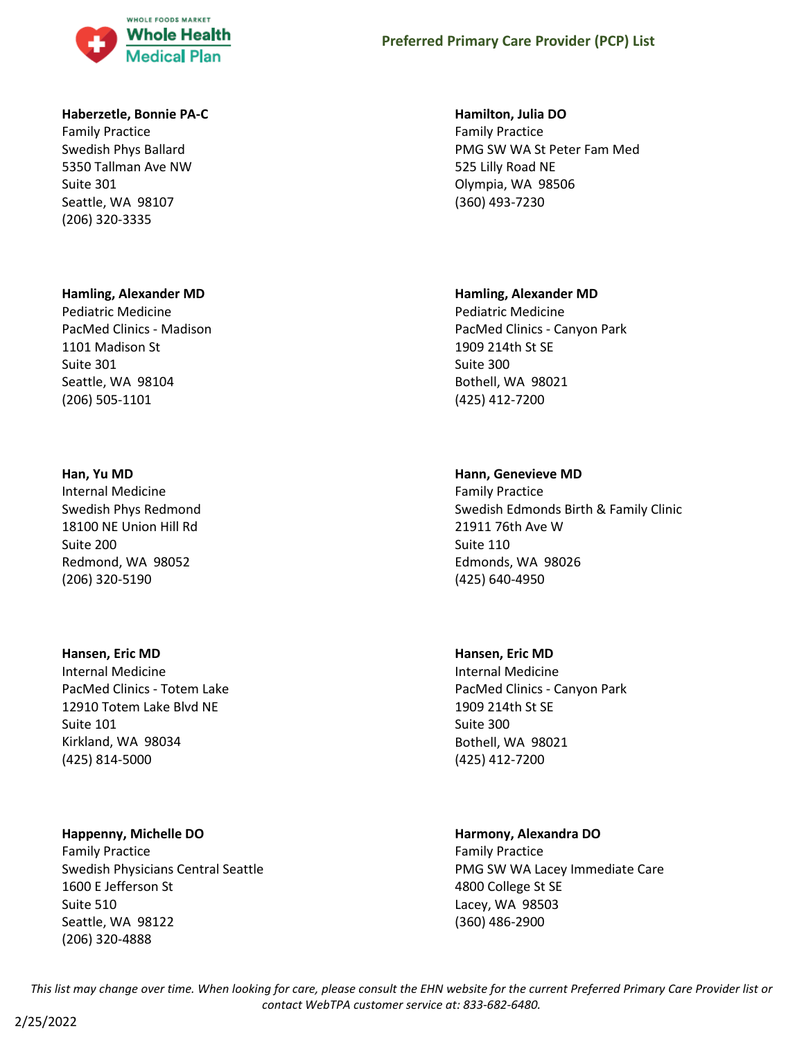

#### **Haberzetle, Bonnie PA-C**

Family Practice Swedish Phys Ballard 5350 Tallman Ave NW Suite 301 Seattle, WA 98107 (206) 320-3335

#### **Hamling, Alexander MD**

Pediatric Medicine PacMed Clinics - Madison 1101 Madison St Suite 301 Seattle, WA 98104 (206) 505-1101

#### **Han, Yu MD**

Internal Medicine Swedish Phys Redmond 18100 NE Union Hill Rd Suite 200 Redmond, WA 98052 (206) 320-5190

#### **Hansen, Eric MD**

Internal Medicine PacMed Clinics - Totem Lake 12910 Totem Lake Blvd NE Suite 101 Kirkland, WA 98034 (425) 814-5000

#### **Happenny, Michelle DO**

Family Practice Swedish Physicians Central Seattle 1600 E Jefferson St Suite 510 Seattle, WA 98122 (206) 320-4888

#### **Hamilton, Julia DO**

Family Practice PMG SW WA St Peter Fam Med 525 Lilly Road NE Olympia, WA 98506 (360) 493-7230

#### **Hamling, Alexander MD**

Pediatric Medicine PacMed Clinics - Canyon Park 1909 214th St SE Suite 300 Bothell, WA 98021 (425) 412-7200

#### **Hann, Genevieve MD**

Family Practice Swedish Edmonds Birth & Family Clinic 21911 76th Ave W Suite 110 Edmonds, WA 98026 (425) 640-4950

#### **Hansen, Eric MD**

Internal Medicine PacMed Clinics - Canyon Park 1909 214th St SE Suite 300 Bothell, WA 98021 (425) 412-7200

#### **Harmony, Alexandra DO**

Family Practice PMG SW WA Lacey Immediate Care 4800 College St SE Lacey, WA 98503 (360) 486-2900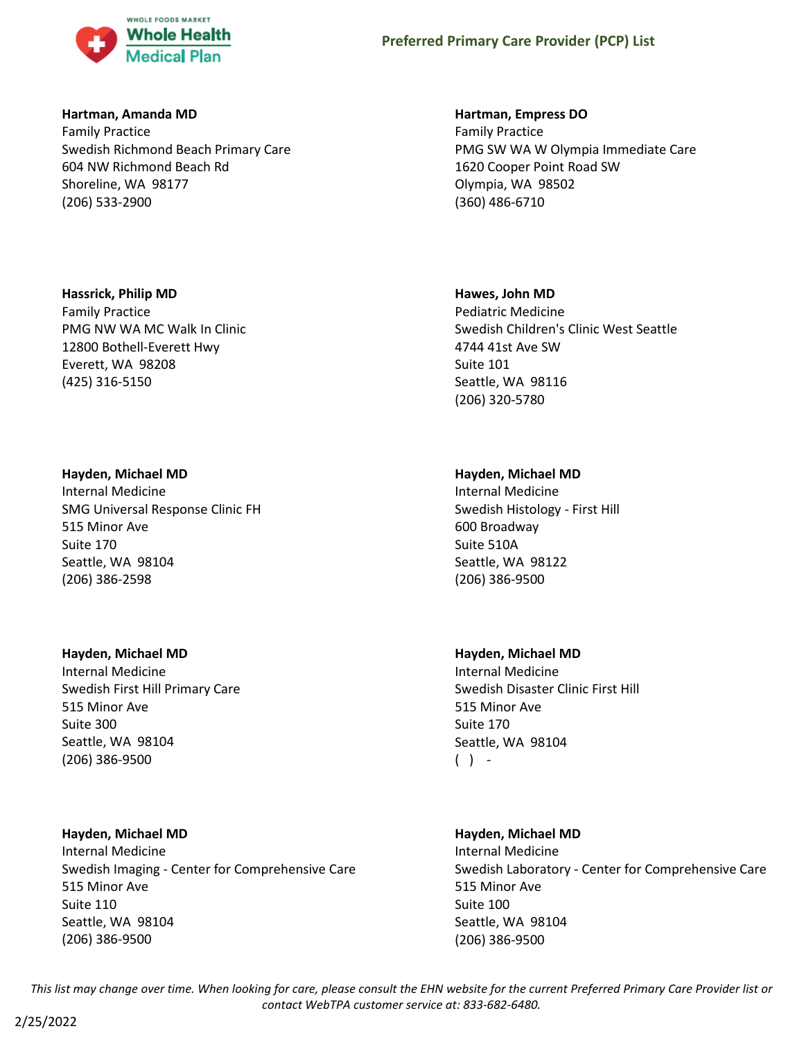

### **Hartman, Amanda MD**

Family Practice Swedish Richmond Beach Primary Care 604 NW Richmond Beach Rd Shoreline, WA 98177 (206) 533-2900

### **Hassrick, Philip MD**

Family Practice PMG NW WA MC Walk In Clinic 12800 Bothell-Everett Hwy Everett, WA 98208 (425) 316-5150

### **Hayden, Michael MD**

Internal Medicine SMG Universal Response Clinic FH 515 Minor Ave Suite 170 Seattle, WA 98104 (206) 386-2598

# **Hayden, Michael MD**

Internal Medicine Swedish First Hill Primary Care 515 Minor Ave Suite 300 Seattle, WA 98104 (206) 386-9500

# **Hayden, Michael MD**

Internal Medicine Swedish Imaging - Center for Comprehensive Care 515 Minor Ave Suite 110 Seattle, WA 98104 (206) 386-9500

# **Hartman, Empress DO**

Family Practice PMG SW WA W Olympia Immediate Care 1620 Cooper Point Road SW Olympia, WA 98502 (360) 486-6710

### **Hawes, John MD**

Pediatric Medicine Swedish Children's Clinic West Seattle 4744 41st Ave SW Suite 101 Seattle, WA 98116 (206) 320-5780

### **Hayden, Michael MD**

Internal Medicine Swedish Histology - First Hill 600 Broadway Suite 510A Seattle, WA 98122 (206) 386-9500

### **Hayden, Michael MD**

Internal Medicine Swedish Disaster Clinic First Hill 515 Minor Ave Suite 170 Seattle, WA 98104  $( )$  -

# **Hayden, Michael MD**

Internal Medicine Swedish Laboratory - Center for Comprehensive Care 515 Minor Ave Suite 100 Seattle, WA 98104 (206) 386-9500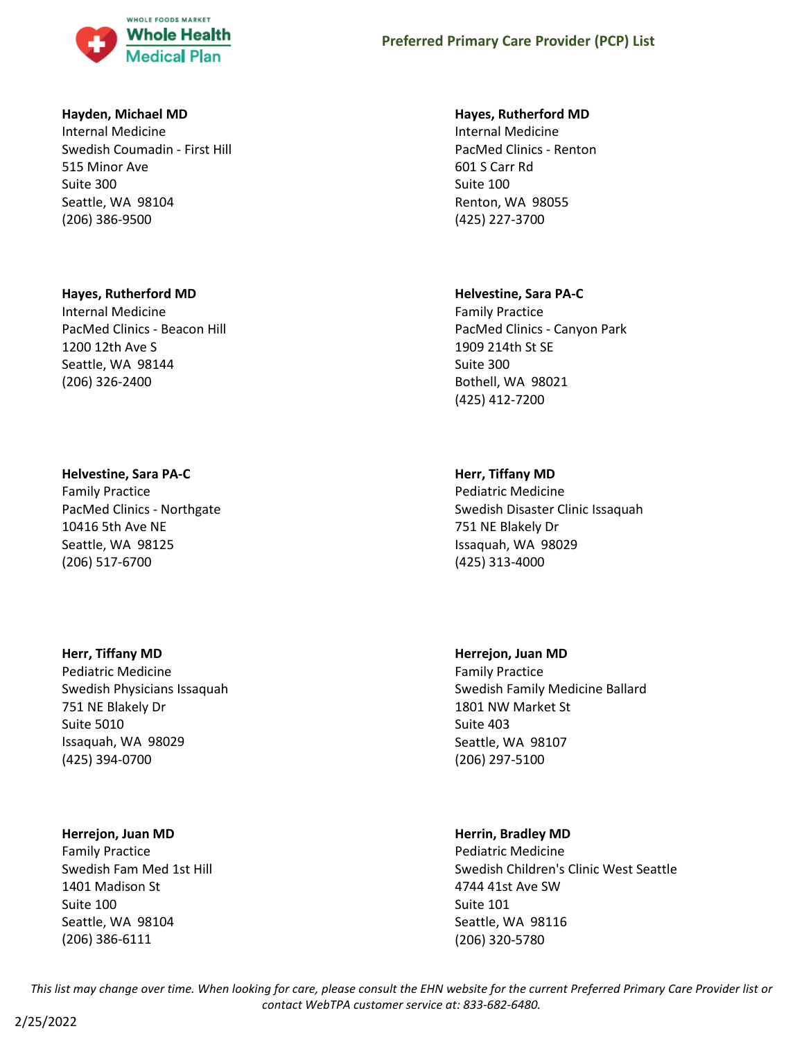

#### **Hayden, Michael MD**

Internal Medicine Swedish Coumadin - First Hill 515 Minor Ave Suite 300 Seattle, WA 98104 (206) 386-9500

#### **Hayes, Rutherford MD**

Internal Medicine PacMed Clinics - Beacon Hill 1200 12th Ave S Seattle, WA 98144 (206) 326-2400

#### **Helvestine, Sara PA-C**

Family Practice PacMed Clinics - Northgate 10416 5th Ave NE Seattle, WA 98125 (206) 517-6700

#### **Herr, Tiffany MD**

Pediatric Medicine Swedish Physicians Issaquah 751 NE Blakely Dr Suite 5010 Issaquah, WA 98029 (425) 394-0700

#### **Herrejon, Juan MD**

Family Practice Swedish Fam Med 1st Hill 1401 Madison St Suite 100 Seattle, WA 98104 (206) 386-6111

#### **Hayes, Rutherford MD**

Internal Medicine PacMed Clinics - Renton 601 S Carr Rd Suite 100 Renton, WA 98055 (425) 227-3700

#### **Helvestine, Sara PA-C**

Family Practice PacMed Clinics - Canyon Park 1909 214th St SE Suite 300 Bothell, WA 98021 (425) 412-7200

### **Herr, Tiffany MD**

Pediatric Medicine Swedish Disaster Clinic Issaquah 751 NE Blakely Dr Issaquah, WA 98029 (425) 313-4000

### **Herrejon, Juan MD**

Family Practice Swedish Family Medicine Ballard 1801 NW Market St Suite 403 Seattle, WA 98107 (206) 297-5100

### **Herrin, Bradley MD**

Pediatric Medicine Swedish Children's Clinic West Seattle 4744 41st Ave SW Suite 101 Seattle, WA 98116 (206) 320-5780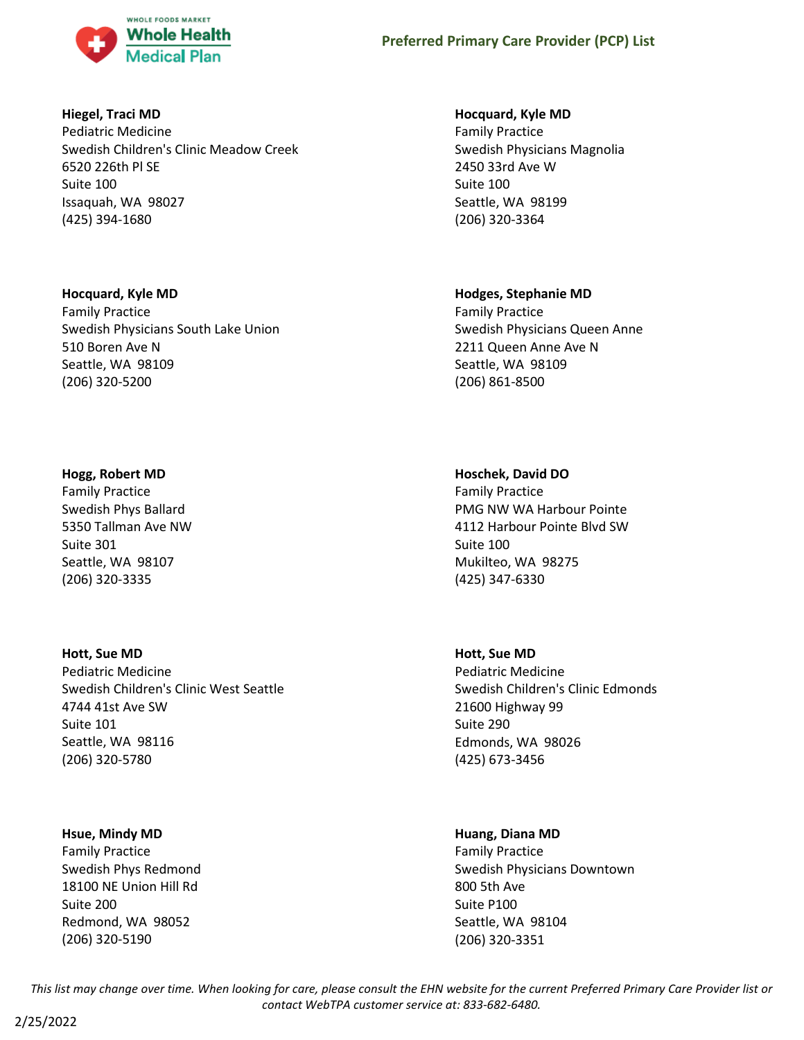

### **Hiegel, Traci MD**

Pediatric Medicine Swedish Children's Clinic Meadow Creek 6520 226th Pl SE Suite 100 Issaquah, WA 98027 (425) 394-1680

### **Hocquard, Kyle MD**

Family Practice Swedish Physicians South Lake Union 510 Boren Ave N Seattle, WA 98109 (206) 320-5200

### **Hogg, Robert MD**

Family Practice Swedish Phys Ballard 5350 Tallman Ave NW Suite 301 Seattle, WA 98107 (206) 320-3335

# **Hott, Sue MD**

Pediatric Medicine Swedish Children's Clinic West Seattle 4744 41st Ave SW Suite 101 Seattle, WA 98116 (206) 320-5780

# **Hsue, Mindy MD**

Family Practice Swedish Phys Redmond 18100 NE Union Hill Rd Suite 200 Redmond, WA 98052 (206) 320-5190

### **Hocquard, Kyle MD**

Family Practice Swedish Physicians Magnolia 2450 33rd Ave W Suite 100 Seattle, WA 98199 (206) 320-3364

### **Hodges, Stephanie MD**

Family Practice Swedish Physicians Queen Anne 2211 Queen Anne Ave N Seattle, WA 98109 (206) 861-8500

# **Hoschek, David DO**

Family Practice PMG NW WA Harbour Pointe 4112 Harbour Pointe Blvd SW Suite 100 Mukilteo, WA 98275 (425) 347-6330

# **Hott, Sue MD**

Pediatric Medicine Swedish Children's Clinic Edmonds 21600 Highway 99 Suite 290 Edmonds, WA 98026 (425) 673-3456

### **Huang, Diana MD**

Family Practice Swedish Physicians Downtown 800 5th Ave Suite P100 Seattle, WA 98104 (206) 320-3351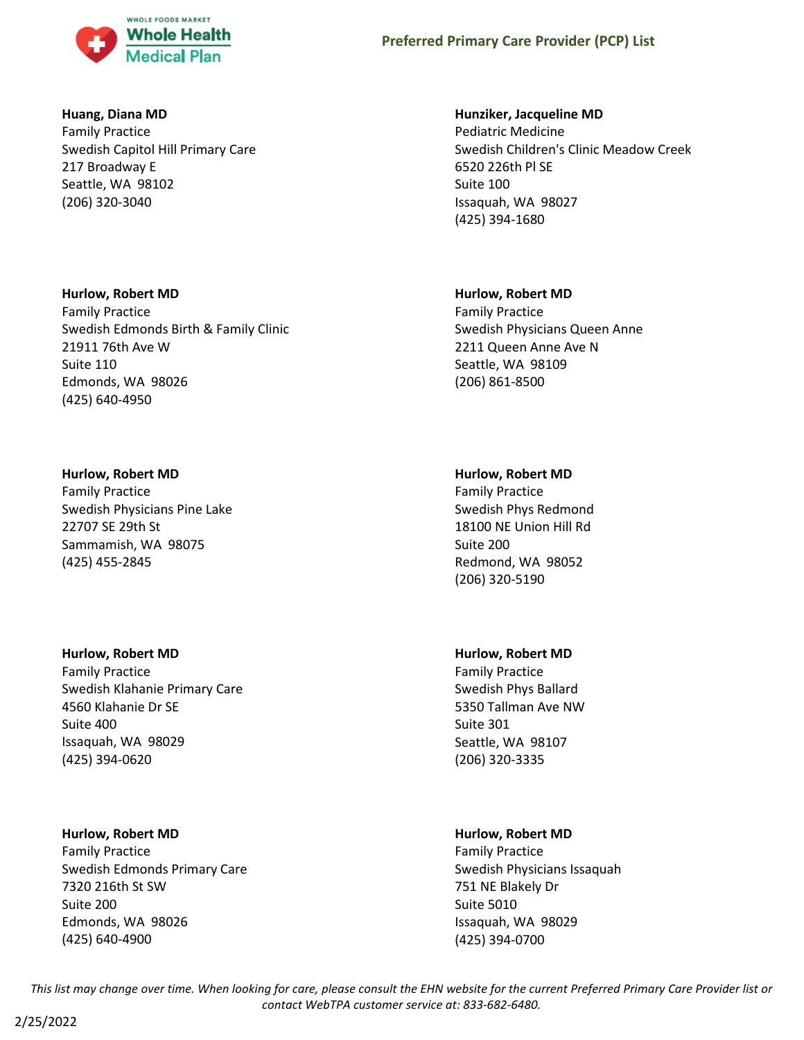

### **Huang, Diana MD**

Family Practice Swedish Capitol Hill Primary Care 217 Broadway E Seattle, WA 98102 (206) 320-3040

#### **Hurlow, Robert MD**

Family Practice Swedish Edmonds Birth & Family Clinic 21911 76th Ave W Suite 110 Edmonds, WA 98026 (425) 640-4950

### **Hurlow, Robert MD**

Family Practice Swedish Physicians Pine Lake 22707 SE 29th St Sammamish, WA 98075 (425) 455-2845

### **Hurlow, Robert MD**

Family Practice Swedish Klahanie Primary Care 4560 Klahanie Dr SE Suite 400 Issaquah, WA 98029 (425) 394-0620

### **Hurlow, Robert MD**

Family Practice Swedish Edmonds Primary Care 7320 216th St SW Suite 200 Edmonds, WA 98026 (425) 640-4900

### **Hunziker, Jacqueline MD**

Pediatric Medicine Swedish Children's Clinic Meadow Creek 6520 226th Pl SE Suite 100 Issaquah, WA 98027 (425) 394-1680

### **Hurlow, Robert MD**

Family Practice Swedish Physicians Queen Anne 2211 Queen Anne Ave N Seattle, WA 98109 (206) 861-8500

### **Hurlow, Robert MD**

Family Practice Swedish Phys Redmond 18100 NE Union Hill Rd Suite 200 Redmond, WA 98052 (206) 320-5190

# **Hurlow, Robert MD**

Family Practice Swedish Phys Ballard 5350 Tallman Ave NW Suite 301 Seattle, WA 98107 (206) 320-3335

# **Hurlow, Robert MD**

Family Practice Swedish Physicians Issaquah 751 NE Blakely Dr Suite 5010 Issaquah, WA 98029 (425) 394-0700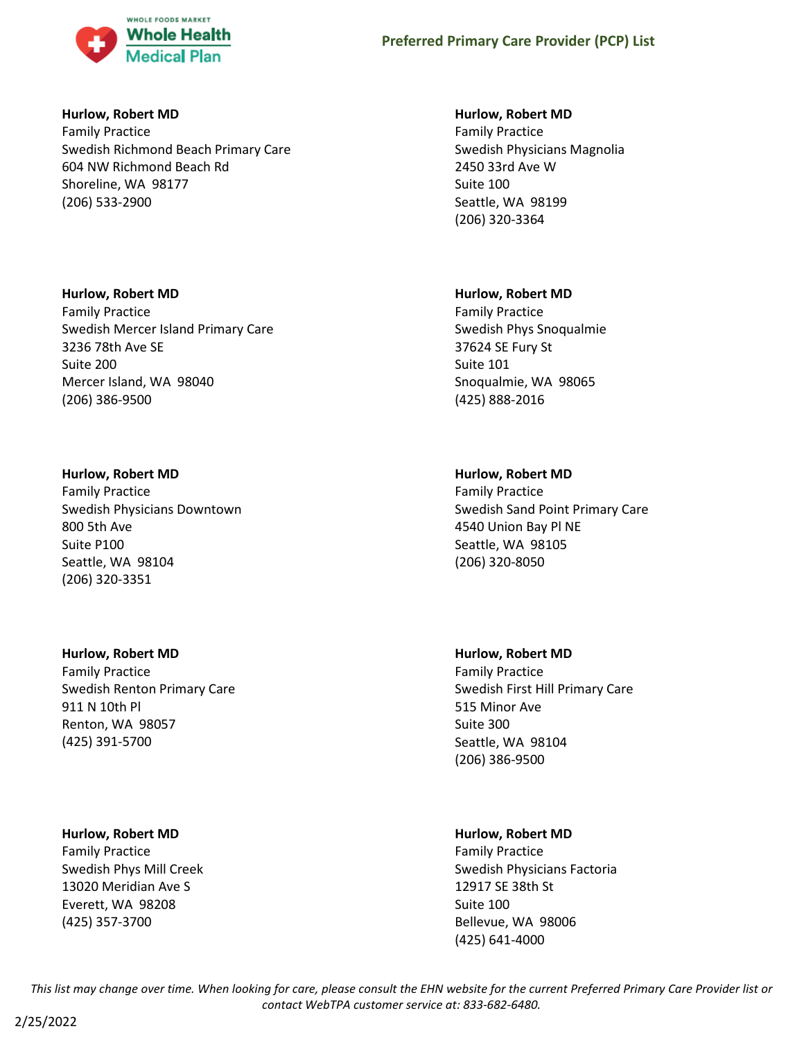

#### **Hurlow, Robert MD**

Family Practice Swedish Richmond Beach Primary Care 604 NW Richmond Beach Rd Shoreline, WA 98177 (206) 533-2900

### **Hurlow, Robert MD**

Family Practice Swedish Mercer Island Primary Care 3236 78th Ave SE Suite 200 Mercer Island, WA 98040 (206) 386-9500

### **Hurlow, Robert MD**

Family Practice Swedish Physicians Downtown 800 5th Ave Suite P100 Seattle, WA 98104 (206) 320-3351

# **Hurlow, Robert MD**

Family Practice Swedish Renton Primary Care 911 N 10th Pl Renton, WA 98057 (425) 391-5700

### **Hurlow, Robert MD**

Family Practice Swedish Phys Mill Creek 13020 Meridian Ave S Everett, WA 98208 (425) 357-3700

### **Hurlow, Robert MD**

Family Practice Swedish Physicians Magnolia 2450 33rd Ave W Suite 100 Seattle, WA 98199 (206) 320-3364

### **Hurlow, Robert MD**

Family Practice Swedish Phys Snoqualmie 37624 SE Fury St Suite 101 Snoqualmie, WA 98065 (425) 888-2016

# **Hurlow, Robert MD**

Family Practice Swedish Sand Point Primary Care 4540 Union Bay Pl NE Seattle, WA 98105 (206) 320-8050

### **Hurlow, Robert MD**

Family Practice Swedish First Hill Primary Care 515 Minor Ave Suite 300 Seattle, WA 98104 (206) 386-9500

# **Hurlow, Robert MD**

Family Practice Swedish Physicians Factoria 12917 SE 38th St Suite 100 Bellevue, WA 98006 (425) 641-4000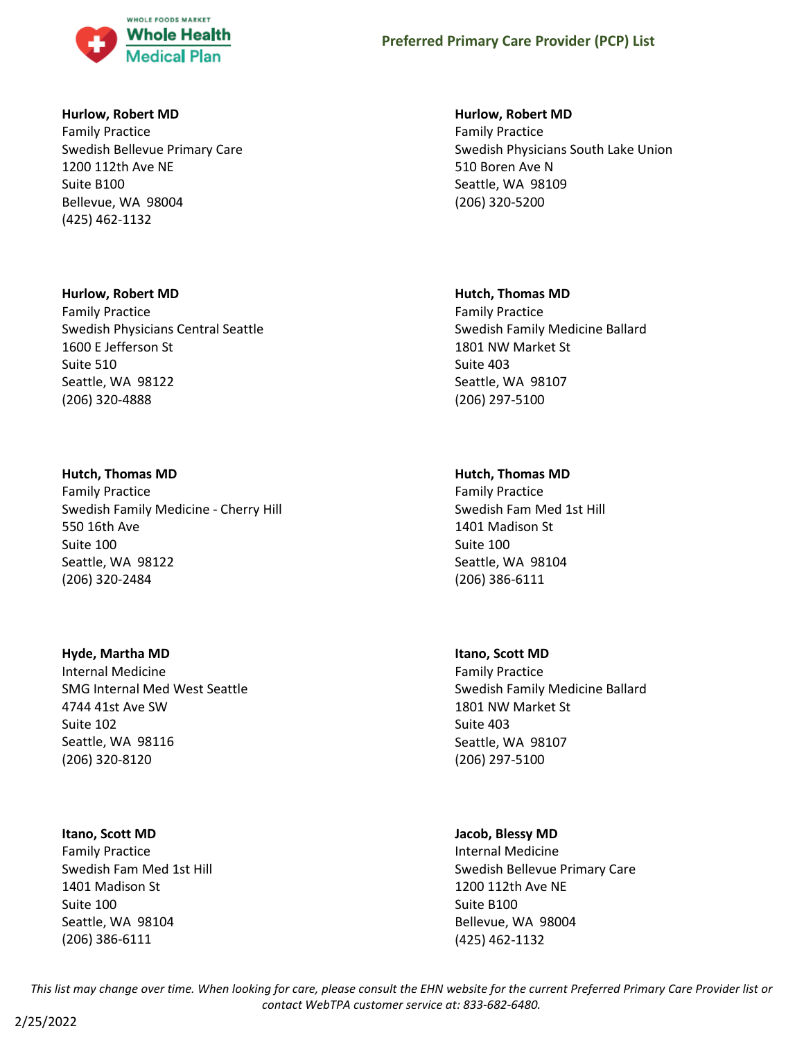

#### **Hurlow, Robert MD**

Family Practice Swedish Bellevue Primary Care 1200 112th Ave NE Suite B100 Bellevue, WA 98004 (425) 462-1132

#### **Hurlow, Robert MD**

Family Practice Swedish Physicians Central Seattle 1600 E Jefferson St Suite 510 Seattle, WA 98122 (206) 320-4888

### **Hutch, Thomas MD**

Family Practice Swedish Family Medicine - Cherry Hill 550 16th Ave Suite 100 Seattle, WA 98122 (206) 320-2484

### **Hyde, Martha MD**

Internal Medicine SMG Internal Med West Seattle 4744 41st Ave SW Suite 102 Seattle, WA 98116 (206) 320-8120

### **Itano, Scott MD**

Family Practice Swedish Fam Med 1st Hill 1401 Madison St Suite 100 Seattle, WA 98104 (206) 386-6111

### **Hurlow, Robert MD**

Family Practice Swedish Physicians South Lake Union 510 Boren Ave N Seattle, WA 98109 (206) 320-5200

#### **Hutch, Thomas MD**

Family Practice Swedish Family Medicine Ballard 1801 NW Market St Suite 403 Seattle, WA 98107 (206) 297-5100

### **Hutch, Thomas MD**

Family Practice Swedish Fam Med 1st Hill 1401 Madison St Suite 100 Seattle, WA 98104 (206) 386-6111

### **Itano, Scott MD**

Family Practice Swedish Family Medicine Ballard 1801 NW Market St Suite 403 Seattle, WA 98107 (206) 297-5100

### **Jacob, Blessy MD**

Internal Medicine Swedish Bellevue Primary Care 1200 112th Ave NE Suite B100 Bellevue, WA 98004 (425) 462-1132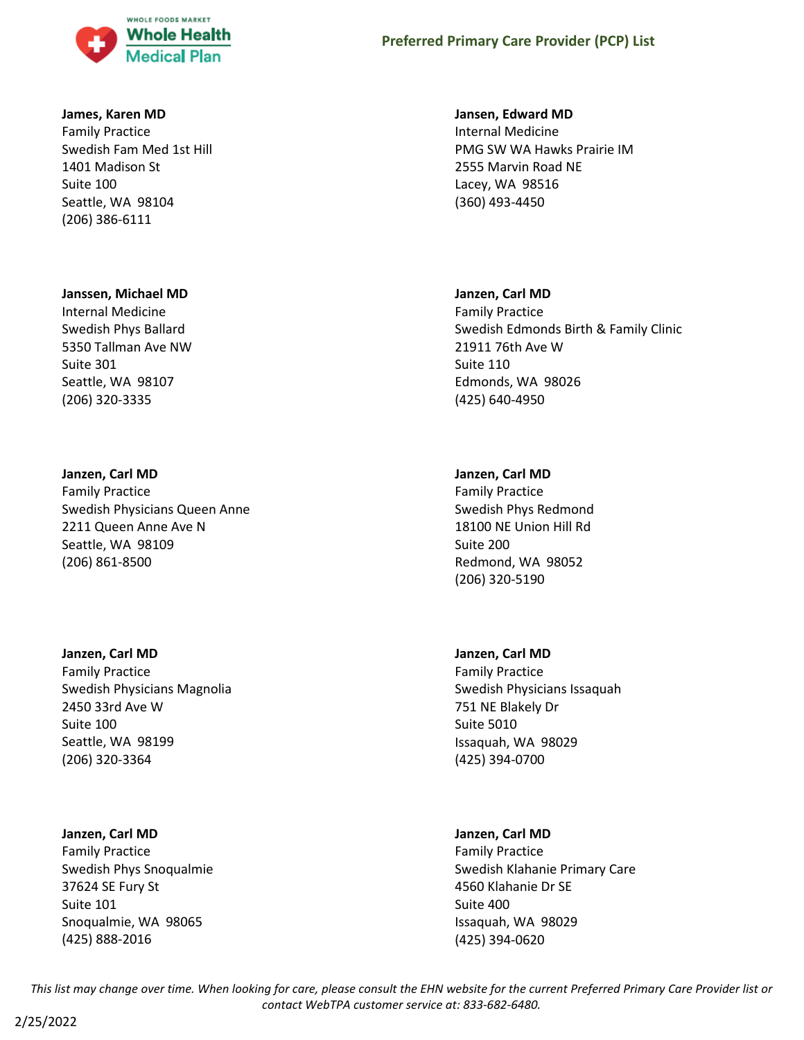

#### **James, Karen MD**

Family Practice Swedish Fam Med 1st Hill 1401 Madison St Suite 100 Seattle, WA 98104 (206) 386-6111

#### **Janssen, Michael MD**

Internal Medicine Swedish Phys Ballard 5350 Tallman Ave NW Suite 301 Seattle, WA 98107 (206) 320-3335

#### **Janzen, Carl MD**

Family Practice Swedish Physicians Queen Anne 2211 Queen Anne Ave N Seattle, WA 98109 (206) 861-8500

#### **Janzen, Carl MD**

Family Practice Swedish Physicians Magnolia 2450 33rd Ave W Suite 100 Seattle, WA 98199 (206) 320-3364

#### **Janzen, Carl MD**

Family Practice Swedish Phys Snoqualmie 37624 SE Fury St Suite 101 Snoqualmie, WA 98065 (425) 888-2016

#### **Jansen, Edward MD**

Internal Medicine PMG SW WA Hawks Prairie IM 2555 Marvin Road NE Lacey, WA 98516 (360) 493-4450

#### **Janzen, Carl MD**

Family Practice Swedish Edmonds Birth & Family Clinic 21911 76th Ave W Suite 110 Edmonds, WA 98026 (425) 640-4950

#### **Janzen, Carl MD**

Family Practice Swedish Phys Redmond 18100 NE Union Hill Rd Suite 200 Redmond, WA 98052 (206) 320-5190

#### **Janzen, Carl MD**

Family Practice Swedish Physicians Issaquah 751 NE Blakely Dr Suite 5010 Issaquah, WA 98029 (425) 394-0700

### **Janzen, Carl MD**

Family Practice Swedish Klahanie Primary Care 4560 Klahanie Dr SE Suite 400 Issaquah, WA 98029 (425) 394-0620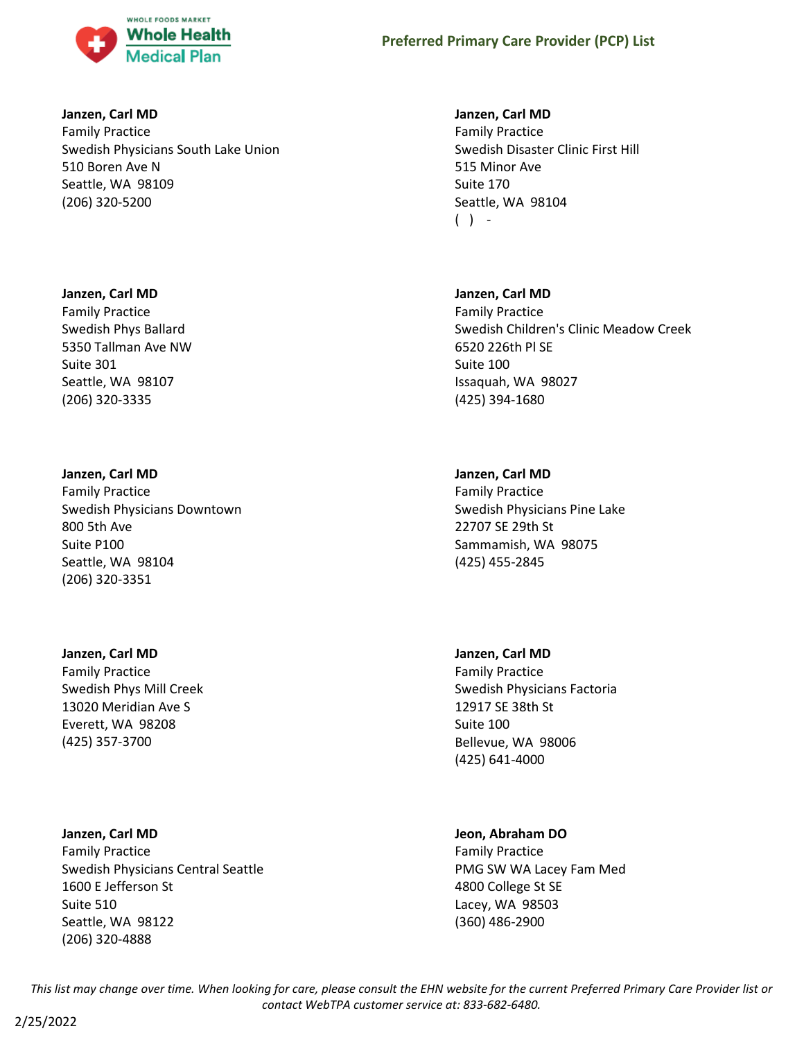

#### **Janzen, Carl MD**

Family Practice Swedish Physicians South Lake Union 510 Boren Ave N Seattle, WA 98109 (206) 320-5200

### **Janzen, Carl MD**

Family Practice Swedish Phys Ballard 5350 Tallman Ave NW Suite 301 Seattle, WA 98107 (206) 320-3335

### **Janzen, Carl MD**

Family Practice Swedish Physicians Downtown 800 5th Ave Suite P100 Seattle, WA 98104 (206) 320-3351

# **Janzen, Carl MD**

Family Practice Swedish Phys Mill Creek 13020 Meridian Ave S Everett, WA 98208 (425) 357-3700

**Janzen, Carl MD**

Family Practice Swedish Physicians Central Seattle 1600 E Jefferson St Suite 510 Seattle, WA 98122 (206) 320-4888

### **Janzen, Carl MD**

Family Practice Swedish Disaster Clinic First Hill 515 Minor Ave Suite 170 Seattle, WA 98104  $( )$  -

### **Janzen, Carl MD**

Family Practice Swedish Children's Clinic Meadow Creek 6520 226th Pl SE Suite 100 Issaquah, WA 98027 (425) 394-1680

### **Janzen, Carl MD**

Family Practice Swedish Physicians Pine Lake 22707 SE 29th St Sammamish, WA 98075 (425) 455-2845

### **Janzen, Carl MD**

Family Practice Swedish Physicians Factoria 12917 SE 38th St Suite 100 Bellevue, WA 98006 (425) 641-4000

### **Jeon, Abraham DO**

Family Practice PMG SW WA Lacey Fam Med 4800 College St SE Lacey, WA 98503 (360) 486-2900

*This list may change over time. When looking for care, please consult the EHN website for the current Preferred Primary Care Provider list or contact WebTPA customer service at: 833-682-6480.*

2/25/2022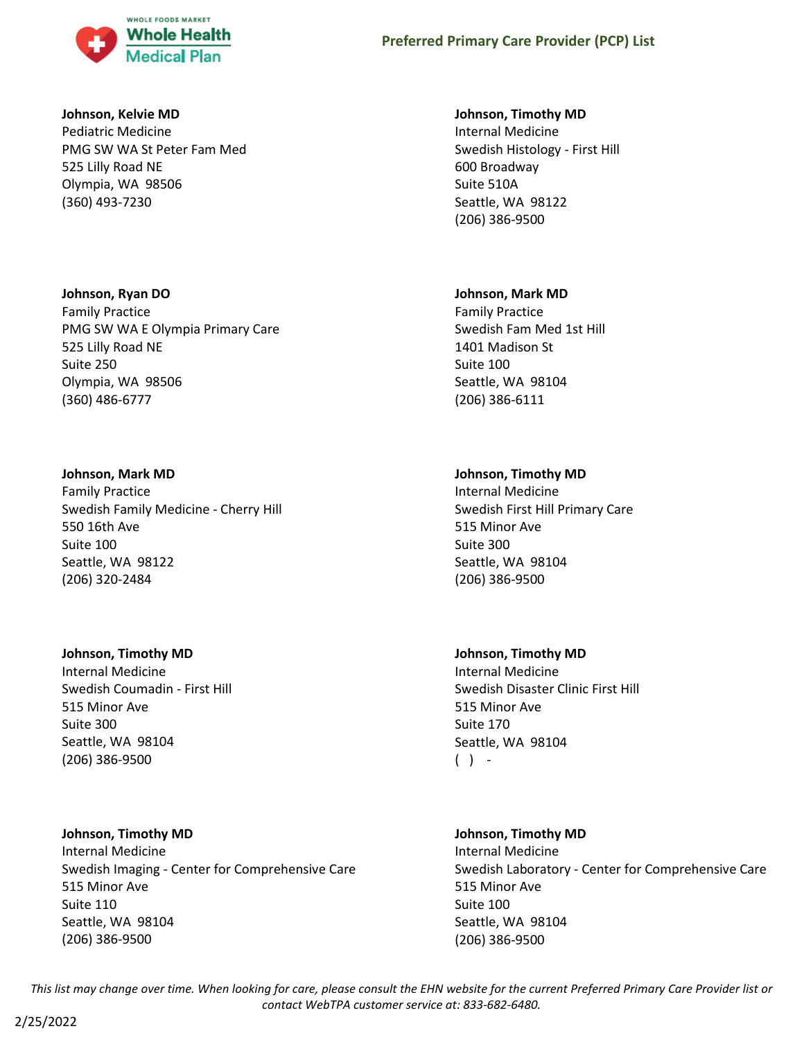

### **Johnson, Kelvie MD**

Pediatric Medicine PMG SW WA St Peter Fam Med 525 Lilly Road NE Olympia, WA 98506 (360) 493-7230

### **Johnson, Ryan DO**

Family Practice PMG SW WA E Olympia Primary Care 525 Lilly Road NE Suite 250 Olympia, WA 98506 (360) 486-6777

### **Johnson, Mark MD**

Family Practice Swedish Family Medicine - Cherry Hill 550 16th Ave Suite 100 Seattle, WA 98122 (206) 320-2484

# **Johnson, Timothy MD**

Internal Medicine Swedish Coumadin - First Hill 515 Minor Ave Suite 300 Seattle, WA 98104 (206) 386-9500

# **Johnson, Timothy MD**

Internal Medicine Swedish Imaging - Center for Comprehensive Care 515 Minor Ave Suite 110 Seattle, WA 98104 (206) 386-9500

### **Johnson, Timothy MD**

Internal Medicine Swedish Histology - First Hill 600 Broadway Suite 510A Seattle, WA 98122 (206) 386-9500

### **Johnson, Mark MD**

Family Practice Swedish Fam Med 1st Hill 1401 Madison St Suite 100 Seattle, WA 98104 (206) 386-6111

# **Johnson, Timothy MD**

Internal Medicine Swedish First Hill Primary Care 515 Minor Ave Suite 300 Seattle, WA 98104 (206) 386-9500

# **Johnson, Timothy MD**

Internal Medicine Swedish Disaster Clinic First Hill 515 Minor Ave Suite 170 Seattle, WA 98104  $( )$  -

# **Johnson, Timothy MD** Internal Medicine

Swedish Laboratory - Center for Comprehensive Care 515 Minor Ave Suite 100 Seattle, WA 98104 (206) 386-9500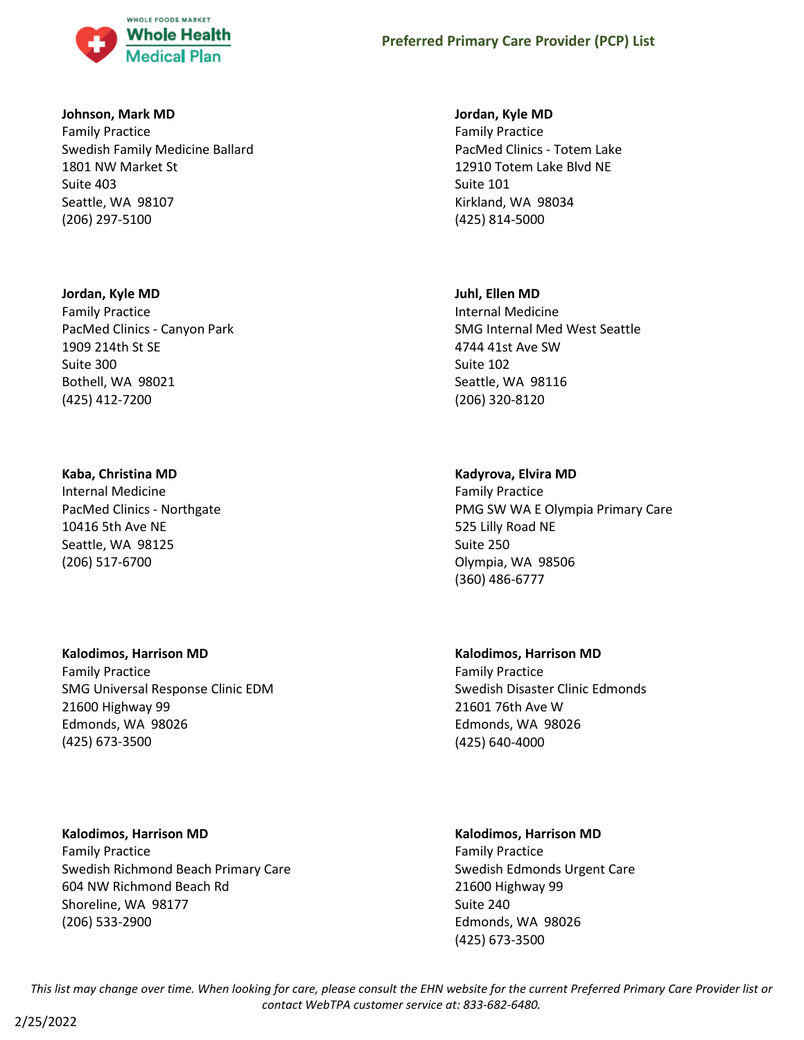

### **Johnson, Mark MD**

Family Practice Swedish Family Medicine Ballard 1801 NW Market St Suite 403 Seattle, WA 98107 (206) 297-5100

#### **Jordan, Kyle MD**

Family Practice PacMed Clinics - Canyon Park 1909 214th St SE Suite 300 Bothell, WA 98021 (425) 412-7200

### **Kaba, Christina MD**

Internal Medicine PacMed Clinics - Northgate 10416 5th Ave NE Seattle, WA 98125 (206) 517-6700

### **Kalodimos, Harrison MD**

Family Practice SMG Universal Response Clinic EDM 21600 Highway 99 Edmonds, WA 98026 (425) 673-3500

# **Kalodimos, Harrison MD** Family Practice Swedish Richmond Beach Primary Care 604 NW Richmond Beach Rd

Shoreline, WA 98177 (206) 533-2900

# **Jordan, Kyle MD**

Family Practice PacMed Clinics - Totem Lake 12910 Totem Lake Blvd NE Suite 101 Kirkland, WA 98034 (425) 814-5000

# **Juhl, Ellen MD**

Internal Medicine SMG Internal Med West Seattle 4744 41st Ave SW Suite 102 Seattle, WA 98116 (206) 320-8120

# **Kadyrova, Elvira MD**

Family Practice PMG SW WA E Olympia Primary Care 525 Lilly Road NE Suite 250 Olympia, WA 98506 (360) 486-6777

# **Kalodimos, Harrison MD**

Family Practice Swedish Disaster Clinic Edmonds 21601 76th Ave W Edmonds, WA 98026 (425) 640-4000

# **Kalodimos, Harrison MD**

Family Practice Swedish Edmonds Urgent Care 21600 Highway 99 Suite 240 Edmonds, WA 98026 (425) 673-3500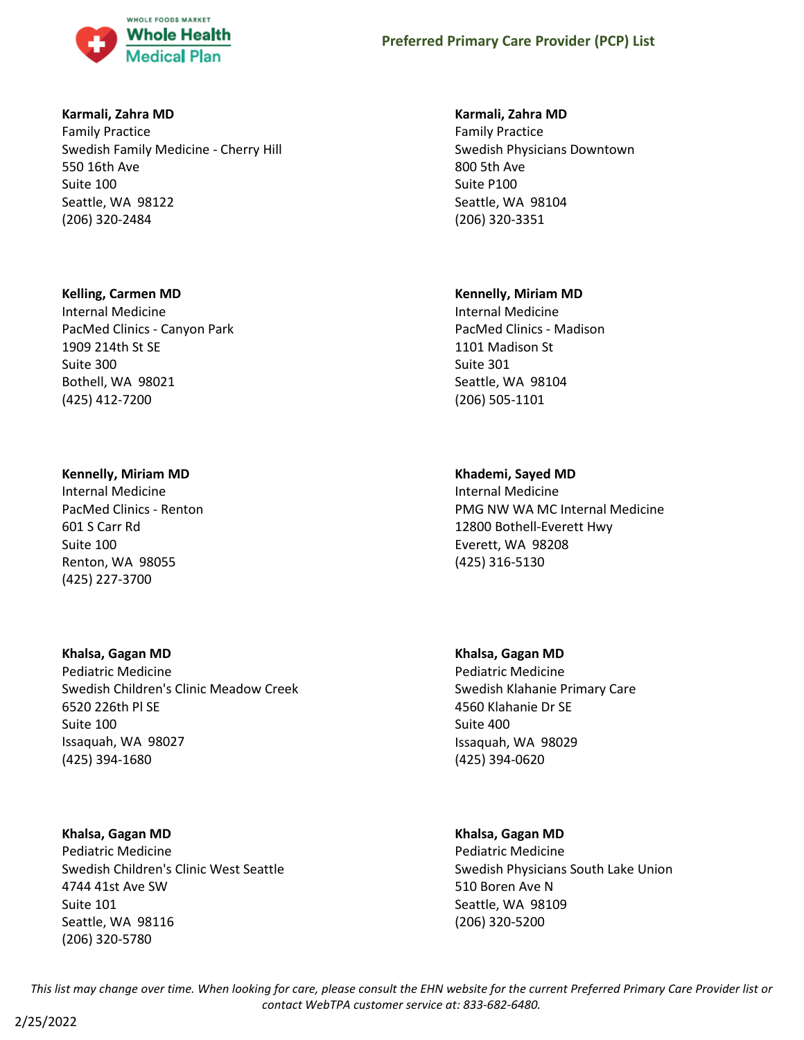

### **Karmali, Zahra MD**

Family Practice Swedish Family Medicine - Cherry Hill 550 16th Ave Suite 100 Seattle, WA 98122 (206) 320-2484

### **Kelling, Carmen MD**

Internal Medicine PacMed Clinics - Canyon Park 1909 214th St SE Suite 300 Bothell, WA 98021 (425) 412-7200

### **Kennelly, Miriam MD**

Internal Medicine PacMed Clinics - Renton 601 S Carr Rd Suite 100 Renton, WA 98055 (425) 227-3700

# **Khalsa, Gagan MD**

Pediatric Medicine Swedish Children's Clinic Meadow Creek 6520 226th Pl SE Suite 100 Issaquah, WA 98027 (425) 394-1680

# **Khalsa, Gagan MD**

Pediatric Medicine Swedish Children's Clinic West Seattle 4744 41st Ave SW Suite 101 Seattle, WA 98116 (206) 320-5780

### **Karmali, Zahra MD**

Family Practice Swedish Physicians Downtown 800 5th Ave Suite P100 Seattle, WA 98104 (206) 320-3351

### **Kennelly, Miriam MD**

Internal Medicine PacMed Clinics - Madison 1101 Madison St Suite 301 Seattle, WA 98104 (206) 505-1101

# **Khademi, Sayed MD**

Internal Medicine PMG NW WA MC Internal Medicine 12800 Bothell-Everett Hwy Everett, WA 98208 (425) 316-5130

# **Khalsa, Gagan MD**

Pediatric Medicine Swedish Klahanie Primary Care 4560 Klahanie Dr SE Suite 400 Issaquah, WA 98029 (425) 394-0620

# **Khalsa, Gagan MD**

Pediatric Medicine Swedish Physicians South Lake Union 510 Boren Ave N Seattle, WA 98109 (206) 320-5200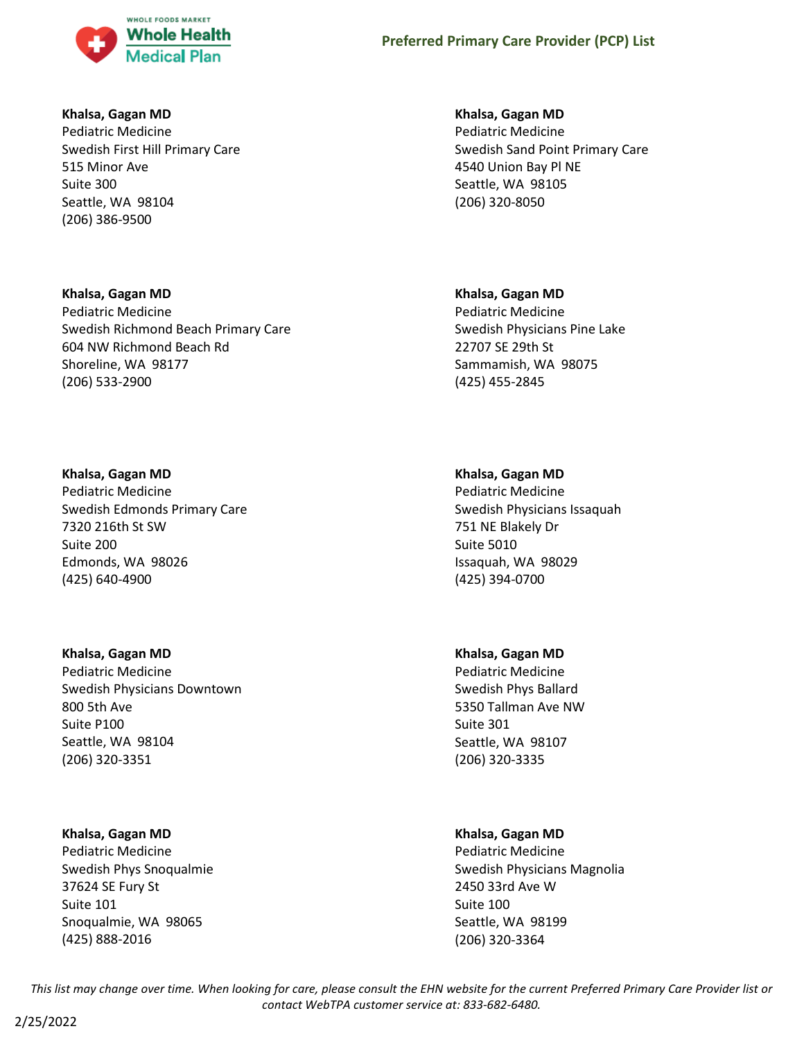

### **Khalsa, Gagan MD**

Pediatric Medicine Swedish First Hill Primary Care 515 Minor Ave Suite 300 Seattle, WA 98104 (206) 386-9500

### **Khalsa, Gagan MD**

Pediatric Medicine Swedish Richmond Beach Primary Care 604 NW Richmond Beach Rd Shoreline, WA 98177 (206) 533-2900

### **Khalsa, Gagan MD**

Pediatric Medicine Swedish Edmonds Primary Care 7320 216th St SW Suite 200 Edmonds, WA 98026 (425) 640-4900

### **Khalsa, Gagan MD**

Pediatric Medicine Swedish Physicians Downtown 800 5th Ave Suite P100 Seattle, WA 98104 (206) 320-3351

# **Khalsa, Gagan MD**

Pediatric Medicine Swedish Phys Snoqualmie 37624 SE Fury St Suite 101 Snoqualmie, WA 98065 (425) 888-2016

### **Khalsa, Gagan MD**

Pediatric Medicine Swedish Sand Point Primary Care 4540 Union Bay Pl NE Seattle, WA 98105 (206) 320-8050

# **Khalsa, Gagan MD**

Pediatric Medicine Swedish Physicians Pine Lake 22707 SE 29th St Sammamish, WA 98075 (425) 455-2845

# **Khalsa, Gagan MD**

Pediatric Medicine Swedish Physicians Issaquah 751 NE Blakely Dr Suite 5010 Issaquah, WA 98029 (425) 394-0700

### **Khalsa, Gagan MD**

Pediatric Medicine Swedish Phys Ballard 5350 Tallman Ave NW Suite 301 Seattle, WA 98107 (206) 320-3335

# **Khalsa, Gagan MD**

Pediatric Medicine Swedish Physicians Magnolia 2450 33rd Ave W Suite 100 Seattle, WA 98199 (206) 320-3364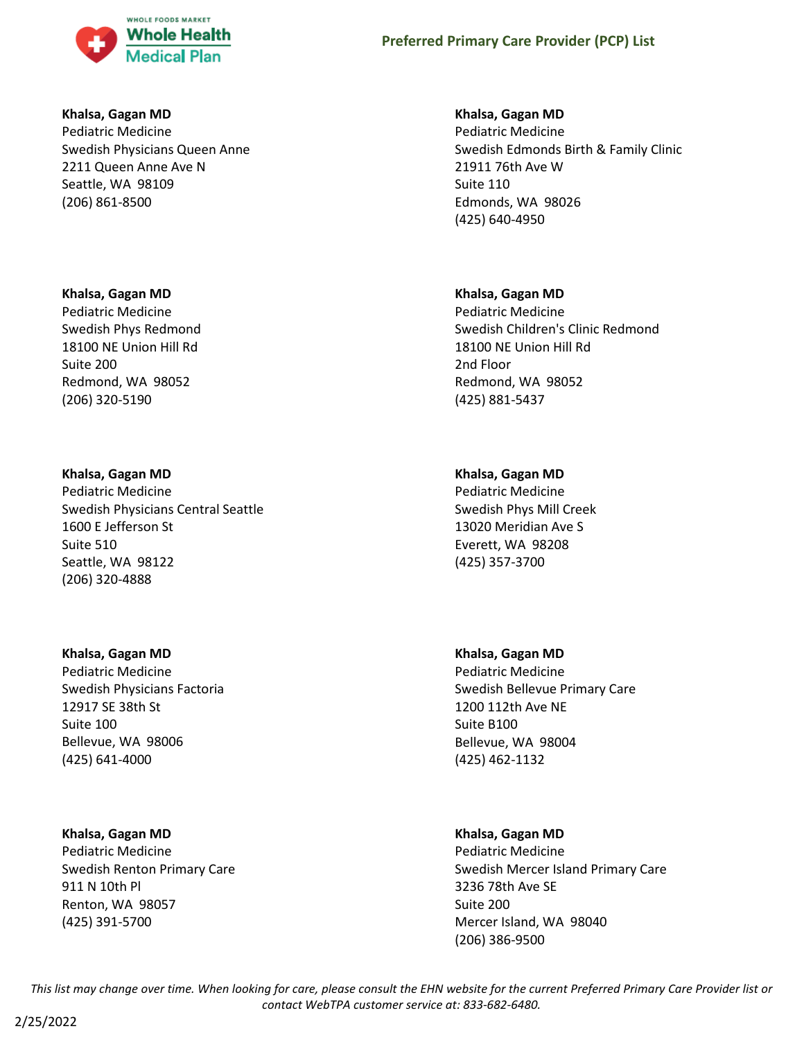

#### **Khalsa, Gagan MD**

Pediatric Medicine Swedish Physicians Queen Anne 2211 Queen Anne Ave N Seattle, WA 98109 (206) 861-8500

### **Khalsa, Gagan MD**

Pediatric Medicine Swedish Phys Redmond 18100 NE Union Hill Rd Suite 200 Redmond, WA 98052 (206) 320-5190

### **Khalsa, Gagan MD**

Pediatric Medicine Swedish Physicians Central Seattle 1600 E Jefferson St Suite 510 Seattle, WA 98122 (206) 320-4888

### **Khalsa, Gagan MD**

Pediatric Medicine Swedish Physicians Factoria 12917 SE 38th St Suite 100 Bellevue, WA 98006 (425) 641-4000

### **Khalsa, Gagan MD**

Pediatric Medicine Swedish Renton Primary Care 911 N 10th Pl Renton, WA 98057 (425) 391-5700

### **Khalsa, Gagan MD**

Pediatric Medicine Swedish Edmonds Birth & Family Clinic 21911 76th Ave W Suite 110 Edmonds, WA 98026 (425) 640-4950

### **Khalsa, Gagan MD**

Pediatric Medicine Swedish Children's Clinic Redmond 18100 NE Union Hill Rd 2nd Floor Redmond, WA 98052 (425) 881-5437

### **Khalsa, Gagan MD**

Pediatric Medicine Swedish Phys Mill Creek 13020 Meridian Ave S Everett, WA 98208 (425) 357-3700

### **Khalsa, Gagan MD**

Pediatric Medicine Swedish Bellevue Primary Care 1200 112th Ave NE Suite B100 Bellevue, WA 98004 (425) 462-1132

### **Khalsa, Gagan MD**

Pediatric Medicine Swedish Mercer Island Primary Care 3236 78th Ave SE Suite 200 Mercer Island, WA 98040 (206) 386-9500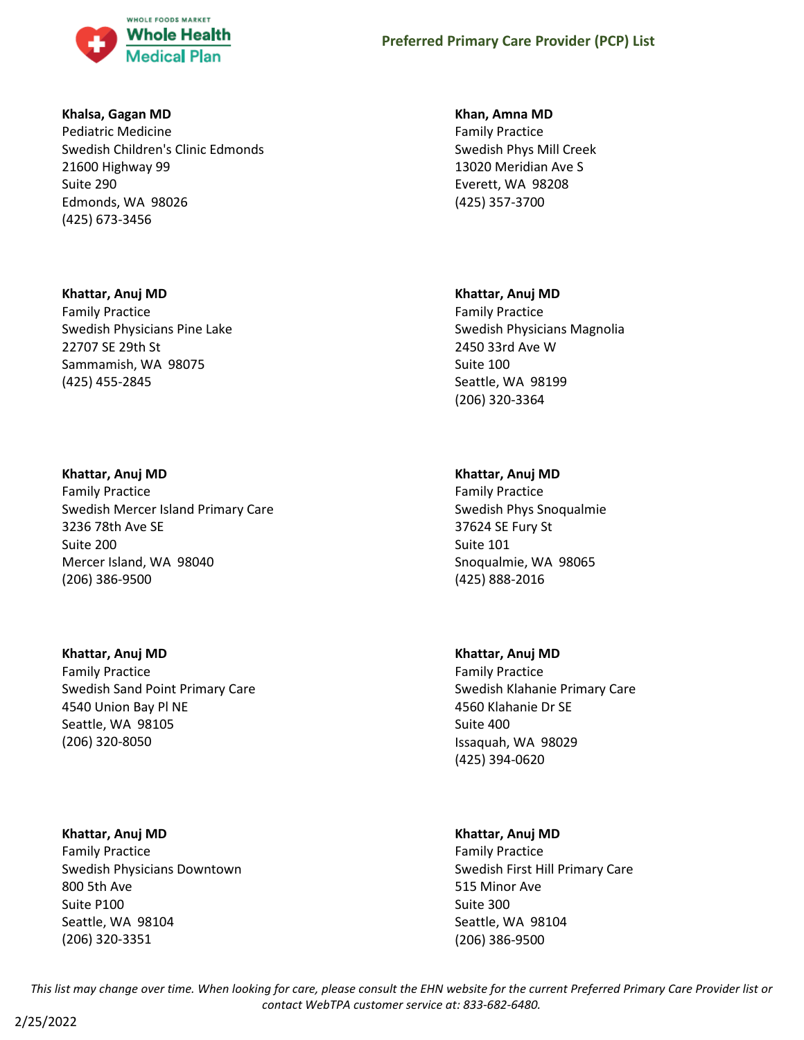

### **Khalsa, Gagan MD**

Pediatric Medicine Swedish Children's Clinic Edmonds 21600 Highway 99 Suite 290 Edmonds, WA 98026 (425) 673-3456

### **Khattar, Anuj MD**

Family Practice Swedish Physicians Pine Lake 22707 SE 29th St Sammamish, WA 98075 (425) 455-2845

### **Khattar, Anuj MD**

Family Practice Swedish Mercer Island Primary Care 3236 78th Ave SE Suite 200 Mercer Island, WA 98040 (206) 386-9500

# **Khattar, Anuj MD**

Family Practice Swedish Sand Point Primary Care 4540 Union Bay Pl NE Seattle, WA 98105 (206) 320-8050

### **Khattar, Anuj MD**

Family Practice Swedish Physicians Downtown 800 5th Ave Suite P100 Seattle, WA 98104 (206) 320-3351

### **Khan, Amna MD**

Family Practice Swedish Phys Mill Creek 13020 Meridian Ave S Everett, WA 98208 (425) 357-3700

### **Khattar, Anuj MD**

Family Practice Swedish Physicians Magnolia 2450 33rd Ave W Suite 100 Seattle, WA 98199 (206) 320-3364

# **Khattar, Anuj MD**

Family Practice Swedish Phys Snoqualmie 37624 SE Fury St Suite 101 Snoqualmie, WA 98065 (425) 888-2016

# **Khattar, Anuj MD**

Family Practice Swedish Klahanie Primary Care 4560 Klahanie Dr SE Suite 400 Issaquah, WA 98029 (425) 394-0620

# **Khattar, Anuj MD**

Family Practice Swedish First Hill Primary Care 515 Minor Ave Suite 300 Seattle, WA 98104 (206) 386-9500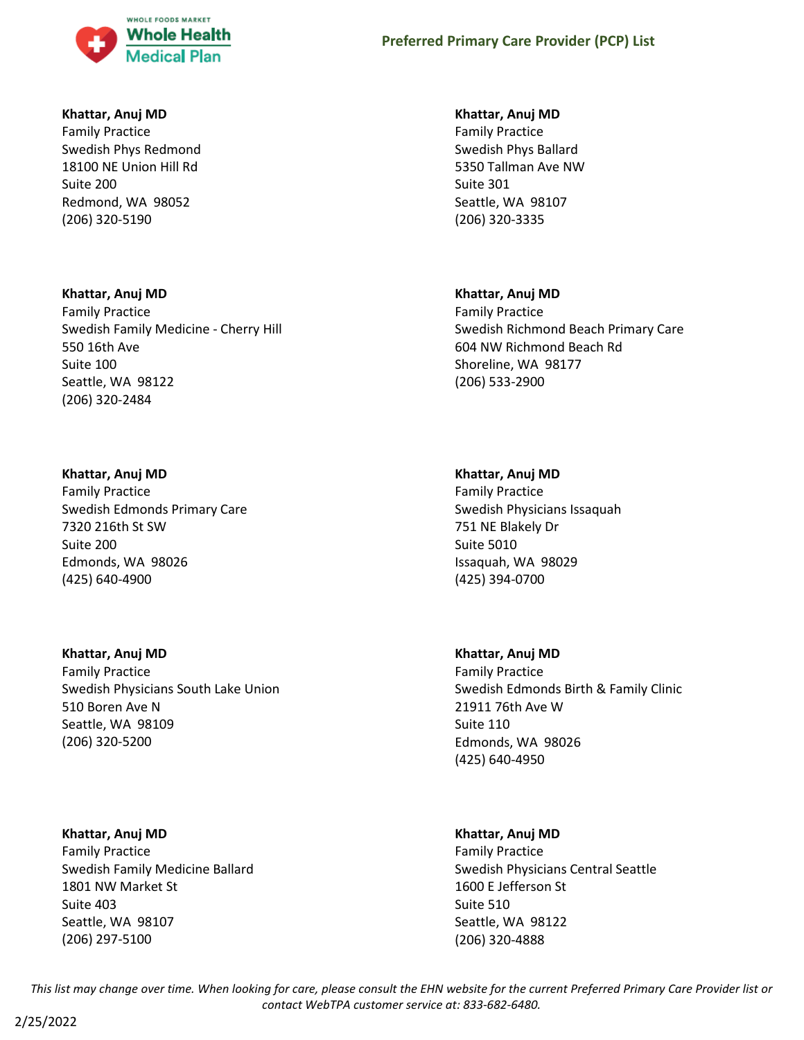

### **Khattar, Anuj MD**

Family Practice Swedish Phys Redmond 18100 NE Union Hill Rd Suite 200 Redmond, WA 98052 (206) 320-5190

# **Khattar, Anuj MD** Family Practice Swedish Family Medicine - Cherry Hill 550 16th Ave Suite 100 Seattle, WA 98122 (206) 320-2484

### **Khattar, Anuj MD**

Family Practice Swedish Edmonds Primary Care 7320 216th St SW Suite 200 Edmonds, WA 98026 (425) 640-4900

# **Khattar, Anuj MD**

Family Practice Swedish Physicians South Lake Union 510 Boren Ave N Seattle, WA 98109 (206) 320-5200

### **Khattar, Anuj MD**

Family Practice Swedish Family Medicine Ballard 1801 NW Market St Suite 403 Seattle, WA 98107 (206) 297-5100

### **Khattar, Anuj MD**

Family Practice Swedish Phys Ballard 5350 Tallman Ave NW Suite 301 Seattle, WA 98107 (206) 320-3335

### **Khattar, Anuj MD**

Family Practice Swedish Richmond Beach Primary Care 604 NW Richmond Beach Rd Shoreline, WA 98177 (206) 533-2900

### **Khattar, Anuj MD**

Family Practice Swedish Physicians Issaquah 751 NE Blakely Dr Suite 5010 Issaquah, WA 98029 (425) 394-0700

### **Khattar, Anuj MD**

Family Practice Swedish Edmonds Birth & Family Clinic 21911 76th Ave W Suite 110 Edmonds, WA 98026 (425) 640-4950

### **Khattar, Anuj MD**

Family Practice Swedish Physicians Central Seattle 1600 E Jefferson St Suite 510 Seattle, WA 98122 (206) 320-4888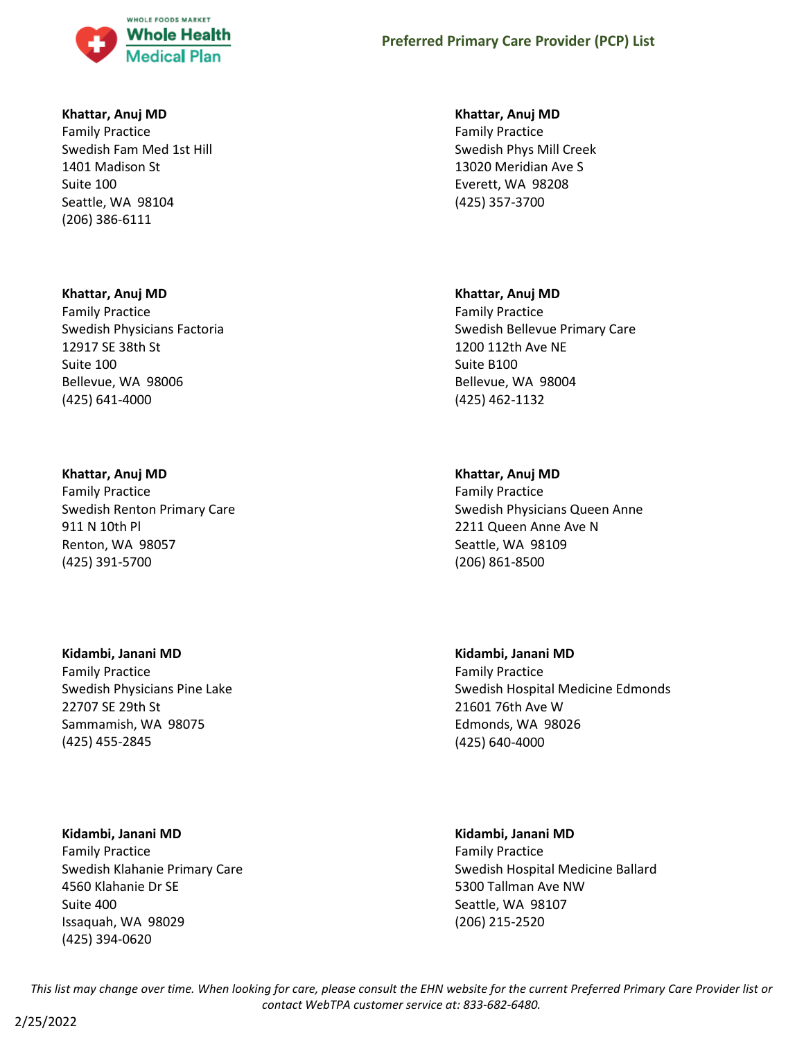

### **Khattar, Anuj MD**

Family Practice Swedish Fam Med 1st Hill 1401 Madison St Suite 100 Seattle, WA 98104 (206) 386-6111

#### **Khattar, Anuj MD**

Family Practice Swedish Physicians Factoria 12917 SE 38th St Suite 100 Bellevue, WA 98006 (425) 641-4000

#### **Khattar, Anuj MD**

Family Practice Swedish Renton Primary Care 911 N 10th Pl Renton, WA 98057 (425) 391-5700

### **Kidambi, Janani MD**

Family Practice Swedish Physicians Pine Lake 22707 SE 29th St Sammamish, WA 98075 (425) 455-2845

#### **Kidambi, Janani MD**

Family Practice Swedish Klahanie Primary Care 4560 Klahanie Dr SE Suite 400 Issaquah, WA 98029 (425) 394-0620

#### **Khattar, Anuj MD**

Family Practice Swedish Phys Mill Creek 13020 Meridian Ave S Everett, WA 98208 (425) 357-3700

#### **Khattar, Anuj MD**

Family Practice Swedish Bellevue Primary Care 1200 112th Ave NE Suite B100 Bellevue, WA 98004 (425) 462-1132

#### **Khattar, Anuj MD**

Family Practice Swedish Physicians Queen Anne 2211 Queen Anne Ave N Seattle, WA 98109 (206) 861-8500

**Kidambi, Janani MD** Family Practice Swedish Hospital Medicine Edmonds 21601 76th Ave W Edmonds, WA 98026 (425) 640-4000

# **Kidambi, Janani MD**

Family Practice Swedish Hospital Medicine Ballard 5300 Tallman Ave NW Seattle, WA 98107 (206) 215-2520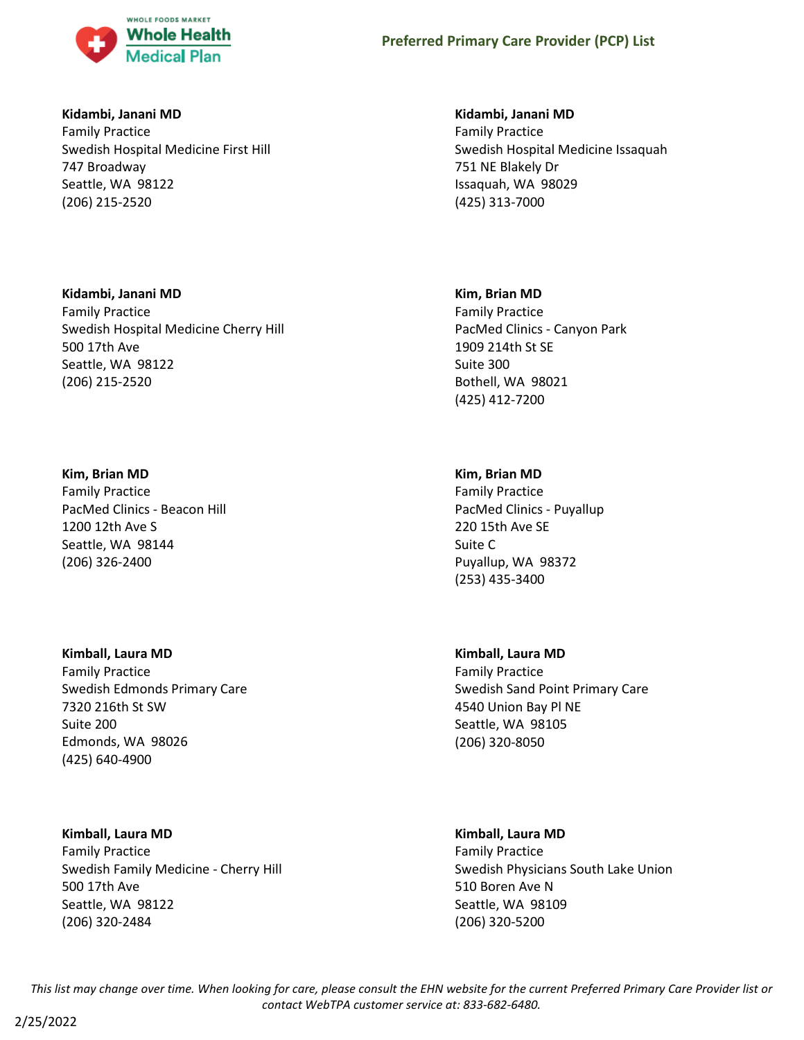

### **Kidambi, Janani MD**

Family Practice Swedish Hospital Medicine First Hill 747 Broadway Seattle, WA 98122 (206) 215-2520

### **Kidambi, Janani MD**

Family Practice Swedish Hospital Medicine Cherry Hill 500 17th Ave Seattle, WA 98122 (206) 215-2520

### **Kim, Brian MD**

Family Practice PacMed Clinics - Beacon Hill 1200 12th Ave S Seattle, WA 98144 (206) 326-2400

### **Kimball, Laura MD**

Family Practice Swedish Edmonds Primary Care 7320 216th St SW Suite 200 Edmonds, WA 98026 (425) 640-4900

### **Kimball, Laura MD**

Family Practice Swedish Family Medicine - Cherry Hill 500 17th Ave Seattle, WA 98122 (206) 320-2484

#### **Kidambi, Janani MD**

Family Practice Swedish Hospital Medicine Issaquah 751 NE Blakely Dr Issaquah, WA 98029 (425) 313-7000

#### **Kim, Brian MD**

Family Practice PacMed Clinics - Canyon Park 1909 214th St SE Suite 300 Bothell, WA 98021 (425) 412-7200

### **Kim, Brian MD**

Family Practice PacMed Clinics - Puyallup 220 15th Ave SE Suite C Puyallup, WA 98372 (253) 435-3400

### **Kimball, Laura MD**

Family Practice Swedish Sand Point Primary Care 4540 Union Bay Pl NE Seattle, WA 98105 (206) 320-8050

# **Kimball, Laura MD**

Family Practice Swedish Physicians South Lake Union 510 Boren Ave N Seattle, WA 98109 (206) 320-5200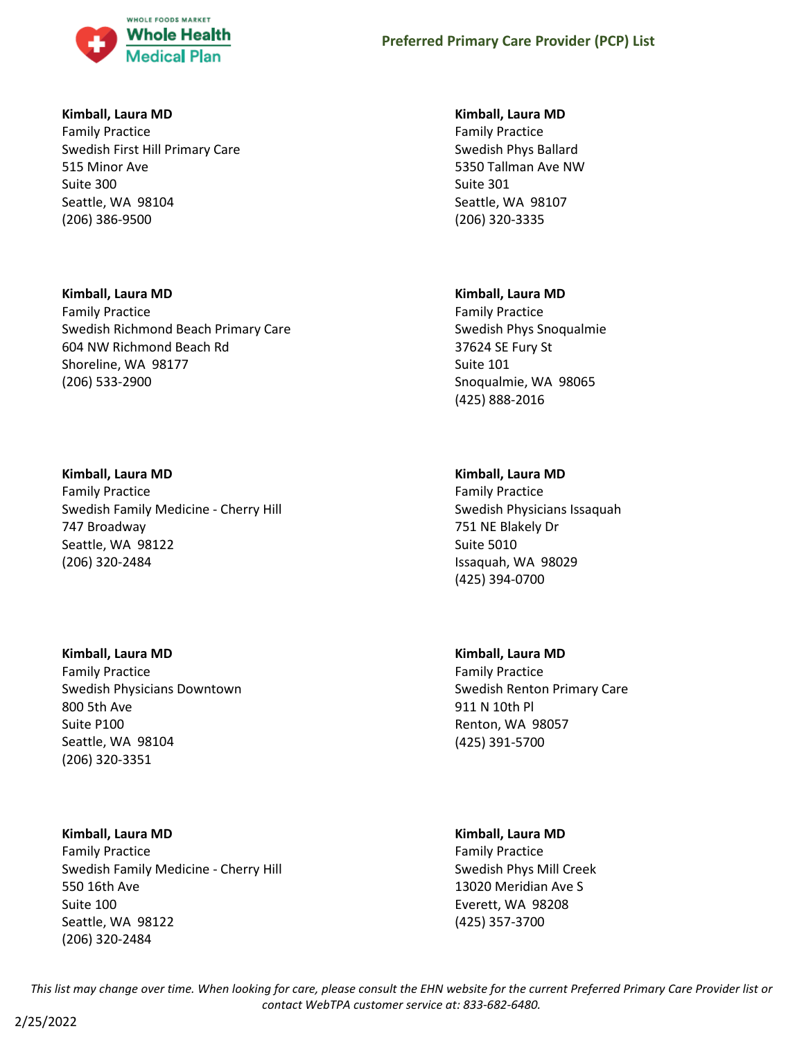

### **Kimball, Laura MD**

Family Practice Swedish First Hill Primary Care 515 Minor Ave Suite 300 Seattle, WA 98104 (206) 386-9500

### **Kimball, Laura MD**

Family Practice Swedish Richmond Beach Primary Care 604 NW Richmond Beach Rd Shoreline, WA 98177 (206) 533-2900

# **Kimball, Laura MD**

Family Practice Swedish Family Medicine - Cherry Hill 747 Broadway Seattle, WA 98122 (206) 320-2484

# **Kimball, Laura MD**

Family Practice Swedish Physicians Downtown 800 5th Ave Suite P100 Seattle, WA 98104 (206) 320-3351

# **Kimball, Laura MD**

Family Practice Swedish Family Medicine - Cherry Hill 550 16th Ave Suite 100 Seattle, WA 98122 (206) 320-2484

### **Kimball, Laura MD**

Family Practice Swedish Phys Ballard 5350 Tallman Ave NW Suite 301 Seattle, WA 98107 (206) 320-3335

### **Kimball, Laura MD**

Family Practice Swedish Phys Snoqualmie 37624 SE Fury St Suite 101 Snoqualmie, WA 98065 (425) 888-2016

# **Kimball, Laura MD**

Family Practice Swedish Physicians Issaquah 751 NE Blakely Dr Suite 5010 Issaquah, WA 98029 (425) 394-0700

# **Kimball, Laura MD**

Family Practice Swedish Renton Primary Care 911 N 10th Pl Renton, WA 98057 (425) 391-5700

# **Kimball, Laura MD**

Family Practice Swedish Phys Mill Creek 13020 Meridian Ave S Everett, WA 98208 (425) 357-3700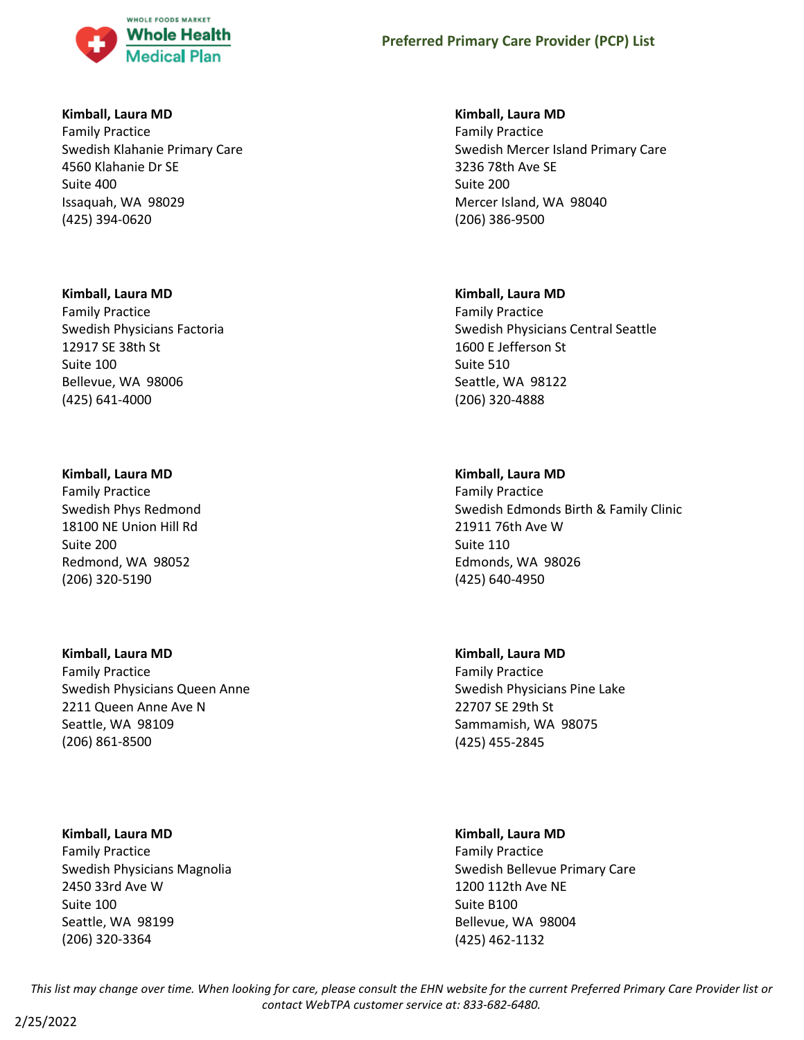

### **Kimball, Laura MD**

Family Practice Swedish Klahanie Primary Care 4560 Klahanie Dr SE Suite 400 Issaquah, WA 98029 (425) 394-0620

### **Kimball, Laura MD**

Family Practice Swedish Physicians Factoria 12917 SE 38th St Suite 100 Bellevue, WA 98006 (425) 641-4000

### **Kimball, Laura MD**

Family Practice Swedish Phys Redmond 18100 NE Union Hill Rd Suite 200 Redmond, WA 98052 (206) 320-5190

# **Kimball, Laura MD**

Family Practice Swedish Physicians Queen Anne 2211 Queen Anne Ave N Seattle, WA 98109 (206) 861-8500

### **Kimball, Laura MD**

Family Practice Swedish Physicians Magnolia 2450 33rd Ave W Suite 100 Seattle, WA 98199 (206) 320-3364

### **Kimball, Laura MD**

Family Practice Swedish Mercer Island Primary Care 3236 78th Ave SE Suite 200 Mercer Island, WA 98040 (206) 386-9500

### **Kimball, Laura MD**

Family Practice Swedish Physicians Central Seattle 1600 E Jefferson St Suite 510 Seattle, WA 98122 (206) 320-4888

# **Kimball, Laura MD**

Family Practice Swedish Edmonds Birth & Family Clinic 21911 76th Ave W Suite 110 Edmonds, WA 98026 (425) 640-4950

# **Kimball, Laura MD**

Family Practice Swedish Physicians Pine Lake 22707 SE 29th St Sammamish, WA 98075 (425) 455-2845

# **Kimball, Laura MD**

Family Practice Swedish Bellevue Primary Care 1200 112th Ave NE Suite B100 Bellevue, WA 98004 (425) 462-1132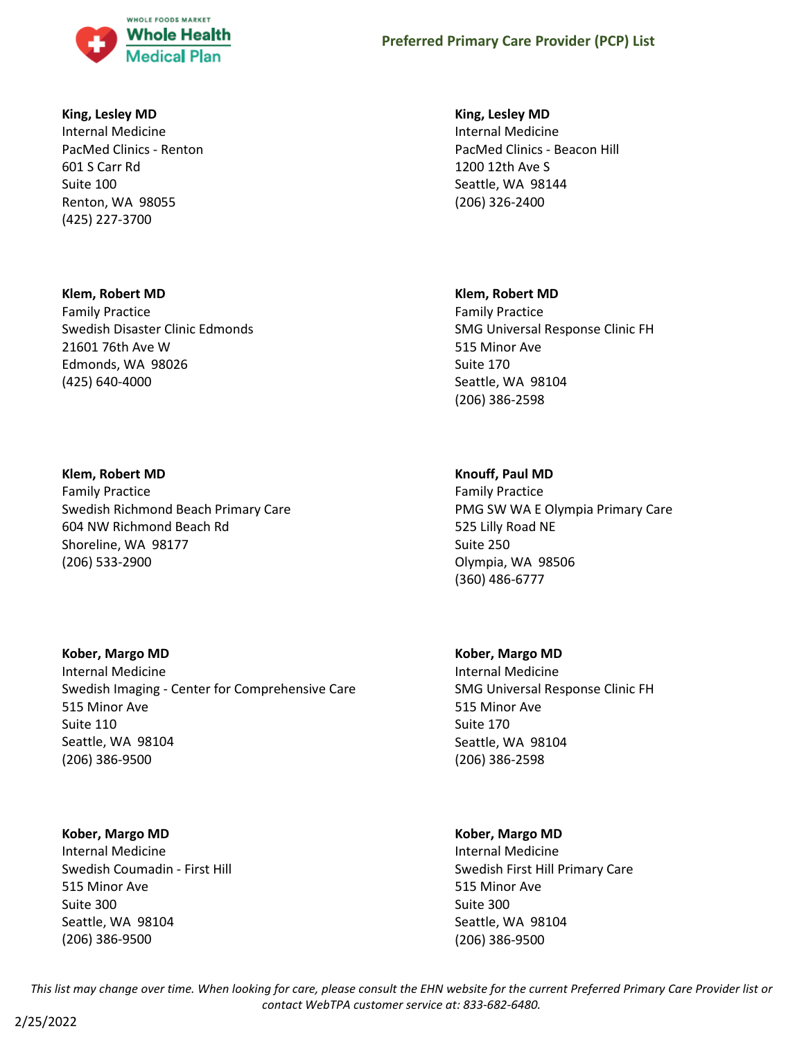

### **King, Lesley MD**

Internal Medicine PacMed Clinics - Renton 601 S Carr Rd Suite 100 Renton, WA 98055 (425) 227-3700

### **Klem, Robert MD**

Family Practice Swedish Disaster Clinic Edmonds 21601 76th Ave W Edmonds, WA 98026 (425) 640-4000

#### **Klem, Robert MD**

Family Practice Swedish Richmond Beach Primary Care 604 NW Richmond Beach Rd Shoreline, WA 98177 (206) 533-2900

### **Kober, Margo MD**

Internal Medicine Swedish Imaging - Center for Comprehensive Care 515 Minor Ave Suite 110 Seattle, WA 98104 (206) 386-9500

### **Kober, Margo MD**

Internal Medicine Swedish Coumadin - First Hill 515 Minor Ave Suite 300 Seattle, WA 98104 (206) 386-9500

### **King, Lesley MD**

Internal Medicine PacMed Clinics - Beacon Hill 1200 12th Ave S Seattle, WA 98144 (206) 326-2400

#### **Klem, Robert MD**

Family Practice SMG Universal Response Clinic FH 515 Minor Ave Suite 170 Seattle, WA 98104 (206) 386-2598

### **Knouff, Paul MD**

Family Practice PMG SW WA E Olympia Primary Care 525 Lilly Road NE Suite 250 Olympia, WA 98506 (360) 486-6777

#### **Kober, Margo MD**

Internal Medicine SMG Universal Response Clinic FH 515 Minor Ave Suite 170 Seattle, WA 98104 (206) 386-2598

### **Kober, Margo MD**

Internal Medicine Swedish First Hill Primary Care 515 Minor Ave Suite 300 Seattle, WA 98104 (206) 386-9500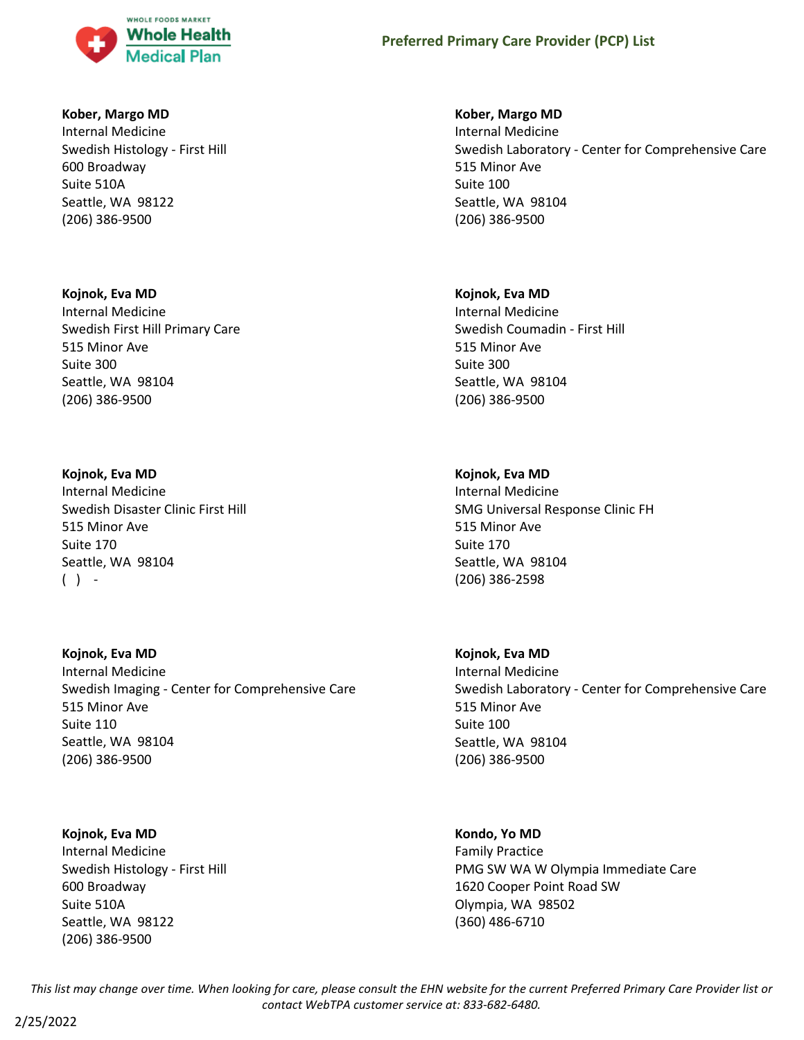

### **Kober, Margo MD**

Internal Medicine Swedish Histology - First Hill 600 Broadway Suite 510A Seattle, WA 98122 (206) 386-9500

#### **Kojnok, Eva MD**

Internal Medicine Swedish First Hill Primary Care 515 Minor Ave Suite 300 Seattle, WA 98104 (206) 386-9500

### **Kojnok, Eva MD**

Internal Medicine Swedish Disaster Clinic First Hill 515 Minor Ave Suite 170 Seattle, WA 98104  $( )$  -

**Kojnok, Eva MD** Internal Medicine Swedish Imaging - Center for Comprehensive Care 515 Minor Ave Suite 110 Seattle, WA 98104 (206) 386-9500

### **Kojnok, Eva MD**

Internal Medicine Swedish Histology - First Hill 600 Broadway Suite 510A Seattle, WA 98122 (206) 386-9500

#### **Kober, Margo MD**

Internal Medicine Swedish Laboratory - Center for Comprehensive Care 515 Minor Ave Suite 100 Seattle, WA 98104 (206) 386-9500

#### **Kojnok, Eva MD**

Internal Medicine Swedish Coumadin - First Hill 515 Minor Ave Suite 300 Seattle, WA 98104 (206) 386-9500

### **Kojnok, Eva MD**

Internal Medicine SMG Universal Response Clinic FH 515 Minor Ave Suite 170 Seattle, WA 98104 (206) 386-2598

### **Kojnok, Eva MD**

Internal Medicine Swedish Laboratory - Center for Comprehensive Care 515 Minor Ave Suite 100 Seattle, WA 98104 (206) 386-9500

### **Kondo, Yo MD**

Family Practice PMG SW WA W Olympia Immediate Care 1620 Cooper Point Road SW Olympia, WA 98502 (360) 486-6710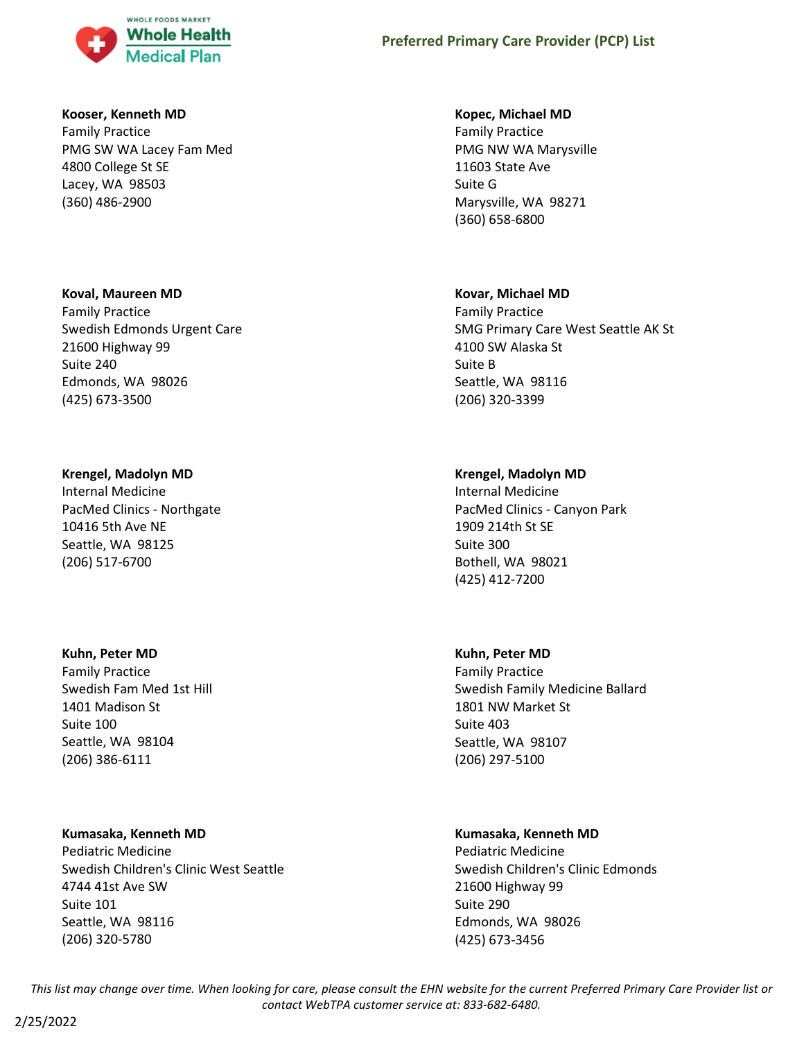

#### **Kooser, Kenneth MD**

Family Practice PMG SW WA Lacey Fam Med 4800 College St SE Lacey, WA 98503 (360) 486-2900

#### **Koval, Maureen MD**

Family Practice Swedish Edmonds Urgent Care 21600 Highway 99 Suite 240 Edmonds, WA 98026 (425) 673-3500

#### **Krengel, Madolyn MD**

Internal Medicine PacMed Clinics - Northgate 10416 5th Ave NE Seattle, WA 98125 (206) 517-6700

#### **Kuhn, Peter MD**

Family Practice Swedish Fam Med 1st Hill 1401 Madison St Suite 100 Seattle, WA 98104 (206) 386-6111

#### **Kumasaka, Kenneth MD**

Pediatric Medicine Swedish Children's Clinic West Seattle 4744 41st Ave SW Suite 101 Seattle, WA 98116 (206) 320-5780

#### **Kopec, Michael MD**

Family Practice PMG NW WA Marysville 11603 State Ave Suite G Marysville, WA 98271 (360) 658-6800

#### **Kovar, Michael MD**

Family Practice SMG Primary Care West Seattle AK St 4100 SW Alaska St Suite B Seattle, WA 98116 (206) 320-3399

#### **Krengel, Madolyn MD**

Internal Medicine PacMed Clinics - Canyon Park 1909 214th St SE Suite 300 Bothell, WA 98021 (425) 412-7200

#### **Kuhn, Peter MD**

Family Practice Swedish Family Medicine Ballard 1801 NW Market St Suite 403 Seattle, WA 98107 (206) 297-5100

### **Kumasaka, Kenneth MD**

Pediatric Medicine Swedish Children's Clinic Edmonds 21600 Highway 99 Suite 290 Edmonds, WA 98026 (425) 673-3456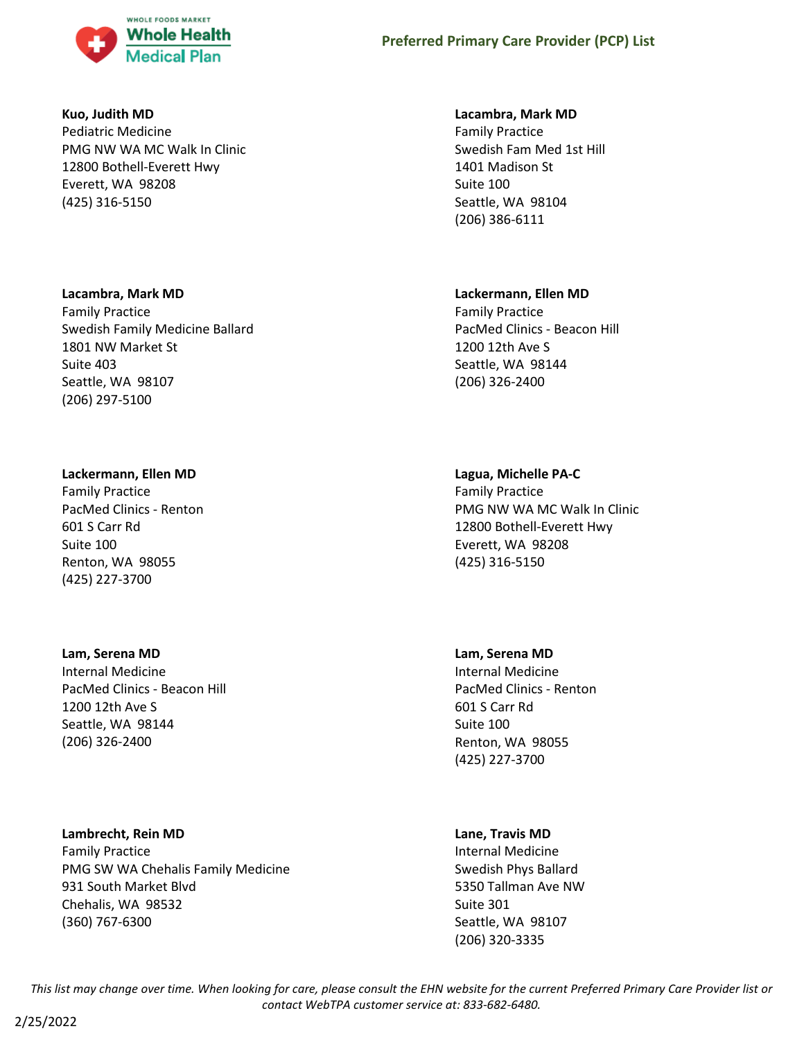

#### **Kuo, Judith MD**

Pediatric Medicine PMG NW WA MC Walk In Clinic 12800 Bothell-Everett Hwy Everett, WA 98208 (425) 316-5150

#### **Lacambra, Mark MD**

Family Practice Swedish Family Medicine Ballard 1801 NW Market St Suite 403 Seattle, WA 98107 (206) 297-5100

#### **Lackermann, Ellen MD**

Family Practice PacMed Clinics - Renton 601 S Carr Rd Suite 100 Renton, WA 98055 (425) 227-3700

#### **Lam, Serena MD**

Internal Medicine PacMed Clinics - Beacon Hill 1200 12th Ave S Seattle, WA 98144 (206) 326-2400

## **Lambrecht, Rein MD**

Family Practice PMG SW WA Chehalis Family Medicine 931 South Market Blvd Chehalis, WA 98532 (360) 767-6300

#### **Lacambra, Mark MD**

Family Practice Swedish Fam Med 1st Hill 1401 Madison St Suite 100 Seattle, WA 98104 (206) 386-6111

#### **Lackermann, Ellen MD**

Family Practice PacMed Clinics - Beacon Hill 1200 12th Ave S Seattle, WA 98144 (206) 326-2400

## **Lagua, Michelle PA-C**

Family Practice PMG NW WA MC Walk In Clinic 12800 Bothell-Everett Hwy Everett, WA 98208 (425) 316-5150

## **Lam, Serena MD**

Internal Medicine PacMed Clinics - Renton 601 S Carr Rd Suite 100 Renton, WA 98055 (425) 227-3700

## **Lane, Travis MD**

Internal Medicine Swedish Phys Ballard 5350 Tallman Ave NW Suite 301 Seattle, WA 98107 (206) 320-3335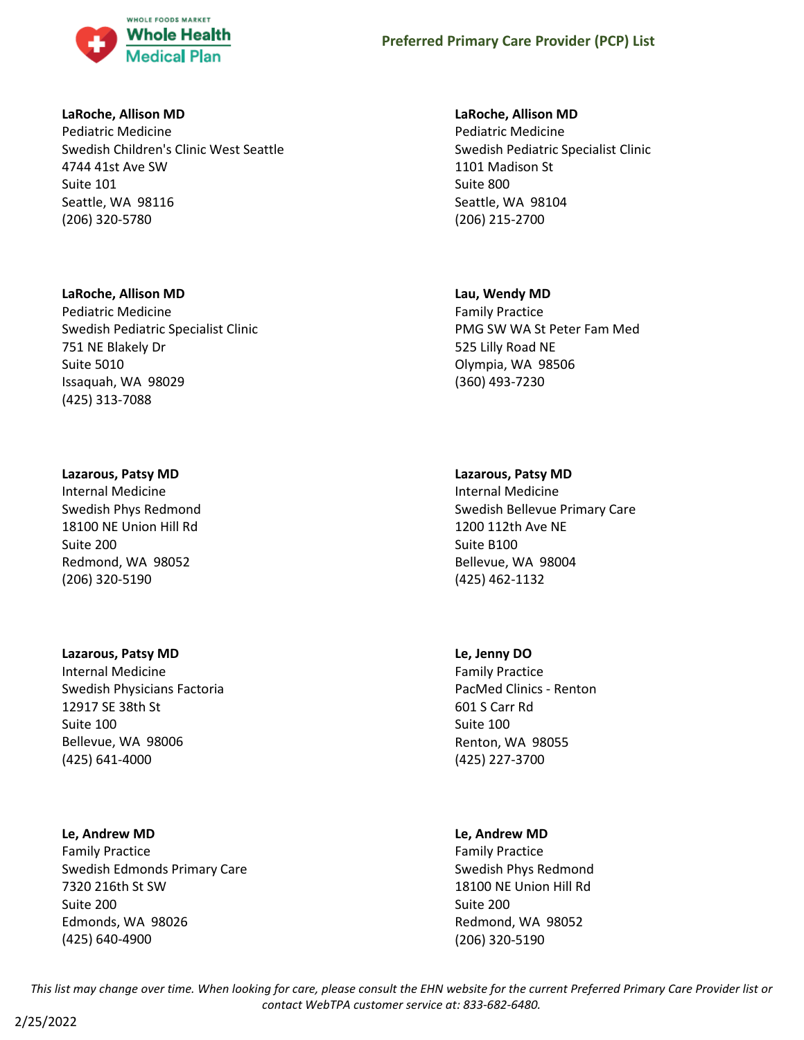

## **LaRoche, Allison MD**

Pediatric Medicine Swedish Children's Clinic West Seattle 4744 41st Ave SW Suite 101 Seattle, WA 98116 (206) 320-5780

## **LaRoche, Allison MD**

Pediatric Medicine Swedish Pediatric Specialist Clinic 751 NE Blakely Dr Suite 5010 Issaquah, WA 98029 (425) 313-7088

## **Lazarous, Patsy MD**

Internal Medicine Swedish Phys Redmond 18100 NE Union Hill Rd Suite 200 Redmond, WA 98052 (206) 320-5190

## **Lazarous, Patsy MD**

Internal Medicine Swedish Physicians Factoria 12917 SE 38th St Suite 100 Bellevue, WA 98006 (425) 641-4000

# **Le, Andrew MD**

Family Practice Swedish Edmonds Primary Care 7320 216th St SW Suite 200 Edmonds, WA 98026 (425) 640-4900

## **LaRoche, Allison MD**

Pediatric Medicine Swedish Pediatric Specialist Clinic 1101 Madison St Suite 800 Seattle, WA 98104 (206) 215-2700

## **Lau, Wendy MD**

Family Practice PMG SW WA St Peter Fam Med 525 Lilly Road NE Olympia, WA 98506 (360) 493-7230

# **Lazarous, Patsy MD**

Internal Medicine Swedish Bellevue Primary Care 1200 112th Ave NE Suite B100 Bellevue, WA 98004 (425) 462-1132

# **Le, Jenny DO**

Family Practice PacMed Clinics - Renton 601 S Carr Rd Suite 100 Renton, WA 98055 (425) 227-3700

# **Le, Andrew MD**

Family Practice Swedish Phys Redmond 18100 NE Union Hill Rd Suite 200 Redmond, WA 98052 (206) 320-5190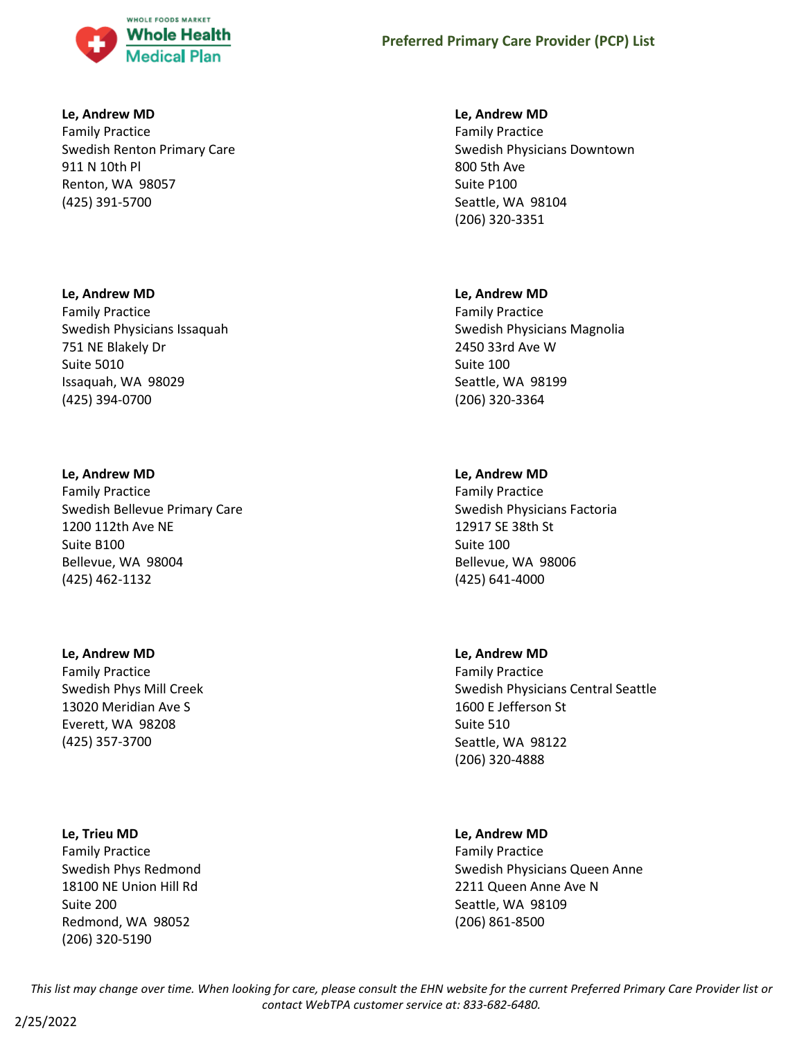

### **Le, Andrew MD**

Family Practice Swedish Renton Primary Care 911 N 10th Pl Renton, WA 98057 (425) 391-5700

#### **Le, Andrew MD**

Family Practice Swedish Physicians Issaquah 751 NE Blakely Dr Suite 5010 Issaquah, WA 98029 (425) 394-0700

#### **Le, Andrew MD**

Family Practice Swedish Bellevue Primary Care 1200 112th Ave NE Suite B100 Bellevue, WA 98004 (425) 462-1132

#### **Le, Andrew MD**

Family Practice Swedish Phys Mill Creek 13020 Meridian Ave S Everett, WA 98208 (425) 357-3700

#### **Le, Trieu MD**

Family Practice Swedish Phys Redmond 18100 NE Union Hill Rd Suite 200 Redmond, WA 98052 (206) 320-5190

#### **Le, Andrew MD**

Family Practice Swedish Physicians Downtown 800 5th Ave Suite P100 Seattle, WA 98104 (206) 320-3351

#### **Le, Andrew MD**

Family Practice Swedish Physicians Magnolia 2450 33rd Ave W Suite 100 Seattle, WA 98199 (206) 320-3364

## **Le, Andrew MD**

Family Practice Swedish Physicians Factoria 12917 SE 38th St Suite 100 Bellevue, WA 98006 (425) 641-4000

## **Le, Andrew MD**

Family Practice Swedish Physicians Central Seattle 1600 E Jefferson St Suite 510 Seattle, WA 98122 (206) 320-4888

## **Le, Andrew MD**

Family Practice Swedish Physicians Queen Anne 2211 Queen Anne Ave N Seattle, WA 98109 (206) 861-8500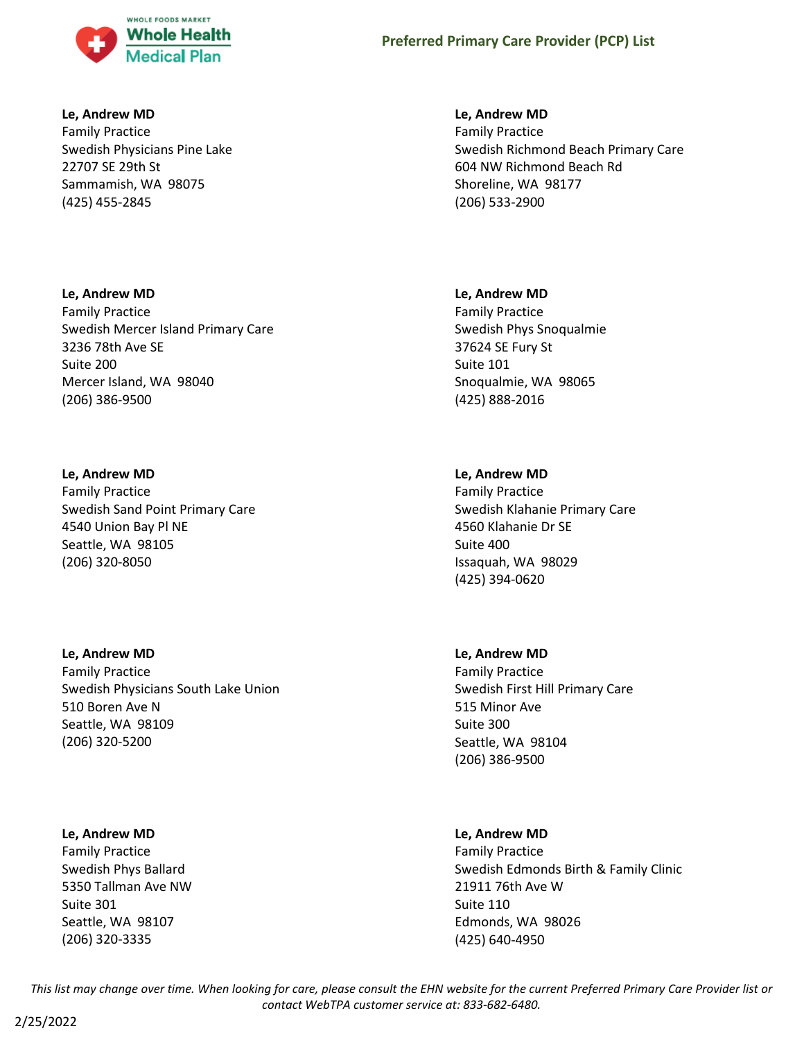

## **Le, Andrew MD**

Family Practice Swedish Physicians Pine Lake 22707 SE 29th St Sammamish, WA 98075 (425) 455-2845

## **Le, Andrew MD**

Family Practice Swedish Mercer Island Primary Care 3236 78th Ave SE Suite 200 Mercer Island, WA 98040 (206) 386-9500

# **Le, Andrew MD**

Family Practice Swedish Sand Point Primary Care 4540 Union Bay Pl NE Seattle, WA 98105 (206) 320-8050

## **Le, Andrew MD**

Family Practice Swedish Physicians South Lake Union 510 Boren Ave N Seattle, WA 98109 (206) 320-5200

## **Le, Andrew MD**

Family Practice Swedish Phys Ballard 5350 Tallman Ave NW Suite 301 Seattle, WA 98107 (206) 320-3335

## **Le, Andrew MD**

Family Practice Swedish Richmond Beach Primary Care 604 NW Richmond Beach Rd Shoreline, WA 98177 (206) 533-2900

## **Le, Andrew MD**

Family Practice Swedish Phys Snoqualmie 37624 SE Fury St Suite 101 Snoqualmie, WA 98065 (425) 888-2016

# **Le, Andrew MD**

Family Practice Swedish Klahanie Primary Care 4560 Klahanie Dr SE Suite 400 Issaquah, WA 98029 (425) 394-0620

# **Le, Andrew MD**

Family Practice Swedish First Hill Primary Care 515 Minor Ave Suite 300 Seattle, WA 98104 (206) 386-9500

# **Le, Andrew MD**

Family Practice Swedish Edmonds Birth & Family Clinic 21911 76th Ave W Suite 110 Edmonds, WA 98026 (425) 640-4950

*This list may change over time. When looking for care, please consult the EHN website for the current Preferred Primary Care Provider list or contact WebTPA customer service at: 833-682-6480.*

2/25/2022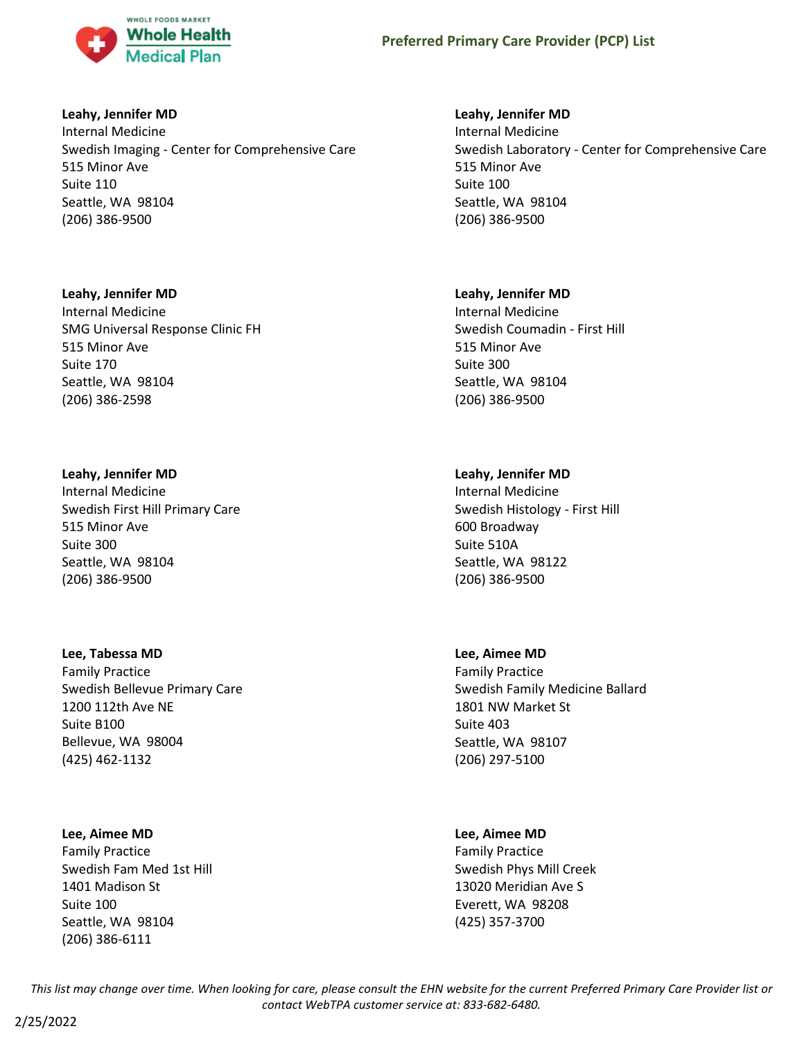

## **Leahy, Jennifer MD**

Internal Medicine Swedish Imaging - Center for Comprehensive Care 515 Minor Ave Suite 110 Seattle, WA 98104 (206) 386-9500

## **Leahy, Jennifer MD**

Internal Medicine SMG Universal Response Clinic FH 515 Minor Ave Suite 170 Seattle, WA 98104 (206) 386-2598

## **Leahy, Jennifer MD**

Internal Medicine Swedish First Hill Primary Care 515 Minor Ave Suite 300 Seattle, WA 98104 (206) 386-9500

#### **Lee, Tabessa MD**

Family Practice Swedish Bellevue Primary Care 1200 112th Ave NE Suite B100 Bellevue, WA 98004 (425) 462-1132

## **Lee, Aimee MD**

Family Practice Swedish Fam Med 1st Hill 1401 Madison St Suite 100 Seattle, WA 98104 (206) 386-6111

## **Leahy, Jennifer MD**

Internal Medicine Swedish Laboratory - Center for Comprehensive Care 515 Minor Ave Suite 100 Seattle, WA 98104 (206) 386-9500

## **Leahy, Jennifer MD**

Internal Medicine Swedish Coumadin - First Hill 515 Minor Ave Suite 300 Seattle, WA 98104 (206) 386-9500

## **Leahy, Jennifer MD**

Internal Medicine Swedish Histology - First Hill 600 Broadway Suite 510A Seattle, WA 98122 (206) 386-9500

## **Lee, Aimee MD**

Family Practice Swedish Family Medicine Ballard 1801 NW Market St Suite 403 Seattle, WA 98107 (206) 297-5100

## **Lee, Aimee MD**

Family Practice Swedish Phys Mill Creek 13020 Meridian Ave S Everett, WA 98208 (425) 357-3700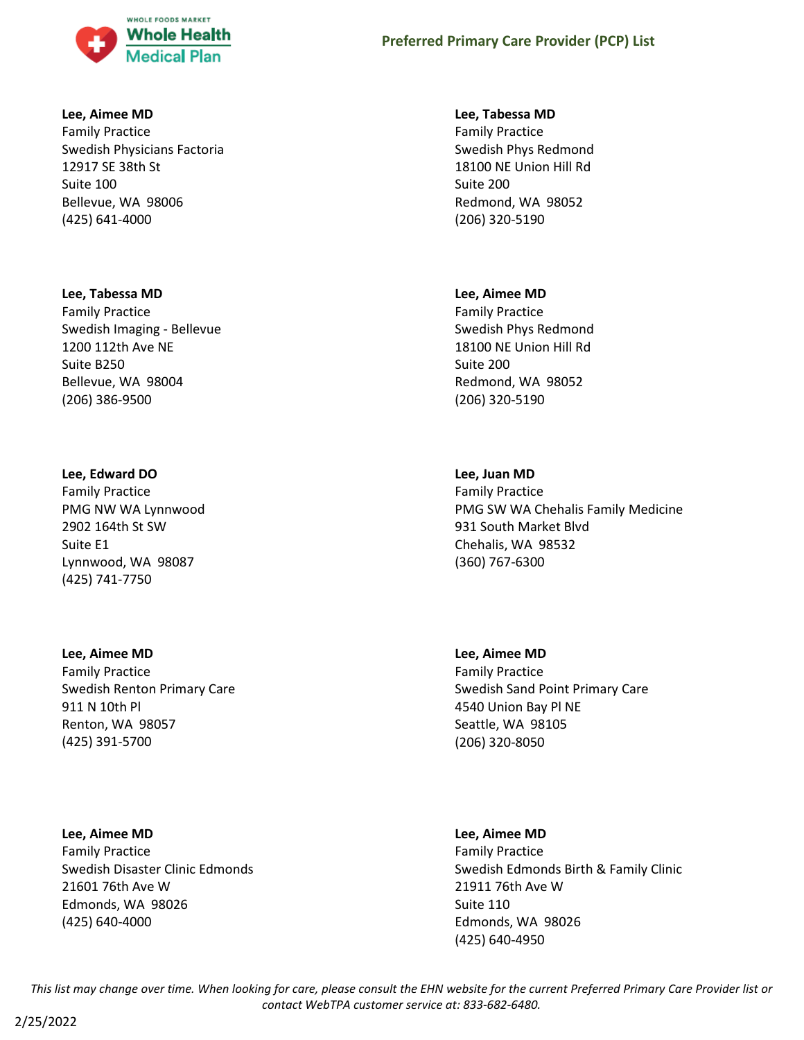

#### **Lee, Aimee MD**

Family Practice Swedish Physicians Factoria 12917 SE 38th St Suite 100 Bellevue, WA 98006 (425) 641-4000

#### **Lee, Tabessa MD**

Family Practice Swedish Imaging - Bellevue 1200 112th Ave NE Suite B250 Bellevue, WA 98004 (206) 386-9500

#### **Lee, Edward DO**

Family Practice PMG NW WA Lynnwood 2902 164th St SW Suite E1 Lynnwood, WA 98087 (425) 741-7750

**Lee, Aimee MD** Family Practice Swedish Renton Primary Care 911 N 10th Pl Renton, WA 98057 (425) 391-5700

**Lee, Aimee MD** Family Practice Swedish Disaster Clinic Edmonds 21601 76th Ave W Edmonds, WA 98026 (425) 640-4000

#### **Lee, Tabessa MD**

Family Practice Swedish Phys Redmond 18100 NE Union Hill Rd Suite 200 Redmond, WA 98052 (206) 320-5190

#### **Lee, Aimee MD**

Family Practice Swedish Phys Redmond 18100 NE Union Hill Rd Suite 200 Redmond, WA 98052 (206) 320-5190

## **Lee, Juan MD**

Family Practice PMG SW WA Chehalis Family Medicine 931 South Market Blvd Chehalis, WA 98532 (360) 767-6300

**Lee, Aimee MD** Family Practice Swedish Sand Point Primary Care 4540 Union Bay Pl NE Seattle, WA 98105 (206) 320-8050

#### **Lee, Aimee MD**

Family Practice Swedish Edmonds Birth & Family Clinic 21911 76th Ave W Suite 110 Edmonds, WA 98026 (425) 640-4950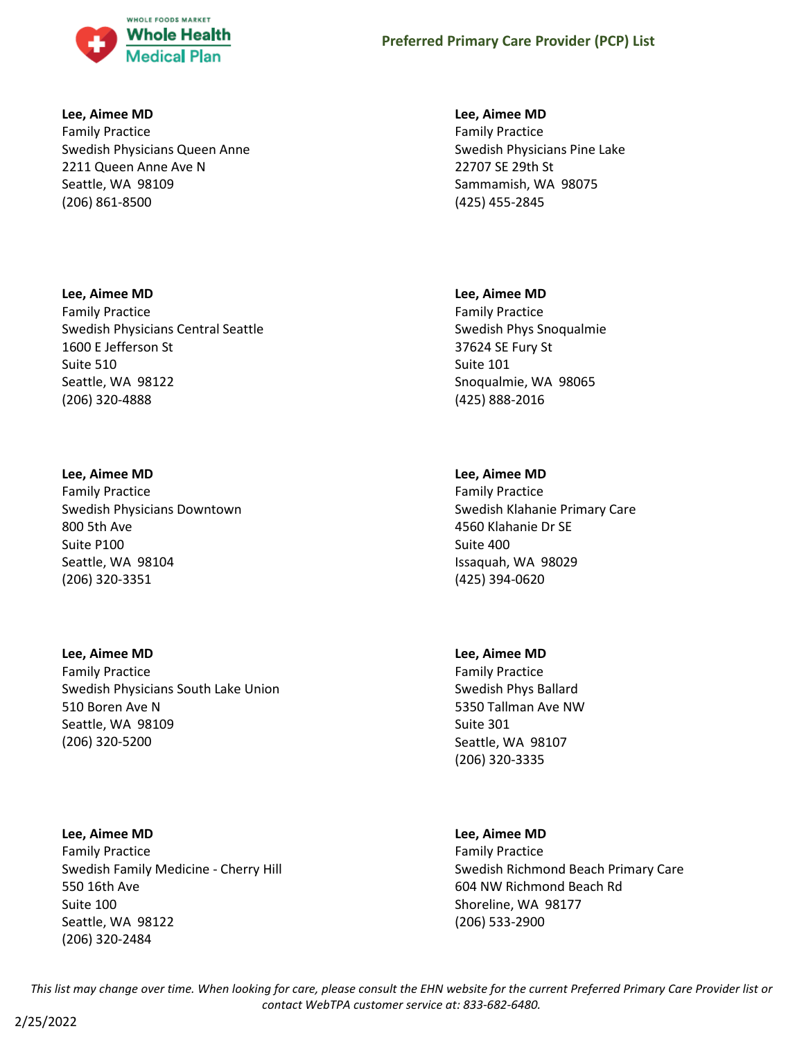

#### **Lee, Aimee MD**

Family Practice Swedish Physicians Queen Anne 2211 Queen Anne Ave N Seattle, WA 98109 (206) 861-8500

## **Lee, Aimee MD**

Family Practice Swedish Physicians Central Seattle 1600 E Jefferson St Suite 510 Seattle, WA 98122 (206) 320-4888

## **Lee, Aimee MD**

(206) 320-5200

Family Practice Swedish Physicians Downtown 800 5th Ave Suite P100 Seattle, WA 98104 (206) 320-3351

# **Lee, Aimee MD** Family Practice Swedish Physicians South Lake Union 510 Boren Ave N Seattle, WA 98109

**Lee, Aimee MD** Family Practice Swedish Family Medicine - Cherry Hill 550 16th Ave Suite 100 Seattle, WA 98122 (206) 320-2484

#### **Lee, Aimee MD**

Family Practice Swedish Physicians Pine Lake 22707 SE 29th St Sammamish, WA 98075 (425) 455-2845

## **Lee, Aimee MD**

Family Practice Swedish Phys Snoqualmie 37624 SE Fury St Suite 101 Snoqualmie, WA 98065 (425) 888-2016

# **Lee, Aimee MD**

Family Practice Swedish Klahanie Primary Care 4560 Klahanie Dr SE Suite 400 Issaquah, WA 98029 (425) 394-0620

## **Lee, Aimee MD**

Family Practice Swedish Phys Ballard 5350 Tallman Ave NW Suite 301 Seattle, WA 98107 (206) 320-3335

## **Lee, Aimee MD**

Family Practice Swedish Richmond Beach Primary Care 604 NW Richmond Beach Rd Shoreline, WA 98177 (206) 533-2900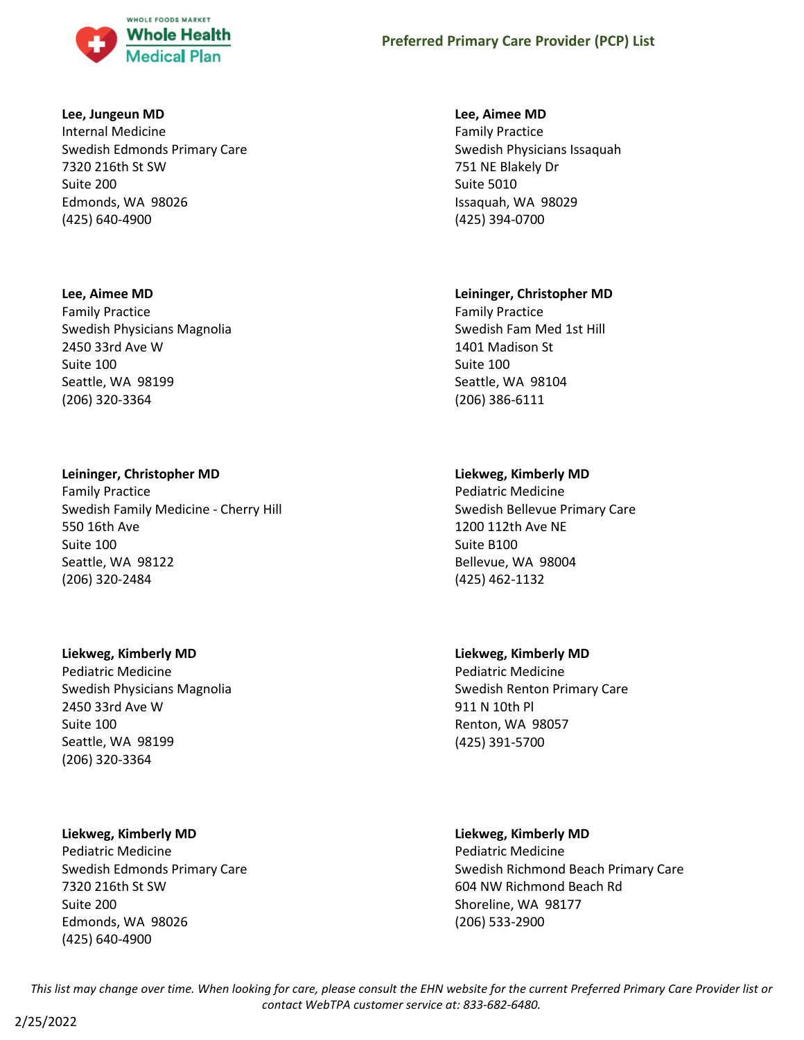

### **Lee, Jungeun MD**

Internal Medicine Swedish Edmonds Primary Care 7320 216th St SW Suite 200 Edmonds, WA 98026 (425) 640-4900

#### **Lee, Aimee MD**

Family Practice Swedish Physicians Magnolia 2450 33rd Ave W Suite 100 Seattle, WA 98199 (206) 320-3364

## **Leininger, Christopher MD**

Family Practice Swedish Family Medicine - Cherry Hill 550 16th Ave Suite 100 Seattle, WA 98122 (206) 320-2484

#### **Liekweg, Kimberly MD**

Pediatric Medicine Swedish Physicians Magnolia 2450 33rd Ave W Suite 100 Seattle, WA 98199 (206) 320-3364

#### **Liekweg, Kimberly MD**

Pediatric Medicine Swedish Edmonds Primary Care 7320 216th St SW Suite 200 Edmonds, WA 98026 (425) 640-4900

#### **Lee, Aimee MD**

Family Practice Swedish Physicians Issaquah 751 NE Blakely Dr Suite 5010 Issaquah, WA 98029 (425) 394-0700

## **Leininger, Christopher MD**

Family Practice Swedish Fam Med 1st Hill 1401 Madison St Suite 100 Seattle, WA 98104 (206) 386-6111

## **Liekweg, Kimberly MD**

Pediatric Medicine Swedish Bellevue Primary Care 1200 112th Ave NE Suite B100 Bellevue, WA 98004 (425) 462-1132

# **Liekweg, Kimberly MD**

Pediatric Medicine Swedish Renton Primary Care 911 N 10th Pl Renton, WA 98057 (425) 391-5700

## **Liekweg, Kimberly MD**

Pediatric Medicine Swedish Richmond Beach Primary Care 604 NW Richmond Beach Rd Shoreline, WA 98177 (206) 533-2900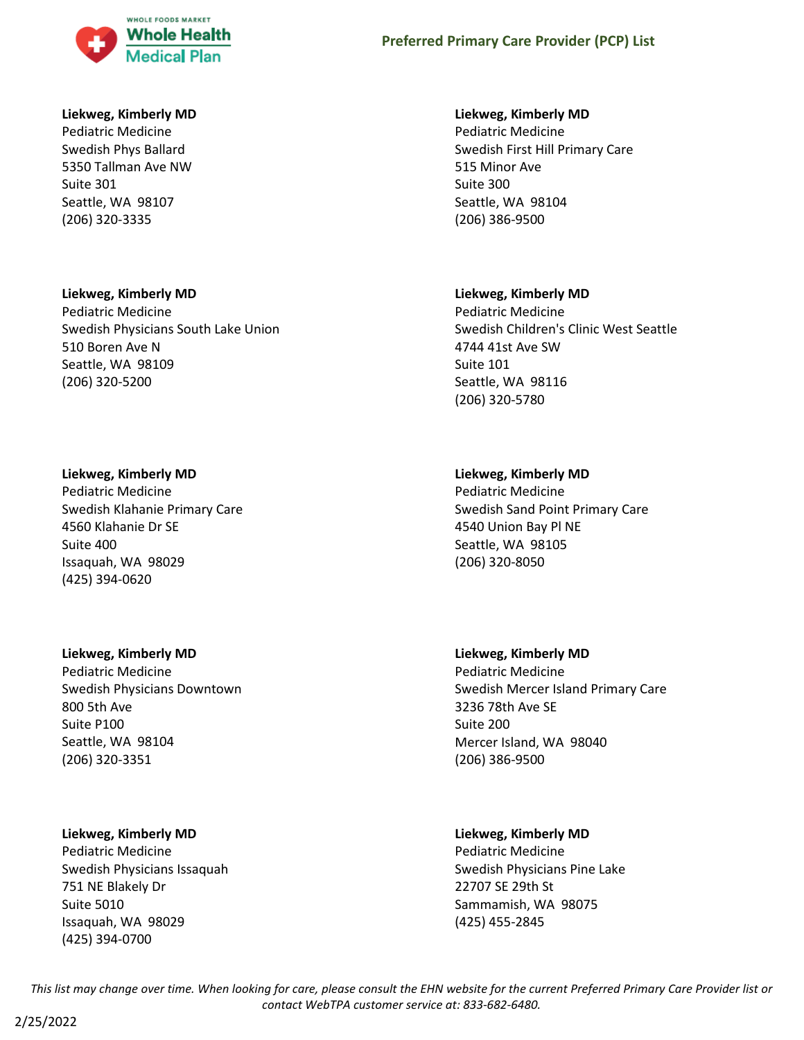

## **Liekweg, Kimberly MD**

Pediatric Medicine Swedish Phys Ballard 5350 Tallman Ave NW Suite 301 Seattle, WA 98107 (206) 320-3335

#### **Liekweg, Kimberly MD**

Pediatric Medicine Swedish Physicians South Lake Union 510 Boren Ave N Seattle, WA 98109 (206) 320-5200

#### **Liekweg, Kimberly MD**

Pediatric Medicine Swedish Klahanie Primary Care 4560 Klahanie Dr SE Suite 400 Issaquah, WA 98029 (425) 394-0620

## **Liekweg, Kimberly MD**

Pediatric Medicine Swedish Physicians Downtown 800 5th Ave Suite P100 Seattle, WA 98104 (206) 320-3351

## **Liekweg, Kimberly MD**

Pediatric Medicine Swedish Physicians Issaquah 751 NE Blakely Dr Suite 5010 Issaquah, WA 98029 (425) 394-0700

#### **Liekweg, Kimberly MD**

Pediatric Medicine Swedish First Hill Primary Care 515 Minor Ave Suite 300 Seattle, WA 98104 (206) 386-9500

#### **Liekweg, Kimberly MD**

Pediatric Medicine Swedish Children's Clinic West Seattle 4744 41st Ave SW Suite 101 Seattle, WA 98116 (206) 320-5780

## **Liekweg, Kimberly MD**

Pediatric Medicine Swedish Sand Point Primary Care 4540 Union Bay Pl NE Seattle, WA 98105 (206) 320-8050

#### **Liekweg, Kimberly MD**

Pediatric Medicine Swedish Mercer Island Primary Care 3236 78th Ave SE Suite 200 Mercer Island, WA 98040 (206) 386-9500

#### **Liekweg, Kimberly MD**

Pediatric Medicine Swedish Physicians Pine Lake 22707 SE 29th St Sammamish, WA 98075 (425) 455-2845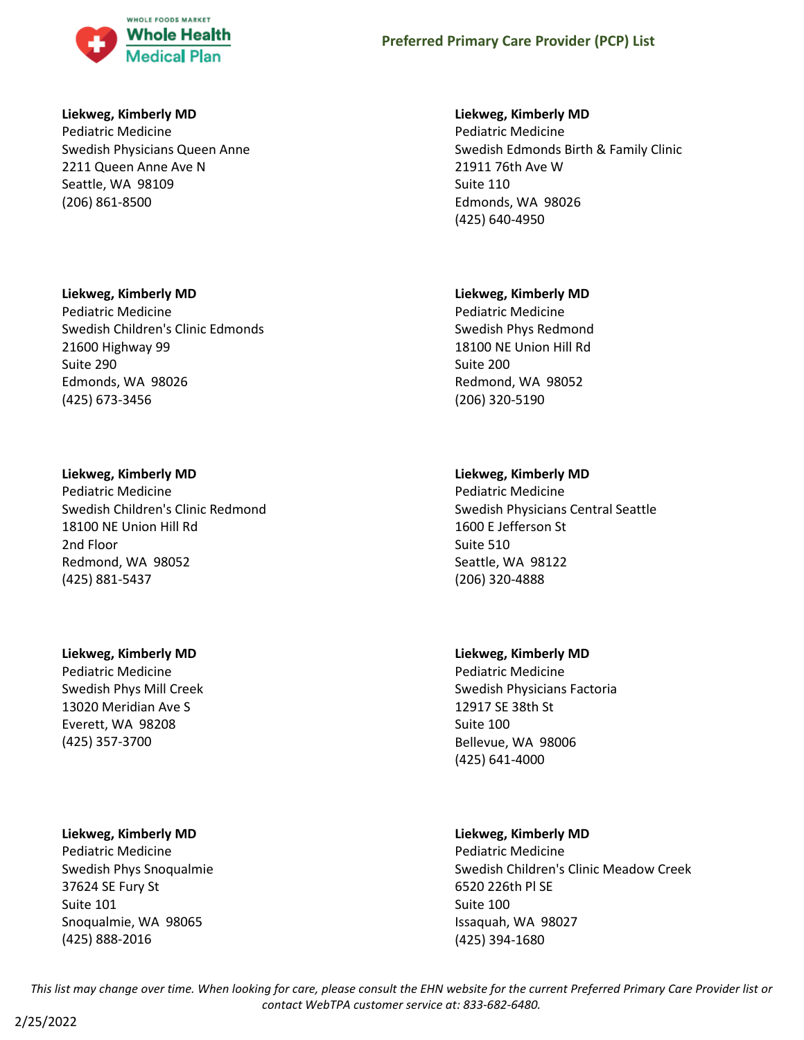

## **Liekweg, Kimberly MD**

Pediatric Medicine Swedish Physicians Queen Anne 2211 Queen Anne Ave N Seattle, WA 98109 (206) 861-8500

## **Liekweg, Kimberly MD**

Pediatric Medicine Swedish Children's Clinic Edmonds 21600 Highway 99 Suite 290 Edmonds, WA 98026 (425) 673-3456

## **Liekweg, Kimberly MD**

Pediatric Medicine Swedish Children's Clinic Redmond 18100 NE Union Hill Rd 2nd Floor Redmond, WA 98052 (425) 881-5437

# **Liekweg, Kimberly MD**

Pediatric Medicine Swedish Phys Mill Creek 13020 Meridian Ave S Everett, WA 98208 (425) 357-3700

## **Liekweg, Kimberly MD**

Pediatric Medicine Swedish Phys Snoqualmie 37624 SE Fury St Suite 101 Snoqualmie, WA 98065 (425) 888-2016

## **Liekweg, Kimberly MD**

Pediatric Medicine Swedish Edmonds Birth & Family Clinic 21911 76th Ave W Suite 110 Edmonds, WA 98026 (425) 640-4950

## **Liekweg, Kimberly MD**

Pediatric Medicine Swedish Phys Redmond 18100 NE Union Hill Rd Suite 200 Redmond, WA 98052 (206) 320-5190

# **Liekweg, Kimberly MD**

Pediatric Medicine Swedish Physicians Central Seattle 1600 E Jefferson St Suite 510 Seattle, WA 98122 (206) 320-4888

## **Liekweg, Kimberly MD**

Pediatric Medicine Swedish Physicians Factoria 12917 SE 38th St Suite 100 Bellevue, WA 98006 (425) 641-4000

# **Liekweg, Kimberly MD**

Pediatric Medicine Swedish Children's Clinic Meadow Creek 6520 226th Pl SE Suite 100 Issaquah, WA 98027 (425) 394-1680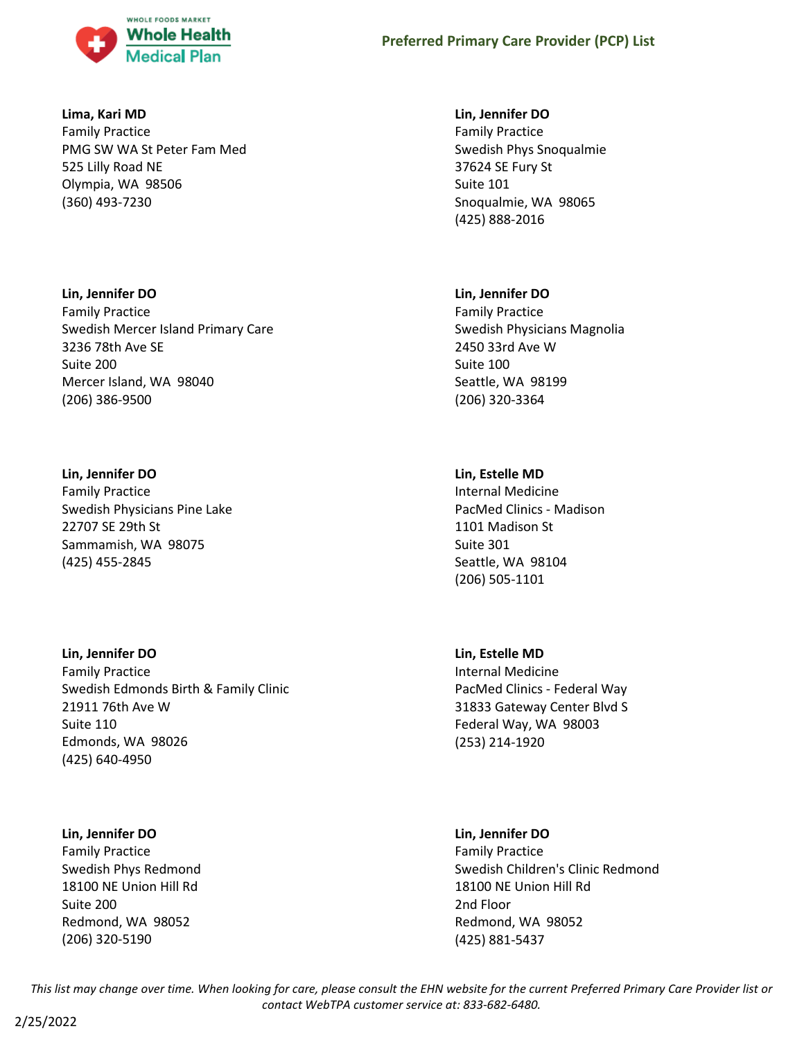

#### **Lima, Kari MD**

Family Practice PMG SW WA St Peter Fam Med 525 Lilly Road NE Olympia, WA 98506 (360) 493-7230

## **Lin, Jennifer DO**

Family Practice Swedish Mercer Island Primary Care 3236 78th Ave SE Suite 200 Mercer Island, WA 98040 (206) 386-9500

## **Lin, Jennifer DO**

Family Practice Swedish Physicians Pine Lake 22707 SE 29th St Sammamish, WA 98075 (425) 455-2845

## **Lin, Jennifer DO**

Family Practice Swedish Edmonds Birth & Family Clinic 21911 76th Ave W Suite 110 Edmonds, WA 98026 (425) 640-4950

# **Lin, Jennifer DO**

Family Practice Swedish Phys Redmond 18100 NE Union Hill Rd Suite 200 Redmond, WA 98052 (206) 320-5190

## **Lin, Jennifer DO**

Family Practice Swedish Phys Snoqualmie 37624 SE Fury St Suite 101 Snoqualmie, WA 98065 (425) 888-2016

## **Lin, Jennifer DO**

Family Practice Swedish Physicians Magnolia 2450 33rd Ave W Suite 100 Seattle, WA 98199 (206) 320-3364

# **Lin, Estelle MD**

Internal Medicine PacMed Clinics - Madison 1101 Madison St Suite 301 Seattle, WA 98104 (206) 505-1101

# **Lin, Estelle MD**

Internal Medicine PacMed Clinics - Federal Way 31833 Gateway Center Blvd S Federal Way, WA 98003 (253) 214-1920

## **Lin, Jennifer DO**

Family Practice Swedish Children's Clinic Redmond 18100 NE Union Hill Rd 2nd Floor Redmond, WA 98052 (425) 881-5437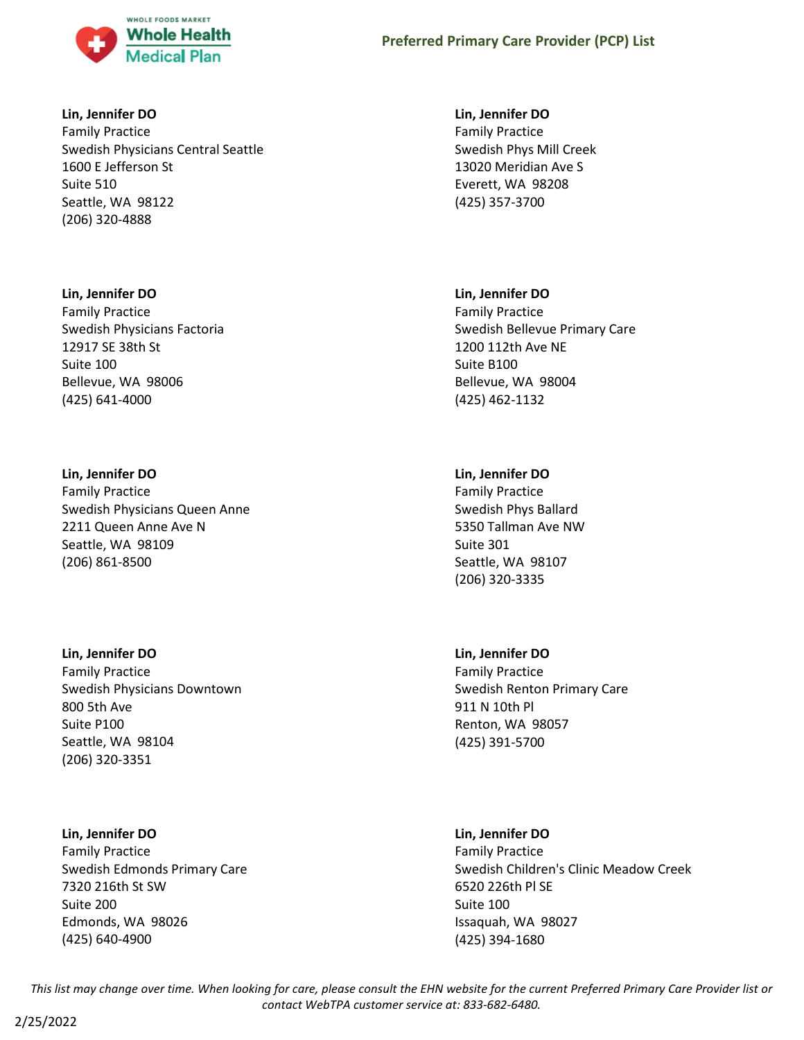

## **Lin, Jennifer DO**

Family Practice Swedish Physicians Central Seattle 1600 E Jefferson St Suite 510 Seattle, WA 98122 (206) 320-4888

## **Lin, Jennifer DO**

Family Practice Swedish Physicians Factoria 12917 SE 38th St Suite 100 Bellevue, WA 98006 (425) 641-4000

# **Lin, Jennifer DO**

Family Practice Swedish Physicians Queen Anne 2211 Queen Anne Ave N Seattle, WA 98109 (206) 861-8500

# **Lin, Jennifer DO**

Family Practice Swedish Physicians Downtown 800 5th Ave Suite P100 Seattle, WA 98104 (206) 320-3351

# **Lin, Jennifer DO**

Family Practice Swedish Edmonds Primary Care 7320 216th St SW Suite 200 Edmonds, WA 98026 (425) 640-4900

# **Lin, Jennifer DO** Family Practice Swedish Phys Mill Creek 13020 Meridian Ave S Everett, WA 98208 (425) 357-3700

# **Lin, Jennifer DO**

Family Practice Swedish Bellevue Primary Care 1200 112th Ave NE Suite B100 Bellevue, WA 98004 (425) 462-1132

# **Lin, Jennifer DO**

Family Practice Swedish Phys Ballard 5350 Tallman Ave NW Suite 301 Seattle, WA 98107 (206) 320-3335

# **Lin, Jennifer DO**

Family Practice Swedish Renton Primary Care 911 N 10th Pl Renton, WA 98057 (425) 391-5700

# **Lin, Jennifer DO**

Family Practice Swedish Children's Clinic Meadow Creek 6520 226th Pl SE Suite 100 Issaquah, WA 98027 (425) 394-1680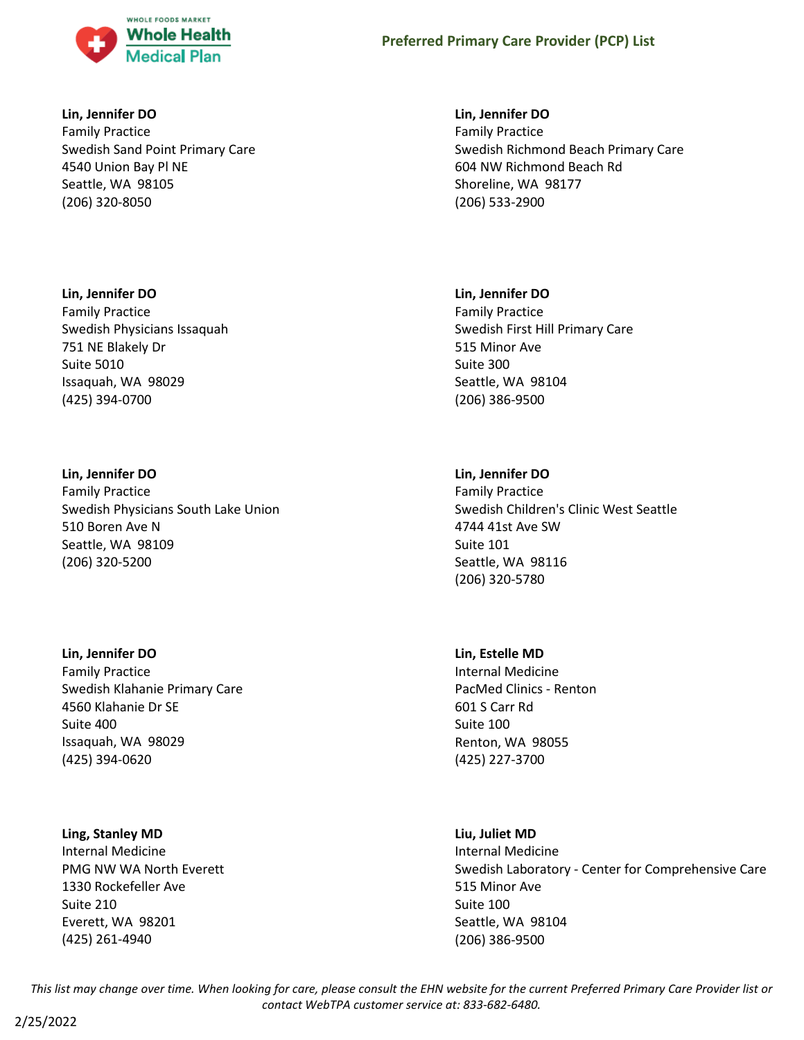

## **Lin, Jennifer DO**

Family Practice Swedish Sand Point Primary Care 4540 Union Bay Pl NE Seattle, WA 98105 (206) 320-8050

## **Lin, Jennifer DO**

Family Practice Swedish Physicians Issaquah 751 NE Blakely Dr Suite 5010 Issaquah, WA 98029 (425) 394-0700

## **Lin, Jennifer DO**

Family Practice Swedish Physicians South Lake Union 510 Boren Ave N Seattle, WA 98109 (206) 320-5200

# **Lin, Jennifer DO**

Family Practice Swedish Klahanie Primary Care 4560 Klahanie Dr SE Suite 400 Issaquah, WA 98029 (425) 394-0620

## **Ling, Stanley MD**

Internal Medicine PMG NW WA North Everett 1330 Rockefeller Ave Suite 210 Everett, WA 98201 (425) 261-4940

## **Lin, Jennifer DO**

Family Practice Swedish Richmond Beach Primary Care 604 NW Richmond Beach Rd Shoreline, WA 98177 (206) 533-2900

## **Lin, Jennifer DO**

Family Practice Swedish First Hill Primary Care 515 Minor Ave Suite 300 Seattle, WA 98104 (206) 386-9500

# **Lin, Jennifer DO**

Family Practice Swedish Children's Clinic West Seattle 4744 41st Ave SW Suite 101 Seattle, WA 98116 (206) 320-5780

# **Lin, Estelle MD**

Internal Medicine PacMed Clinics - Renton 601 S Carr Rd Suite 100 Renton, WA 98055 (425) 227-3700

## **Liu, Juliet MD**

Internal Medicine Swedish Laboratory - Center for Comprehensive Care 515 Minor Ave Suite 100 Seattle, WA 98104 (206) 386-9500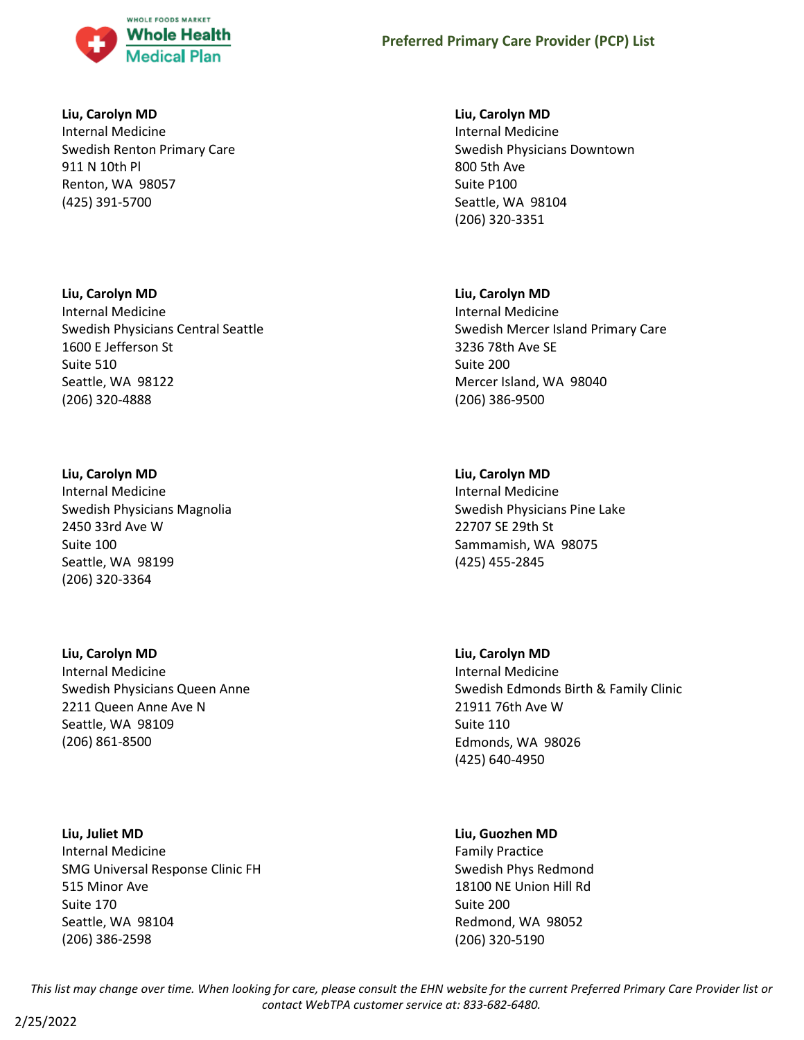

## **Liu, Carolyn MD**

Internal Medicine Swedish Renton Primary Care 911 N 10th Pl Renton, WA 98057 (425) 391-5700

## **Liu, Carolyn MD**

Internal Medicine Swedish Physicians Central Seattle 1600 E Jefferson St Suite 510 Seattle, WA 98122 (206) 320-4888

# **Liu, Carolyn MD**

Internal Medicine Swedish Physicians Magnolia 2450 33rd Ave W Suite 100 Seattle, WA 98199 (206) 320-3364

# **Liu, Carolyn MD**

Internal Medicine Swedish Physicians Queen Anne 2211 Queen Anne Ave N Seattle, WA 98109 (206) 861-8500

# **Liu, Juliet MD** Internal Medicine SMG Universal Response Clinic FH 515 Minor Ave Suite 170 Seattle, WA 98104 (206) 386-2598

## **Liu, Carolyn MD**

Internal Medicine Swedish Physicians Downtown 800 5th Ave Suite P100 Seattle, WA 98104 (206) 320-3351

# **Liu, Carolyn MD**

Internal Medicine Swedish Mercer Island Primary Care 3236 78th Ave SE Suite 200 Mercer Island, WA 98040 (206) 386-9500

# **Liu, Carolyn MD**

Internal Medicine Swedish Physicians Pine Lake 22707 SE 29th St Sammamish, WA 98075 (425) 455-2845

# **Liu, Carolyn MD**

Internal Medicine Swedish Edmonds Birth & Family Clinic 21911 76th Ave W Suite 110 Edmonds, WA 98026 (425) 640-4950

# **Liu, Guozhen MD**

Family Practice Swedish Phys Redmond 18100 NE Union Hill Rd Suite 200 Redmond, WA 98052 (206) 320-5190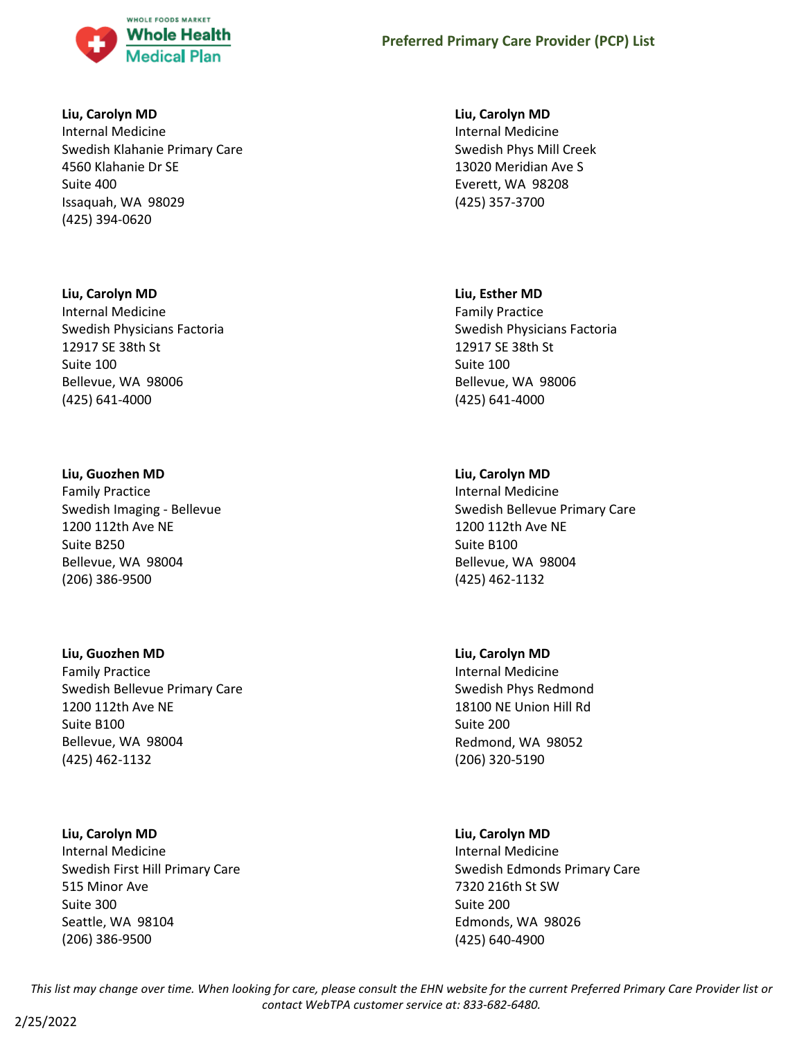

## **Liu, Carolyn MD**

Internal Medicine Swedish Klahanie Primary Care 4560 Klahanie Dr SE Suite 400 Issaquah, WA 98029 (425) 394-0620

## **Liu, Carolyn MD**

Internal Medicine Swedish Physicians Factoria 12917 SE 38th St Suite 100 Bellevue, WA 98006 (425) 641-4000

## **Liu, Guozhen MD**

Family Practice Swedish Imaging - Bellevue 1200 112th Ave NE Suite B250 Bellevue, WA 98004 (206) 386-9500

# **Liu, Guozhen MD**

Family Practice Swedish Bellevue Primary Care 1200 112th Ave NE Suite B100 Bellevue, WA 98004 (425) 462-1132

## **Liu, Carolyn MD**

Internal Medicine Swedish First Hill Primary Care 515 Minor Ave Suite 300 Seattle, WA 98104 (206) 386-9500

## **Liu, Carolyn MD**

Internal Medicine Swedish Phys Mill Creek 13020 Meridian Ave S Everett, WA 98208 (425) 357-3700

## **Liu, Esther MD**

Family Practice Swedish Physicians Factoria 12917 SE 38th St Suite 100 Bellevue, WA 98006 (425) 641-4000

# **Liu, Carolyn MD**

Internal Medicine Swedish Bellevue Primary Care 1200 112th Ave NE Suite B100 Bellevue, WA 98004 (425) 462-1132

# **Liu, Carolyn MD**

Internal Medicine Swedish Phys Redmond 18100 NE Union Hill Rd Suite 200 Redmond, WA 98052 (206) 320-5190

# **Liu, Carolyn MD**

Internal Medicine Swedish Edmonds Primary Care 7320 216th St SW Suite 200 Edmonds, WA 98026 (425) 640-4900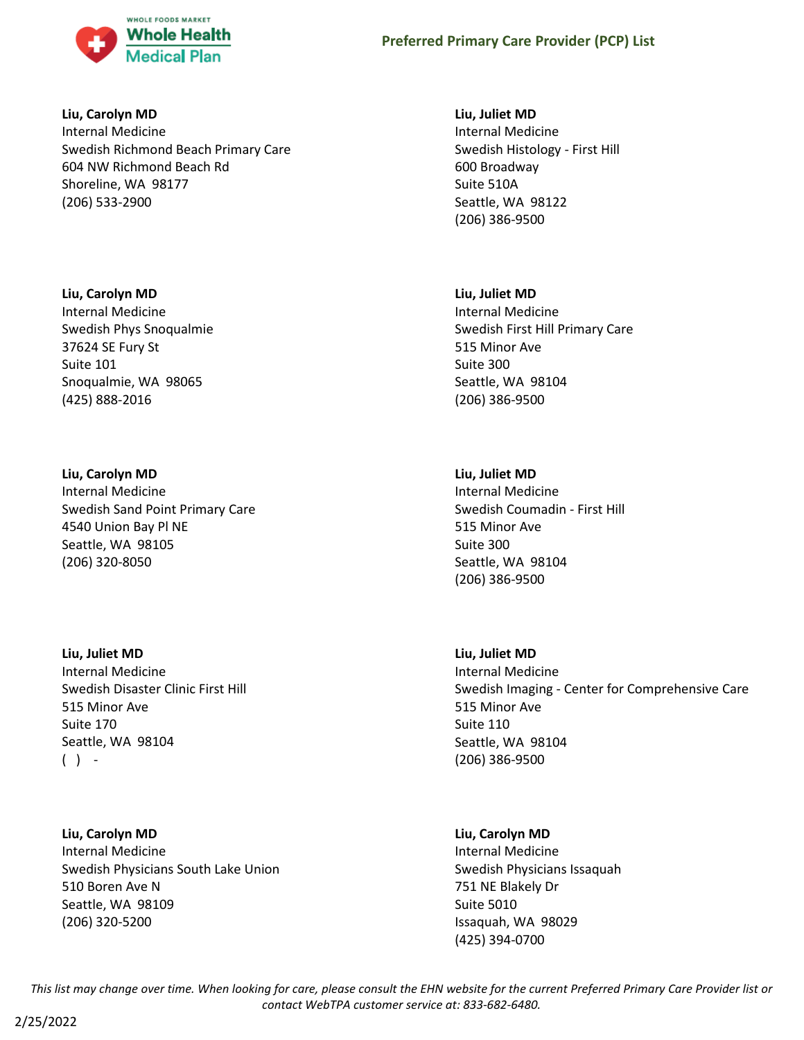

## **Liu, Carolyn MD**

Internal Medicine Swedish Richmond Beach Primary Care 604 NW Richmond Beach Rd Shoreline, WA 98177 (206) 533-2900

# **Liu, Carolyn MD**

Internal Medicine Swedish Phys Snoqualmie 37624 SE Fury St Suite 101 Snoqualmie, WA 98065 (425) 888-2016

# **Liu, Carolyn MD**

Internal Medicine Swedish Sand Point Primary Care 4540 Union Bay Pl NE Seattle, WA 98105 (206) 320-8050

**Liu, Juliet MD** Internal Medicine Swedish Disaster Clinic First Hill 515 Minor Ave Suite 170 Seattle, WA 98104

 $( )$  -

**Liu, Carolyn MD** Internal Medicine Swedish Physicians South Lake Union 510 Boren Ave N Seattle, WA 98109 (206) 320-5200

## **Liu, Juliet MD**

Internal Medicine Swedish Histology - First Hill 600 Broadway Suite 510A Seattle, WA 98122 (206) 386-9500

# **Liu, Juliet MD**

Internal Medicine Swedish First Hill Primary Care 515 Minor Ave Suite 300 Seattle, WA 98104 (206) 386-9500

# **Liu, Juliet MD**

Internal Medicine Swedish Coumadin - First Hill 515 Minor Ave Suite 300 Seattle, WA 98104 (206) 386-9500

# **Liu, Juliet MD**

Internal Medicine Swedish Imaging - Center for Comprehensive Care 515 Minor Ave Suite 110 Seattle, WA 98104 (206) 386-9500

# **Liu, Carolyn MD**

Internal Medicine Swedish Physicians Issaquah 751 NE Blakely Dr Suite 5010 Issaquah, WA 98029 (425) 394-0700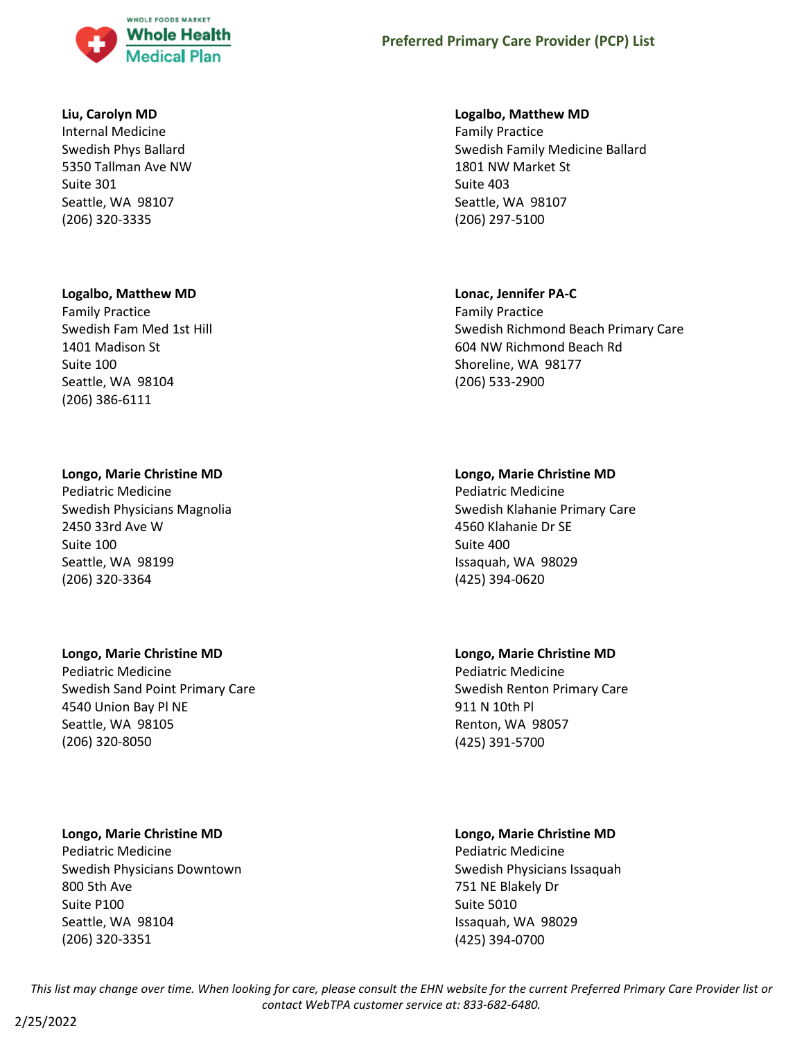

#### **Liu, Carolyn MD**

Internal Medicine Swedish Phys Ballard 5350 Tallman Ave NW Suite 301 Seattle, WA 98107 (206) 320-3335

#### **Logalbo, Matthew MD**

Family Practice Swedish Fam Med 1st Hill 1401 Madison St Suite 100 Seattle, WA 98104 (206) 386-6111

#### **Longo, Marie Christine MD**

Pediatric Medicine Swedish Physicians Magnolia 2450 33rd Ave W Suite 100 Seattle, WA 98199 (206) 320-3364

## **Longo, Marie Christine MD**

Pediatric Medicine Swedish Sand Point Primary Care 4540 Union Bay Pl NE Seattle, WA 98105 (206) 320-8050

## **Longo, Marie Christine MD**

Pediatric Medicine Swedish Physicians Downtown 800 5th Ave Suite P100 Seattle, WA 98104 (206) 320-3351

### **Logalbo, Matthew MD**

Family Practice Swedish Family Medicine Ballard 1801 NW Market St Suite 403 Seattle, WA 98107 (206) 297-5100

#### **Lonac, Jennifer PA-C**

Family Practice Swedish Richmond Beach Primary Care 604 NW Richmond Beach Rd Shoreline, WA 98177 (206) 533-2900

## **Longo, Marie Christine MD**

Pediatric Medicine Swedish Klahanie Primary Care 4560 Klahanie Dr SE Suite 400 Issaquah, WA 98029 (425) 394-0620

# **Longo, Marie Christine MD**

Pediatric Medicine Swedish Renton Primary Care 911 N 10th Pl Renton, WA 98057 (425) 391-5700

# **Longo, Marie Christine MD**

Pediatric Medicine Swedish Physicians Issaquah 751 NE Blakely Dr Suite 5010 Issaquah, WA 98029 (425) 394-0700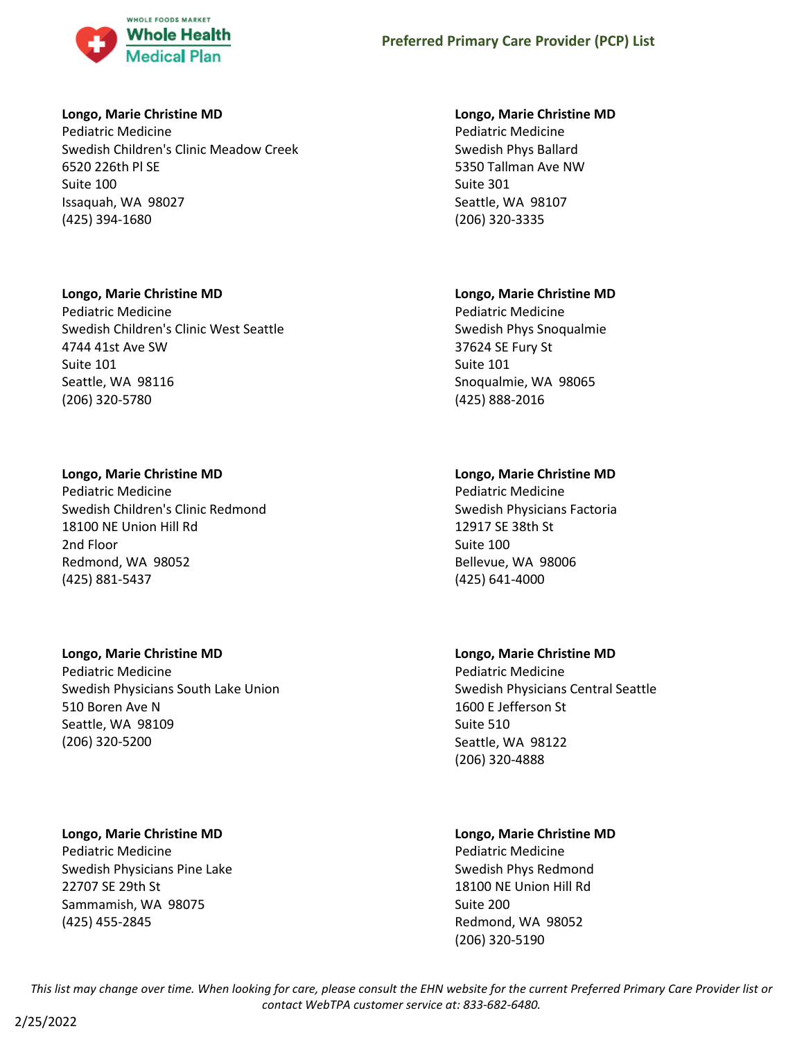

## **Longo, Marie Christine MD**

Pediatric Medicine Swedish Children's Clinic Meadow Creek 6520 226th Pl SE Suite 100 Issaquah, WA 98027 (425) 394-1680

# **Longo, Marie Christine MD**

Pediatric Medicine Swedish Children's Clinic West Seattle 4744 41st Ave SW Suite 101 Seattle, WA 98116 (206) 320-5780

# **Longo, Marie Christine MD**

Pediatric Medicine Swedish Children's Clinic Redmond 18100 NE Union Hill Rd 2nd Floor Redmond, WA 98052 (425) 881-5437

# **Longo, Marie Christine MD**

Pediatric Medicine Swedish Physicians South Lake Union 510 Boren Ave N Seattle, WA 98109 (206) 320-5200

# **Longo, Marie Christine MD**

Pediatric Medicine Swedish Physicians Pine Lake 22707 SE 29th St Sammamish, WA 98075 (425) 455-2845

# **Longo, Marie Christine MD**

Pediatric Medicine Swedish Phys Ballard 5350 Tallman Ave NW Suite 301 Seattle, WA 98107 (206) 320-3335

# **Longo, Marie Christine MD**

Pediatric Medicine Swedish Phys Snoqualmie 37624 SE Fury St Suite 101 Snoqualmie, WA 98065 (425) 888-2016

# **Longo, Marie Christine MD**

Pediatric Medicine Swedish Physicians Factoria 12917 SE 38th St Suite 100 Bellevue, WA 98006 (425) 641-4000

# **Longo, Marie Christine MD**

Pediatric Medicine Swedish Physicians Central Seattle 1600 E Jefferson St Suite 510 Seattle, WA 98122 (206) 320-4888

# **Longo, Marie Christine MD**

Pediatric Medicine Swedish Phys Redmond 18100 NE Union Hill Rd Suite 200 Redmond, WA 98052 (206) 320-5190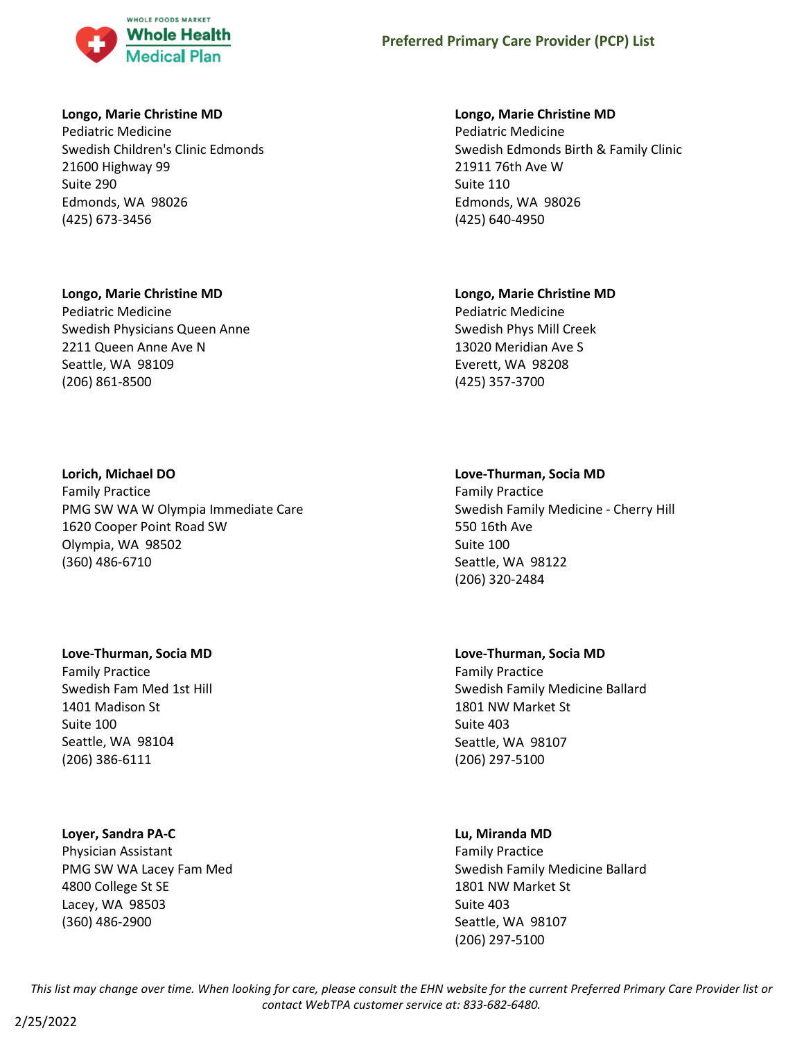

## **Longo, Marie Christine MD**

Pediatric Medicine Swedish Children's Clinic Edmonds 21600 Highway 99 Suite 290 Edmonds, WA 98026 (425) 673-3456

## **Longo, Marie Christine MD**

Pediatric Medicine Swedish Physicians Queen Anne 2211 Queen Anne Ave N Seattle, WA 98109 (206) 861-8500

## **Lorich, Michael DO**

Family Practice PMG SW WA W Olympia Immediate Care 1620 Cooper Point Road SW Olympia, WA 98502 (360) 486-6710

# **Love-Thurman, Socia MD**

Family Practice Swedish Fam Med 1st Hill 1401 Madison St Suite 100 Seattle, WA 98104 (206) 386-6111

# **Loyer, Sandra PA-C**

Physician Assistant PMG SW WA Lacey Fam Med 4800 College St SE Lacey, WA 98503 (360) 486-2900

## **Longo, Marie Christine MD**

Pediatric Medicine Swedish Edmonds Birth & Family Clinic 21911 76th Ave W Suite 110 Edmonds, WA 98026 (425) 640-4950

## **Longo, Marie Christine MD**

Pediatric Medicine Swedish Phys Mill Creek 13020 Meridian Ave S Everett, WA 98208 (425) 357-3700

# **Love-Thurman, Socia MD**

Family Practice Swedish Family Medicine - Cherry Hill 550 16th Ave Suite 100 Seattle, WA 98122 (206) 320-2484

# **Love-Thurman, Socia MD**

Family Practice Swedish Family Medicine Ballard 1801 NW Market St Suite 403 Seattle, WA 98107 (206) 297-5100

# **Lu, Miranda MD**

Family Practice Swedish Family Medicine Ballard 1801 NW Market St Suite 403 Seattle, WA 98107 (206) 297-5100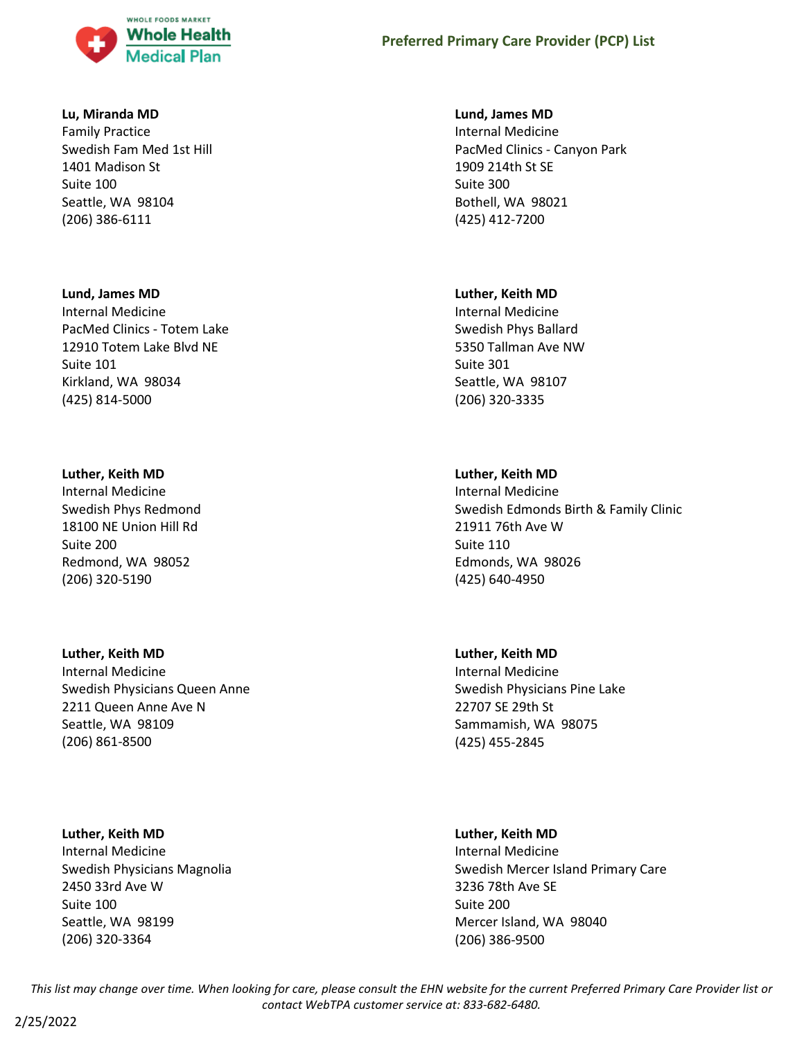

#### **Lu, Miranda MD**

Family Practice Swedish Fam Med 1st Hill 1401 Madison St Suite 100 Seattle, WA 98104 (206) 386-6111

#### **Lund, James MD**

Internal Medicine PacMed Clinics - Totem Lake 12910 Totem Lake Blvd NE Suite 101 Kirkland, WA 98034 (425) 814-5000

#### **Luther, Keith MD**

Internal Medicine Swedish Phys Redmond 18100 NE Union Hill Rd Suite 200 Redmond, WA 98052 (206) 320-5190

## **Luther, Keith MD**

Internal Medicine Swedish Physicians Queen Anne 2211 Queen Anne Ave N Seattle, WA 98109 (206) 861-8500

## **Luther, Keith MD**

Internal Medicine Swedish Physicians Magnolia 2450 33rd Ave W Suite 100 Seattle, WA 98199 (206) 320-3364

### **Lund, James MD**

Internal Medicine PacMed Clinics - Canyon Park 1909 214th St SE Suite 300 Bothell, WA 98021 (425) 412-7200

#### **Luther, Keith MD**

Internal Medicine Swedish Phys Ballard 5350 Tallman Ave NW Suite 301 Seattle, WA 98107 (206) 320-3335

## **Luther, Keith MD**

Internal Medicine Swedish Edmonds Birth & Family Clinic 21911 76th Ave W Suite 110 Edmonds, WA 98026 (425) 640-4950

## **Luther, Keith MD**

Internal Medicine Swedish Physicians Pine Lake 22707 SE 29th St Sammamish, WA 98075 (425) 455-2845

#### **Luther, Keith MD**

Internal Medicine Swedish Mercer Island Primary Care 3236 78th Ave SE Suite 200 Mercer Island, WA 98040 (206) 386-9500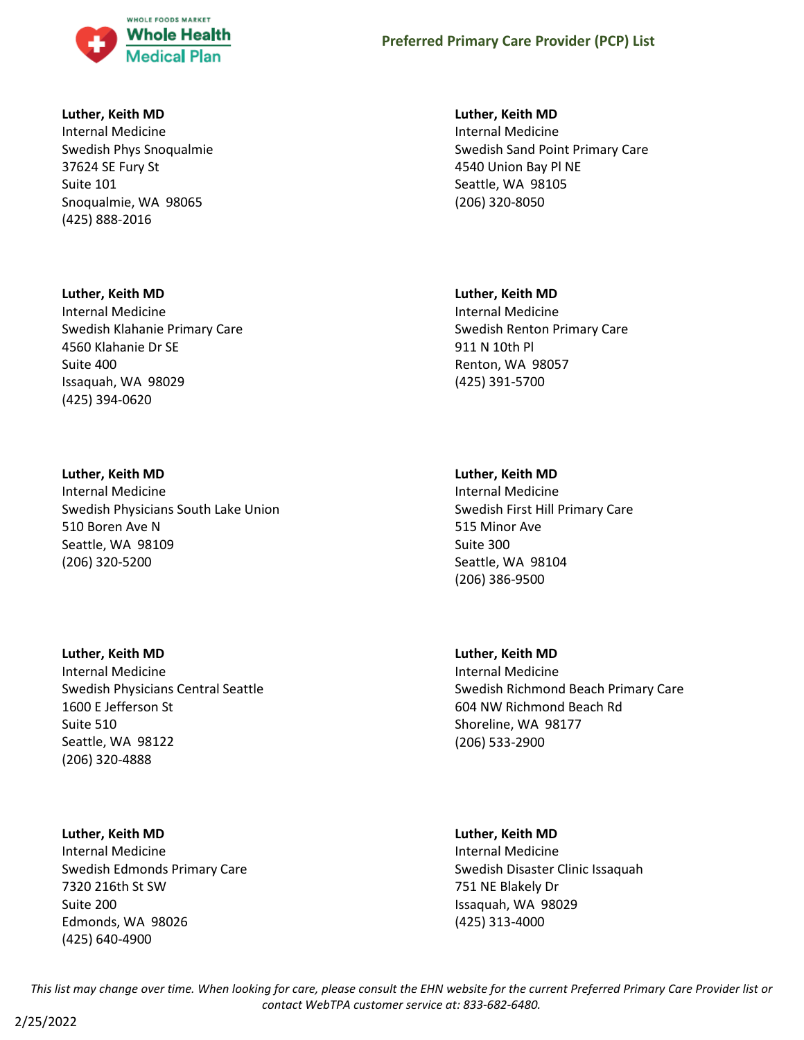

#### **Luther, Keith MD**

Internal Medicine Swedish Phys Snoqualmie 37624 SE Fury St Suite 101 Snoqualmie, WA 98065 (425) 888-2016

#### **Luther, Keith MD**

Internal Medicine Swedish Klahanie Primary Care 4560 Klahanie Dr SE Suite 400 Issaquah, WA 98029 (425) 394-0620

## **Luther, Keith MD**

Internal Medicine Swedish Physicians South Lake Union 510 Boren Ave N Seattle, WA 98109 (206) 320-5200

## **Luther, Keith MD**

Internal Medicine Swedish Physicians Central Seattle 1600 E Jefferson St Suite 510 Seattle, WA 98122 (206) 320-4888

## **Luther, Keith MD**

Internal Medicine Swedish Edmonds Primary Care 7320 216th St SW Suite 200 Edmonds, WA 98026 (425) 640-4900

#### **Luther, Keith MD**

Internal Medicine Swedish Sand Point Primary Care 4540 Union Bay Pl NE Seattle, WA 98105 (206) 320-8050

#### **Luther, Keith MD**

Internal Medicine Swedish Renton Primary Care 911 N 10th Pl Renton, WA 98057 (425) 391-5700

#### **Luther, Keith MD**

Internal Medicine Swedish First Hill Primary Care 515 Minor Ave Suite 300 Seattle, WA 98104 (206) 386-9500

## **Luther, Keith MD**

Internal Medicine Swedish Richmond Beach Primary Care 604 NW Richmond Beach Rd Shoreline, WA 98177 (206) 533-2900

#### **Luther, Keith MD**

Internal Medicine Swedish Disaster Clinic Issaquah 751 NE Blakely Dr Issaquah, WA 98029 (425) 313-4000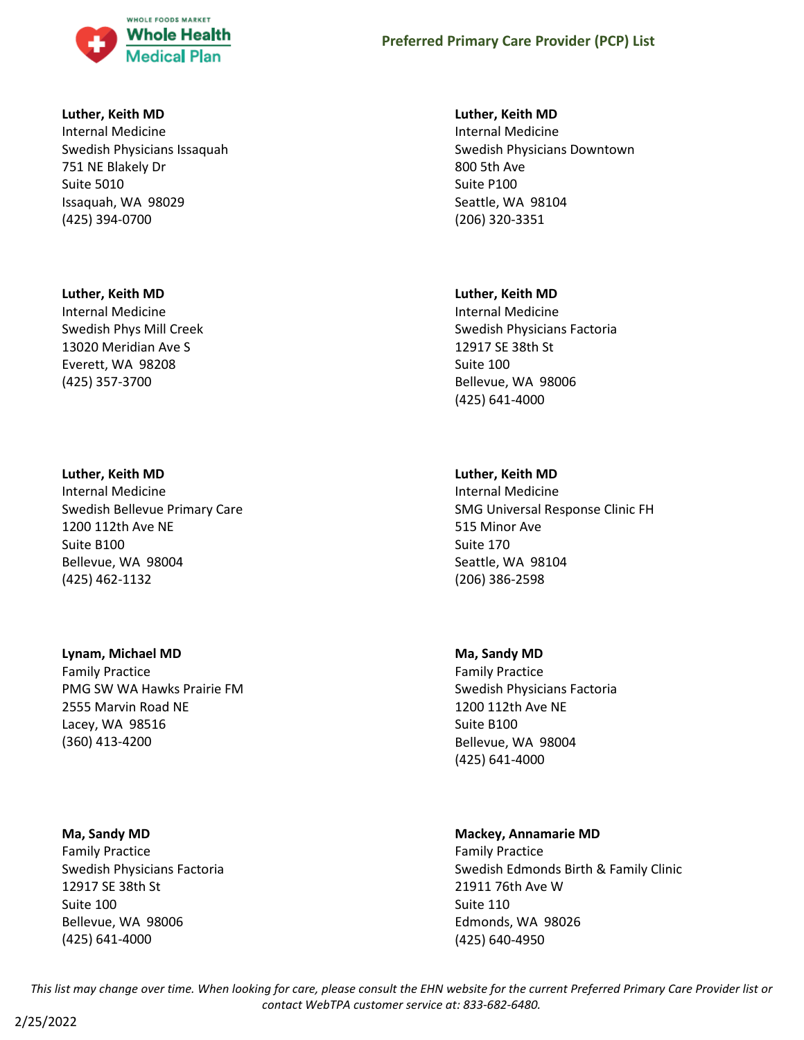

#### **Luther, Keith MD**

Internal Medicine Swedish Physicians Issaquah 751 NE Blakely Dr Suite 5010 Issaquah, WA 98029 (425) 394-0700

#### **Luther, Keith MD**

Internal Medicine Swedish Phys Mill Creek 13020 Meridian Ave S Everett, WA 98208 (425) 357-3700

#### **Luther, Keith MD**

Internal Medicine Swedish Bellevue Primary Care 1200 112th Ave NE Suite B100 Bellevue, WA 98004 (425) 462-1132

## **Lynam, Michael MD**

Family Practice PMG SW WA Hawks Prairie FM 2555 Marvin Road NE Lacey, WA 98516 (360) 413-4200

#### **Ma, Sandy MD**

2/25/2022

Family Practice Swedish Physicians Factoria 12917 SE 38th St Suite 100 Bellevue, WA 98006 (425) 641-4000

#### **Luther, Keith MD**

Internal Medicine Swedish Physicians Downtown 800 5th Ave Suite P100 Seattle, WA 98104 (206) 320-3351

#### **Luther, Keith MD**

Internal Medicine Swedish Physicians Factoria 12917 SE 38th St Suite 100 Bellevue, WA 98006 (425) 641-4000

#### **Luther, Keith MD**

Internal Medicine SMG Universal Response Clinic FH 515 Minor Ave Suite 170 Seattle, WA 98104 (206) 386-2598

#### **Ma, Sandy MD**

Family Practice Swedish Physicians Factoria 1200 112th Ave NE Suite B100 Bellevue, WA 98004 (425) 641-4000

### **Mackey, Annamarie MD**

Family Practice Swedish Edmonds Birth & Family Clinic 21911 76th Ave W Suite 110 Edmonds, WA 98026 (425) 640-4950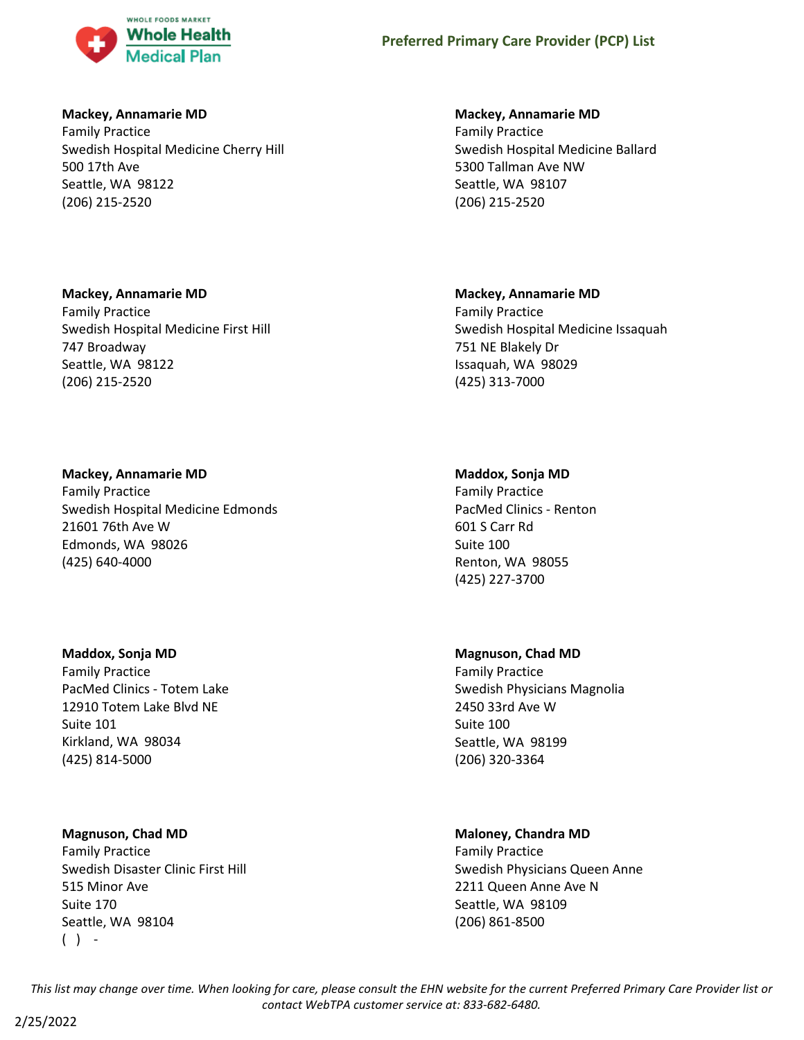

## **Mackey, Annamarie MD**

Family Practice Swedish Hospital Medicine Cherry Hill 500 17th Ave Seattle, WA 98122 (206) 215-2520

## **Mackey, Annamarie MD**

Family Practice Swedish Hospital Medicine First Hill 747 Broadway Seattle, WA 98122 (206) 215-2520

## **Mackey, Annamarie MD**

Family Practice Swedish Hospital Medicine Edmonds 21601 76th Ave W Edmonds, WA 98026 (425) 640-4000

## **Maddox, Sonja MD**

Family Practice PacMed Clinics - Totem Lake 12910 Totem Lake Blvd NE Suite 101 Kirkland, WA 98034 (425) 814-5000

## **Magnuson, Chad MD**

Family Practice Swedish Disaster Clinic First Hill 515 Minor Ave Suite 170 Seattle, WA 98104  $( )$  -

## **Mackey, Annamarie MD**

Family Practice Swedish Hospital Medicine Ballard 5300 Tallman Ave NW Seattle, WA 98107 (206) 215-2520

## **Mackey, Annamarie MD**

Family Practice Swedish Hospital Medicine Issaquah 751 NE Blakely Dr Issaquah, WA 98029 (425) 313-7000

## **Maddox, Sonja MD**

Family Practice PacMed Clinics - Renton 601 S Carr Rd Suite 100 Renton, WA 98055 (425) 227-3700

## **Magnuson, Chad MD**

Family Practice Swedish Physicians Magnolia 2450 33rd Ave W Suite 100 Seattle, WA 98199 (206) 320-3364

# **Maloney, Chandra MD**

Family Practice Swedish Physicians Queen Anne 2211 Queen Anne Ave N Seattle, WA 98109 (206) 861-8500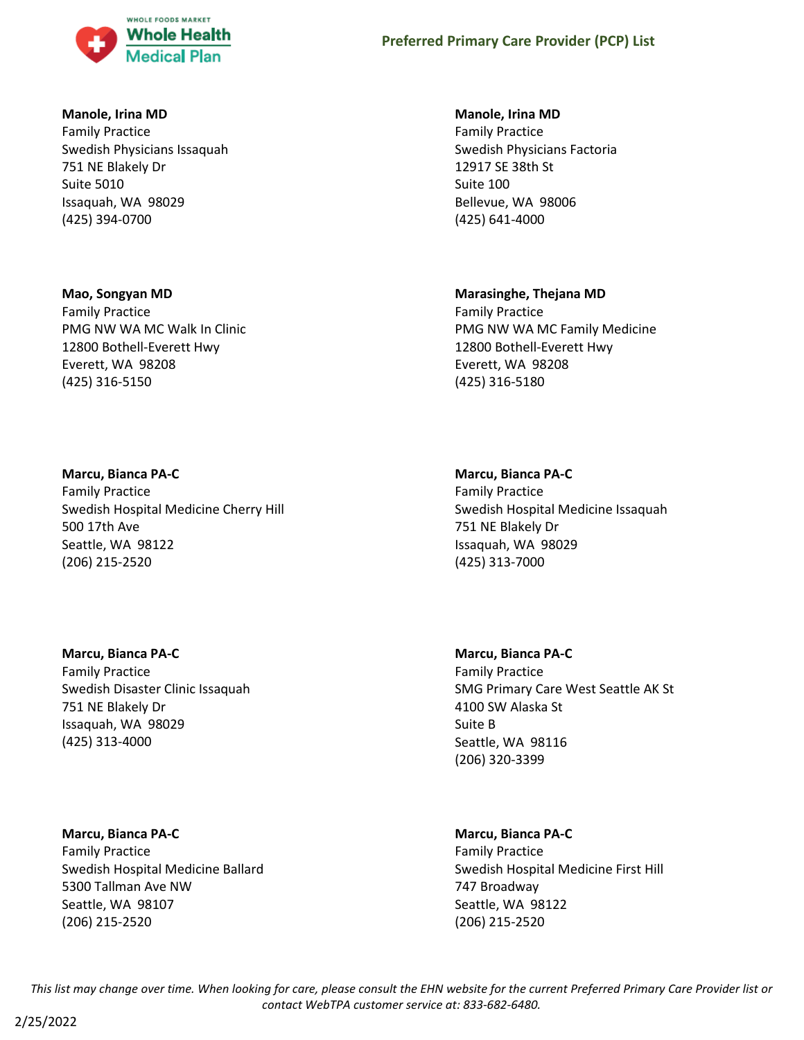

## **Manole, Irina MD**

Family Practice Swedish Physicians Issaquah 751 NE Blakely Dr Suite 5010 Issaquah, WA 98029 (425) 394-0700

## **Mao, Songyan MD**

Family Practice PMG NW WA MC Walk In Clinic 12800 Bothell-Everett Hwy Everett, WA 98208 (425) 316-5150

## **Marcu, Bianca PA-C**

Family Practice Swedish Hospital Medicine Cherry Hill 500 17th Ave Seattle, WA 98122 (206) 215-2520

# **Marcu, Bianca PA-C**

Family Practice Swedish Disaster Clinic Issaquah 751 NE Blakely Dr Issaquah, WA 98029 (425) 313-4000

## **Marcu, Bianca PA-C**

Family Practice Swedish Hospital Medicine Ballard 5300 Tallman Ave NW Seattle, WA 98107 (206) 215-2520

## **Manole, Irina MD**

Family Practice Swedish Physicians Factoria 12917 SE 38th St Suite 100 Bellevue, WA 98006 (425) 641-4000

## **Marasinghe, Thejana MD**

Family Practice PMG NW WA MC Family Medicine 12800 Bothell-Everett Hwy Everett, WA 98208 (425) 316-5180

#### **Marcu, Bianca PA-C**

Family Practice Swedish Hospital Medicine Issaquah 751 NE Blakely Dr Issaquah, WA 98029 (425) 313-7000

# **Marcu, Bianca PA-C**

Family Practice SMG Primary Care West Seattle AK St 4100 SW Alaska St Suite B Seattle, WA 98116 (206) 320-3399

## **Marcu, Bianca PA-C**

Family Practice Swedish Hospital Medicine First Hill 747 Broadway Seattle, WA 98122 (206) 215-2520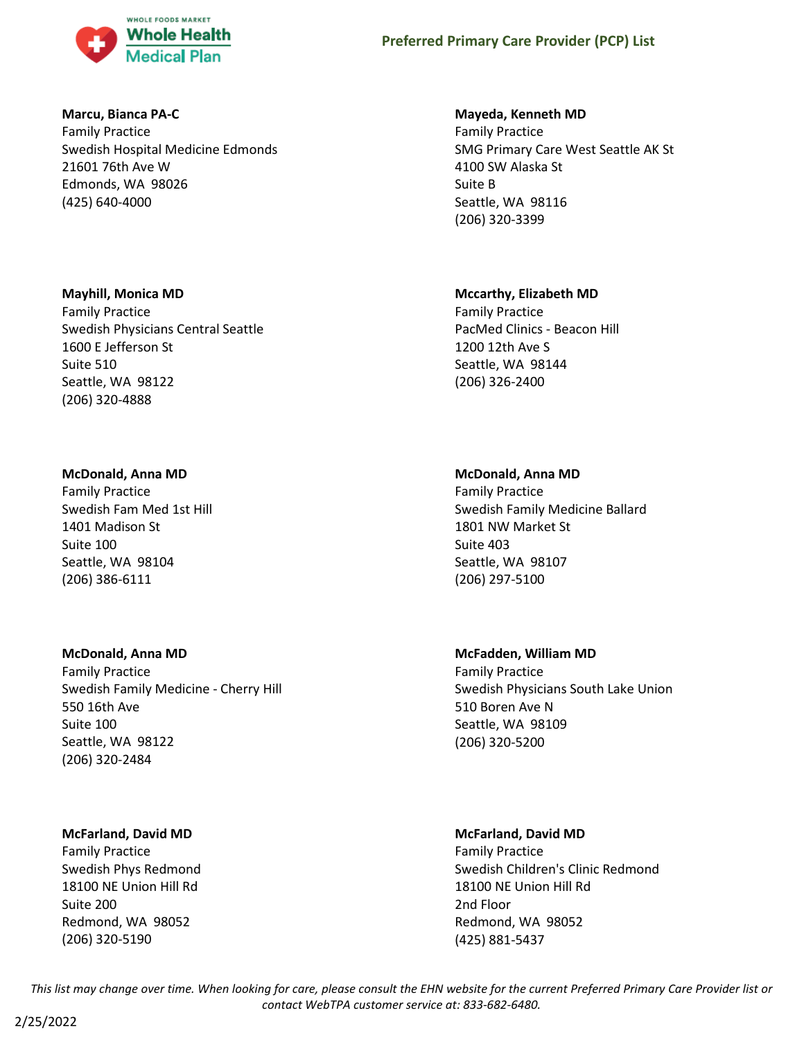

## **Marcu, Bianca PA-C**

Family Practice Swedish Hospital Medicine Edmonds 21601 76th Ave W Edmonds, WA 98026 (425) 640-4000

## **Mayhill, Monica MD**

Family Practice Swedish Physicians Central Seattle 1600 E Jefferson St Suite 510 Seattle, WA 98122 (206) 320-4888

#### **McDonald, Anna MD**

Family Practice Swedish Fam Med 1st Hill 1401 Madison St Suite 100 Seattle, WA 98104 (206) 386-6111

#### **McDonald, Anna MD**

Family Practice Swedish Family Medicine - Cherry Hill 550 16th Ave Suite 100 Seattle, WA 98122 (206) 320-2484

## **McFarland, David MD**

Family Practice Swedish Phys Redmond 18100 NE Union Hill Rd Suite 200 Redmond, WA 98052 (206) 320-5190

#### **Mayeda, Kenneth MD**

Family Practice SMG Primary Care West Seattle AK St 4100 SW Alaska St Suite B Seattle, WA 98116 (206) 320-3399

#### **Mccarthy, Elizabeth MD**

Family Practice PacMed Clinics - Beacon Hill 1200 12th Ave S Seattle, WA 98144 (206) 326-2400

#### **McDonald, Anna MD**

Family Practice Swedish Family Medicine Ballard 1801 NW Market St Suite 403 Seattle, WA 98107 (206) 297-5100

# **McFadden, William MD**

Family Practice Swedish Physicians South Lake Union 510 Boren Ave N Seattle, WA 98109 (206) 320-5200

## **McFarland, David MD**

Family Practice Swedish Children's Clinic Redmond 18100 NE Union Hill Rd 2nd Floor Redmond, WA 98052 (425) 881-5437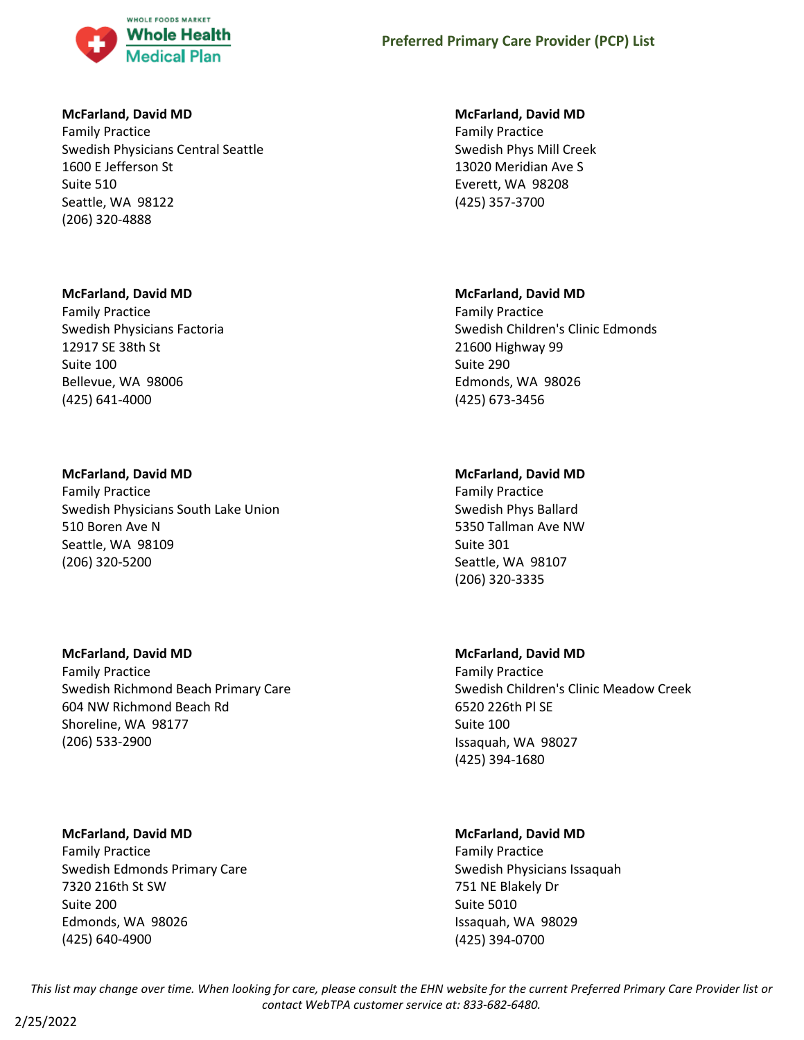

## **McFarland, David MD**

Family Practice Swedish Physicians Central Seattle 1600 E Jefferson St Suite 510 Seattle, WA 98122 (206) 320-4888

## **McFarland, David MD**

Family Practice Swedish Physicians Factoria 12917 SE 38th St Suite 100 Bellevue, WA 98006 (425) 641-4000

# **McFarland, David MD**

Family Practice Swedish Physicians South Lake Union 510 Boren Ave N Seattle, WA 98109 (206) 320-5200

## **McFarland, David MD**

Family Practice Swedish Richmond Beach Primary Care 604 NW Richmond Beach Rd Shoreline, WA 98177 (206) 533-2900

# **McFarland, David MD**

Family Practice Swedish Edmonds Primary Care 7320 216th St SW Suite 200 Edmonds, WA 98026 (425) 640-4900

## **McFarland, David MD**

Family Practice Swedish Phys Mill Creek 13020 Meridian Ave S Everett, WA 98208 (425) 357-3700

# **McFarland, David MD**

Family Practice Swedish Children's Clinic Edmonds 21600 Highway 99 Suite 290 Edmonds, WA 98026 (425) 673-3456

# **McFarland, David MD**

Family Practice Swedish Phys Ballard 5350 Tallman Ave NW Suite 301 Seattle, WA 98107 (206) 320-3335

# **McFarland, David MD**

Family Practice Swedish Children's Clinic Meadow Creek 6520 226th Pl SE Suite 100 Issaquah, WA 98027 (425) 394-1680

# **McFarland, David MD**

Family Practice Swedish Physicians Issaquah 751 NE Blakely Dr Suite 5010 Issaquah, WA 98029 (425) 394-0700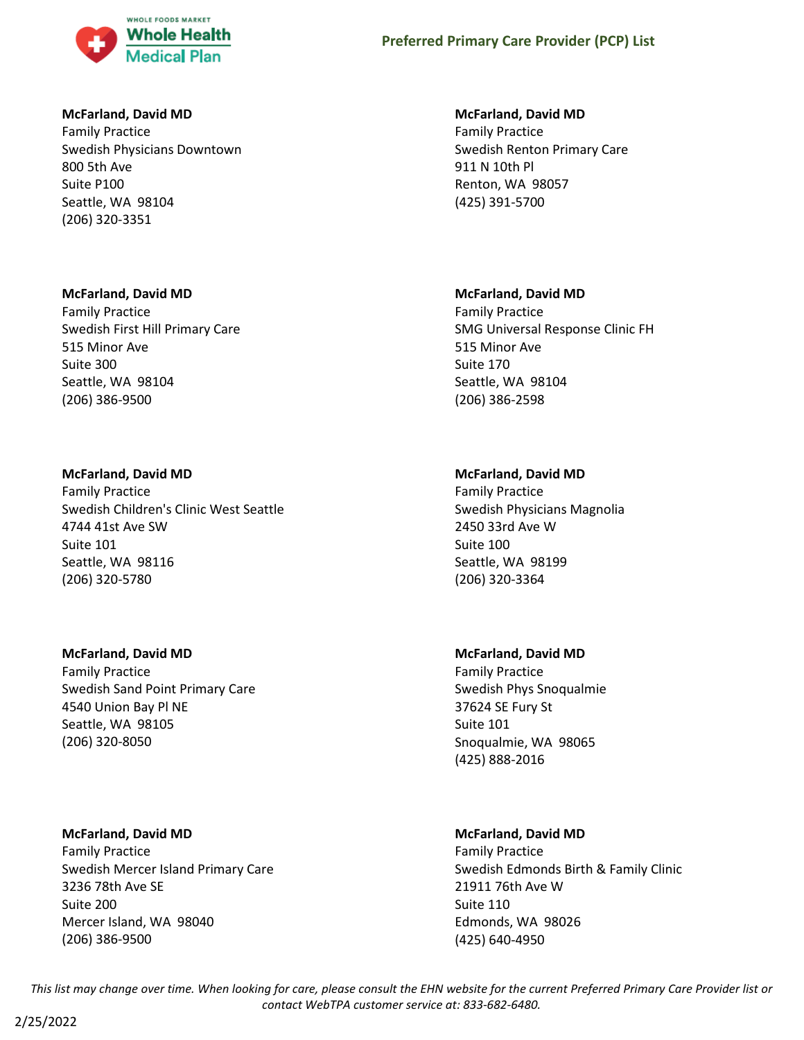

## **McFarland, David MD**

Family Practice Swedish Physicians Downtown 800 5th Ave Suite P100 Seattle, WA 98104 (206) 320-3351

## **McFarland, David MD**

Family Practice Swedish First Hill Primary Care 515 Minor Ave Suite 300 Seattle, WA 98104 (206) 386-9500

## **McFarland, David MD**

Family Practice Swedish Children's Clinic West Seattle 4744 41st Ave SW Suite 101 Seattle, WA 98116 (206) 320-5780

## **McFarland, David MD**

Family Practice Swedish Sand Point Primary Care 4540 Union Bay Pl NE Seattle, WA 98105 (206) 320-8050

# **McFarland, David MD**

Family Practice Swedish Mercer Island Primary Care 3236 78th Ave SE Suite 200 Mercer Island, WA 98040 (206) 386-9500

## **McFarland, David MD**

Family Practice Swedish Renton Primary Care 911 N 10th Pl Renton, WA 98057 (425) 391-5700

# **McFarland, David MD**

Family Practice SMG Universal Response Clinic FH 515 Minor Ave Suite 170 Seattle, WA 98104 (206) 386-2598

# **McFarland, David MD**

Family Practice Swedish Physicians Magnolia 2450 33rd Ave W Suite 100 Seattle, WA 98199 (206) 320-3364

# **McFarland, David MD**

Family Practice Swedish Phys Snoqualmie 37624 SE Fury St Suite 101 Snoqualmie, WA 98065 (425) 888-2016

# **McFarland, David MD**

Family Practice Swedish Edmonds Birth & Family Clinic 21911 76th Ave W Suite 110 Edmonds, WA 98026 (425) 640-4950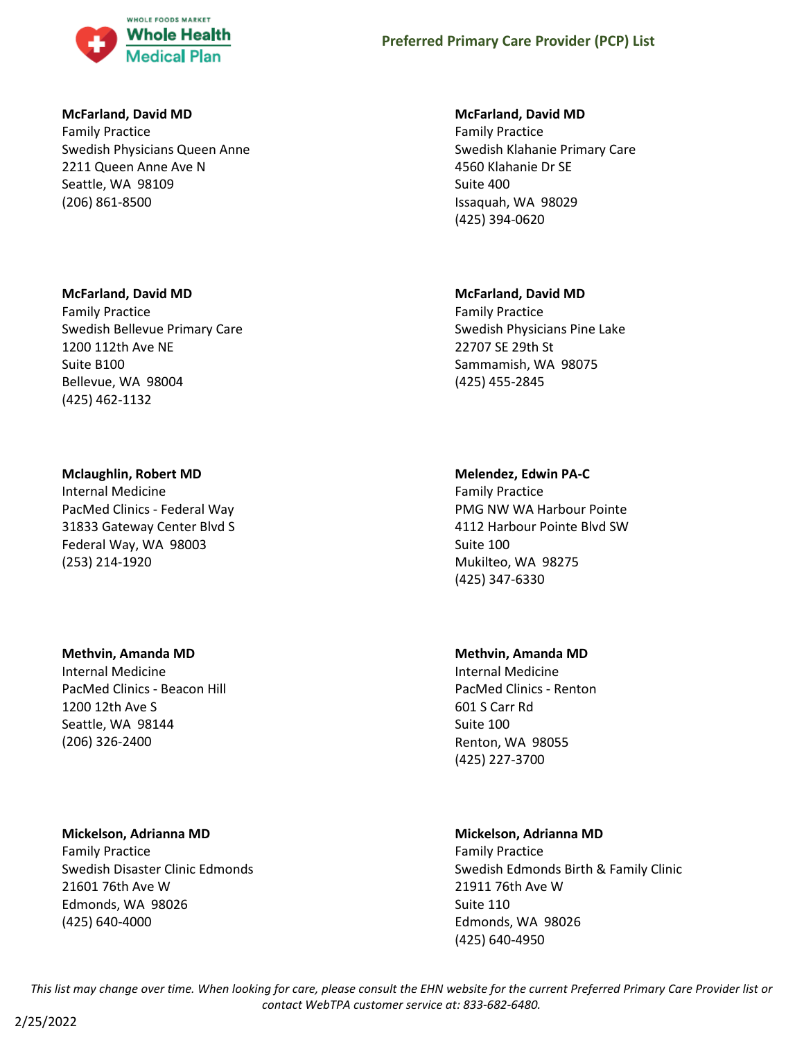

## **McFarland, David MD**

Family Practice Swedish Physicians Queen Anne 2211 Queen Anne Ave N Seattle, WA 98109 (206) 861-8500

## **McFarland, David MD**

Family Practice Swedish Bellevue Primary Care 1200 112th Ave NE Suite B100 Bellevue, WA 98004 (425) 462-1132

#### **Mclaughlin, Robert MD**

Internal Medicine PacMed Clinics - Federal Way 31833 Gateway Center Blvd S Federal Way, WA 98003 (253) 214-1920

## **Methvin, Amanda MD**

Internal Medicine PacMed Clinics - Beacon Hill 1200 12th Ave S Seattle, WA 98144 (206) 326-2400

## **Mickelson, Adrianna MD**

Family Practice Swedish Disaster Clinic Edmonds 21601 76th Ave W Edmonds, WA 98026 (425) 640-4000

#### **McFarland, David MD**

Family Practice Swedish Klahanie Primary Care 4560 Klahanie Dr SE Suite 400 Issaquah, WA 98029 (425) 394-0620

#### **McFarland, David MD**

Family Practice Swedish Physicians Pine Lake 22707 SE 29th St Sammamish, WA 98075 (425) 455-2845

#### **Melendez, Edwin PA-C**

Family Practice PMG NW WA Harbour Pointe 4112 Harbour Pointe Blvd SW Suite 100 Mukilteo, WA 98275 (425) 347-6330

#### **Methvin, Amanda MD**

Internal Medicine PacMed Clinics - Renton 601 S Carr Rd Suite 100 Renton, WA 98055 (425) 227-3700

## **Mickelson, Adrianna MD**

Family Practice Swedish Edmonds Birth & Family Clinic 21911 76th Ave W Suite 110 Edmonds, WA 98026 (425) 640-4950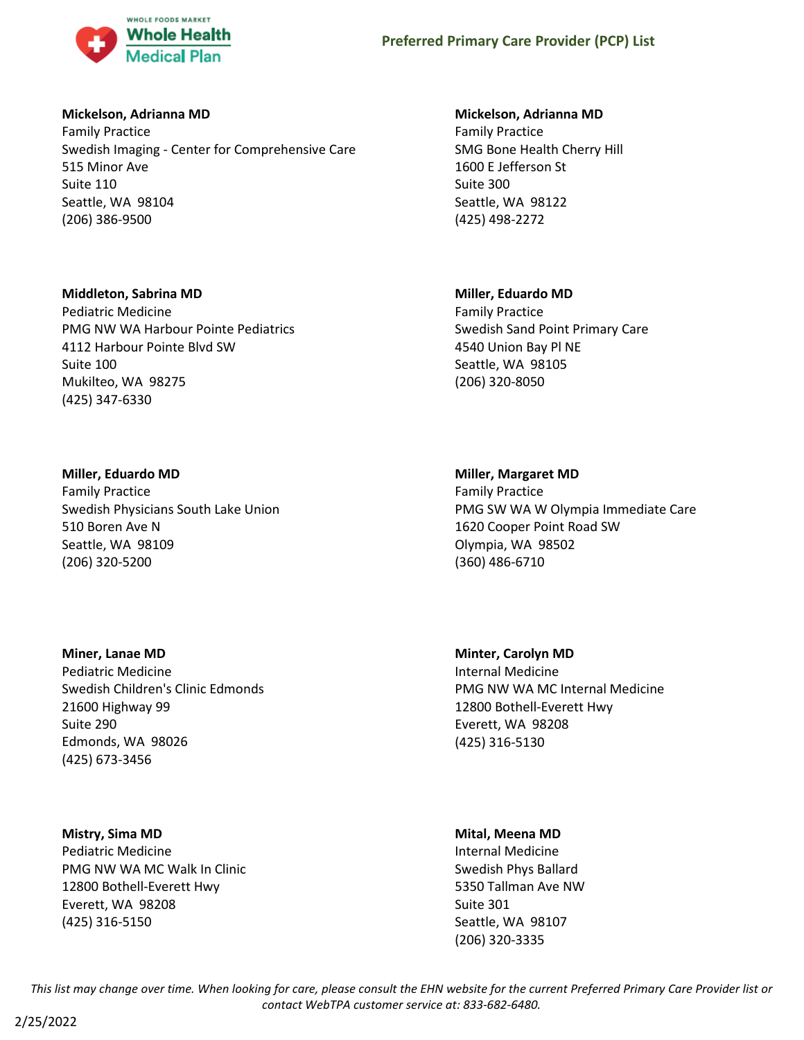

## **Mickelson, Adrianna MD**

Family Practice Swedish Imaging - Center for Comprehensive Care 515 Minor Ave Suite 110 Seattle, WA 98104 (206) 386-9500

#### **Middleton, Sabrina MD**

Pediatric Medicine PMG NW WA Harbour Pointe Pediatrics 4112 Harbour Pointe Blvd SW Suite 100 Mukilteo, WA 98275 (425) 347-6330

#### **Miller, Eduardo MD**

Family Practice Swedish Physicians South Lake Union 510 Boren Ave N Seattle, WA 98109 (206) 320-5200

#### **Miner, Lanae MD**

Pediatric Medicine Swedish Children's Clinic Edmonds 21600 Highway 99 Suite 290 Edmonds, WA 98026 (425) 673-3456

## **Mistry, Sima MD**

Pediatric Medicine PMG NW WA MC Walk In Clinic 12800 Bothell-Everett Hwy Everett, WA 98208 (425) 316-5150

#### **Mickelson, Adrianna MD**

Family Practice SMG Bone Health Cherry Hill 1600 E Jefferson St Suite 300 Seattle, WA 98122 (425) 498-2272

#### **Miller, Eduardo MD**

Family Practice Swedish Sand Point Primary Care 4540 Union Bay Pl NE Seattle, WA 98105 (206) 320-8050

#### **Miller, Margaret MD**

Family Practice PMG SW WA W Olympia Immediate Care 1620 Cooper Point Road SW Olympia, WA 98502 (360) 486-6710

**Minter, Carolyn MD** Internal Medicine PMG NW WA MC Internal Medicine 12800 Bothell-Everett Hwy Everett, WA 98208 (425) 316-5130

## **Mital, Meena MD**

Internal Medicine Swedish Phys Ballard 5350 Tallman Ave NW Suite 301 Seattle, WA 98107 (206) 320-3335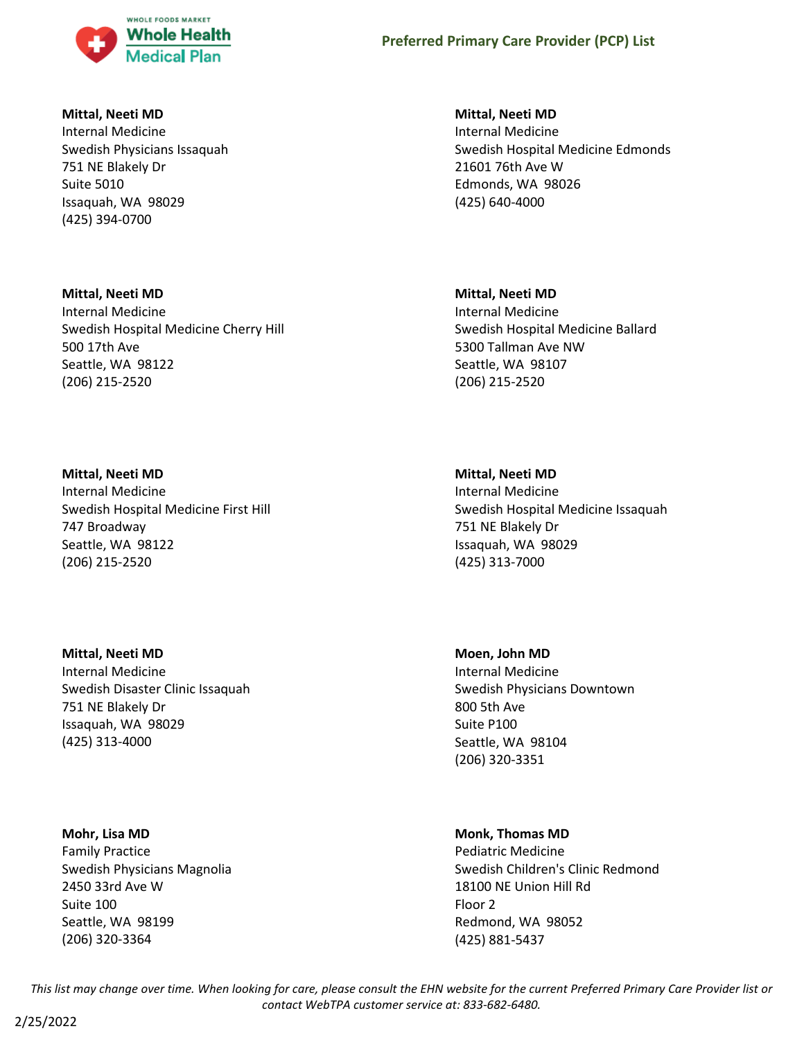

## **Mittal, Neeti MD**

Internal Medicine Swedish Physicians Issaquah 751 NE Blakely Dr Suite 5010 Issaquah, WA 98029 (425) 394-0700

**Mittal, Neeti MD** Internal Medicine Swedish Hospital Medicine Cherry Hill 500 17th Ave Seattle, WA 98122 (206) 215-2520

**Mittal, Neeti MD** Internal Medicine Swedish Hospital Medicine First Hill 747 Broadway Seattle, WA 98122 (206) 215-2520

**Mittal, Neeti MD** Internal Medicine Swedish Disaster Clinic Issaquah 751 NE Blakely Dr Issaquah, WA 98029 (425) 313-4000

**Mohr, Lisa MD**

Family Practice Swedish Physicians Magnolia 2450 33rd Ave W Suite 100 Seattle, WA 98199 (206) 320-3364

**Mittal, Neeti MD**

Internal Medicine Swedish Hospital Medicine Edmonds 21601 76th Ave W Edmonds, WA 98026 (425) 640-4000

**Mittal, Neeti MD**

Internal Medicine Swedish Hospital Medicine Ballard 5300 Tallman Ave NW Seattle, WA 98107 (206) 215-2520

**Mittal, Neeti MD** Internal Medicine Swedish Hospital Medicine Issaquah 751 NE Blakely Dr Issaquah, WA 98029 (425) 313-7000

**Moen, John MD** Internal Medicine Swedish Physicians Downtown 800 5th Ave Suite P100 Seattle, WA 98104 (206) 320-3351

**Monk, Thomas MD** Pediatric Medicine Swedish Children's Clinic Redmond 18100 NE Union Hill Rd Floor 2 Redmond, WA 98052 (425) 881-5437

*This list may change over time. When looking for care, please consult the EHN website for the current Preferred Primary Care Provider list or contact WebTPA customer service at: 833-682-6480.*

2/25/2022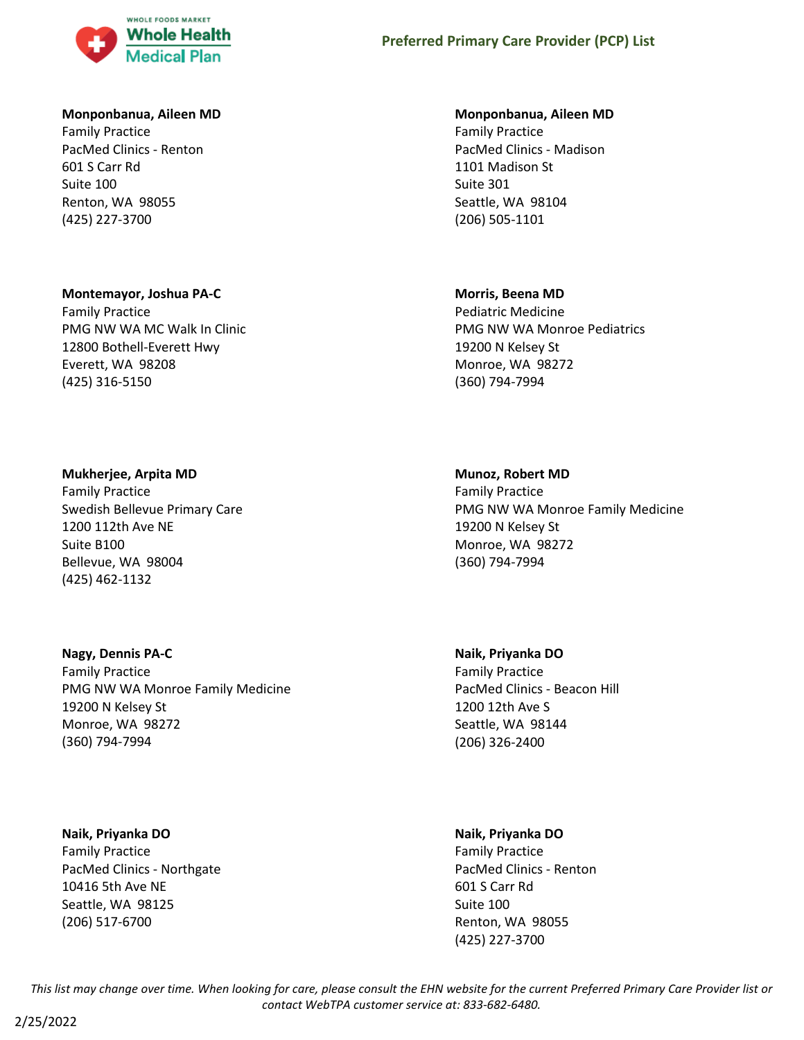

#### **Monponbanua, Aileen MD**

Family Practice PacMed Clinics - Renton 601 S Carr Rd Suite 100 Renton, WA 98055 (425) 227-3700

#### **Montemayor, Joshua PA-C**

Family Practice PMG NW WA MC Walk In Clinic 12800 Bothell-Everett Hwy Everett, WA 98208 (425) 316-5150

#### **Mukherjee, Arpita MD**

Family Practice Swedish Bellevue Primary Care 1200 112th Ave NE Suite B100 Bellevue, WA 98004 (425) 462-1132

## **Nagy, Dennis PA-C**

Family Practice PMG NW WA Monroe Family Medicine 19200 N Kelsey St Monroe, WA 98272 (360) 794-7994

#### **Naik, Priyanka DO**

Family Practice PacMed Clinics - Northgate 10416 5th Ave NE Seattle, WA 98125 (206) 517-6700

#### **Monponbanua, Aileen MD**

Family Practice PacMed Clinics - Madison 1101 Madison St Suite 301 Seattle, WA 98104 (206) 505-1101

#### **Morris, Beena MD**

Pediatric Medicine PMG NW WA Monroe Pediatrics 19200 N Kelsey St Monroe, WA 98272 (360) 794-7994

#### **Munoz, Robert MD**

Family Practice PMG NW WA Monroe Family Medicine 19200 N Kelsey St Monroe, WA 98272 (360) 794-7994

# **Naik, Priyanka DO**

Family Practice PacMed Clinics - Beacon Hill 1200 12th Ave S Seattle, WA 98144 (206) 326-2400

## **Naik, Priyanka DO**

Family Practice PacMed Clinics - Renton 601 S Carr Rd Suite 100 Renton, WA 98055 (425) 227-3700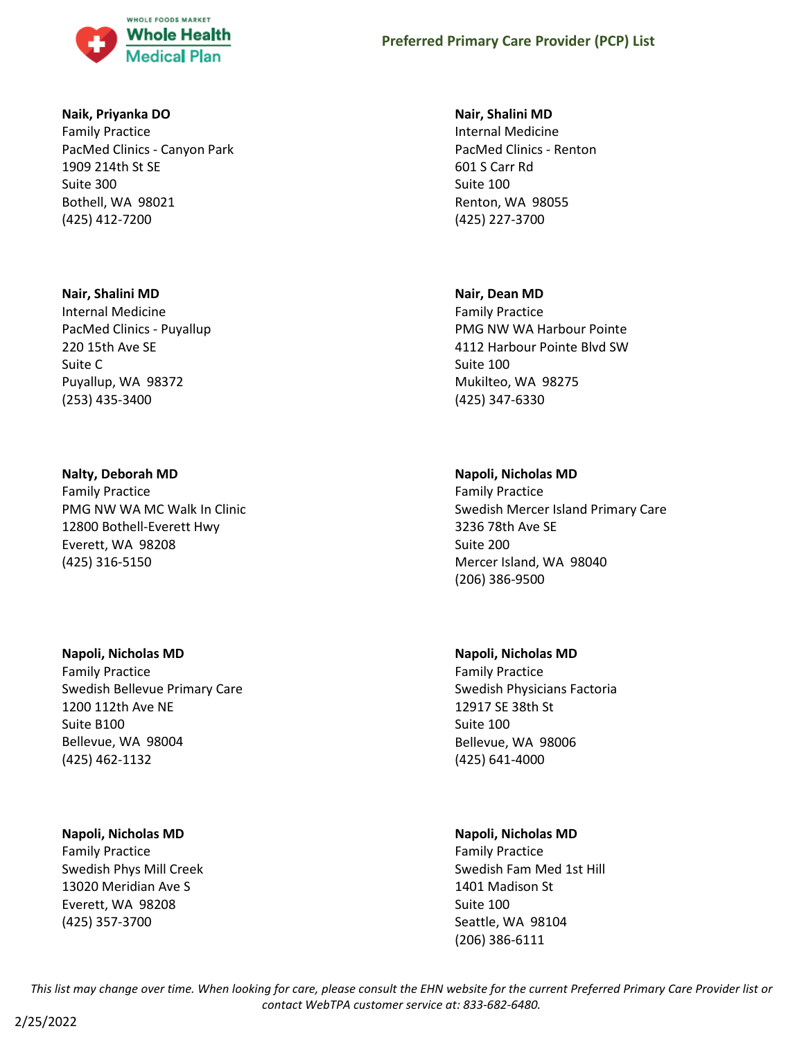

## **Naik, Priyanka DO**

Family Practice PacMed Clinics - Canyon Park 1909 214th St SE Suite 300 Bothell, WA 98021 (425) 412-7200

## **Nair, Shalini MD**

Internal Medicine PacMed Clinics - Puyallup 220 15th Ave SE Suite C Puyallup, WA 98372 (253) 435-3400

## **Nalty, Deborah MD**

Family Practice PMG NW WA MC Walk In Clinic 12800 Bothell-Everett Hwy Everett, WA 98208 (425) 316-5150

## **Napoli, Nicholas MD**

Family Practice Swedish Bellevue Primary Care 1200 112th Ave NE Suite B100 Bellevue, WA 98004 (425) 462-1132

## **Napoli, Nicholas MD**

Family Practice Swedish Phys Mill Creek 13020 Meridian Ave S Everett, WA 98208 (425) 357-3700

## **Nair, Shalini MD**

Internal Medicine PacMed Clinics - Renton 601 S Carr Rd Suite 100 Renton, WA 98055 (425) 227-3700

## **Nair, Dean MD**

Family Practice PMG NW WA Harbour Pointe 4112 Harbour Pointe Blvd SW Suite 100 Mukilteo, WA 98275 (425) 347-6330

# **Napoli, Nicholas MD**

Family Practice Swedish Mercer Island Primary Care 3236 78th Ave SE Suite 200 Mercer Island, WA 98040 (206) 386-9500

# **Napoli, Nicholas MD**

Family Practice Swedish Physicians Factoria 12917 SE 38th St Suite 100 Bellevue, WA 98006 (425) 641-4000

# **Napoli, Nicholas MD**

Family Practice Swedish Fam Med 1st Hill 1401 Madison St Suite 100 Seattle, WA 98104 (206) 386-6111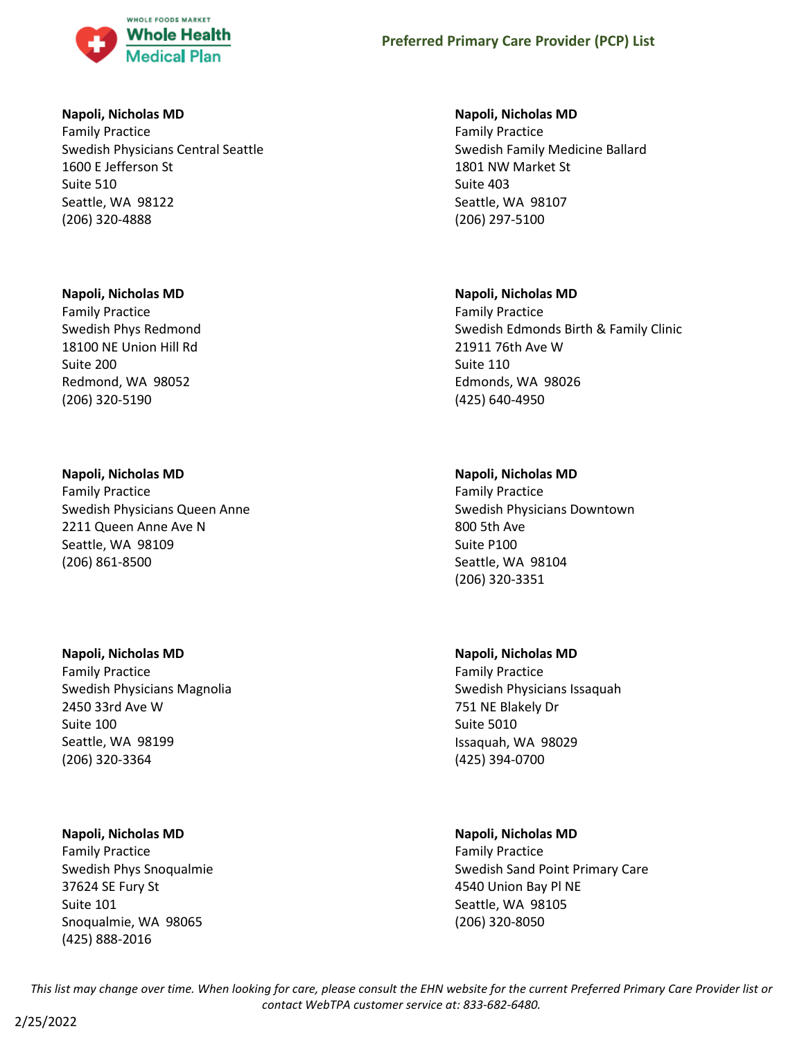

## **Napoli, Nicholas MD**

Family Practice Swedish Physicians Central Seattle 1600 E Jefferson St Suite 510 Seattle, WA 98122 (206) 320-4888

## **Napoli, Nicholas MD**

Family Practice Swedish Phys Redmond 18100 NE Union Hill Rd Suite 200 Redmond, WA 98052 (206) 320-5190

## **Napoli, Nicholas MD**

Family Practice Swedish Physicians Queen Anne 2211 Queen Anne Ave N Seattle, WA 98109 (206) 861-8500

## **Napoli, Nicholas MD**

Family Practice Swedish Physicians Magnolia 2450 33rd Ave W Suite 100 Seattle, WA 98199 (206) 320-3364

## **Napoli, Nicholas MD**

Family Practice Swedish Phys Snoqualmie 37624 SE Fury St Suite 101 Snoqualmie, WA 98065 (425) 888-2016

### **Napoli, Nicholas MD**

Family Practice Swedish Family Medicine Ballard 1801 NW Market St Suite 403 Seattle, WA 98107 (206) 297-5100

## **Napoli, Nicholas MD**

Family Practice Swedish Edmonds Birth & Family Clinic 21911 76th Ave W Suite 110 Edmonds, WA 98026 (425) 640-4950

## **Napoli, Nicholas MD**

Family Practice Swedish Physicians Downtown 800 5th Ave Suite P100 Seattle, WA 98104 (206) 320-3351

## **Napoli, Nicholas MD**

Family Practice Swedish Physicians Issaquah 751 NE Blakely Dr Suite 5010 Issaquah, WA 98029 (425) 394-0700

# **Napoli, Nicholas MD**

Family Practice Swedish Sand Point Primary Care 4540 Union Bay Pl NE Seattle, WA 98105 (206) 320-8050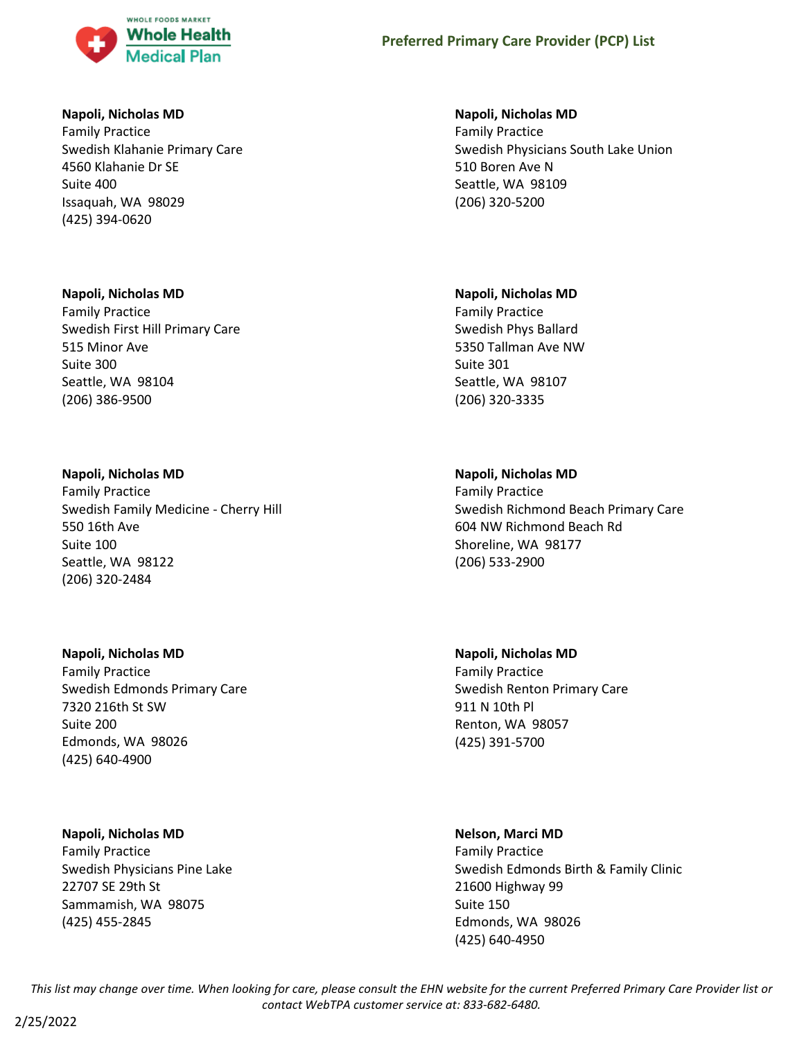

## **Napoli, Nicholas MD**

Family Practice Swedish Klahanie Primary Care 4560 Klahanie Dr SE Suite 400 Issaquah, WA 98029 (425) 394-0620

## **Napoli, Nicholas MD**

Family Practice Swedish First Hill Primary Care 515 Minor Ave Suite 300 Seattle, WA 98104 (206) 386-9500

## **Napoli, Nicholas MD**

Family Practice Swedish Family Medicine - Cherry Hill 550 16th Ave Suite 100 Seattle, WA 98122 (206) 320-2484

## **Napoli, Nicholas MD**

Family Practice Swedish Edmonds Primary Care 7320 216th St SW Suite 200 Edmonds, WA 98026 (425) 640-4900

## **Napoli, Nicholas MD**

Family Practice Swedish Physicians Pine Lake 22707 SE 29th St Sammamish, WA 98075 (425) 455-2845

## **Napoli, Nicholas MD**

Family Practice Swedish Physicians South Lake Union 510 Boren Ave N Seattle, WA 98109 (206) 320-5200

## **Napoli, Nicholas MD**

Family Practice Swedish Phys Ballard 5350 Tallman Ave NW Suite 301 Seattle, WA 98107 (206) 320-3335

# **Napoli, Nicholas MD**

Family Practice Swedish Richmond Beach Primary Care 604 NW Richmond Beach Rd Shoreline, WA 98177 (206) 533-2900

# **Napoli, Nicholas MD** Family Practice Swedish Renton Primary Care 911 N 10th Pl Renton, WA 98057 (425) 391-5700

## **Nelson, Marci MD**

Family Practice Swedish Edmonds Birth & Family Clinic 21600 Highway 99 Suite 150 Edmonds, WA 98026 (425) 640-4950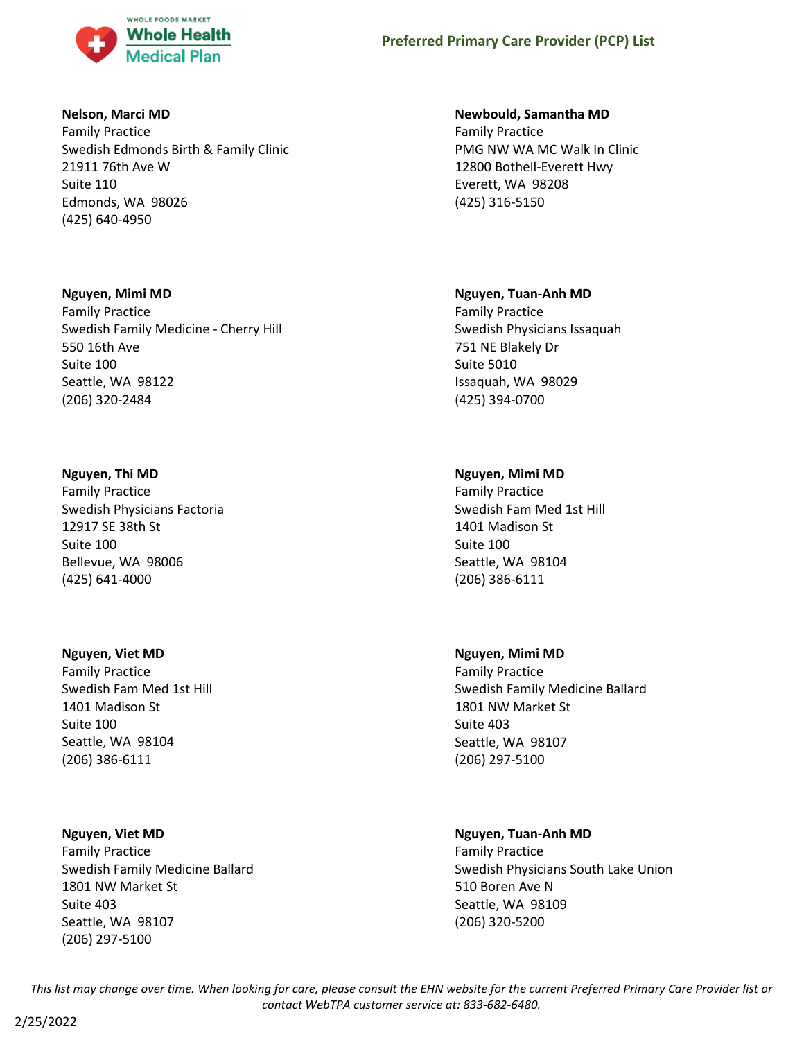

## **Nelson, Marci MD**

Family Practice Swedish Edmonds Birth & Family Clinic 21911 76th Ave W Suite 110 Edmonds, WA 98026 (425) 640-4950

# **Nguyen, Mimi MD**

Family Practice Swedish Family Medicine - Cherry Hill 550 16th Ave Suite 100 Seattle, WA 98122 (206) 320-2484

# **Nguyen, Thi MD**

Family Practice Swedish Physicians Factoria 12917 SE 38th St Suite 100 Bellevue, WA 98006 (425) 641-4000

# **Nguyen, Viet MD**

Family Practice Swedish Fam Med 1st Hill 1401 Madison St Suite 100 Seattle, WA 98104 (206) 386-6111

# **Nguyen, Viet MD**

Family Practice Swedish Family Medicine Ballard 1801 NW Market St Suite 403 Seattle, WA 98107 (206) 297-5100

# **Newbould, Samantha MD**

Family Practice PMG NW WA MC Walk In Clinic 12800 Bothell-Everett Hwy Everett, WA 98208 (425) 316-5150

# **Nguyen, Tuan-Anh MD**

Family Practice Swedish Physicians Issaquah 751 NE Blakely Dr Suite 5010 Issaquah, WA 98029 (425) 394-0700

# **Nguyen, Mimi MD**

Family Practice Swedish Fam Med 1st Hill 1401 Madison St Suite 100 Seattle, WA 98104 (206) 386-6111

# **Nguyen, Mimi MD**

Family Practice Swedish Family Medicine Ballard 1801 NW Market St Suite 403 Seattle, WA 98107 (206) 297-5100

# **Nguyen, Tuan-Anh MD**

Family Practice Swedish Physicians South Lake Union 510 Boren Ave N Seattle, WA 98109 (206) 320-5200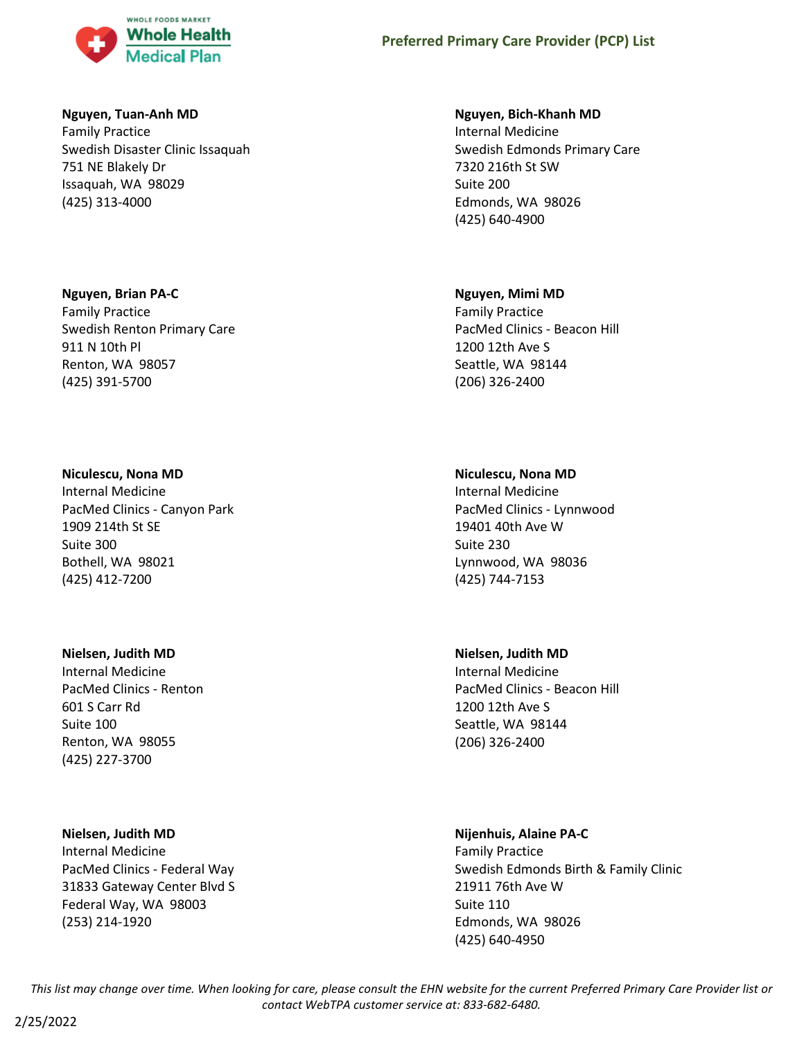

## **Nguyen, Tuan-Anh MD**

Family Practice Swedish Disaster Clinic Issaquah 751 NE Blakely Dr Issaquah, WA 98029 (425) 313-4000

## **Nguyen, Brian PA-C**

Family Practice Swedish Renton Primary Care 911 N 10th Pl Renton, WA 98057 (425) 391-5700

## **Niculescu, Nona MD**

Internal Medicine PacMed Clinics - Canyon Park 1909 214th St SE Suite 300 Bothell, WA 98021 (425) 412-7200

## **Nielsen, Judith MD**

Internal Medicine PacMed Clinics - Renton 601 S Carr Rd Suite 100 Renton, WA 98055 (425) 227-3700

# **Nielsen, Judith MD**

Internal Medicine PacMed Clinics - Federal Way 31833 Gateway Center Blvd S Federal Way, WA 98003 (253) 214-1920

## **Nguyen, Bich-Khanh MD**

Internal Medicine Swedish Edmonds Primary Care 7320 216th St SW Suite 200 Edmonds, WA 98026 (425) 640-4900

## **Nguyen, Mimi MD**

Family Practice PacMed Clinics - Beacon Hill 1200 12th Ave S Seattle, WA 98144 (206) 326-2400

# **Niculescu, Nona MD**

Internal Medicine PacMed Clinics - Lynnwood 19401 40th Ave W Suite 230 Lynnwood, WA 98036 (425) 744-7153

## **Nielsen, Judith MD**

Internal Medicine PacMed Clinics - Beacon Hill 1200 12th Ave S Seattle, WA 98144 (206) 326-2400

## **Nijenhuis, Alaine PA-C**

Family Practice Swedish Edmonds Birth & Family Clinic 21911 76th Ave W Suite 110 Edmonds, WA 98026 (425) 640-4950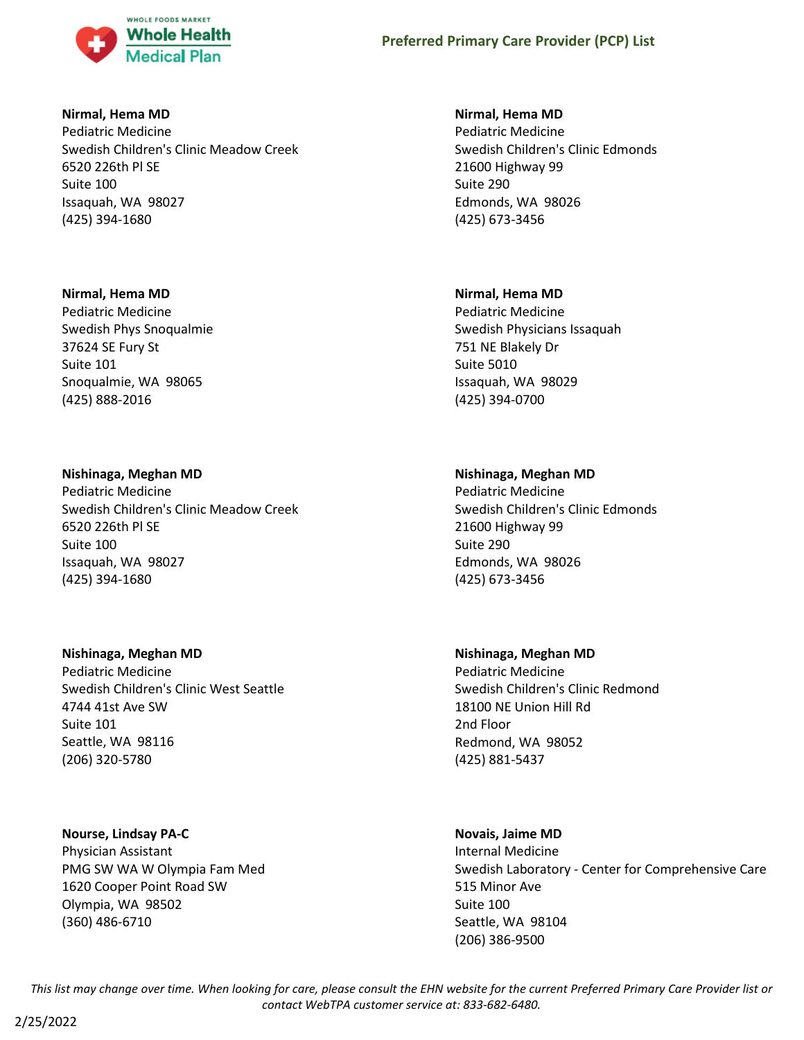

### **Nirmal, Hema MD**

Pediatric Medicine Swedish Children's Clinic Meadow Creek 6520 226th Pl SE Suite 100 Issaquah, WA 98027 (425) 394-1680

## **Nirmal, Hema MD**

Pediatric Medicine Swedish Phys Snoqualmie 37624 SE Fury St Suite 101 Snoqualmie, WA 98065 (425) 888-2016

## **Nishinaga, Meghan MD**

Pediatric Medicine Swedish Children's Clinic Meadow Creek 6520 226th Pl SE Suite 100 Issaquah, WA 98027 (425) 394-1680

## **Nishinaga, Meghan MD**

Pediatric Medicine Swedish Children's Clinic West Seattle 4744 41st Ave SW Suite 101 Seattle, WA 98116 (206) 320-5780

## **Nourse, Lindsay PA-C**

Physician Assistant PMG SW WA W Olympia Fam Med 1620 Cooper Point Road SW Olympia, WA 98502 (360) 486-6710

## **Nirmal, Hema MD**

Pediatric Medicine Swedish Children's Clinic Edmonds 21600 Highway 99 Suite 290 Edmonds, WA 98026 (425) 673-3456

## **Nirmal, Hema MD**

Pediatric Medicine Swedish Physicians Issaquah 751 NE Blakely Dr Suite 5010 Issaquah, WA 98029 (425) 394-0700

# **Nishinaga, Meghan MD**

Pediatric Medicine Swedish Children's Clinic Edmonds 21600 Highway 99 Suite 290 Edmonds, WA 98026 (425) 673-3456

## **Nishinaga, Meghan MD**

Pediatric Medicine Swedish Children's Clinic Redmond 18100 NE Union Hill Rd 2nd Floor Redmond, WA 98052 (425) 881-5437

# **Novais, Jaime MD**

Internal Medicine Swedish Laboratory - Center for Comprehensive Care 515 Minor Ave Suite 100 Seattle, WA 98104 (206) 386-9500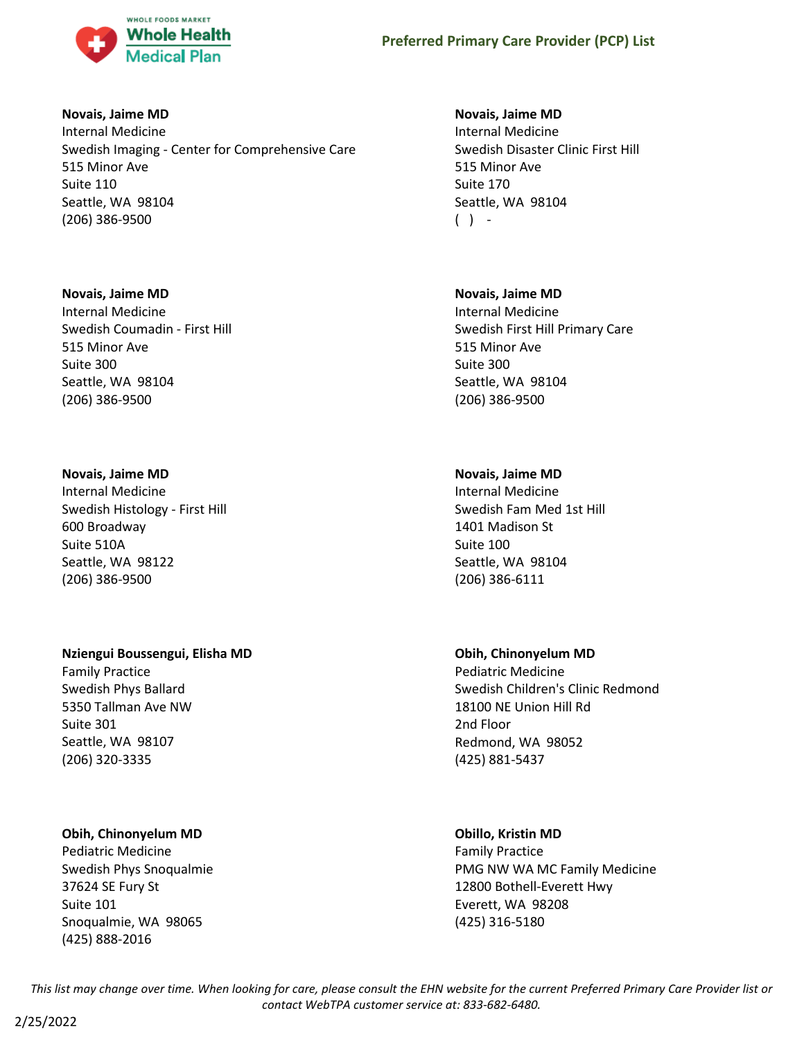

### **Novais, Jaime MD**

Internal Medicine Swedish Imaging - Center for Comprehensive Care 515 Minor Ave Suite 110 Seattle, WA 98104 (206) 386-9500

### **Novais, Jaime MD**

Internal Medicine Swedish Coumadin - First Hill 515 Minor Ave Suite 300 Seattle, WA 98104 (206) 386-9500

## **Novais, Jaime MD**

Internal Medicine Swedish Histology - First Hill 600 Broadway Suite 510A Seattle, WA 98122 (206) 386-9500

## **Nziengui Boussengui, Elisha MD**

Family Practice Swedish Phys Ballard 5350 Tallman Ave NW Suite 301 Seattle, WA 98107 (206) 320-3335

## **Obih, Chinonyelum MD**

Pediatric Medicine Swedish Phys Snoqualmie 37624 SE Fury St Suite 101 Snoqualmie, WA 98065 (425) 888-2016

## **Novais, Jaime MD**

Internal Medicine Swedish Disaster Clinic First Hill 515 Minor Ave Suite 170 Seattle, WA 98104  $( )$  -

## **Novais, Jaime MD**

Internal Medicine Swedish First Hill Primary Care 515 Minor Ave Suite 300 Seattle, WA 98104 (206) 386-9500

## **Novais, Jaime MD**

Internal Medicine Swedish Fam Med 1st Hill 1401 Madison St Suite 100 Seattle, WA 98104 (206) 386-6111

## **Obih, Chinonyelum MD**

Pediatric Medicine Swedish Children's Clinic Redmond 18100 NE Union Hill Rd 2nd Floor Redmond, WA 98052 (425) 881-5437

### **Obillo, Kristin MD**

Family Practice PMG NW WA MC Family Medicine 12800 Bothell-Everett Hwy Everett, WA 98208 (425) 316-5180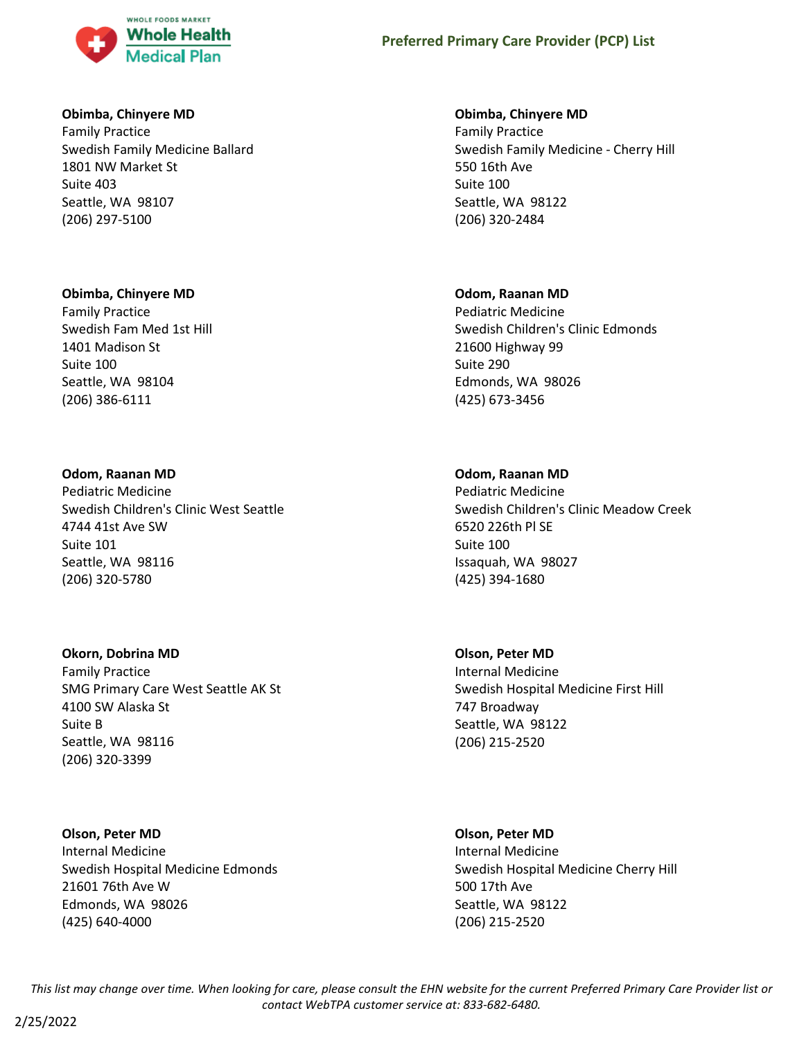

### **Obimba, Chinyere MD**

Family Practice Swedish Family Medicine Ballard 1801 NW Market St Suite 403 Seattle, WA 98107 (206) 297-5100

#### **Obimba, Chinyere MD**

Family Practice Swedish Fam Med 1st Hill 1401 Madison St Suite 100 Seattle, WA 98104 (206) 386-6111

#### **Odom, Raanan MD**

Pediatric Medicine Swedish Children's Clinic West Seattle 4744 41st Ave SW Suite 101 Seattle, WA 98116 (206) 320-5780

### **Okorn, Dobrina MD**

Family Practice SMG Primary Care West Seattle AK St 4100 SW Alaska St Suite B Seattle, WA 98116 (206) 320-3399

# **Olson, Peter MD** Internal Medicine Swedish Hospital Medicine Edmonds 21601 76th Ave W Edmonds, WA 98026 (425) 640-4000

### **Obimba, Chinyere MD**

Family Practice Swedish Family Medicine - Cherry Hill 550 16th Ave Suite 100 Seattle, WA 98122 (206) 320-2484

### **Odom, Raanan MD**

Pediatric Medicine Swedish Children's Clinic Edmonds 21600 Highway 99 Suite 290 Edmonds, WA 98026 (425) 673-3456

## **Odom, Raanan MD**

Pediatric Medicine Swedish Children's Clinic Meadow Creek 6520 226th Pl SE Suite 100 Issaquah, WA 98027 (425) 394-1680

### **Olson, Peter MD**

Internal Medicine Swedish Hospital Medicine First Hill 747 Broadway Seattle, WA 98122 (206) 215-2520

#### **Olson, Peter MD**

Internal Medicine Swedish Hospital Medicine Cherry Hill 500 17th Ave Seattle, WA 98122 (206) 215-2520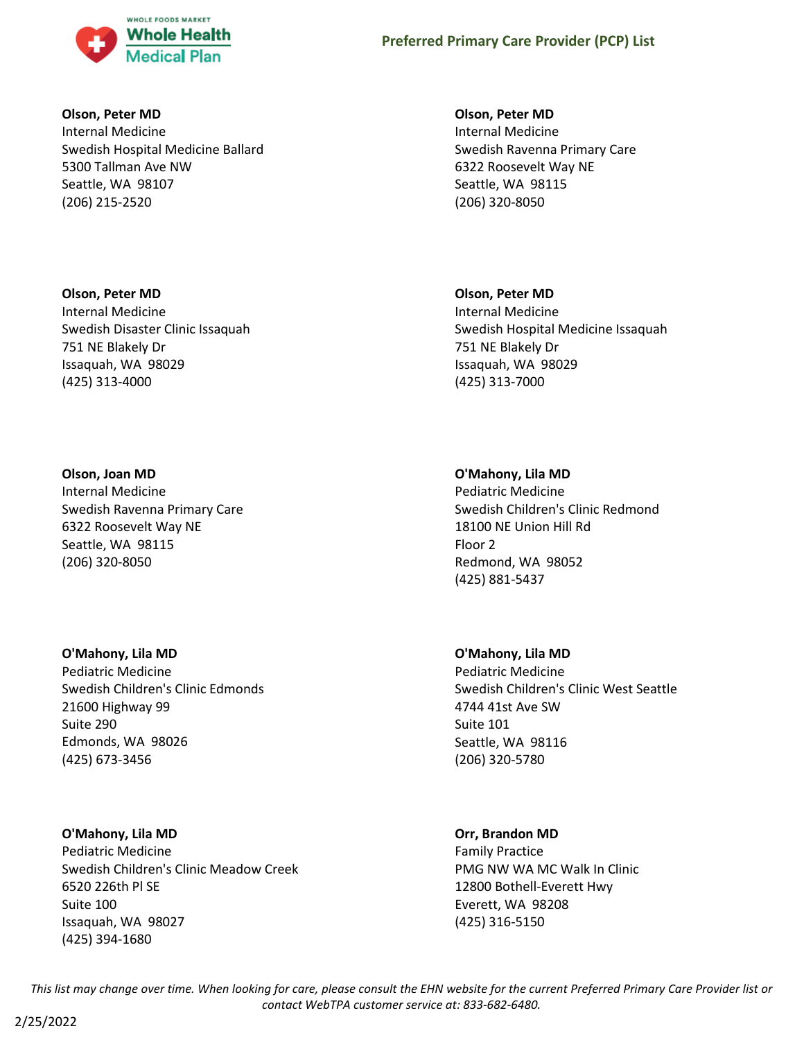

### **Olson, Peter MD**

Internal Medicine Swedish Hospital Medicine Ballard 5300 Tallman Ave NW Seattle, WA 98107 (206) 215-2520

## **Olson, Peter MD**

Internal Medicine Swedish Disaster Clinic Issaquah 751 NE Blakely Dr Issaquah, WA 98029 (425) 313-4000

## **Olson, Joan MD**

Internal Medicine Swedish Ravenna Primary Care 6322 Roosevelt Way NE Seattle, WA 98115 (206) 320-8050

## **O'Mahony, Lila MD**

Pediatric Medicine Swedish Children's Clinic Edmonds 21600 Highway 99 Suite 290 Edmonds, WA 98026 (425) 673-3456

## **O'Mahony, Lila MD**

Pediatric Medicine Swedish Children's Clinic Meadow Creek 6520 226th Pl SE Suite 100 Issaquah, WA 98027 (425) 394-1680

### **Olson, Peter MD**

Internal Medicine Swedish Ravenna Primary Care 6322 Roosevelt Way NE Seattle, WA 98115 (206) 320-8050

## **Olson, Peter MD**

Internal Medicine Swedish Hospital Medicine Issaquah 751 NE Blakely Dr Issaquah, WA 98029 (425) 313-7000

## **O'Mahony, Lila MD**

Pediatric Medicine Swedish Children's Clinic Redmond 18100 NE Union Hill Rd Floor 2 Redmond, WA 98052 (425) 881-5437

### **O'Mahony, Lila MD**

Pediatric Medicine Swedish Children's Clinic West Seattle 4744 41st Ave SW Suite 101 Seattle, WA 98116 (206) 320-5780

## **Orr, Brandon MD**

Family Practice PMG NW WA MC Walk In Clinic 12800 Bothell-Everett Hwy Everett, WA 98208 (425) 316-5150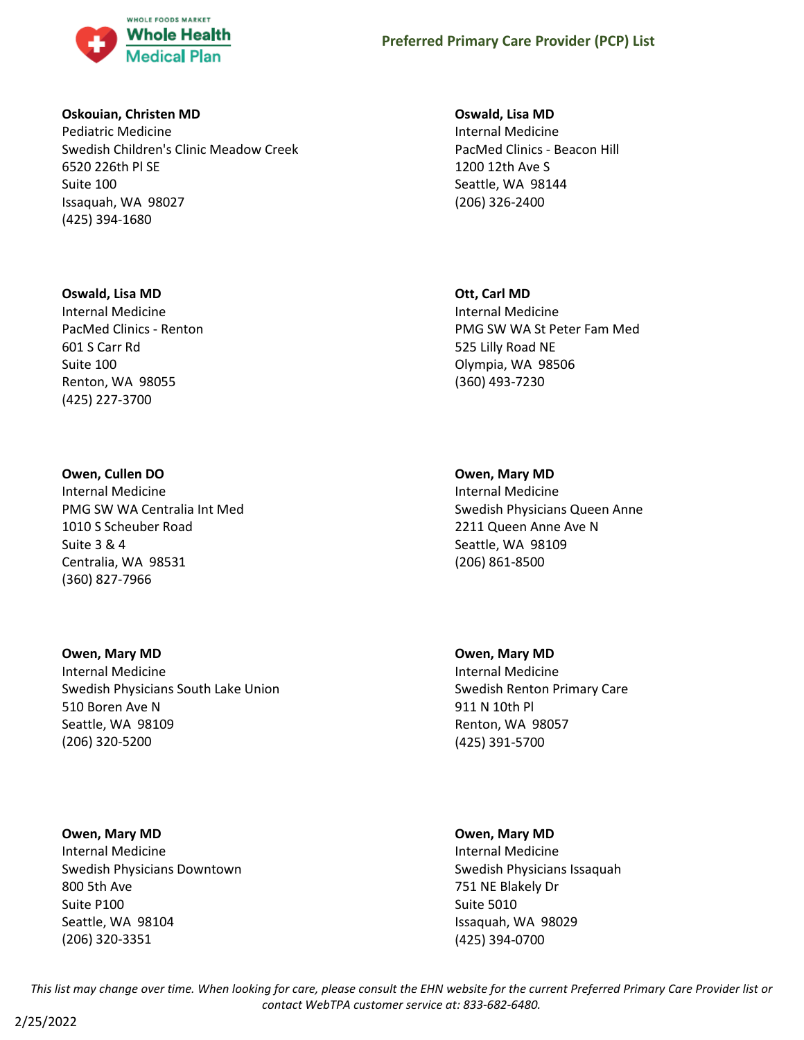

### **Oskouian, Christen MD**

Pediatric Medicine Swedish Children's Clinic Meadow Creek 6520 226th Pl SE Suite 100 Issaquah, WA 98027 (425) 394-1680

## **Oswald, Lisa MD**

Internal Medicine PacMed Clinics - Renton 601 S Carr Rd Suite 100 Renton, WA 98055 (425) 227-3700

## **Owen, Cullen DO**

Internal Medicine PMG SW WA Centralia Int Med 1010 S Scheuber Road Suite 3 & 4 Centralia, WA 98531 (360) 827-7966

### **Owen, Mary MD**

Internal Medicine Swedish Physicians South Lake Union 510 Boren Ave N Seattle, WA 98109 (206) 320-5200

### **Owen, Mary MD**

Internal Medicine Swedish Physicians Downtown 800 5th Ave Suite P100 Seattle, WA 98104 (206) 320-3351

### **Oswald, Lisa MD**

Internal Medicine PacMed Clinics - Beacon Hill 1200 12th Ave S Seattle, WA 98144 (206) 326-2400

## **Ott, Carl MD**

Internal Medicine PMG SW WA St Peter Fam Med 525 Lilly Road NE Olympia, WA 98506 (360) 493-7230

## **Owen, Mary MD**

Internal Medicine Swedish Physicians Queen Anne 2211 Queen Anne Ave N Seattle, WA 98109 (206) 861-8500

## **Owen, Mary MD** Internal Medicine Swedish Renton Primary Care 911 N 10th Pl

Renton, WA 98057 (425) 391-5700

## **Owen, Mary MD**

Internal Medicine Swedish Physicians Issaquah 751 NE Blakely Dr Suite 5010 Issaquah, WA 98029 (425) 394-0700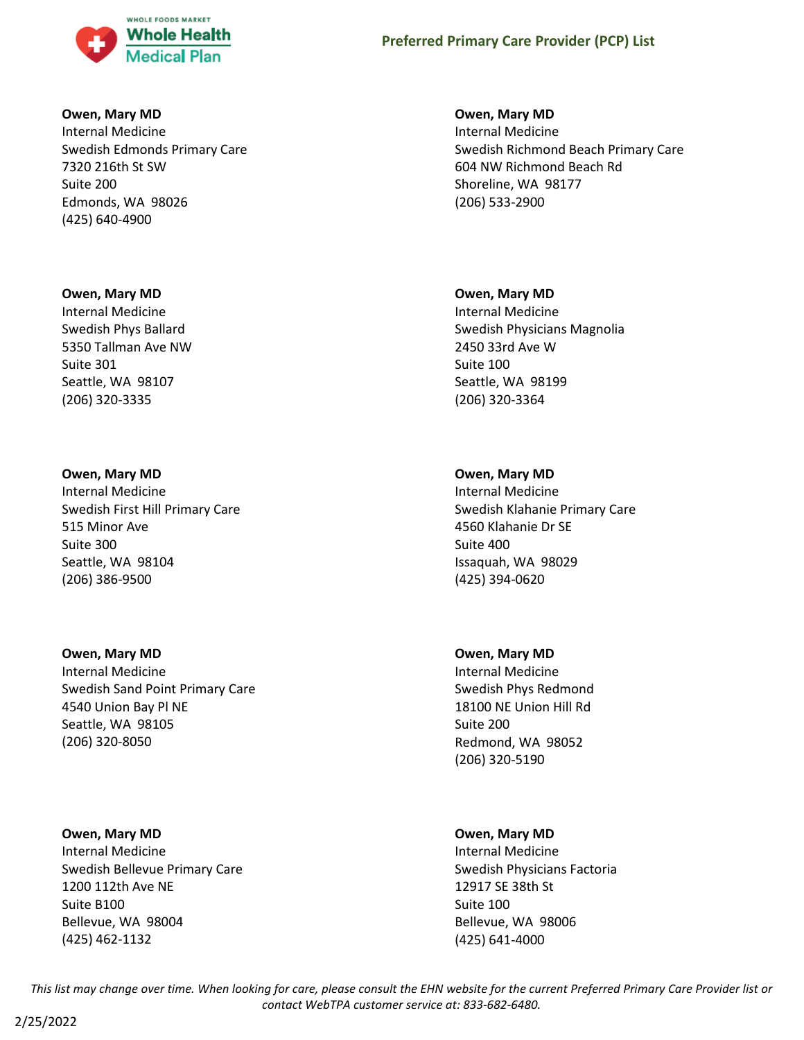

### **Owen, Mary MD**

Internal Medicine Swedish Edmonds Primary Care 7320 216th St SW Suite 200 Edmonds, WA 98026 (425) 640-4900

#### **Owen, Mary MD**

Internal Medicine Swedish Phys Ballard 5350 Tallman Ave NW Suite 301 Seattle, WA 98107 (206) 320-3335

#### **Owen, Mary MD**

Internal Medicine Swedish First Hill Primary Care 515 Minor Ave Suite 300 Seattle, WA 98104 (206) 386-9500

### **Owen, Mary MD**

Internal Medicine Swedish Sand Point Primary Care 4540 Union Bay Pl NE Seattle, WA 98105 (206) 320-8050

### **Owen, Mary MD**

Internal Medicine Swedish Bellevue Primary Care 1200 112th Ave NE Suite B100 Bellevue, WA 98004 (425) 462-1132

### **Owen, Mary MD**

Internal Medicine Swedish Richmond Beach Primary Care 604 NW Richmond Beach Rd Shoreline, WA 98177 (206) 533-2900

#### **Owen, Mary MD**

Internal Medicine Swedish Physicians Magnolia 2450 33rd Ave W Suite 100 Seattle, WA 98199 (206) 320-3364

## **Owen, Mary MD**

Internal Medicine Swedish Klahanie Primary Care 4560 Klahanie Dr SE Suite 400 Issaquah, WA 98029 (425) 394-0620

### **Owen, Mary MD**

Internal Medicine Swedish Phys Redmond 18100 NE Union Hill Rd Suite 200 Redmond, WA 98052 (206) 320-5190

### **Owen, Mary MD**

Internal Medicine Swedish Physicians Factoria 12917 SE 38th St Suite 100 Bellevue, WA 98006 (425) 641-4000

*This list may change over time. When looking for care, please consult the EHN website for the current Preferred Primary Care Provider list or contact WebTPA customer service at: 833-682-6480.*

2/25/2022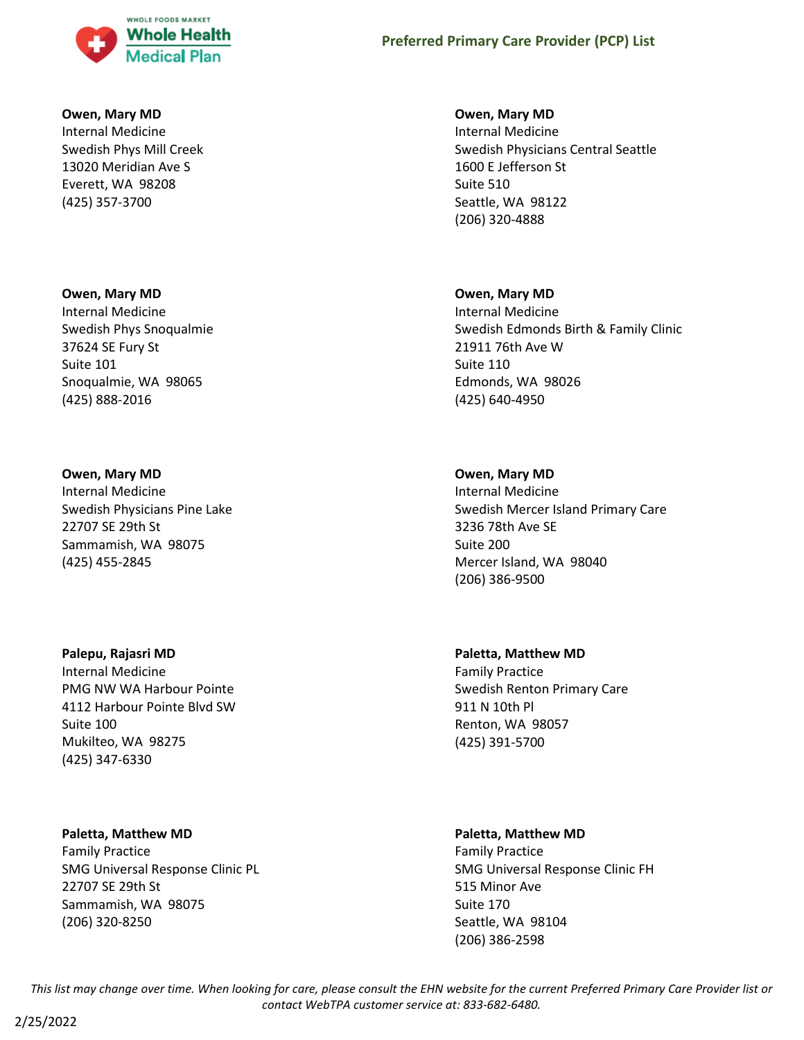

#### **Owen, Mary MD**

Internal Medicine Swedish Phys Mill Creek 13020 Meridian Ave S Everett, WA 98208 (425) 357-3700

#### **Owen, Mary MD**

Internal Medicine Swedish Phys Snoqualmie 37624 SE Fury St Suite 101 Snoqualmie, WA 98065 (425) 888-2016

#### **Owen, Mary MD**

Internal Medicine Swedish Physicians Pine Lake 22707 SE 29th St Sammamish, WA 98075 (425) 455-2845

#### **Palepu, Rajasri MD**

Internal Medicine PMG NW WA Harbour Pointe 4112 Harbour Pointe Blvd SW Suite 100 Mukilteo, WA 98275 (425) 347-6330

#### **Paletta, Matthew MD**

Family Practice SMG Universal Response Clinic PL 22707 SE 29th St Sammamish, WA 98075 (206) 320-8250

#### **Owen, Mary MD**

Internal Medicine Swedish Physicians Central Seattle 1600 E Jefferson St Suite 510 Seattle, WA 98122 (206) 320-4888

#### **Owen, Mary MD**

Internal Medicine Swedish Edmonds Birth & Family Clinic 21911 76th Ave W Suite 110 Edmonds, WA 98026 (425) 640-4950

### **Owen, Mary MD**

Internal Medicine Swedish Mercer Island Primary Care 3236 78th Ave SE Suite 200 Mercer Island, WA 98040 (206) 386-9500

## **Paletta, Matthew MD**

Family Practice Swedish Renton Primary Care 911 N 10th Pl Renton, WA 98057 (425) 391-5700

#### **Paletta, Matthew MD**

Family Practice SMG Universal Response Clinic FH 515 Minor Ave Suite 170 Seattle, WA 98104 (206) 386-2598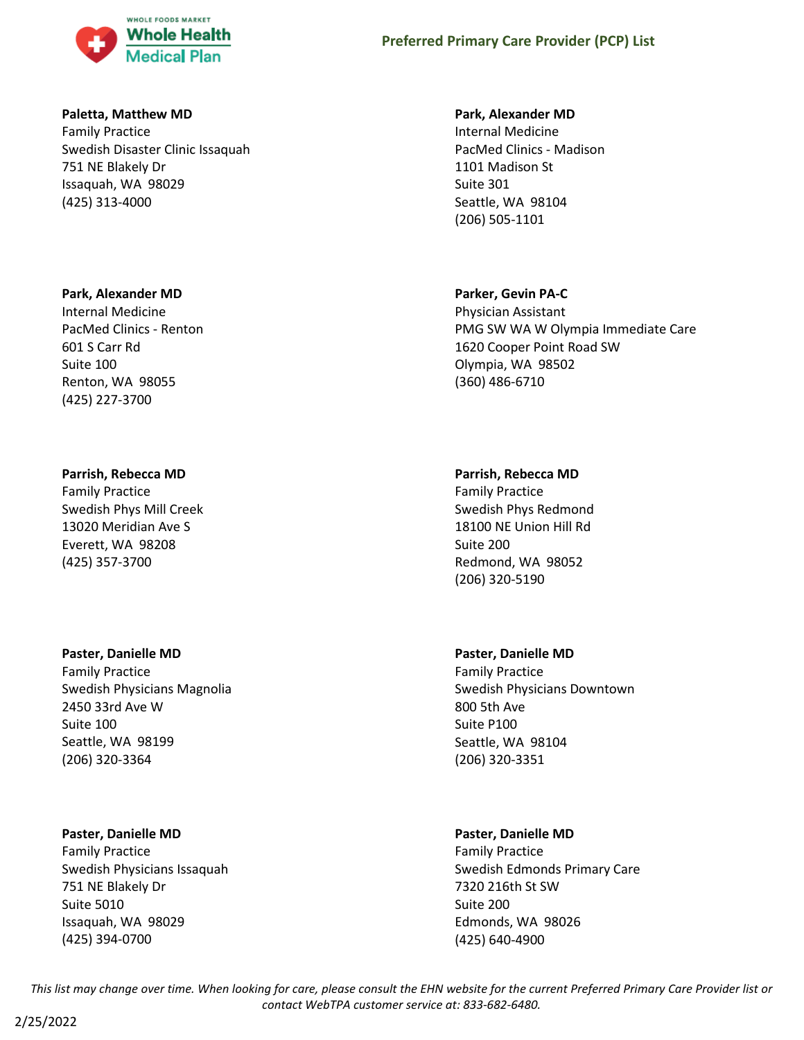

### **Paletta, Matthew MD**

Family Practice Swedish Disaster Clinic Issaquah 751 NE Blakely Dr Issaquah, WA 98029 (425) 313-4000

### **Park, Alexander MD**

Internal Medicine PacMed Clinics - Renton 601 S Carr Rd Suite 100 Renton, WA 98055 (425) 227-3700

### **Parrish, Rebecca MD**

Family Practice Swedish Phys Mill Creek 13020 Meridian Ave S Everett, WA 98208 (425) 357-3700

#### **Paster, Danielle MD**

Family Practice Swedish Physicians Magnolia 2450 33rd Ave W Suite 100 Seattle, WA 98199 (206) 320-3364

#### **Paster, Danielle MD**

Family Practice Swedish Physicians Issaquah 751 NE Blakely Dr Suite 5010 Issaquah, WA 98029 (425) 394-0700

#### **Park, Alexander MD**

Internal Medicine PacMed Clinics - Madison 1101 Madison St Suite 301 Seattle, WA 98104 (206) 505-1101

#### **Parker, Gevin PA-C**

Physician Assistant PMG SW WA W Olympia Immediate Care 1620 Cooper Point Road SW Olympia, WA 98502 (360) 486-6710

#### **Parrish, Rebecca MD**

Family Practice Swedish Phys Redmond 18100 NE Union Hill Rd Suite 200 Redmond, WA 98052 (206) 320-5190

#### **Paster, Danielle MD**

Family Practice Swedish Physicians Downtown 800 5th Ave Suite P100 Seattle, WA 98104 (206) 320-3351

### **Paster, Danielle MD**

Family Practice Swedish Edmonds Primary Care 7320 216th St SW Suite 200 Edmonds, WA 98026 (425) 640-4900

*This list may change over time. When looking for care, please consult the EHN website for the current Preferred Primary Care Provider list or contact WebTPA customer service at: 833-682-6480.*

2/25/2022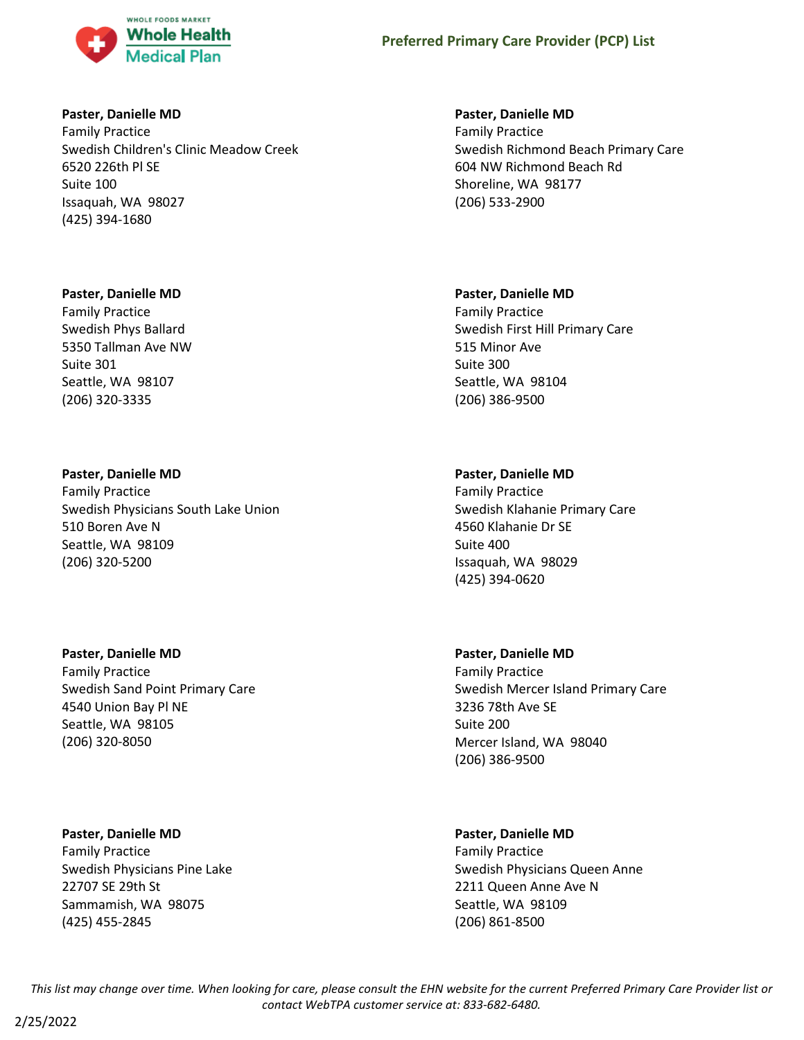

### **Paster, Danielle MD**

Family Practice Swedish Children's Clinic Meadow Creek 6520 226th Pl SE Suite 100 Issaquah, WA 98027 (425) 394-1680

## **Paster, Danielle MD**

Family Practice Swedish Phys Ballard 5350 Tallman Ave NW Suite 301 Seattle, WA 98107 (206) 320-3335

## **Paster, Danielle MD**

Family Practice Swedish Physicians South Lake Union 510 Boren Ave N Seattle, WA 98109 (206) 320-5200

## **Paster, Danielle MD**

Family Practice Swedish Sand Point Primary Care 4540 Union Bay Pl NE Seattle, WA 98105 (206) 320-8050

### **Paster, Danielle MD**

Family Practice Swedish Physicians Pine Lake 22707 SE 29th St Sammamish, WA 98075 (425) 455-2845

## **Paster, Danielle MD**

Family Practice Swedish Richmond Beach Primary Care 604 NW Richmond Beach Rd Shoreline, WA 98177 (206) 533-2900

## **Paster, Danielle MD**

Family Practice Swedish First Hill Primary Care 515 Minor Ave Suite 300 Seattle, WA 98104 (206) 386-9500

## **Paster, Danielle MD**

Family Practice Swedish Klahanie Primary Care 4560 Klahanie Dr SE Suite 400 Issaquah, WA 98029 (425) 394-0620

## **Paster, Danielle MD**

Family Practice Swedish Mercer Island Primary Care 3236 78th Ave SE Suite 200 Mercer Island, WA 98040 (206) 386-9500

## **Paster, Danielle MD**

Family Practice Swedish Physicians Queen Anne 2211 Queen Anne Ave N Seattle, WA 98109 (206) 861-8500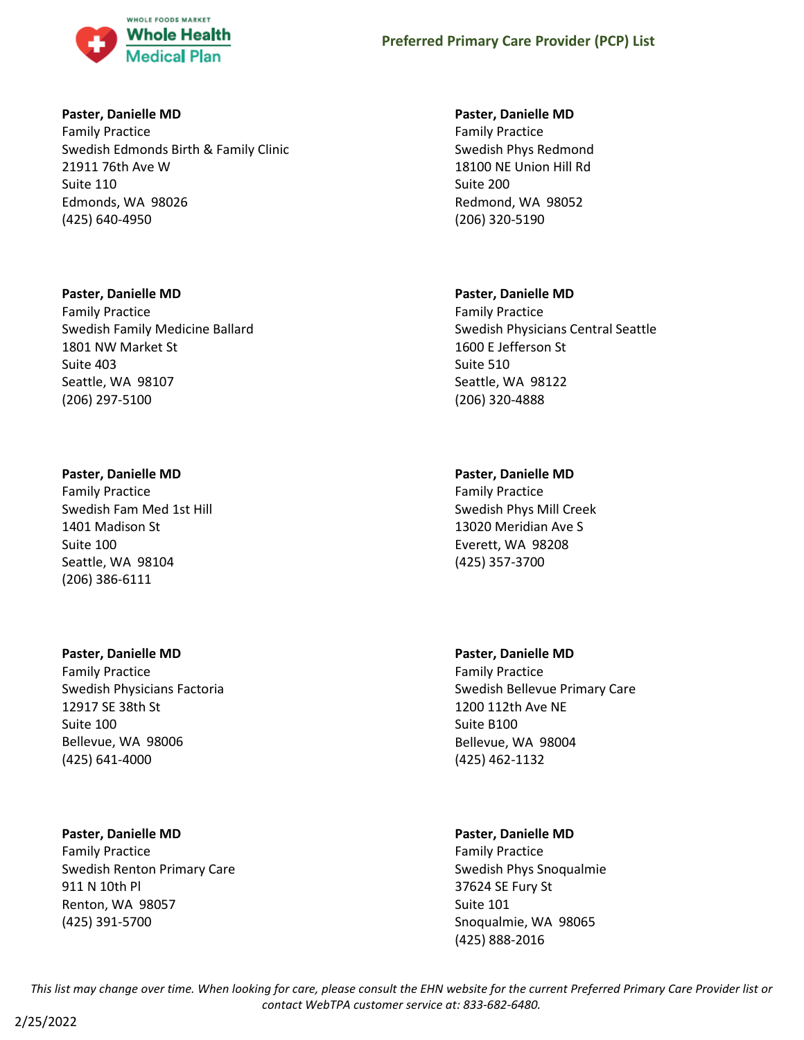

## **Paster, Danielle MD**

Family Practice Swedish Edmonds Birth & Family Clinic 21911 76th Ave W Suite 110 Edmonds, WA 98026 (425) 640-4950

## **Paster, Danielle MD**

Family Practice Swedish Family Medicine Ballard 1801 NW Market St Suite 403 Seattle, WA 98107 (206) 297-5100

## **Paster, Danielle MD**

Family Practice Swedish Fam Med 1st Hill 1401 Madison St Suite 100 Seattle, WA 98104 (206) 386-6111

## **Paster, Danielle MD**

Family Practice Swedish Physicians Factoria 12917 SE 38th St Suite 100 Bellevue, WA 98006 (425) 641-4000

## **Paster, Danielle MD**

Family Practice Swedish Renton Primary Care 911 N 10th Pl Renton, WA 98057 (425) 391-5700

## **Paster, Danielle MD**

Family Practice Swedish Phys Redmond 18100 NE Union Hill Rd Suite 200 Redmond, WA 98052 (206) 320-5190

## **Paster, Danielle MD**

Family Practice Swedish Physicians Central Seattle 1600 E Jefferson St Suite 510 Seattle, WA 98122 (206) 320-4888

## **Paster, Danielle MD**

Family Practice Swedish Phys Mill Creek 13020 Meridian Ave S Everett, WA 98208 (425) 357-3700

## **Paster, Danielle MD**

Family Practice Swedish Bellevue Primary Care 1200 112th Ave NE Suite B100 Bellevue, WA 98004 (425) 462-1132

## **Paster, Danielle MD**

Family Practice Swedish Phys Snoqualmie 37624 SE Fury St Suite 101 Snoqualmie, WA 98065 (425) 888-2016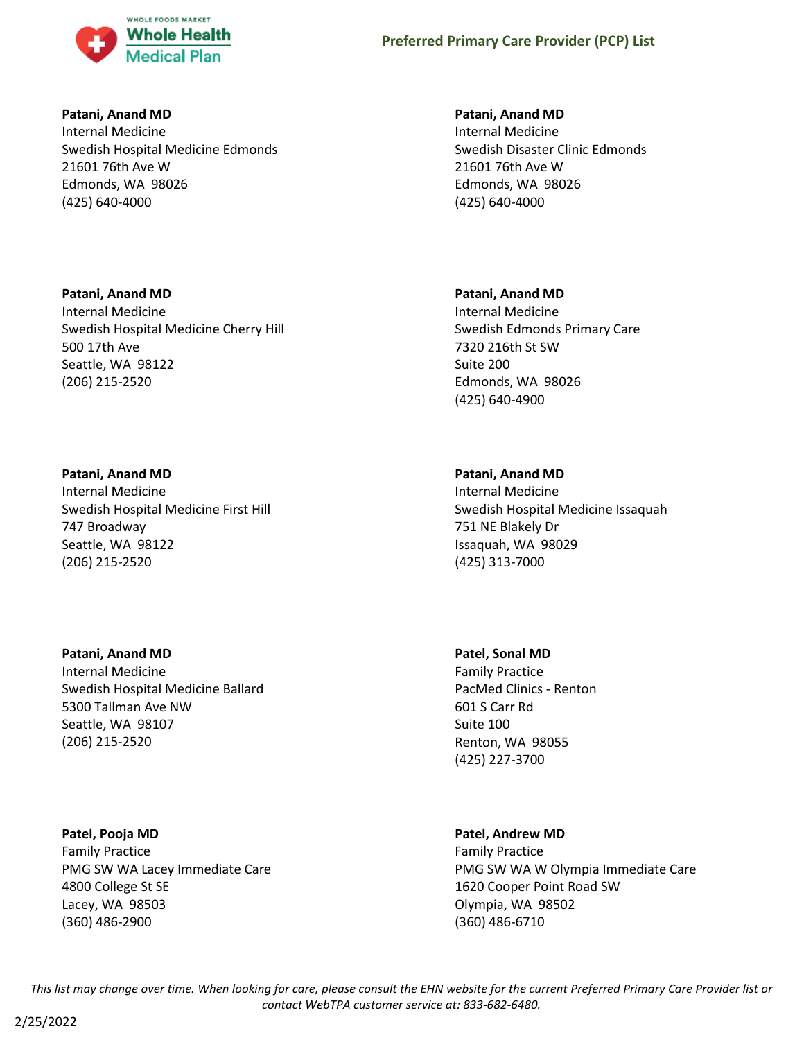

### **Patani, Anand MD**

Internal Medicine Swedish Hospital Medicine Edmonds 21601 76th Ave W Edmonds, WA 98026 (425) 640-4000

# **Patani, Anand MD** Internal Medicine Swedish Hospital Medicine Cherry Hill 500 17th Ave Seattle, WA 98122 (206) 215-2520

## **Patani, Anand MD** Internal Medicine Swedish Hospital Medicine First Hill 747 Broadway Seattle, WA 98122 (206) 215-2520

**Patani, Anand MD** Internal Medicine Swedish Hospital Medicine Ballard 5300 Tallman Ave NW Seattle, WA 98107 (206) 215-2520

**Patel, Pooja MD** Family Practice PMG SW WA Lacey Immediate Care 4800 College St SE Lacey, WA 98503 (360) 486-2900

### **Patani, Anand MD**

Internal Medicine Swedish Disaster Clinic Edmonds 21601 76th Ave W Edmonds, WA 98026 (425) 640-4000

## **Patani, Anand MD**

Internal Medicine Swedish Edmonds Primary Care 7320 216th St SW Suite 200 Edmonds, WA 98026 (425) 640-4900

## **Patani, Anand MD**

Internal Medicine Swedish Hospital Medicine Issaquah 751 NE Blakely Dr Issaquah, WA 98029 (425) 313-7000

**Patel, Sonal MD** Family Practice PacMed Clinics - Renton 601 S Carr Rd Suite 100 Renton, WA 98055 (425) 227-3700

### **Patel, Andrew MD**

Family Practice PMG SW WA W Olympia Immediate Care 1620 Cooper Point Road SW Olympia, WA 98502 (360) 486-6710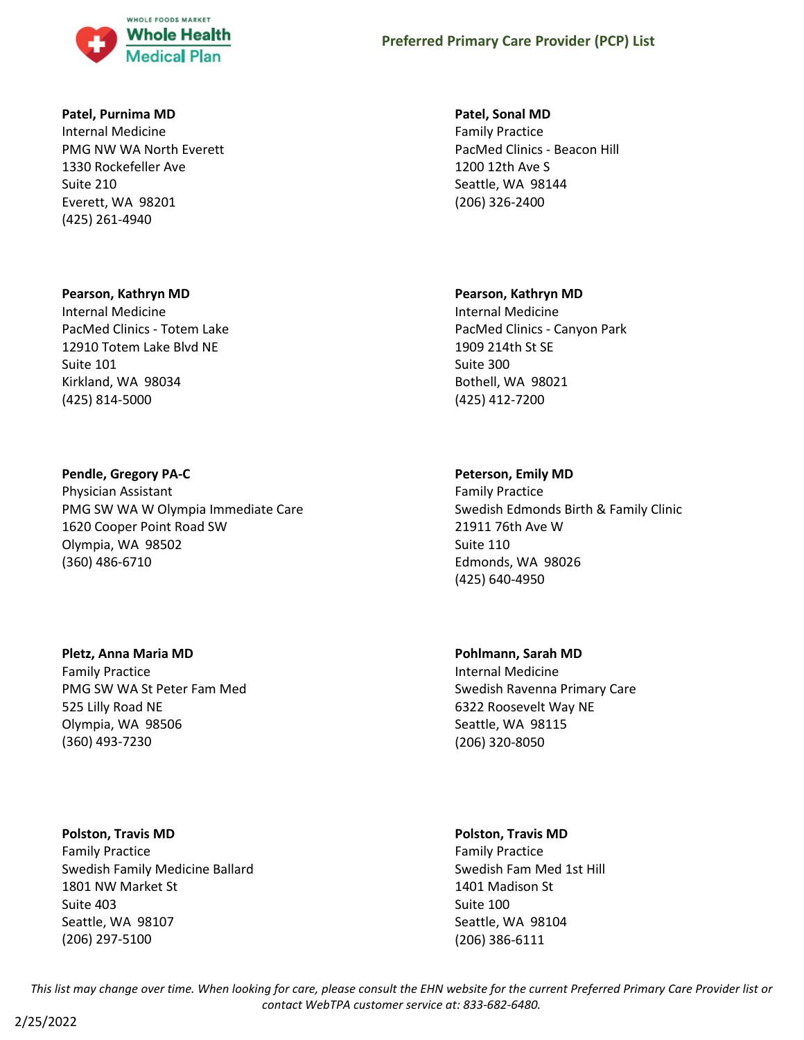

### **Patel, Purnima MD**

Internal Medicine PMG NW WA North Everett 1330 Rockefeller Ave Suite 210 Everett, WA 98201 (425) 261-4940

#### **Pearson, Kathryn MD**

Internal Medicine PacMed Clinics - Totem Lake 12910 Totem Lake Blvd NE Suite 101 Kirkland, WA 98034 (425) 814-5000

### **Pendle, Gregory PA-C**

Physician Assistant PMG SW WA W Olympia Immediate Care 1620 Cooper Point Road SW Olympia, WA 98502 (360) 486-6710

### **Pletz, Anna Maria MD**

Family Practice PMG SW WA St Peter Fam Med 525 Lilly Road NE Olympia, WA 98506 (360) 493-7230

#### **Polston, Travis MD**

Family Practice Swedish Family Medicine Ballard 1801 NW Market St Suite 403 Seattle, WA 98107 (206) 297-5100

#### **Patel, Sonal MD**

Family Practice PacMed Clinics - Beacon Hill 1200 12th Ave S Seattle, WA 98144 (206) 326-2400

#### **Pearson, Kathryn MD**

Internal Medicine PacMed Clinics - Canyon Park 1909 214th St SE Suite 300 Bothell, WA 98021 (425) 412-7200

### **Peterson, Emily MD**

Family Practice Swedish Edmonds Birth & Family Clinic 21911 76th Ave W Suite 110 Edmonds, WA 98026 (425) 640-4950

## **Pohlmann, Sarah MD**

Internal Medicine Swedish Ravenna Primary Care 6322 Roosevelt Way NE Seattle, WA 98115 (206) 320-8050

### **Polston, Travis MD**

Family Practice Swedish Fam Med 1st Hill 1401 Madison St Suite 100 Seattle, WA 98104 (206) 386-6111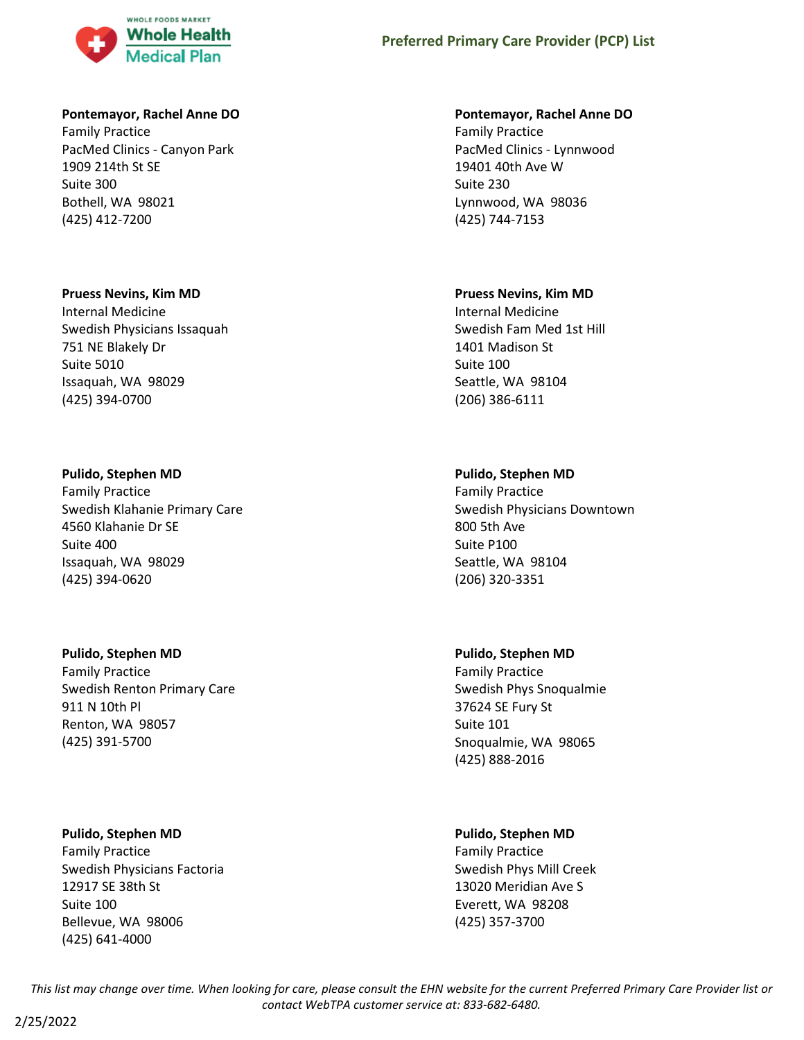

### **Pontemayor, Rachel Anne DO**

Family Practice PacMed Clinics - Canyon Park 1909 214th St SE Suite 300 Bothell, WA 98021 (425) 412-7200

#### **Pruess Nevins, Kim MD**

Internal Medicine Swedish Physicians Issaquah 751 NE Blakely Dr Suite 5010 Issaquah, WA 98029 (425) 394-0700

#### **Pulido, Stephen MD**

Family Practice Swedish Klahanie Primary Care 4560 Klahanie Dr SE Suite 400 Issaquah, WA 98029 (425) 394-0620

## **Pulido, Stephen MD**

Family Practice Swedish Renton Primary Care 911 N 10th Pl Renton, WA 98057 (425) 391-5700

#### **Pulido, Stephen MD**

Family Practice Swedish Physicians Factoria 12917 SE 38th St Suite 100 Bellevue, WA 98006 (425) 641-4000

#### **Pontemayor, Rachel Anne DO**

Family Practice PacMed Clinics - Lynnwood 19401 40th Ave W Suite 230 Lynnwood, WA 98036 (425) 744-7153

#### **Pruess Nevins, Kim MD**

Internal Medicine Swedish Fam Med 1st Hill 1401 Madison St Suite 100 Seattle, WA 98104 (206) 386-6111

### **Pulido, Stephen MD**

Family Practice Swedish Physicians Downtown 800 5th Ave Suite P100 Seattle, WA 98104 (206) 320-3351

### **Pulido, Stephen MD**

Family Practice Swedish Phys Snoqualmie 37624 SE Fury St Suite 101 Snoqualmie, WA 98065 (425) 888-2016

### **Pulido, Stephen MD**

Family Practice Swedish Phys Mill Creek 13020 Meridian Ave S Everett, WA 98208 (425) 357-3700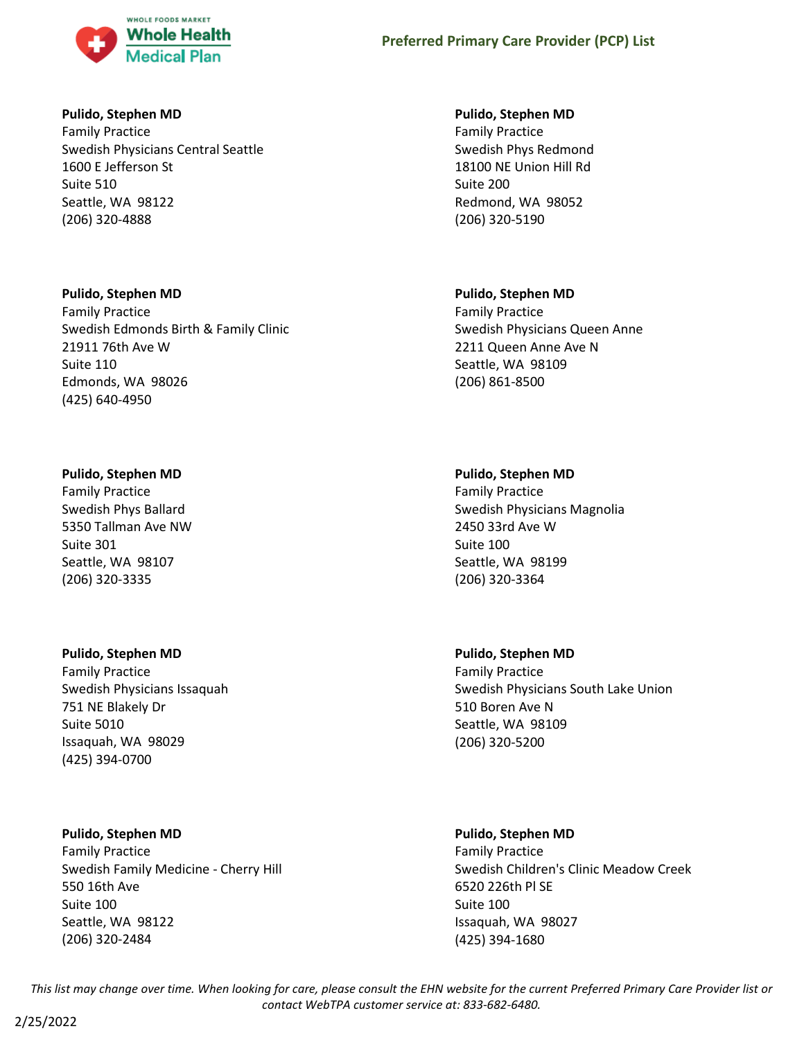

### **Pulido, Stephen MD**

Family Practice Swedish Physicians Central Seattle 1600 E Jefferson St Suite 510 Seattle, WA 98122 (206) 320-4888

## **Pulido, Stephen MD**

Family Practice Swedish Edmonds Birth & Family Clinic 21911 76th Ave W Suite 110 Edmonds, WA 98026 (425) 640-4950

## **Pulido, Stephen MD**

Family Practice Swedish Phys Ballard 5350 Tallman Ave NW Suite 301 Seattle, WA 98107 (206) 320-3335

## **Pulido, Stephen MD**

Family Practice Swedish Physicians Issaquah 751 NE Blakely Dr Suite 5010 Issaquah, WA 98029 (425) 394-0700

## **Pulido, Stephen MD**

Family Practice Swedish Family Medicine - Cherry Hill 550 16th Ave Suite 100 Seattle, WA 98122 (206) 320-2484

### **Pulido, Stephen MD**

Family Practice Swedish Phys Redmond 18100 NE Union Hill Rd Suite 200 Redmond, WA 98052 (206) 320-5190

## **Pulido, Stephen MD**

Family Practice Swedish Physicians Queen Anne 2211 Queen Anne Ave N Seattle, WA 98109 (206) 861-8500

## **Pulido, Stephen MD**

Family Practice Swedish Physicians Magnolia 2450 33rd Ave W Suite 100 Seattle, WA 98199 (206) 320-3364

### **Pulido, Stephen MD**

Family Practice Swedish Physicians South Lake Union 510 Boren Ave N Seattle, WA 98109 (206) 320-5200

## **Pulido, Stephen MD**

Family Practice Swedish Children's Clinic Meadow Creek 6520 226th Pl SE Suite 100 Issaquah, WA 98027 (425) 394-1680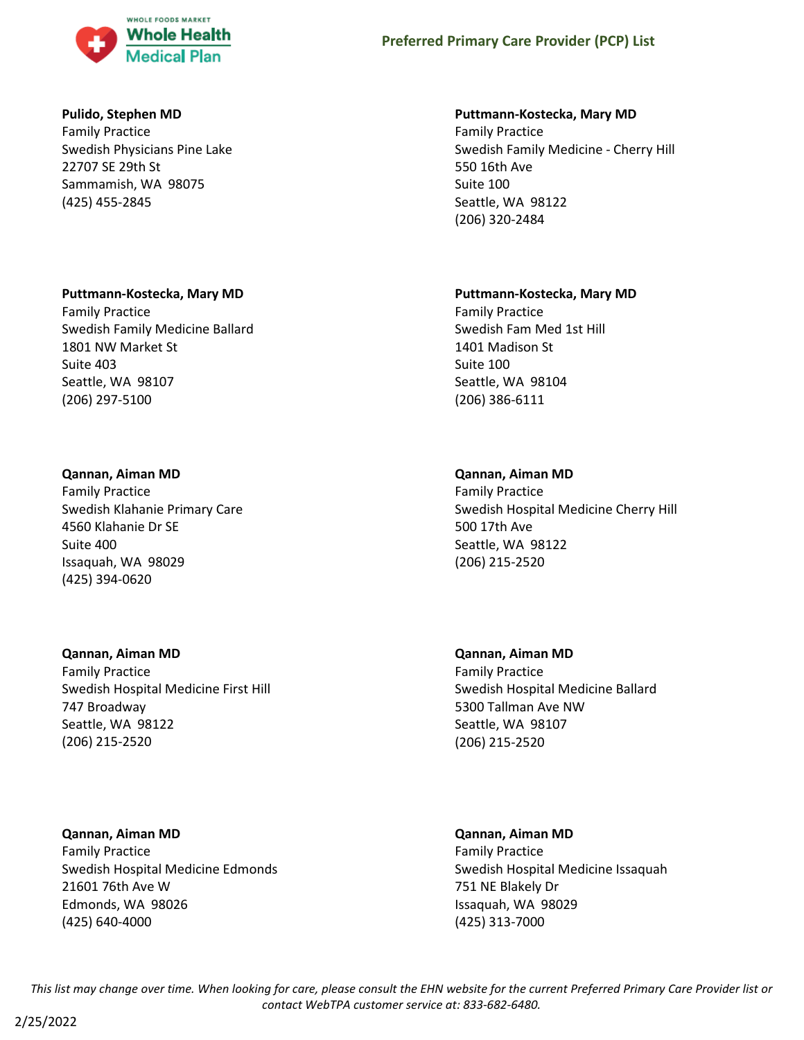

### **Pulido, Stephen MD**

Family Practice Swedish Physicians Pine Lake 22707 SE 29th St Sammamish, WA 98075 (425) 455-2845

### **Puttmann-Kostecka, Mary MD**

Family Practice Swedish Family Medicine Ballard 1801 NW Market St Suite 403 Seattle, WA 98107 (206) 297-5100

#### **Qannan, Aiman MD**

Family Practice Swedish Klahanie Primary Care 4560 Klahanie Dr SE Suite 400 Issaquah, WA 98029 (425) 394-0620

## **Qannan, Aiman MD**

Family Practice Swedish Hospital Medicine First Hill 747 Broadway Seattle, WA 98122 (206) 215-2520

**Qannan, Aiman MD** Family Practice Swedish Hospital Medicine Edmonds 21601 76th Ave W Edmonds, WA 98026 (425) 640-4000

#### **Puttmann-Kostecka, Mary MD**

Family Practice Swedish Family Medicine - Cherry Hill 550 16th Ave Suite 100 Seattle, WA 98122 (206) 320-2484

#### **Puttmann-Kostecka, Mary MD**

Family Practice Swedish Fam Med 1st Hill 1401 Madison St Suite 100 Seattle, WA 98104 (206) 386-6111

### **Qannan, Aiman MD**

Family Practice Swedish Hospital Medicine Cherry Hill 500 17th Ave Seattle, WA 98122 (206) 215-2520

**Qannan, Aiman MD** Family Practice Swedish Hospital Medicine Ballard 5300 Tallman Ave NW Seattle, WA 98107 (206) 215-2520

# **Qannan, Aiman MD**

Family Practice Swedish Hospital Medicine Issaquah 751 NE Blakely Dr Issaquah, WA 98029 (425) 313-7000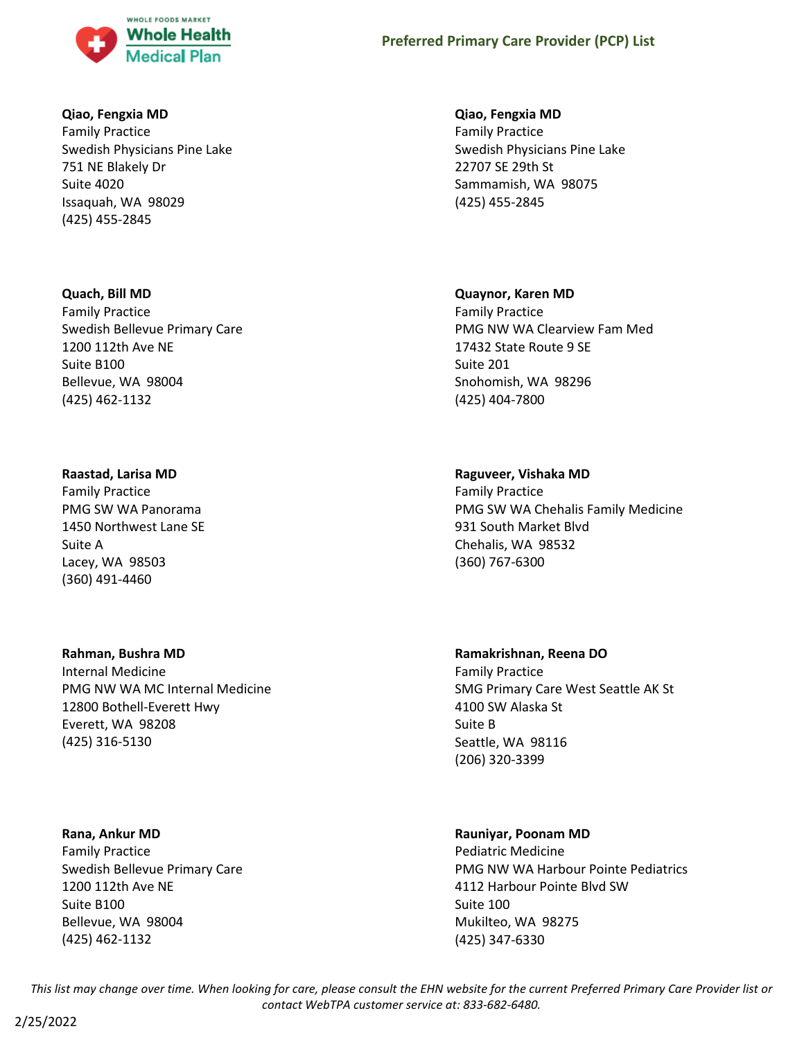

### **Qiao, Fengxia MD**

Family Practice Swedish Physicians Pine Lake 751 NE Blakely Dr Suite 4020 Issaquah, WA 98029 (425) 455-2845

#### **Quach, Bill MD**

Family Practice Swedish Bellevue Primary Care 1200 112th Ave NE Suite B100 Bellevue, WA 98004 (425) 462-1132

#### **Raastad, Larisa MD**

Family Practice PMG SW WA Panorama 1450 Northwest Lane SE Suite A Lacey, WA 98503 (360) 491-4460

### **Rahman, Bushra MD**

Internal Medicine PMG NW WA MC Internal Medicine 12800 Bothell-Everett Hwy Everett, WA 98208 (425) 316-5130

#### **Rana, Ankur MD**

Family Practice Swedish Bellevue Primary Care 1200 112th Ave NE Suite B100 Bellevue, WA 98004 (425) 462-1132

### **Qiao, Fengxia MD**

Family Practice Swedish Physicians Pine Lake 22707 SE 29th St Sammamish, WA 98075 (425) 455-2845

#### **Quaynor, Karen MD**

Family Practice PMG NW WA Clearview Fam Med 17432 State Route 9 SE Suite 201 Snohomish, WA 98296 (425) 404-7800

### **Raguveer, Vishaka MD**

Family Practice PMG SW WA Chehalis Family Medicine 931 South Market Blvd Chehalis, WA 98532 (360) 767-6300

### **Ramakrishnan, Reena DO**

Family Practice SMG Primary Care West Seattle AK St 4100 SW Alaska St Suite B Seattle, WA 98116 (206) 320-3399

### **Rauniyar, Poonam MD**

Pediatric Medicine PMG NW WA Harbour Pointe Pediatrics 4112 Harbour Pointe Blvd SW Suite 100 Mukilteo, WA 98275 (425) 347-6330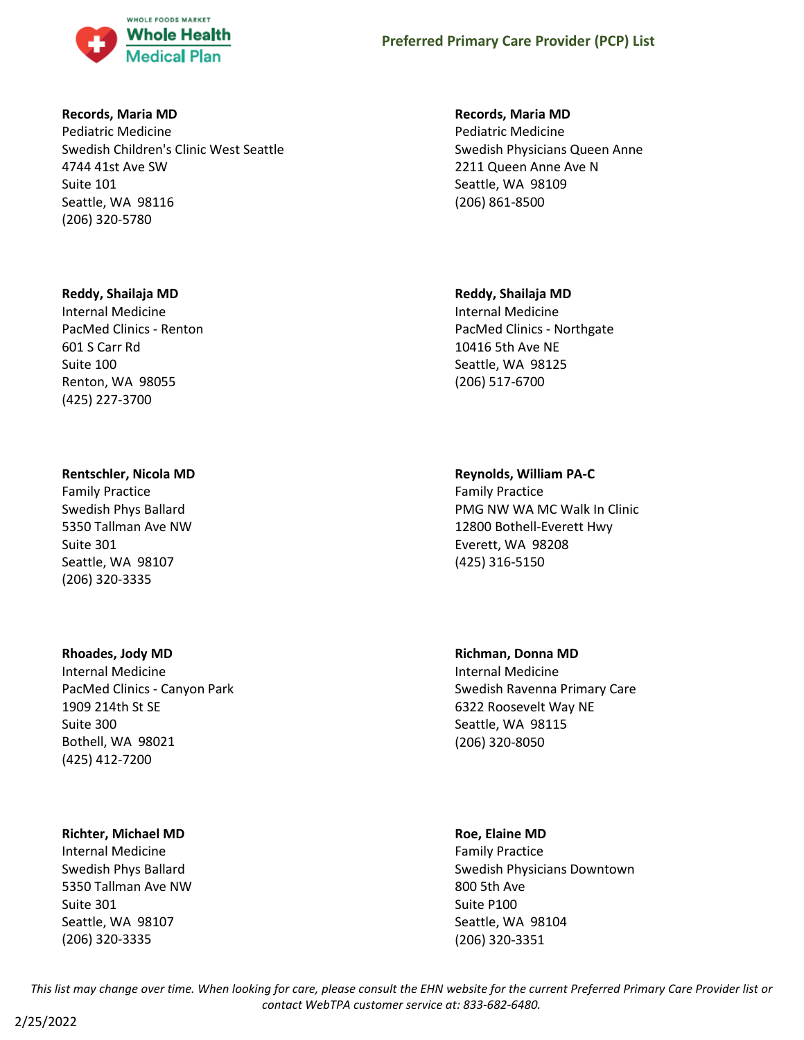

### **Records, Maria MD**

Pediatric Medicine Swedish Children's Clinic West Seattle 4744 41st Ave SW Suite 101 Seattle, WA 98116 (206) 320-5780

### **Reddy, Shailaja MD**

Internal Medicine PacMed Clinics - Renton 601 S Carr Rd Suite 100 Renton, WA 98055 (425) 227-3700

### **Rentschler, Nicola MD**

Family Practice Swedish Phys Ballard 5350 Tallman Ave NW Suite 301 Seattle, WA 98107 (206) 320-3335

### **Rhoades, Jody MD**

Internal Medicine PacMed Clinics - Canyon Park 1909 214th St SE Suite 300 Bothell, WA 98021 (425) 412-7200

### **Richter, Michael MD**

Internal Medicine Swedish Phys Ballard 5350 Tallman Ave NW Suite 301 Seattle, WA 98107 (206) 320-3335

#### **Records, Maria MD**

Pediatric Medicine Swedish Physicians Queen Anne 2211 Queen Anne Ave N Seattle, WA 98109 (206) 861-8500

### **Reddy, Shailaja MD**

Internal Medicine PacMed Clinics - Northgate 10416 5th Ave NE Seattle, WA 98125 (206) 517-6700

### **Reynolds, William PA-C**

Family Practice PMG NW WA MC Walk In Clinic 12800 Bothell-Everett Hwy Everett, WA 98208 (425) 316-5150

# **Richman, Donna MD**

Internal Medicine Swedish Ravenna Primary Care 6322 Roosevelt Way NE Seattle, WA 98115 (206) 320-8050

#### **Roe, Elaine MD**

Family Practice Swedish Physicians Downtown 800 5th Ave Suite P100 Seattle, WA 98104 (206) 320-3351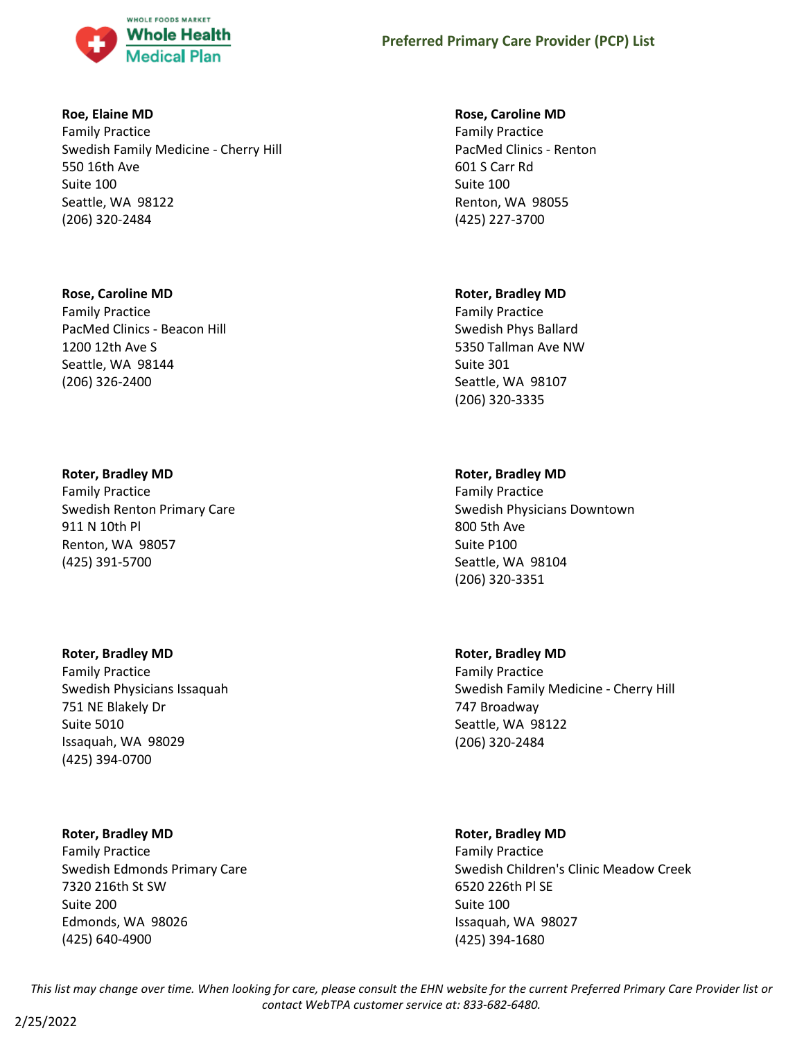

### **Roe, Elaine MD**

Family Practice Swedish Family Medicine - Cherry Hill 550 16th Ave Suite 100 Seattle, WA 98122 (206) 320-2484

## **Rose, Caroline MD**

Family Practice PacMed Clinics - Beacon Hill 1200 12th Ave S Seattle, WA 98144 (206) 326-2400

## **Roter, Bradley MD**

Family Practice Swedish Renton Primary Care 911 N 10th Pl Renton, WA 98057 (425) 391-5700

### **Roter, Bradley MD**

Family Practice Swedish Physicians Issaquah 751 NE Blakely Dr Suite 5010 Issaquah, WA 98029 (425) 394-0700

## **Roter, Bradley MD**

Family Practice Swedish Edmonds Primary Care 7320 216th St SW Suite 200 Edmonds, WA 98026 (425) 640-4900

### **Rose, Caroline MD**

Family Practice PacMed Clinics - Renton 601 S Carr Rd Suite 100 Renton, WA 98055 (425) 227-3700

## **Roter, Bradley MD**

Family Practice Swedish Phys Ballard 5350 Tallman Ave NW Suite 301 Seattle, WA 98107 (206) 320-3335

## **Roter, Bradley MD**

Family Practice Swedish Physicians Downtown 800 5th Ave Suite P100 Seattle, WA 98104 (206) 320-3351

## **Roter, Bradley MD**

Family Practice Swedish Family Medicine - Cherry Hill 747 Broadway Seattle, WA 98122 (206) 320-2484

## **Roter, Bradley MD**

Family Practice Swedish Children's Clinic Meadow Creek 6520 226th Pl SE Suite 100 Issaquah, WA 98027 (425) 394-1680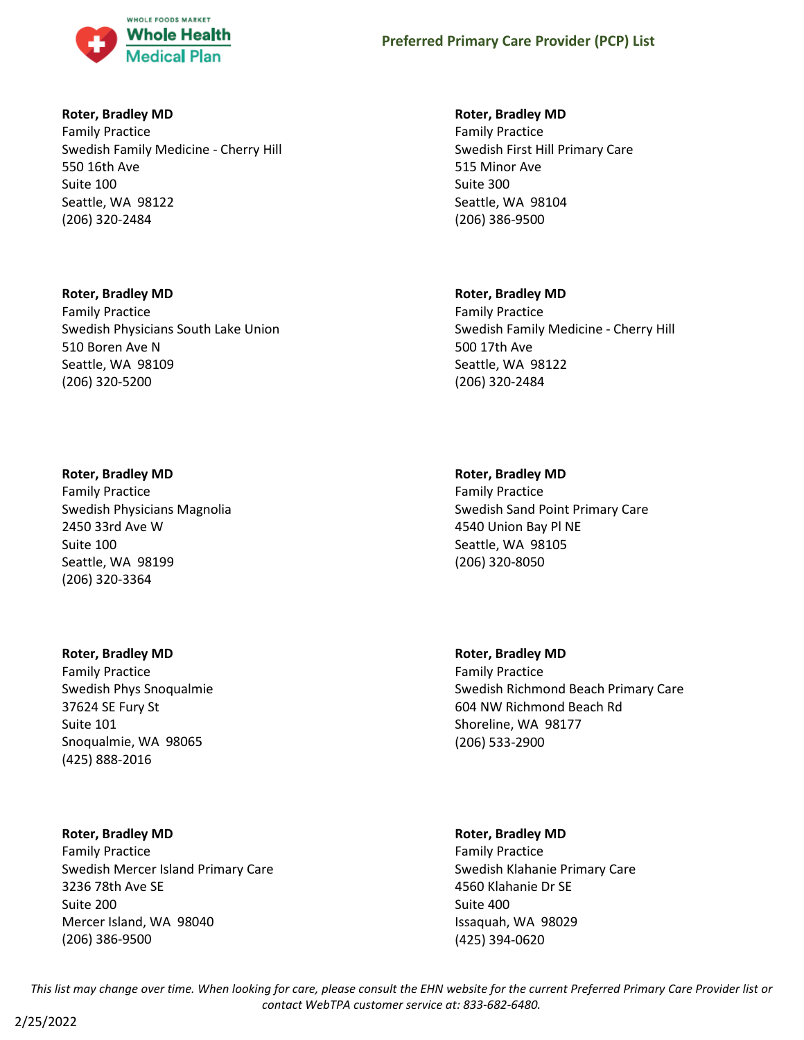

### **Roter, Bradley MD**

Family Practice Swedish Family Medicine - Cherry Hill 550 16th Ave Suite 100 Seattle, WA 98122 (206) 320-2484

## **Roter, Bradley MD**

Family Practice Swedish Physicians South Lake Union 510 Boren Ave N Seattle, WA 98109 (206) 320-5200

## **Roter, Bradley MD**

Family Practice Swedish Physicians Magnolia 2450 33rd Ave W Suite 100 Seattle, WA 98199 (206) 320-3364

## **Roter, Bradley MD**

Family Practice Swedish Phys Snoqualmie 37624 SE Fury St Suite 101 Snoqualmie, WA 98065 (425) 888-2016

## **Roter, Bradley MD**

Family Practice Swedish Mercer Island Primary Care 3236 78th Ave SE Suite 200 Mercer Island, WA 98040 (206) 386-9500

## **Roter, Bradley MD**

Family Practice Swedish First Hill Primary Care 515 Minor Ave Suite 300 Seattle, WA 98104 (206) 386-9500

## **Roter, Bradley MD**

Family Practice Swedish Family Medicine - Cherry Hill 500 17th Ave Seattle, WA 98122 (206) 320-2484

## **Roter, Bradley MD**

Family Practice Swedish Sand Point Primary Care 4540 Union Bay Pl NE Seattle, WA 98105 (206) 320-8050

**Roter, Bradley MD** Family Practice Swedish Richmond Beach Primary Care 604 NW Richmond Beach Rd Shoreline, WA 98177 (206) 533-2900

## **Roter, Bradley MD**

Family Practice Swedish Klahanie Primary Care 4560 Klahanie Dr SE Suite 400 Issaquah, WA 98029 (425) 394-0620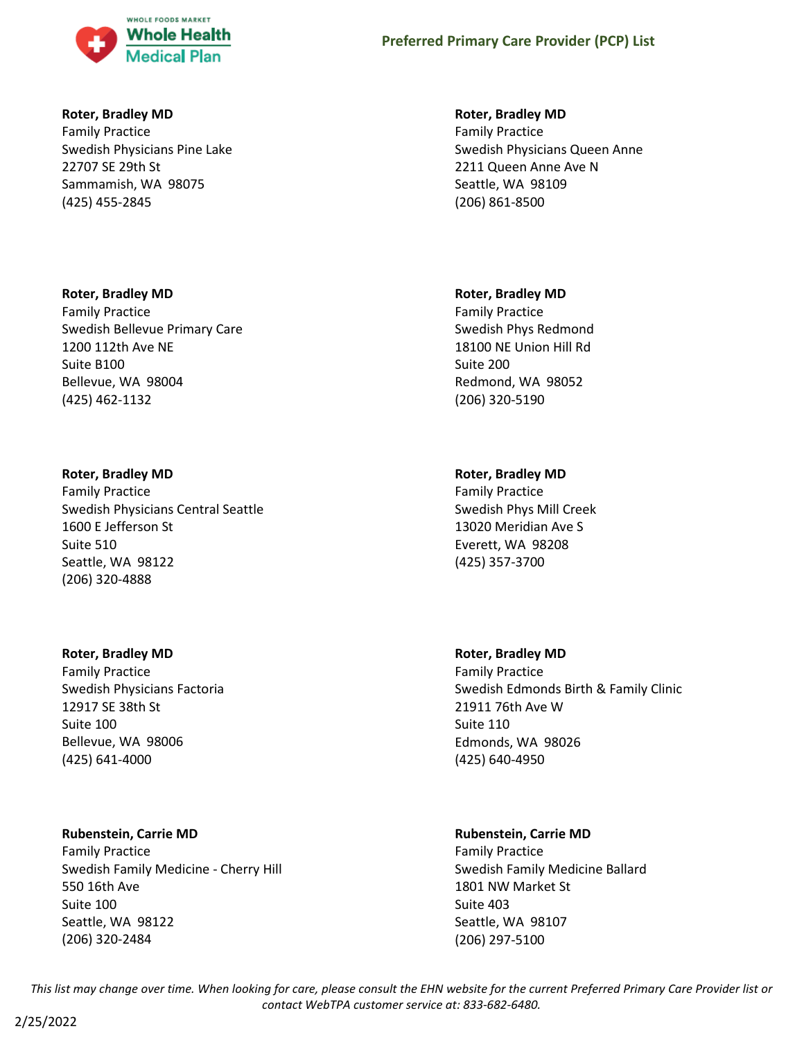

### **Roter, Bradley MD**

Family Practice Swedish Physicians Pine Lake 22707 SE 29th St Sammamish, WA 98075 (425) 455-2845

### **Roter, Bradley MD**

Family Practice Swedish Bellevue Primary Care 1200 112th Ave NE Suite B100 Bellevue, WA 98004 (425) 462-1132

#### **Roter, Bradley MD**

Family Practice Swedish Physicians Central Seattle 1600 E Jefferson St Suite 510 Seattle, WA 98122 (206) 320-4888

#### **Roter, Bradley MD**

Family Practice Swedish Physicians Factoria 12917 SE 38th St Suite 100 Bellevue, WA 98006 (425) 641-4000

### **Rubenstein, Carrie MD**

Family Practice Swedish Family Medicine - Cherry Hill 550 16th Ave Suite 100 Seattle, WA 98122 (206) 320-2484

### **Roter, Bradley MD**

Family Practice Swedish Physicians Queen Anne 2211 Queen Anne Ave N Seattle, WA 98109 (206) 861-8500

#### **Roter, Bradley MD**

Family Practice Swedish Phys Redmond 18100 NE Union Hill Rd Suite 200 Redmond, WA 98052 (206) 320-5190

### **Roter, Bradley MD**

Family Practice Swedish Phys Mill Creek 13020 Meridian Ave S Everett, WA 98208 (425) 357-3700

### **Roter, Bradley MD**

Family Practice Swedish Edmonds Birth & Family Clinic 21911 76th Ave W Suite 110 Edmonds, WA 98026 (425) 640-4950

### **Rubenstein, Carrie MD**

Family Practice Swedish Family Medicine Ballard 1801 NW Market St Suite 403 Seattle, WA 98107 (206) 297-5100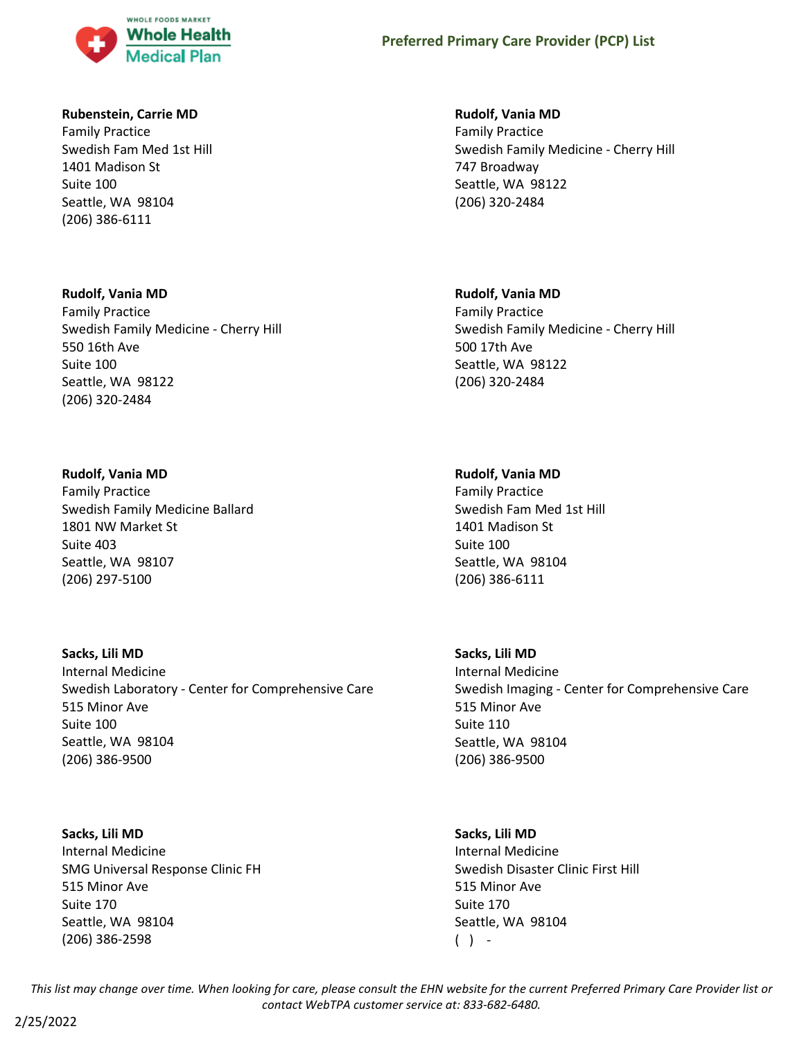

### **Rubenstein, Carrie MD**

Family Practice Swedish Fam Med 1st Hill 1401 Madison St Suite 100 Seattle, WA 98104 (206) 386-6111

#### **Rudolf, Vania MD**

Family Practice Swedish Family Medicine - Cherry Hill 550 16th Ave Suite 100 Seattle, WA 98122 (206) 320-2484

#### **Rudolf, Vania MD**

Family Practice Swedish Family Medicine Ballard 1801 NW Market St Suite 403 Seattle, WA 98107 (206) 297-5100

#### **Sacks, Lili MD**

Internal Medicine Swedish Laboratory - Center for Comprehensive Care 515 Minor Ave Suite 100 Seattle, WA 98104 (206) 386-9500

# **Sacks, Lili MD** Internal Medicine SMG Universal Response Clinic FH 515 Minor Ave Suite 170 Seattle, WA 98104 (206) 386-2598

**Rudolf, Vania MD**

Family Practice Swedish Family Medicine - Cherry Hill 747 Broadway Seattle, WA 98122 (206) 320-2484

#### **Rudolf, Vania MD**

Family Practice Swedish Family Medicine - Cherry Hill 500 17th Ave Seattle, WA 98122 (206) 320-2484

#### **Rudolf, Vania MD**

Family Practice Swedish Fam Med 1st Hill 1401 Madison St Suite 100 Seattle, WA 98104 (206) 386-6111

### **Sacks, Lili MD**

Internal Medicine Swedish Imaging - Center for Comprehensive Care 515 Minor Ave Suite 110 Seattle, WA 98104 (206) 386-9500

#### **Sacks, Lili MD**

Internal Medicine Swedish Disaster Clinic First Hill 515 Minor Ave Suite 170 Seattle, WA 98104  $( )$  -

*This list may change over time. When looking for care, please consult the EHN website for the current Preferred Primary Care Provider list or contact WebTPA customer service at: 833-682-6480.*

2/25/2022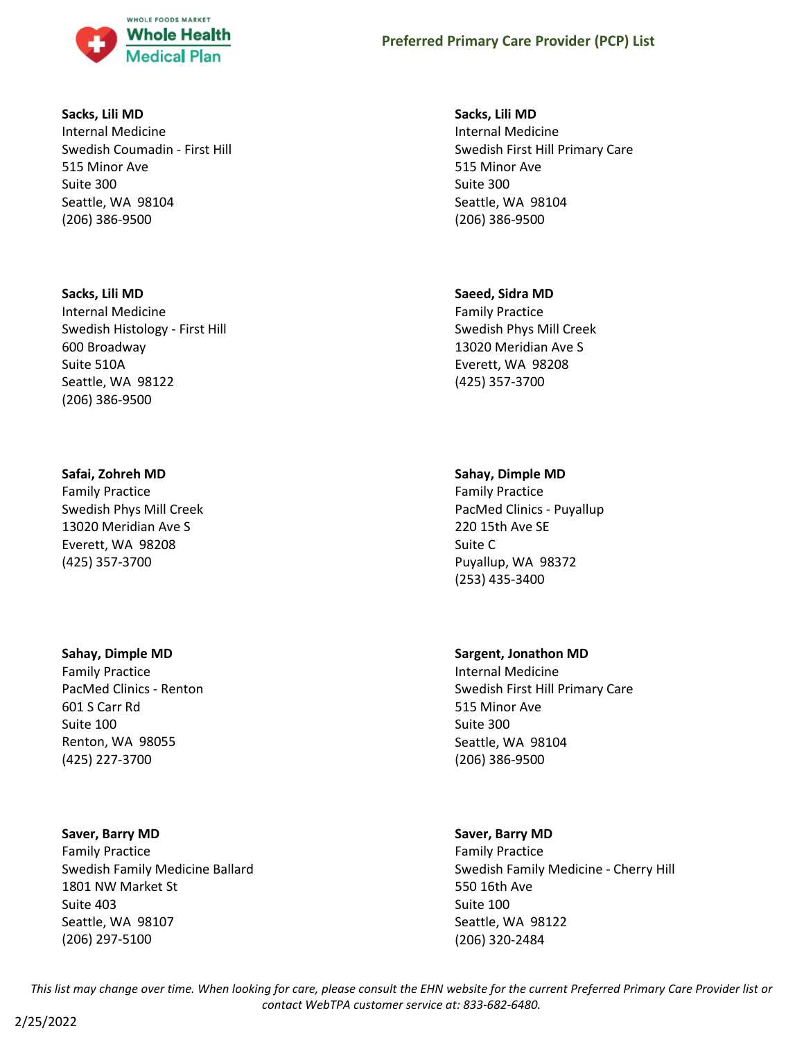

#### **Sacks, Lili MD**

Internal Medicine Swedish Coumadin - First Hill 515 Minor Ave Suite 300 Seattle, WA 98104 (206) 386-9500

#### **Sacks, Lili MD**

Internal Medicine Swedish Histology - First Hill 600 Broadway Suite 510A Seattle, WA 98122 (206) 386-9500

### **Safai, Zohreh MD**

Family Practice Swedish Phys Mill Creek 13020 Meridian Ave S Everett, WA 98208 (425) 357-3700

### **Sahay, Dimple MD**

Family Practice PacMed Clinics - Renton 601 S Carr Rd Suite 100 Renton, WA 98055 (425) 227-3700

#### **Saver, Barry MD**

Family Practice Swedish Family Medicine Ballard 1801 NW Market St Suite 403 Seattle, WA 98107 (206) 297-5100

### **Sacks, Lili MD**

Internal Medicine Swedish First Hill Primary Care 515 Minor Ave Suite 300 Seattle, WA 98104 (206) 386-9500

#### **Saeed, Sidra MD**

Family Practice Swedish Phys Mill Creek 13020 Meridian Ave S Everett, WA 98208 (425) 357-3700

### **Sahay, Dimple MD**

Family Practice PacMed Clinics - Puyallup 220 15th Ave SE Suite C Puyallup, WA 98372 (253) 435-3400

### **Sargent, Jonathon MD**

Internal Medicine Swedish First Hill Primary Care 515 Minor Ave Suite 300 Seattle, WA 98104 (206) 386-9500

### **Saver, Barry MD**

Family Practice Swedish Family Medicine - Cherry Hill 550 16th Ave Suite 100 Seattle, WA 98122 (206) 320-2484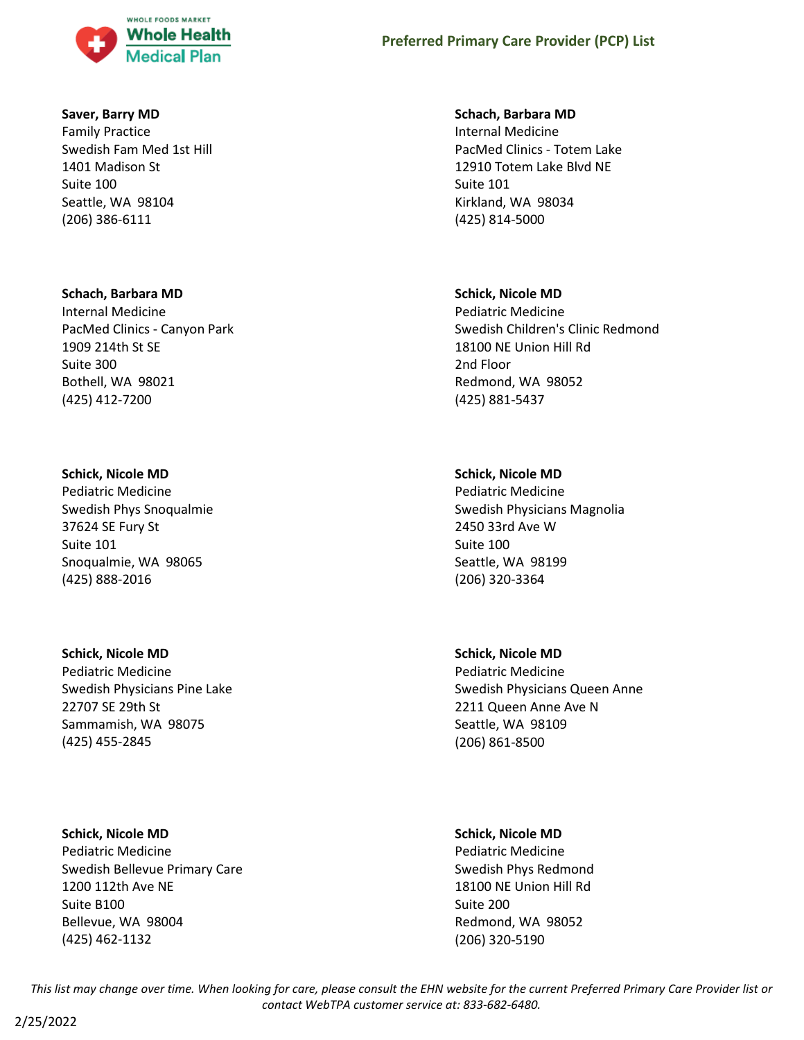

#### **Saver, Barry MD**

Family Practice Swedish Fam Med 1st Hill 1401 Madison St Suite 100 Seattle, WA 98104 (206) 386-6111

#### **Schach, Barbara MD**

Internal Medicine PacMed Clinics - Canyon Park 1909 214th St SE Suite 300 Bothell, WA 98021 (425) 412-7200

#### **Schick, Nicole MD**

Pediatric Medicine Swedish Phys Snoqualmie 37624 SE Fury St Suite 101 Snoqualmie, WA 98065 (425) 888-2016

### **Schick, Nicole MD**

Pediatric Medicine Swedish Physicians Pine Lake 22707 SE 29th St Sammamish, WA 98075 (425) 455-2845

### **Schick, Nicole MD**

Pediatric Medicine Swedish Bellevue Primary Care 1200 112th Ave NE Suite B100 Bellevue, WA 98004 (425) 462-1132

#### **Schach, Barbara MD**

Internal Medicine PacMed Clinics - Totem Lake 12910 Totem Lake Blvd NE Suite 101 Kirkland, WA 98034 (425) 814-5000

#### **Schick, Nicole MD**

Pediatric Medicine Swedish Children's Clinic Redmond 18100 NE Union Hill Rd 2nd Floor Redmond, WA 98052 (425) 881-5437

### **Schick, Nicole MD**

Pediatric Medicine Swedish Physicians Magnolia 2450 33rd Ave W Suite 100 Seattle, WA 98199 (206) 320-3364

### **Schick, Nicole MD**

Pediatric Medicine Swedish Physicians Queen Anne 2211 Queen Anne Ave N Seattle, WA 98109 (206) 861-8500

### **Schick, Nicole MD**

Pediatric Medicine Swedish Phys Redmond 18100 NE Union Hill Rd Suite 200 Redmond, WA 98052 (206) 320-5190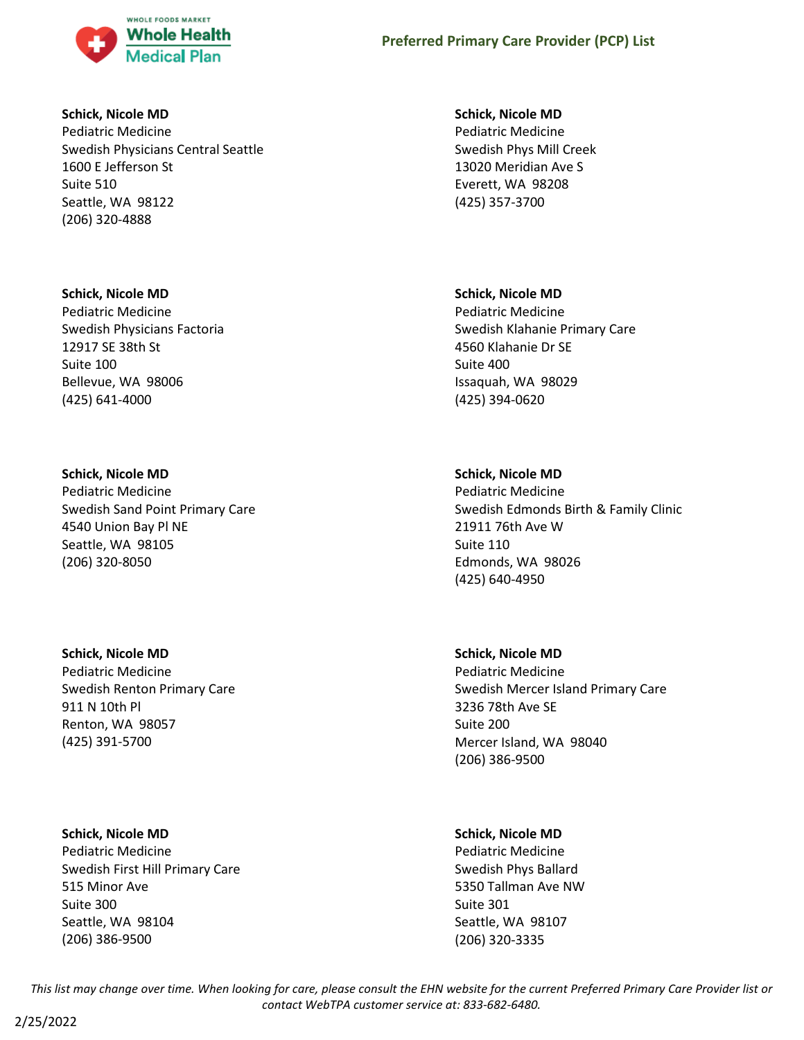

### **Schick, Nicole MD**

Pediatric Medicine Swedish Physicians Central Seattle 1600 E Jefferson St Suite 510 Seattle, WA 98122 (206) 320-4888

## **Schick, Nicole MD**

Pediatric Medicine Swedish Physicians Factoria 12917 SE 38th St Suite 100 Bellevue, WA 98006 (425) 641-4000

## **Schick, Nicole MD**

Pediatric Medicine Swedish Sand Point Primary Care 4540 Union Bay Pl NE Seattle, WA 98105 (206) 320-8050

# **Schick, Nicole MD**

Pediatric Medicine Swedish Renton Primary Care 911 N 10th Pl Renton, WA 98057 (425) 391-5700

## **Schick, Nicole MD**

Pediatric Medicine Swedish First Hill Primary Care 515 Minor Ave Suite 300 Seattle, WA 98104 (206) 386-9500

## **Schick, Nicole MD**

Pediatric Medicine Swedish Phys Mill Creek 13020 Meridian Ave S Everett, WA 98208 (425) 357-3700

## **Schick, Nicole MD**

Pediatric Medicine Swedish Klahanie Primary Care 4560 Klahanie Dr SE Suite 400 Issaquah, WA 98029 (425) 394-0620

# **Schick, Nicole MD**

Pediatric Medicine Swedish Edmonds Birth & Family Clinic 21911 76th Ave W Suite 110 Edmonds, WA 98026 (425) 640-4950

## **Schick, Nicole MD**

Pediatric Medicine Swedish Mercer Island Primary Care 3236 78th Ave SE Suite 200 Mercer Island, WA 98040 (206) 386-9500

## **Schick, Nicole MD**

Pediatric Medicine Swedish Phys Ballard 5350 Tallman Ave NW Suite 301 Seattle, WA 98107 (206) 320-3335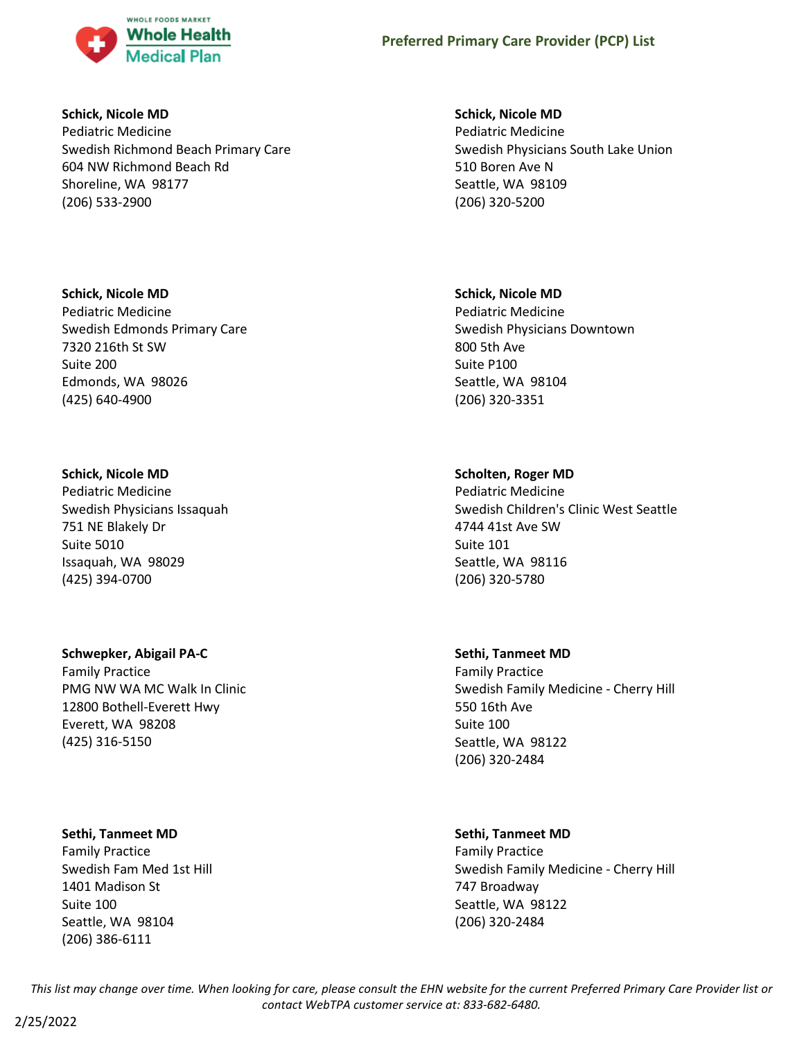

### **Schick, Nicole MD**

Pediatric Medicine Swedish Richmond Beach Primary Care 604 NW Richmond Beach Rd Shoreline, WA 98177 (206) 533-2900

## **Schick, Nicole MD**

Pediatric Medicine Swedish Edmonds Primary Care 7320 216th St SW Suite 200 Edmonds, WA 98026 (425) 640-4900

## **Schick, Nicole MD**

Pediatric Medicine Swedish Physicians Issaquah 751 NE Blakely Dr Suite 5010 Issaquah, WA 98029 (425) 394-0700

## **Schwepker, Abigail PA-C**

Family Practice PMG NW WA MC Walk In Clinic 12800 Bothell-Everett Hwy Everett, WA 98208 (425) 316-5150

## **Sethi, Tanmeet MD**

Family Practice Swedish Fam Med 1st Hill 1401 Madison St Suite 100 Seattle, WA 98104 (206) 386-6111

## **Schick, Nicole MD**

Pediatric Medicine Swedish Physicians South Lake Union 510 Boren Ave N Seattle, WA 98109 (206) 320-5200

## **Schick, Nicole MD**

Pediatric Medicine Swedish Physicians Downtown 800 5th Ave Suite P100 Seattle, WA 98104 (206) 320-3351

## **Scholten, Roger MD**

Pediatric Medicine Swedish Children's Clinic West Seattle 4744 41st Ave SW Suite 101 Seattle, WA 98116 (206) 320-5780

### **Sethi, Tanmeet MD**

Family Practice Swedish Family Medicine - Cherry Hill 550 16th Ave Suite 100 Seattle, WA 98122 (206) 320-2484

## **Sethi, Tanmeet MD**

Family Practice Swedish Family Medicine - Cherry Hill 747 Broadway Seattle, WA 98122 (206) 320-2484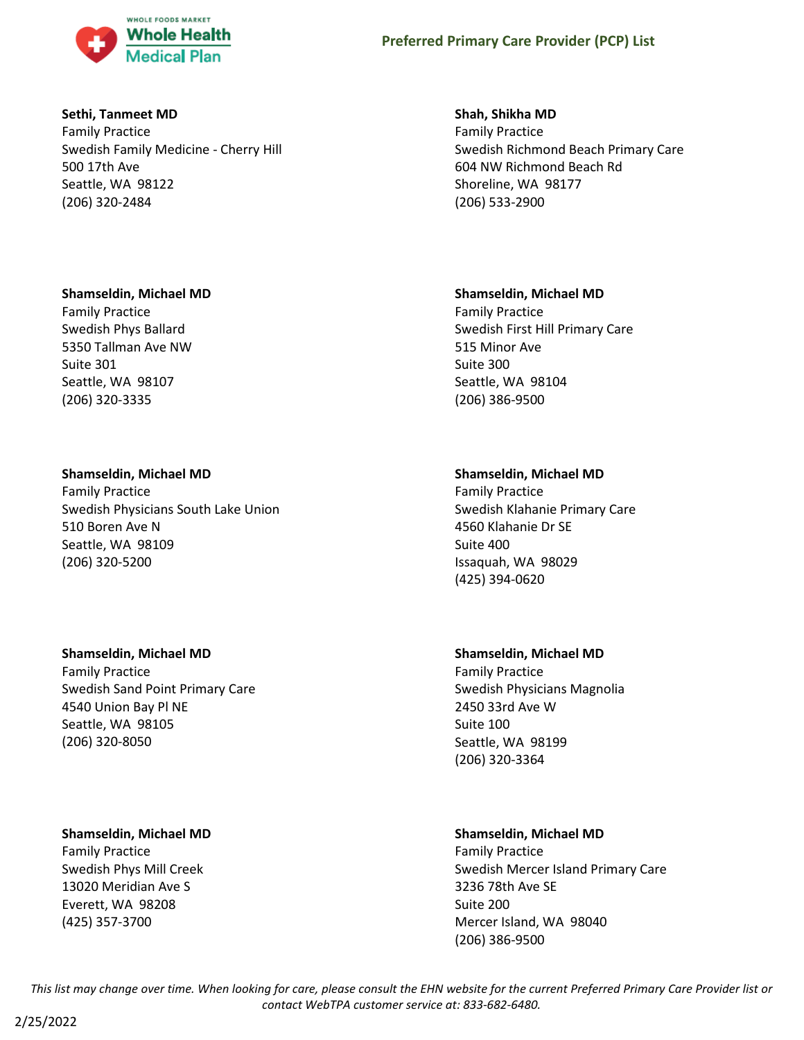

### **Sethi, Tanmeet MD**

Family Practice Swedish Family Medicine - Cherry Hill 500 17th Ave Seattle, WA 98122 (206) 320-2484

## **Shamseldin, Michael MD**

Family Practice Swedish Phys Ballard 5350 Tallman Ave NW Suite 301 Seattle, WA 98107 (206) 320-3335

## **Shamseldin, Michael MD**

Family Practice Swedish Physicians South Lake Union 510 Boren Ave N Seattle, WA 98109 (206) 320-5200

## **Shamseldin, Michael MD**

Family Practice Swedish Sand Point Primary Care 4540 Union Bay Pl NE Seattle, WA 98105 (206) 320-8050

## **Shamseldin, Michael MD**

Family Practice Swedish Phys Mill Creek 13020 Meridian Ave S Everett, WA 98208 (425) 357-3700

## **Shah, Shikha MD**

Family Practice Swedish Richmond Beach Primary Care 604 NW Richmond Beach Rd Shoreline, WA 98177 (206) 533-2900

## **Shamseldin, Michael MD**

Family Practice Swedish First Hill Primary Care 515 Minor Ave Suite 300 Seattle, WA 98104 (206) 386-9500

## **Shamseldin, Michael MD**

Family Practice Swedish Klahanie Primary Care 4560 Klahanie Dr SE Suite 400 Issaquah, WA 98029 (425) 394-0620

## **Shamseldin, Michael MD**

Family Practice Swedish Physicians Magnolia 2450 33rd Ave W Suite 100 Seattle, WA 98199 (206) 320-3364

## **Shamseldin, Michael MD**

Family Practice Swedish Mercer Island Primary Care 3236 78th Ave SE Suite 200 Mercer Island, WA 98040 (206) 386-9500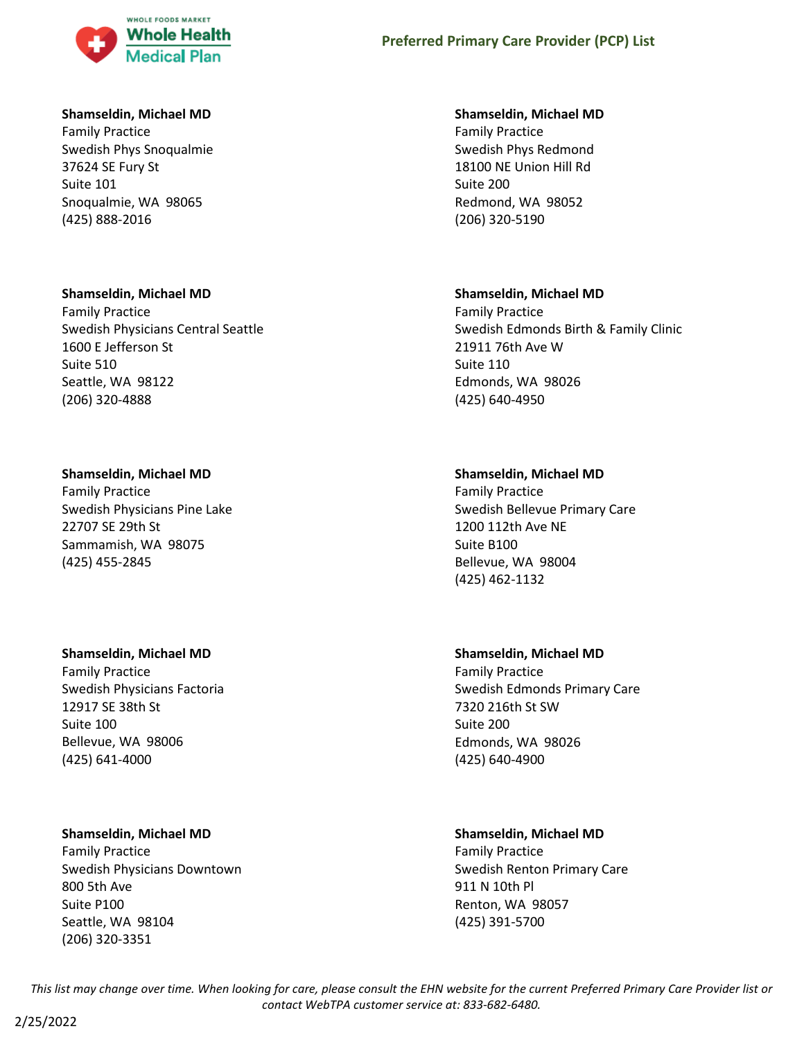

### **Shamseldin, Michael MD**

Family Practice Swedish Phys Snoqualmie 37624 SE Fury St Suite 101 Snoqualmie, WA 98065 (425) 888-2016

### **Shamseldin, Michael MD**

Family Practice Swedish Physicians Central Seattle 1600 E Jefferson St Suite 510 Seattle, WA 98122 (206) 320-4888

## **Shamseldin, Michael MD**

Family Practice Swedish Physicians Pine Lake 22707 SE 29th St Sammamish, WA 98075 (425) 455-2845

### **Shamseldin, Michael MD**

Family Practice Swedish Physicians Factoria 12917 SE 38th St Suite 100 Bellevue, WA 98006 (425) 641-4000

## **Shamseldin, Michael MD**

Family Practice Swedish Physicians Downtown 800 5th Ave Suite P100 Seattle, WA 98104 (206) 320-3351

### **Shamseldin, Michael MD**

Family Practice Swedish Phys Redmond 18100 NE Union Hill Rd Suite 200 Redmond, WA 98052 (206) 320-5190

## **Shamseldin, Michael MD**

Family Practice Swedish Edmonds Birth & Family Clinic 21911 76th Ave W Suite 110 Edmonds, WA 98026 (425) 640-4950

## **Shamseldin, Michael MD**

Family Practice Swedish Bellevue Primary Care 1200 112th Ave NE Suite B100 Bellevue, WA 98004 (425) 462-1132

## **Shamseldin, Michael MD**

Family Practice Swedish Edmonds Primary Care 7320 216th St SW Suite 200 Edmonds, WA 98026 (425) 640-4900

# **Shamseldin, Michael MD**

Family Practice Swedish Renton Primary Care 911 N 10th Pl Renton, WA 98057 (425) 391-5700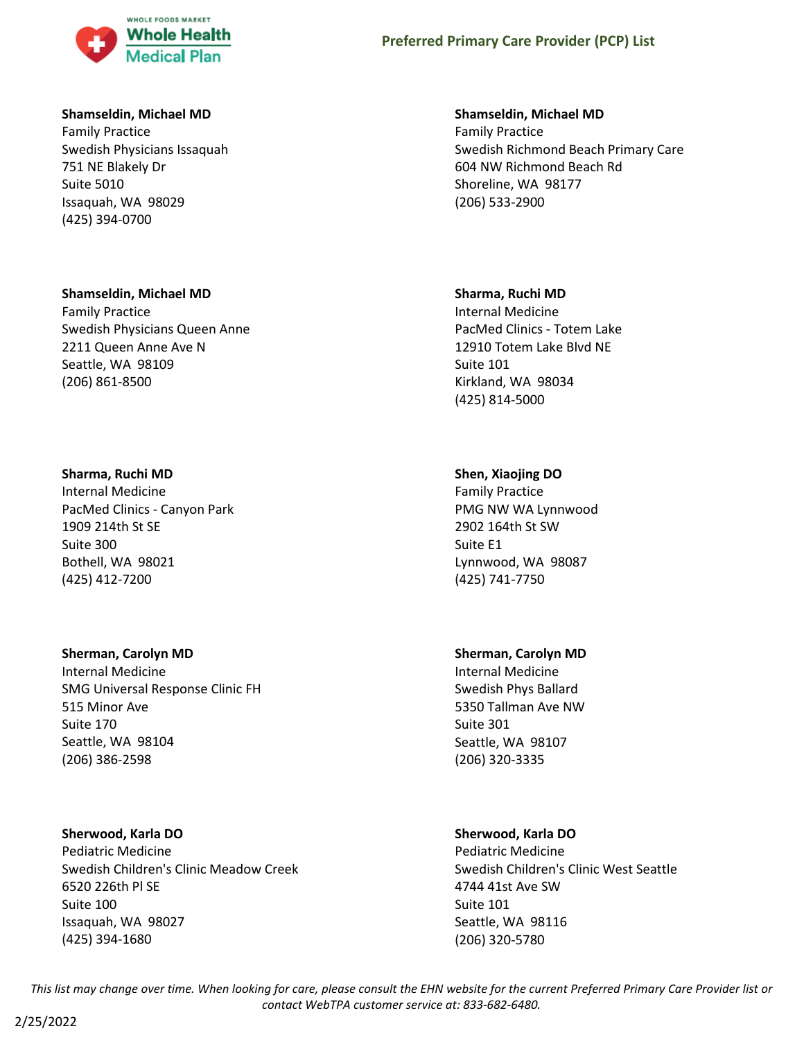

### **Shamseldin, Michael MD**

Family Practice Swedish Physicians Issaquah 751 NE Blakely Dr Suite 5010 Issaquah, WA 98029 (425) 394-0700

#### **Shamseldin, Michael MD**

Family Practice Swedish Physicians Queen Anne 2211 Queen Anne Ave N Seattle, WA 98109 (206) 861-8500

#### **Sharma, Ruchi MD**

Internal Medicine PacMed Clinics - Canyon Park 1909 214th St SE Suite 300 Bothell, WA 98021 (425) 412-7200

#### **Sherman, Carolyn MD**

Internal Medicine SMG Universal Response Clinic FH 515 Minor Ave Suite 170 Seattle, WA 98104 (206) 386-2598

### **Sherwood, Karla DO**

Pediatric Medicine Swedish Children's Clinic Meadow Creek 6520 226th Pl SE Suite 100 Issaquah, WA 98027 (425) 394-1680

#### **Shamseldin, Michael MD**

Family Practice Swedish Richmond Beach Primary Care 604 NW Richmond Beach Rd Shoreline, WA 98177 (206) 533-2900

#### **Sharma, Ruchi MD**

Internal Medicine PacMed Clinics - Totem Lake 12910 Totem Lake Blvd NE Suite 101 Kirkland, WA 98034 (425) 814-5000

### **Shen, Xiaojing DO**

Family Practice PMG NW WA Lynnwood 2902 164th St SW Suite E1 Lynnwood, WA 98087 (425) 741-7750

### **Sherman, Carolyn MD**

Internal Medicine Swedish Phys Ballard 5350 Tallman Ave NW Suite 301 Seattle, WA 98107 (206) 320-3335

### **Sherwood, Karla DO**

Pediatric Medicine Swedish Children's Clinic West Seattle 4744 41st Ave SW Suite 101 Seattle, WA 98116 (206) 320-5780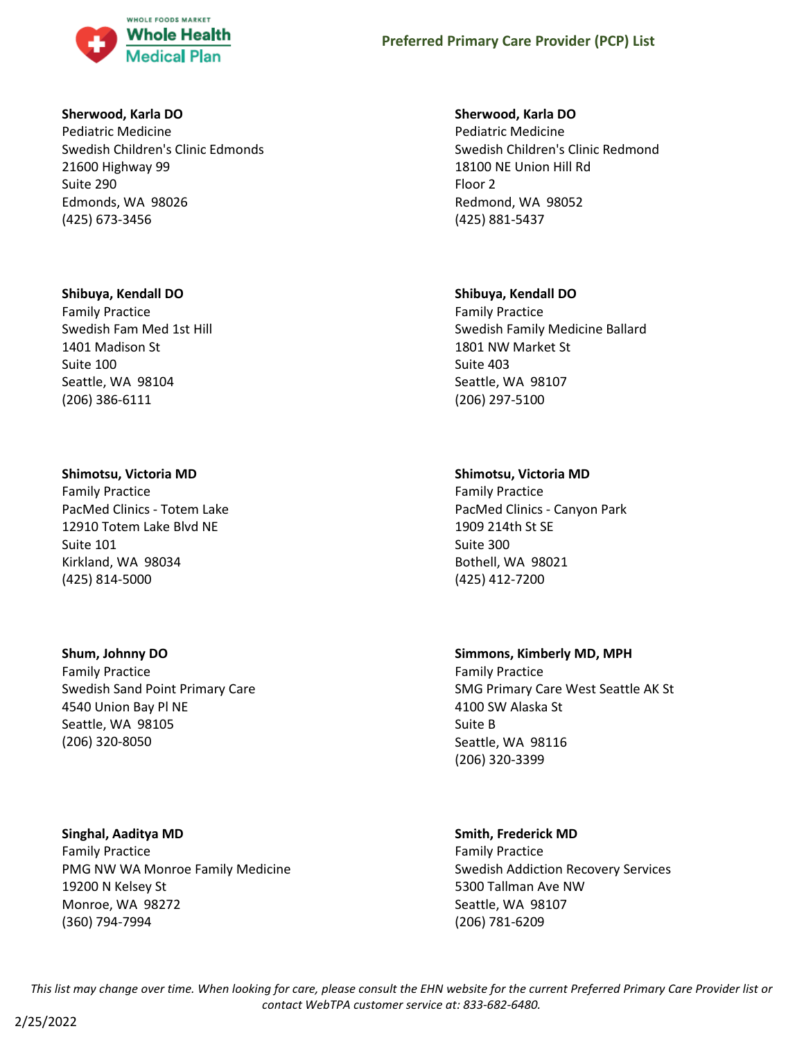

### **Sherwood, Karla DO**

Pediatric Medicine Swedish Children's Clinic Edmonds 21600 Highway 99 Suite 290 Edmonds, WA 98026 (425) 673-3456

#### **Shibuya, Kendall DO**

Family Practice Swedish Fam Med 1st Hill 1401 Madison St Suite 100 Seattle, WA 98104 (206) 386-6111

### **Shimotsu, Victoria MD**

Family Practice PacMed Clinics - Totem Lake 12910 Totem Lake Blvd NE Suite 101 Kirkland, WA 98034 (425) 814-5000

## **Shum, Johnny DO**

Family Practice Swedish Sand Point Primary Care 4540 Union Bay Pl NE Seattle, WA 98105 (206) 320-8050

**Singhal, Aaditya MD** Family Practice PMG NW WA Monroe Family Medicine 19200 N Kelsey St Monroe, WA 98272 (360) 794-7994

### **Sherwood, Karla DO**

Pediatric Medicine Swedish Children's Clinic Redmond 18100 NE Union Hill Rd Floor 2 Redmond, WA 98052 (425) 881-5437

### **Shibuya, Kendall DO**

Family Practice Swedish Family Medicine Ballard 1801 NW Market St Suite 403 Seattle, WA 98107 (206) 297-5100

### **Shimotsu, Victoria MD**

Family Practice PacMed Clinics - Canyon Park 1909 214th St SE Suite 300 Bothell, WA 98021 (425) 412-7200

## **Simmons, Kimberly MD, MPH**

Family Practice SMG Primary Care West Seattle AK St 4100 SW Alaska St Suite B Seattle, WA 98116 (206) 320-3399

# **Smith, Frederick MD**

Family Practice Swedish Addiction Recovery Services 5300 Tallman Ave NW Seattle, WA 98107 (206) 781-6209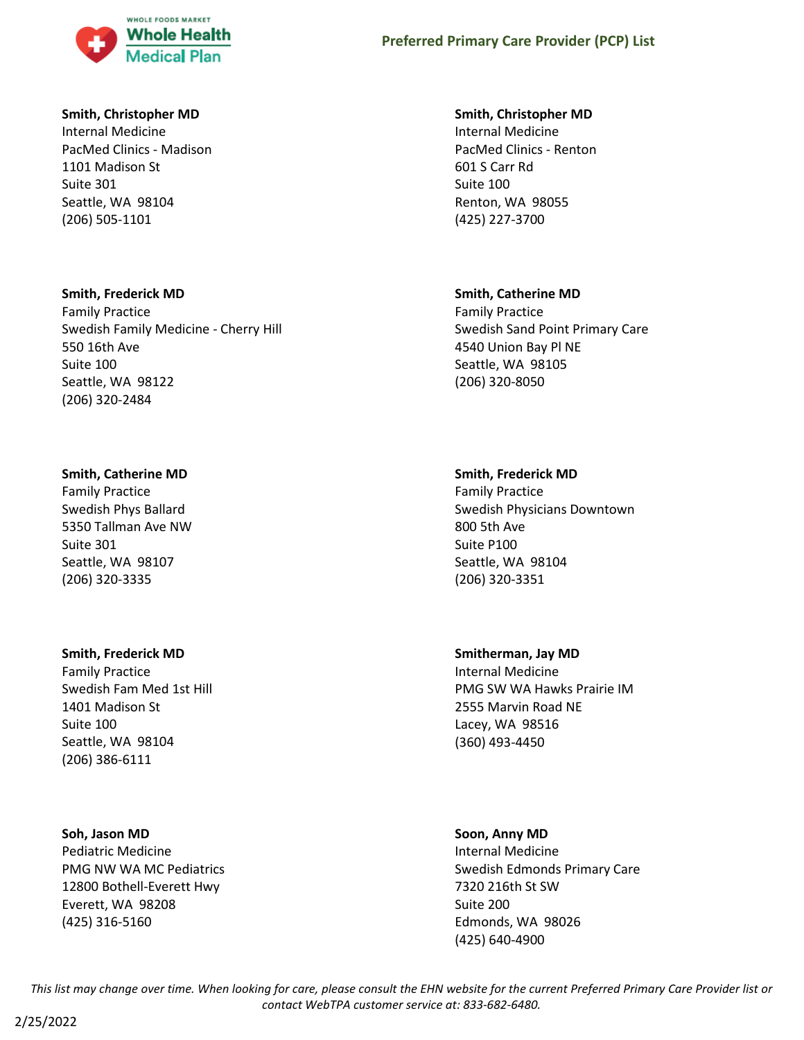

### **Smith, Christopher MD**

Internal Medicine PacMed Clinics - Madison 1101 Madison St Suite 301 Seattle, WA 98104 (206) 505-1101

#### **Smith, Frederick MD**

Family Practice Swedish Family Medicine - Cherry Hill 550 16th Ave Suite 100 Seattle, WA 98122 (206) 320-2484

#### **Smith, Catherine MD**

Family Practice Swedish Phys Ballard 5350 Tallman Ave NW Suite 301 Seattle, WA 98107 (206) 320-3335

### **Smith, Frederick MD**

Family Practice Swedish Fam Med 1st Hill 1401 Madison St Suite 100 Seattle, WA 98104 (206) 386-6111

#### **Soh, Jason MD**

Pediatric Medicine PMG NW WA MC Pediatrics 12800 Bothell-Everett Hwy Everett, WA 98208 (425) 316-5160

#### **Smith, Christopher MD**

Internal Medicine PacMed Clinics - Renton 601 S Carr Rd Suite 100 Renton, WA 98055 (425) 227-3700

#### **Smith, Catherine MD**

Family Practice Swedish Sand Point Primary Care 4540 Union Bay Pl NE Seattle, WA 98105 (206) 320-8050

#### **Smith, Frederick MD**

Family Practice Swedish Physicians Downtown 800 5th Ave Suite P100 Seattle, WA 98104 (206) 320-3351

#### **Smitherman, Jay MD**

Internal Medicine PMG SW WA Hawks Prairie IM 2555 Marvin Road NE Lacey, WA 98516 (360) 493-4450

### **Soon, Anny MD**

Internal Medicine Swedish Edmonds Primary Care 7320 216th St SW Suite 200 Edmonds, WA 98026 (425) 640-4900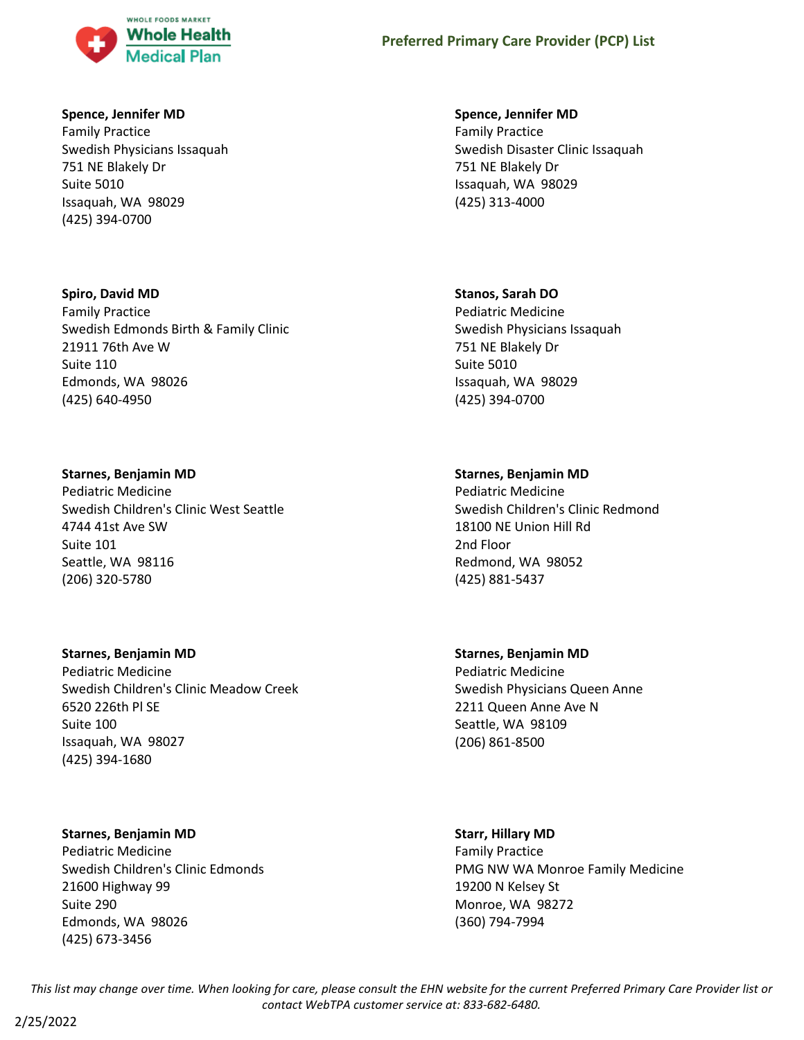

### **Spence, Jennifer MD**

Family Practice Swedish Physicians Issaquah 751 NE Blakely Dr Suite 5010 Issaquah, WA 98029 (425) 394-0700

## **Spiro, David MD**

Family Practice Swedish Edmonds Birth & Family Clinic 21911 76th Ave W Suite 110 Edmonds, WA 98026 (425) 640-4950

## **Starnes, Benjamin MD**

Pediatric Medicine Swedish Children's Clinic West Seattle 4744 41st Ave SW Suite 101 Seattle, WA 98116 (206) 320-5780

### **Starnes, Benjamin MD**

Pediatric Medicine Swedish Children's Clinic Meadow Creek 6520 226th Pl SE Suite 100 Issaquah, WA 98027 (425) 394-1680

## **Starnes, Benjamin MD**

Pediatric Medicine Swedish Children's Clinic Edmonds 21600 Highway 99 Suite 290 Edmonds, WA 98026 (425) 673-3456

### **Spence, Jennifer MD**

Family Practice Swedish Disaster Clinic Issaquah 751 NE Blakely Dr Issaquah, WA 98029 (425) 313-4000

## **Stanos, Sarah DO**

Pediatric Medicine Swedish Physicians Issaquah 751 NE Blakely Dr Suite 5010 Issaquah, WA 98029 (425) 394-0700

## **Starnes, Benjamin MD**

Pediatric Medicine Swedish Children's Clinic Redmond 18100 NE Union Hill Rd 2nd Floor Redmond, WA 98052 (425) 881-5437

# **Starnes, Benjamin MD**

Pediatric Medicine Swedish Physicians Queen Anne 2211 Queen Anne Ave N Seattle, WA 98109 (206) 861-8500

### **Starr, Hillary MD**

Family Practice PMG NW WA Monroe Family Medicine 19200 N Kelsey St Monroe, WA 98272 (360) 794-7994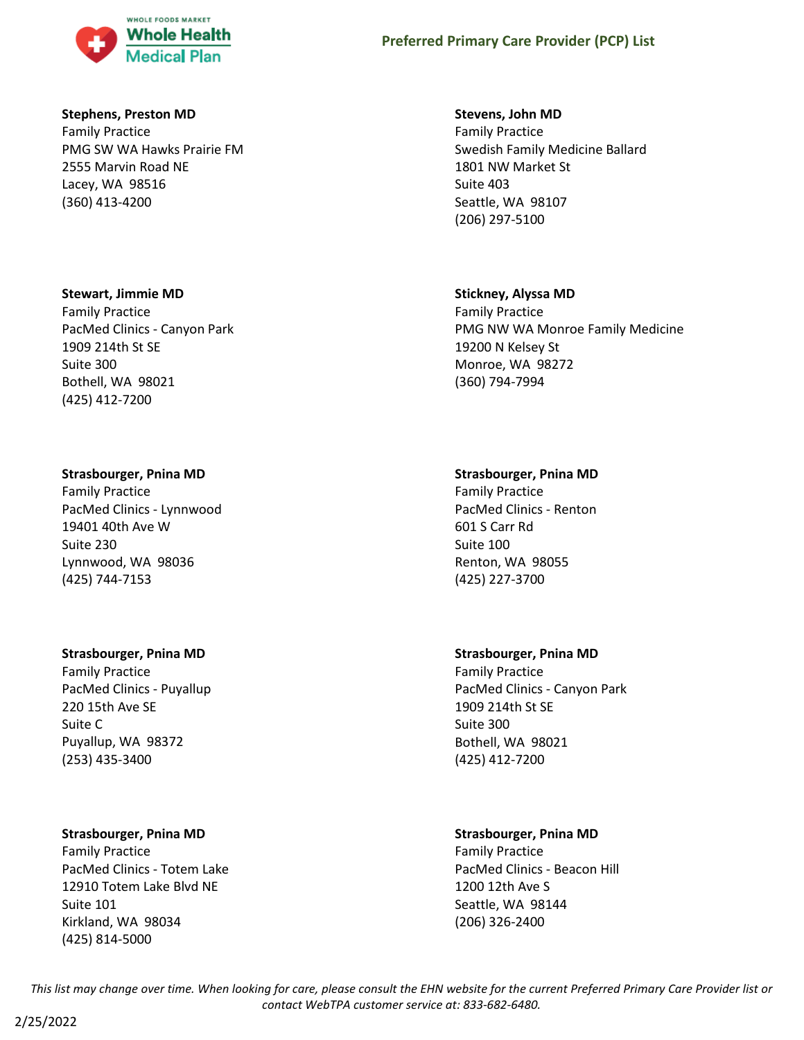

### **Stephens, Preston MD**

Family Practice PMG SW WA Hawks Prairie FM 2555 Marvin Road NE Lacey, WA 98516 (360) 413-4200

#### **Stewart, Jimmie MD**

Family Practice PacMed Clinics - Canyon Park 1909 214th St SE Suite 300 Bothell, WA 98021 (425) 412-7200

#### **Strasbourger, Pnina MD**

Family Practice PacMed Clinics - Lynnwood 19401 40th Ave W Suite 230 Lynnwood, WA 98036 (425) 744-7153

### **Strasbourger, Pnina MD**

Family Practice PacMed Clinics - Puyallup 220 15th Ave SE Suite C Puyallup, WA 98372 (253) 435-3400

### **Strasbourger, Pnina MD**

Family Practice PacMed Clinics - Totem Lake 12910 Totem Lake Blvd NE Suite 101 Kirkland, WA 98034 (425) 814-5000

#### **Stevens, John MD**

Family Practice Swedish Family Medicine Ballard 1801 NW Market St Suite 403 Seattle, WA 98107 (206) 297-5100

#### **Stickney, Alyssa MD**

Family Practice PMG NW WA Monroe Family Medicine 19200 N Kelsey St Monroe, WA 98272 (360) 794-7994

#### **Strasbourger, Pnina MD**

Family Practice PacMed Clinics - Renton 601 S Carr Rd Suite 100 Renton, WA 98055 (425) 227-3700

### **Strasbourger, Pnina MD**

Family Practice PacMed Clinics - Canyon Park 1909 214th St SE Suite 300 Bothell, WA 98021 (425) 412-7200

### **Strasbourger, Pnina MD**

Family Practice PacMed Clinics - Beacon Hill 1200 12th Ave S Seattle, WA 98144 (206) 326-2400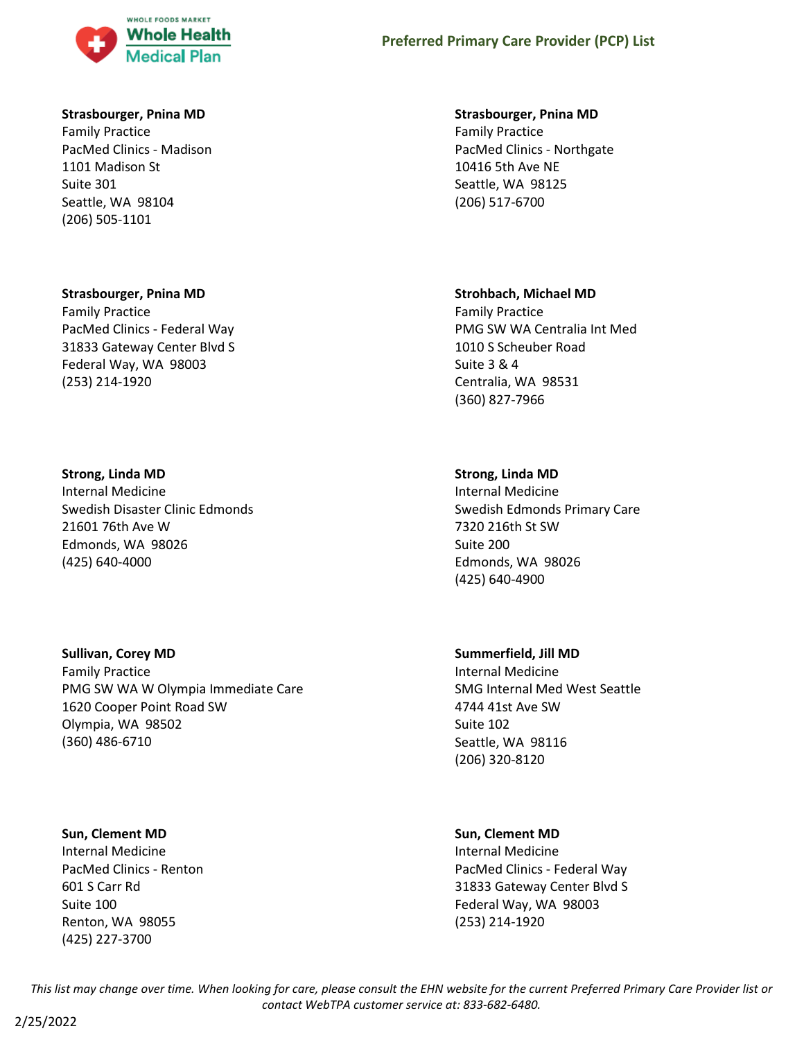

### **Strasbourger, Pnina MD**

Family Practice PacMed Clinics - Madison 1101 Madison St Suite 301 Seattle, WA 98104 (206) 505-1101

#### **Strasbourger, Pnina MD**

Family Practice PacMed Clinics - Federal Way 31833 Gateway Center Blvd S Federal Way, WA 98003 (253) 214-1920

#### **Strong, Linda MD**

Internal Medicine Swedish Disaster Clinic Edmonds 21601 76th Ave W Edmonds, WA 98026 (425) 640-4000

#### **Sullivan, Corey MD**

Family Practice PMG SW WA W Olympia Immediate Care 1620 Cooper Point Road SW Olympia, WA 98502 (360) 486-6710

#### **Sun, Clement MD**

Internal Medicine PacMed Clinics - Renton 601 S Carr Rd Suite 100 Renton, WA 98055 (425) 227-3700

#### **Strasbourger, Pnina MD**

Family Practice PacMed Clinics - Northgate 10416 5th Ave NE Seattle, WA 98125 (206) 517-6700

#### **Strohbach, Michael MD**

Family Practice PMG SW WA Centralia Int Med 1010 S Scheuber Road Suite 3 & 4 Centralia, WA 98531 (360) 827-7966

### **Strong, Linda MD**

Internal Medicine Swedish Edmonds Primary Care 7320 216th St SW Suite 200 Edmonds, WA 98026 (425) 640-4900

#### **Summerfield, Jill MD**

Internal Medicine SMG Internal Med West Seattle 4744 41st Ave SW Suite 102 Seattle, WA 98116 (206) 320-8120

#### **Sun, Clement MD**

Internal Medicine PacMed Clinics - Federal Way 31833 Gateway Center Blvd S Federal Way, WA 98003 (253) 214-1920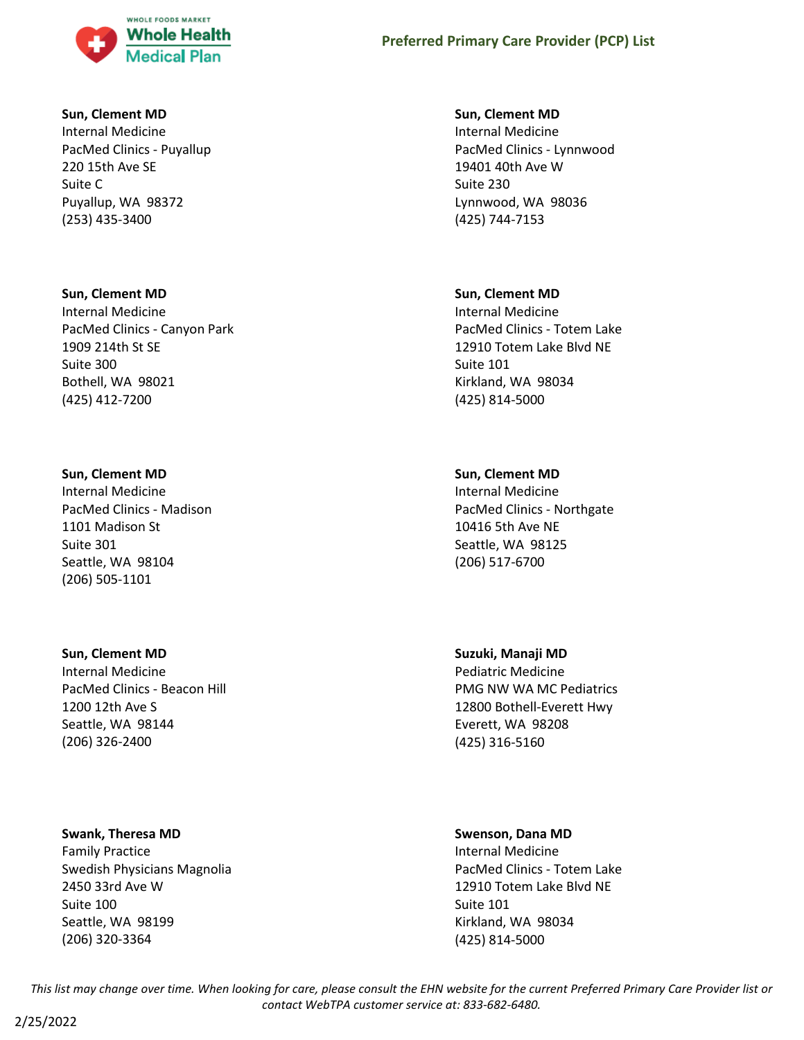

### **Sun, Clement MD**

Internal Medicine PacMed Clinics - Puyallup 220 15th Ave SE Suite C Puyallup, WA 98372 (253) 435-3400

#### **Sun, Clement MD**

Internal Medicine PacMed Clinics - Canyon Park 1909 214th St SE Suite 300 Bothell, WA 98021 (425) 412-7200

#### **Sun, Clement MD**

Internal Medicine PacMed Clinics - Madison 1101 Madison St Suite 301 Seattle, WA 98104 (206) 505-1101

#### **Sun, Clement MD**

Internal Medicine PacMed Clinics - Beacon Hill 1200 12th Ave S Seattle, WA 98144 (206) 326-2400

#### **Swank, Theresa MD**

Family Practice Swedish Physicians Magnolia 2450 33rd Ave W Suite 100 Seattle, WA 98199 (206) 320-3364

#### **Sun, Clement MD**

Internal Medicine PacMed Clinics - Lynnwood 19401 40th Ave W Suite 230 Lynnwood, WA 98036 (425) 744-7153

#### **Sun, Clement MD**

Internal Medicine PacMed Clinics - Totem Lake 12910 Totem Lake Blvd NE Suite 101 Kirkland, WA 98034 (425) 814-5000

#### **Sun, Clement MD**

Internal Medicine PacMed Clinics - Northgate 10416 5th Ave NE Seattle, WA 98125 (206) 517-6700

#### **Suzuki, Manaji MD**

Pediatric Medicine PMG NW WA MC Pediatrics 12800 Bothell-Everett Hwy Everett, WA 98208 (425) 316-5160

#### **Swenson, Dana MD**

Internal Medicine PacMed Clinics - Totem Lake 12910 Totem Lake Blvd NE Suite 101 Kirkland, WA 98034 (425) 814-5000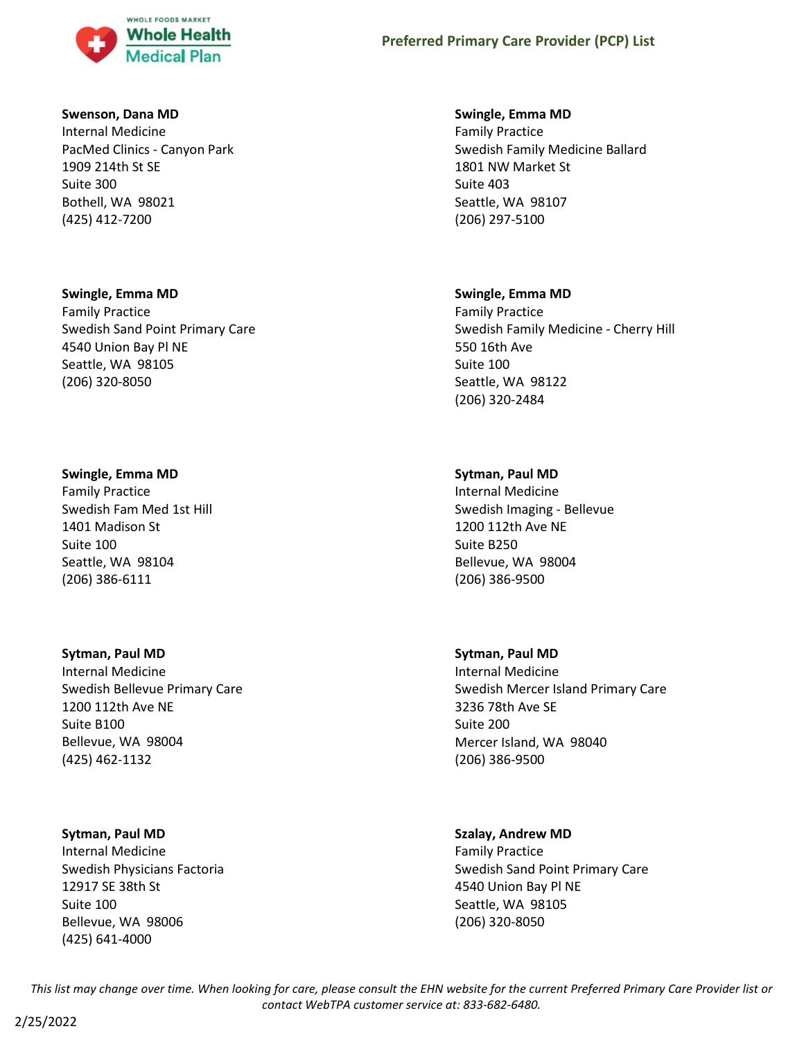

### **Swenson, Dana MD**

Internal Medicine PacMed Clinics - Canyon Park 1909 214th St SE Suite 300 Bothell, WA 98021 (425) 412-7200

#### **Swingle, Emma MD**

Family Practice Swedish Sand Point Primary Care 4540 Union Bay Pl NE Seattle, WA 98105 (206) 320-8050

#### **Swingle, Emma MD**

Family Practice Swedish Fam Med 1st Hill 1401 Madison St Suite 100 Seattle, WA 98104 (206) 386-6111

### **Sytman, Paul MD**

Internal Medicine Swedish Bellevue Primary Care 1200 112th Ave NE Suite B100 Bellevue, WA 98004 (425) 462-1132

### **Sytman, Paul MD**

Internal Medicine Swedish Physicians Factoria 12917 SE 38th St Suite 100 Bellevue, WA 98006 (425) 641-4000

#### **Swingle, Emma MD**

Family Practice Swedish Family Medicine Ballard 1801 NW Market St Suite 403 Seattle, WA 98107 (206) 297-5100

#### **Swingle, Emma MD**

Family Practice Swedish Family Medicine - Cherry Hill 550 16th Ave Suite 100 Seattle, WA 98122 (206) 320-2484

#### **Sytman, Paul MD**

Internal Medicine Swedish Imaging - Bellevue 1200 112th Ave NE Suite B250 Bellevue, WA 98004 (206) 386-9500

### **Sytman, Paul MD**

Internal Medicine Swedish Mercer Island Primary Care 3236 78th Ave SE Suite 200 Mercer Island, WA 98040 (206) 386-9500

### **Szalay, Andrew MD**

Family Practice Swedish Sand Point Primary Care 4540 Union Bay Pl NE Seattle, WA 98105 (206) 320-8050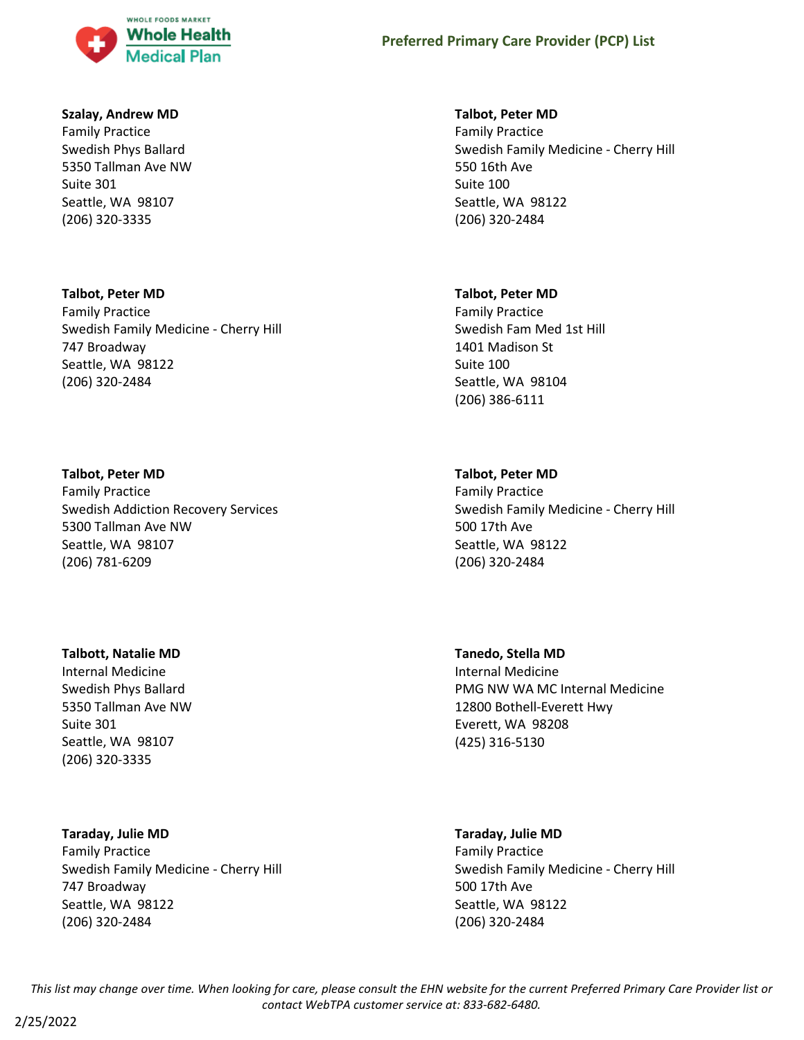

### **Szalay, Andrew MD**

Family Practice Swedish Phys Ballard 5350 Tallman Ave NW Suite 301 Seattle, WA 98107 (206) 320-3335

# **Talbot, Peter MD**

Family Practice Swedish Family Medicine - Cherry Hill 747 Broadway Seattle, WA 98122 (206) 320-2484

### **Talbot, Peter MD**

Family Practice Swedish Addiction Recovery Services 5300 Tallman Ave NW Seattle, WA 98107 (206) 781-6209

### **Talbott, Natalie MD**

Internal Medicine Swedish Phys Ballard 5350 Tallman Ave NW Suite 301 Seattle, WA 98107 (206) 320-3335

### **Taraday, Julie MD**

Family Practice Swedish Family Medicine - Cherry Hill 747 Broadway Seattle, WA 98122 (206) 320-2484

### **Talbot, Peter MD**

Family Practice Swedish Family Medicine - Cherry Hill 550 16th Ave Suite 100 Seattle, WA 98122 (206) 320-2484

#### **Talbot, Peter MD**

Family Practice Swedish Fam Med 1st Hill 1401 Madison St Suite 100 Seattle, WA 98104 (206) 386-6111

### **Talbot, Peter MD**

Family Practice Swedish Family Medicine - Cherry Hill 500 17th Ave Seattle, WA 98122 (206) 320-2484

## **Tanedo, Stella MD** Internal Medicine PMG NW WA MC Internal Medicine 12800 Bothell-Everett Hwy Everett, WA 98208 (425) 316-5130

# **Taraday, Julie MD**

Family Practice Swedish Family Medicine - Cherry Hill 500 17th Ave Seattle, WA 98122 (206) 320-2484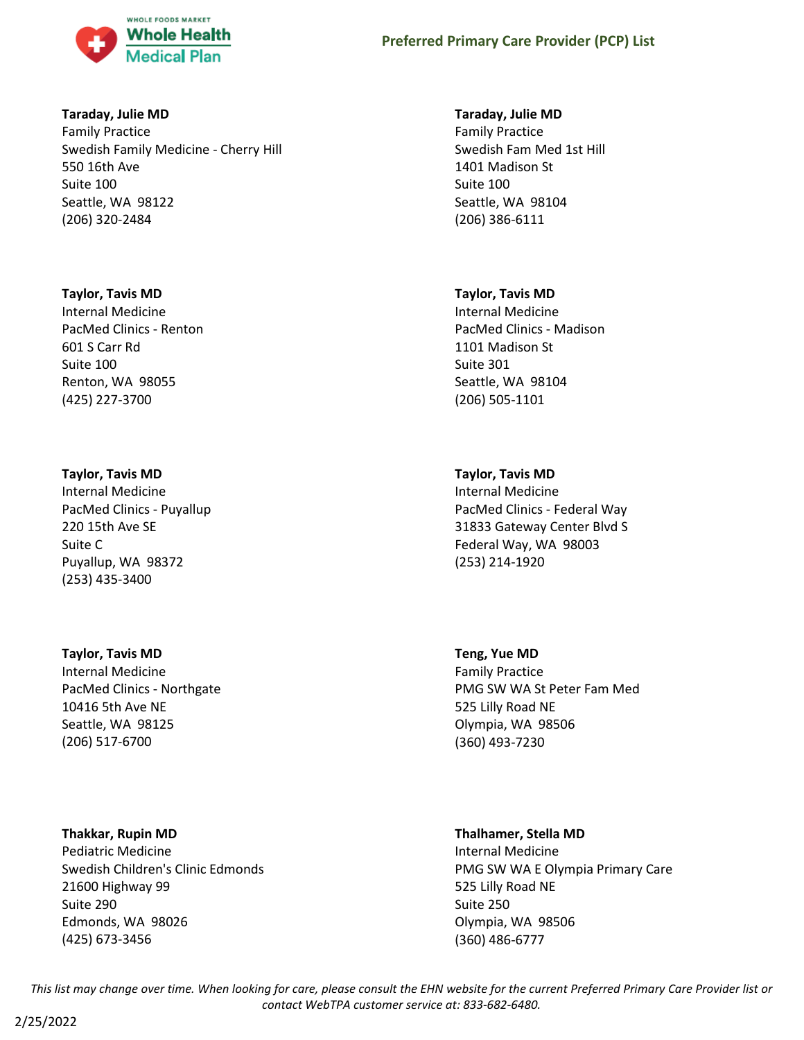

### **Taraday, Julie MD**

Family Practice Swedish Family Medicine - Cherry Hill 550 16th Ave Suite 100 Seattle, WA 98122 (206) 320-2484

### **Taylor, Tavis MD**

Internal Medicine PacMed Clinics - Renton 601 S Carr Rd Suite 100 Renton, WA 98055 (425) 227-3700

### **Taylor, Tavis MD**

Internal Medicine PacMed Clinics - Puyallup 220 15th Ave SE Suite C Puyallup, WA 98372 (253) 435-3400

## **Taylor, Tavis MD**

Internal Medicine PacMed Clinics - Northgate 10416 5th Ave NE Seattle, WA 98125 (206) 517-6700

**Thakkar, Rupin MD** Pediatric Medicine

Swedish Children's Clinic Edmonds 21600 Highway 99 Suite 290 Edmonds, WA 98026 (425) 673-3456

### **Taraday, Julie MD**

Family Practice Swedish Fam Med 1st Hill 1401 Madison St Suite 100 Seattle, WA 98104 (206) 386-6111

### **Taylor, Tavis MD**

Internal Medicine PacMed Clinics - Madison 1101 Madison St Suite 301 Seattle, WA 98104 (206) 505-1101

### **Taylor, Tavis MD**

Internal Medicine PacMed Clinics - Federal Way 31833 Gateway Center Blvd S Federal Way, WA 98003 (253) 214-1920

**Teng, Yue MD** Family Practice PMG SW WA St Peter Fam Med 525 Lilly Road NE Olympia, WA 98506 (360) 493-7230

### **Thalhamer, Stella MD**

Internal Medicine PMG SW WA E Olympia Primary Care 525 Lilly Road NE Suite 250 Olympia, WA 98506 (360) 486-6777

*This list may change over time. When looking for care, please consult the EHN website for the current Preferred Primary Care Provider list or contact WebTPA customer service at: 833-682-6480.*

2/25/2022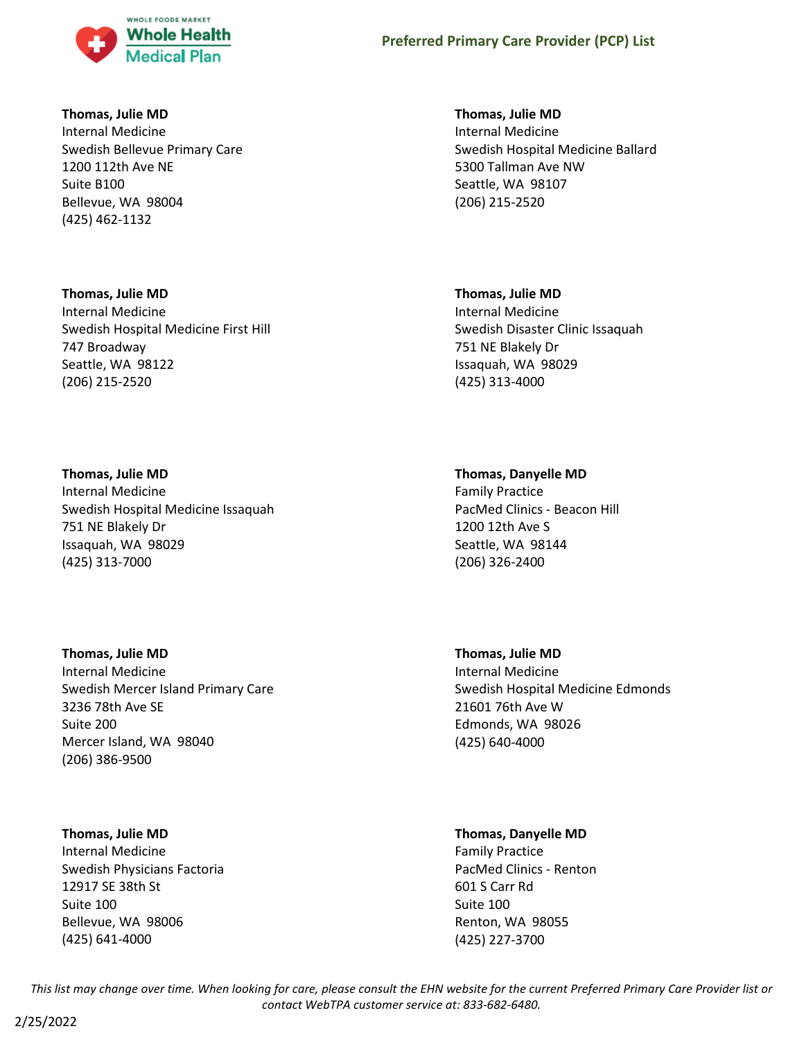

### **Thomas, Julie MD**

Internal Medicine Swedish Bellevue Primary Care 1200 112th Ave NE Suite B100 Bellevue, WA 98004 (425) 462-1132

### **Thomas, Julie MD**

Internal Medicine Swedish Hospital Medicine First Hill 747 Broadway Seattle, WA 98122 (206) 215-2520

### **Thomas, Julie MD**

Internal Medicine Swedish Hospital Medicine Issaquah 751 NE Blakely Dr Issaquah, WA 98029 (425) 313-7000

### **Thomas, Julie MD**

Internal Medicine Swedish Mercer Island Primary Care 3236 78th Ave SE Suite 200 Mercer Island, WA 98040 (206) 386-9500

### **Thomas, Julie MD**

Internal Medicine Swedish Physicians Factoria 12917 SE 38th St Suite 100 Bellevue, WA 98006 (425) 641-4000

### **Thomas, Julie MD**

Internal Medicine Swedish Hospital Medicine Ballard 5300 Tallman Ave NW Seattle, WA 98107 (206) 215-2520

### **Thomas, Julie MD**

Internal Medicine Swedish Disaster Clinic Issaquah 751 NE Blakely Dr Issaquah, WA 98029 (425) 313-4000

### **Thomas, Danyelle MD**

Family Practice PacMed Clinics - Beacon Hill 1200 12th Ave S Seattle, WA 98144 (206) 326-2400

### **Thomas, Julie MD**

Internal Medicine Swedish Hospital Medicine Edmonds 21601 76th Ave W Edmonds, WA 98026 (425) 640-4000

# **Thomas, Danyelle MD**

Family Practice PacMed Clinics - Renton 601 S Carr Rd Suite 100 Renton, WA 98055 (425) 227-3700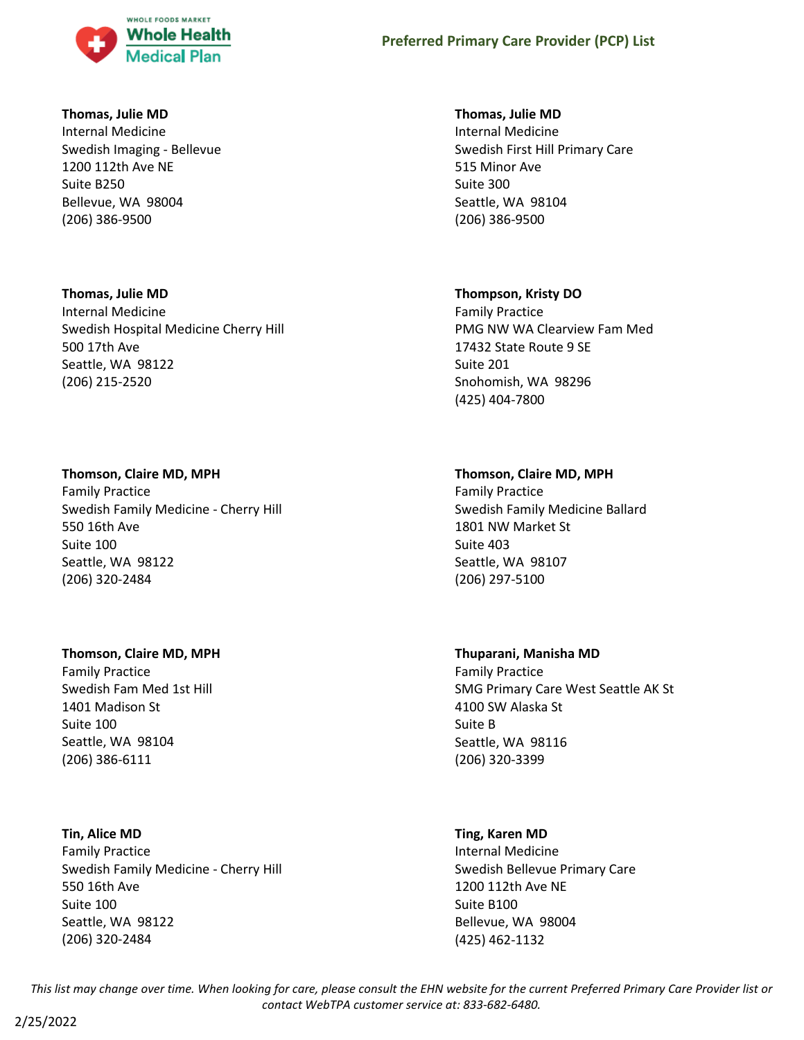

### **Thomas, Julie MD**

Internal Medicine Swedish Imaging - Bellevue 1200 112th Ave NE Suite B250 Bellevue, WA 98004 (206) 386-9500

### **Thomas, Julie MD**

Internal Medicine Swedish Hospital Medicine Cherry Hill 500 17th Ave Seattle, WA 98122 (206) 215-2520

### **Thomson, Claire MD, MPH**

Family Practice Swedish Family Medicine - Cherry Hill 550 16th Ave Suite 100 Seattle, WA 98122 (206) 320-2484

### **Thomson, Claire MD, MPH**

Family Practice Swedish Fam Med 1st Hill 1401 Madison St Suite 100 Seattle, WA 98104 (206) 386-6111

### **Tin, Alice MD**

Family Practice Swedish Family Medicine - Cherry Hill 550 16th Ave Suite 100 Seattle, WA 98122 (206) 320-2484

### **Thomas, Julie MD**

Internal Medicine Swedish First Hill Primary Care 515 Minor Ave Suite 300 Seattle, WA 98104 (206) 386-9500

### **Thompson, Kristy DO**

Family Practice PMG NW WA Clearview Fam Med 17432 State Route 9 SE Suite 201 Snohomish, WA 98296 (425) 404-7800

### **Thomson, Claire MD, MPH**

Family Practice Swedish Family Medicine Ballard 1801 NW Market St Suite 403 Seattle, WA 98107 (206) 297-5100

### **Thuparani, Manisha MD**

Family Practice SMG Primary Care West Seattle AK St 4100 SW Alaska St Suite B Seattle, WA 98116 (206) 320-3399

### **Ting, Karen MD**

Internal Medicine Swedish Bellevue Primary Care 1200 112th Ave NE Suite B100 Bellevue, WA 98004 (425) 462-1132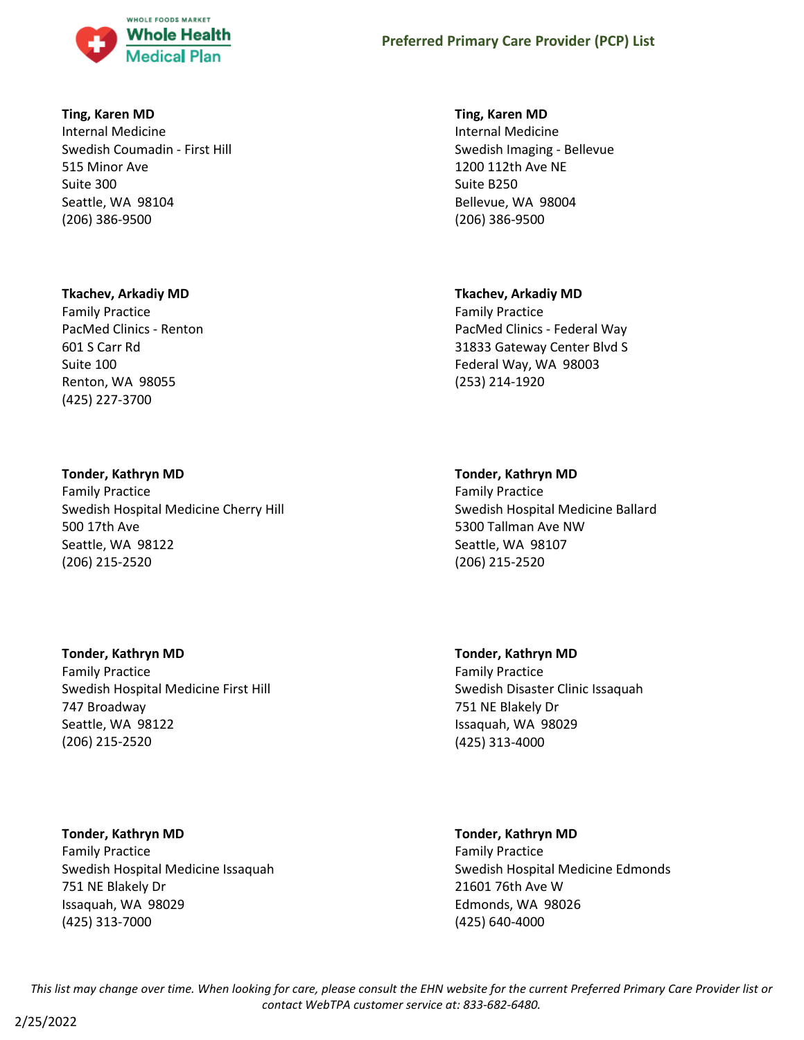

### **Ting, Karen MD**

Internal Medicine Swedish Coumadin - First Hill 515 Minor Ave Suite 300 Seattle, WA 98104 (206) 386-9500

### **Tkachev, Arkadiy MD**

Family Practice PacMed Clinics - Renton 601 S Carr Rd Suite 100 Renton, WA 98055 (425) 227-3700

### **Tonder, Kathryn MD**

Family Practice Swedish Hospital Medicine Cherry Hill 500 17th Ave Seattle, WA 98122 (206) 215-2520

### **Tonder, Kathryn MD**

Family Practice Swedish Hospital Medicine First Hill 747 Broadway Seattle, WA 98122 (206) 215-2520

**Tonder, Kathryn MD** Family Practice Swedish Hospital Medicine Issaquah 751 NE Blakely Dr Issaquah, WA 98029 (425) 313-7000

### **Ting, Karen MD**

Internal Medicine Swedish Imaging - Bellevue 1200 112th Ave NE Suite B250 Bellevue, WA 98004 (206) 386-9500

### **Tkachev, Arkadiy MD**

Family Practice PacMed Clinics - Federal Way 31833 Gateway Center Blvd S Federal Way, WA 98003 (253) 214-1920

### **Tonder, Kathryn MD**

Family Practice Swedish Hospital Medicine Ballard 5300 Tallman Ave NW Seattle, WA 98107 (206) 215-2520

**Tonder, Kathryn MD** Family Practice Swedish Disaster Clinic Issaquah 751 NE Blakely Dr Issaquah, WA 98029 (425) 313-4000

# **Tonder, Kathryn MD**

Family Practice Swedish Hospital Medicine Edmonds 21601 76th Ave W Edmonds, WA 98026 (425) 640-4000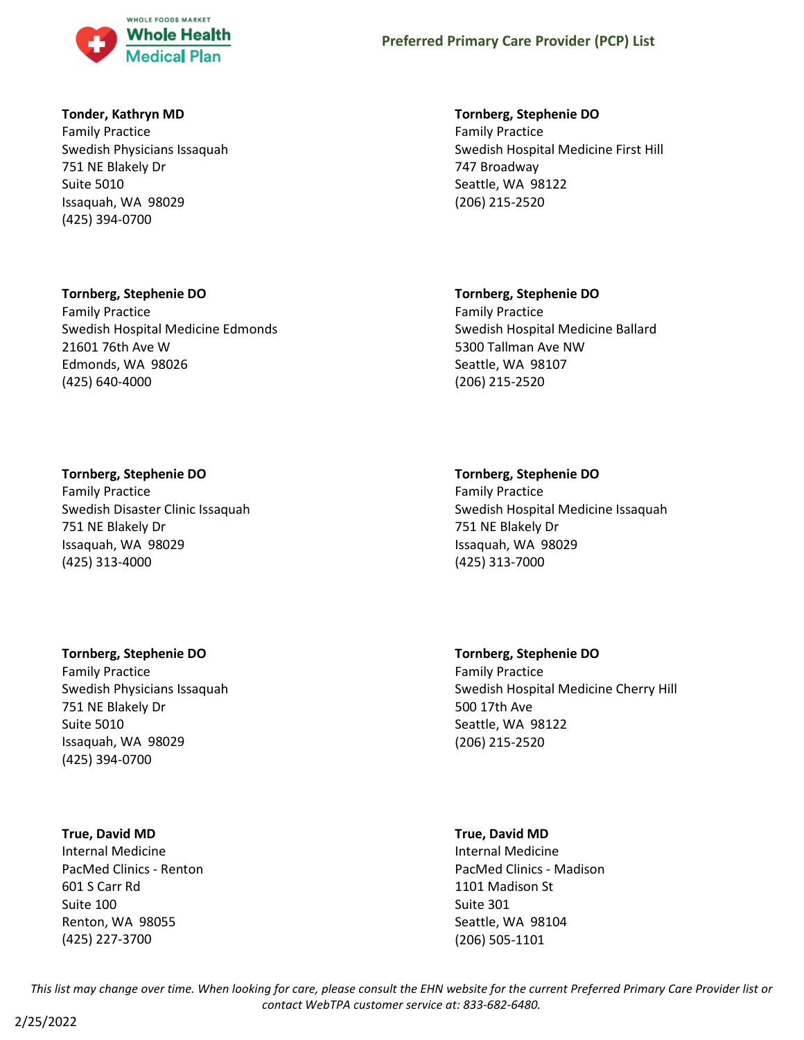

### **Tonder, Kathryn MD**

Family Practice Swedish Physicians Issaquah 751 NE Blakely Dr Suite 5010 Issaquah, WA 98029 (425) 394-0700

### **Tornberg, Stephenie DO**

Family Practice Swedish Hospital Medicine Edmonds 21601 76th Ave W Edmonds, WA 98026 (425) 640-4000

### **Tornberg, Stephenie DO**

Family Practice Swedish Disaster Clinic Issaquah 751 NE Blakely Dr Issaquah, WA 98029 (425) 313-4000

### **Tornberg, Stephenie DO**

Family Practice Swedish Physicians Issaquah 751 NE Blakely Dr Suite 5010 Issaquah, WA 98029 (425) 394-0700

### **True, David MD**

Internal Medicine PacMed Clinics - Renton 601 S Carr Rd Suite 100 Renton, WA 98055 (425) 227-3700

#### **Tornberg, Stephenie DO**

Family Practice Swedish Hospital Medicine First Hill 747 Broadway Seattle, WA 98122 (206) 215-2520

### **Tornberg, Stephenie DO**

Family Practice Swedish Hospital Medicine Ballard 5300 Tallman Ave NW Seattle, WA 98107 (206) 215-2520

### **Tornberg, Stephenie DO**

Family Practice Swedish Hospital Medicine Issaquah 751 NE Blakely Dr Issaquah, WA 98029 (425) 313-7000

**Tornberg, Stephenie DO** Family Practice Swedish Hospital Medicine Cherry Hill 500 17th Ave Seattle, WA 98122 (206) 215-2520

### **True, David MD**

Internal Medicine PacMed Clinics - Madison 1101 Madison St Suite 301 Seattle, WA 98104 (206) 505-1101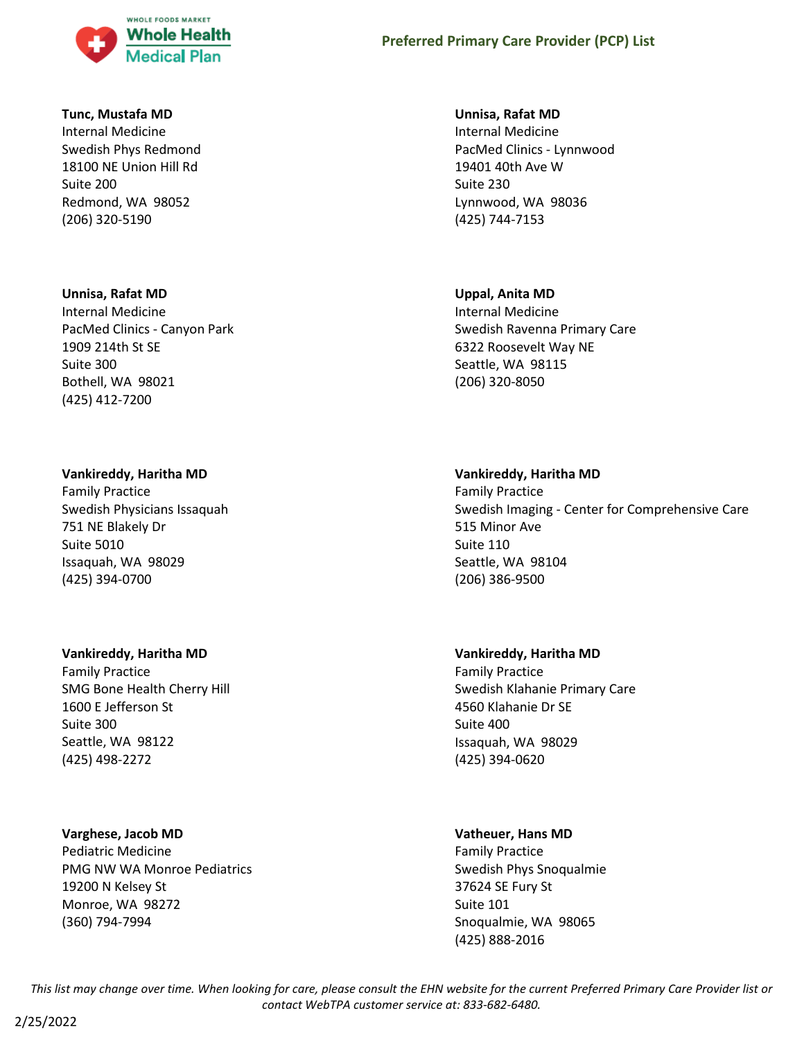

#### **Tunc, Mustafa MD**

Internal Medicine Swedish Phys Redmond 18100 NE Union Hill Rd Suite 200 Redmond, WA 98052 (206) 320-5190

#### **Unnisa, Rafat MD**

Internal Medicine PacMed Clinics - Canyon Park 1909 214th St SE Suite 300 Bothell, WA 98021 (425) 412-7200

#### **Vankireddy, Haritha MD**

Family Practice Swedish Physicians Issaquah 751 NE Blakely Dr Suite 5010 Issaquah, WA 98029 (425) 394-0700

### **Vankireddy, Haritha MD**

Family Practice SMG Bone Health Cherry Hill 1600 E Jefferson St Suite 300 Seattle, WA 98122 (425) 498-2272

### **Varghese, Jacob MD**

Pediatric Medicine PMG NW WA Monroe Pediatrics 19200 N Kelsey St Monroe, WA 98272 (360) 794-7994

#### **Unnisa, Rafat MD**

Internal Medicine PacMed Clinics - Lynnwood 19401 40th Ave W Suite 230 Lynnwood, WA 98036 (425) 744-7153

#### **Uppal, Anita MD**

Internal Medicine Swedish Ravenna Primary Care 6322 Roosevelt Way NE Seattle, WA 98115 (206) 320-8050

#### **Vankireddy, Haritha MD**

Family Practice Swedish Imaging - Center for Comprehensive Care 515 Minor Ave Suite 110 Seattle, WA 98104 (206) 386-9500

### **Vankireddy, Haritha MD**

Family Practice Swedish Klahanie Primary Care 4560 Klahanie Dr SE Suite 400 Issaquah, WA 98029 (425) 394-0620

### **Vatheuer, Hans MD**

Family Practice Swedish Phys Snoqualmie 37624 SE Fury St Suite 101 Snoqualmie, WA 98065 (425) 888-2016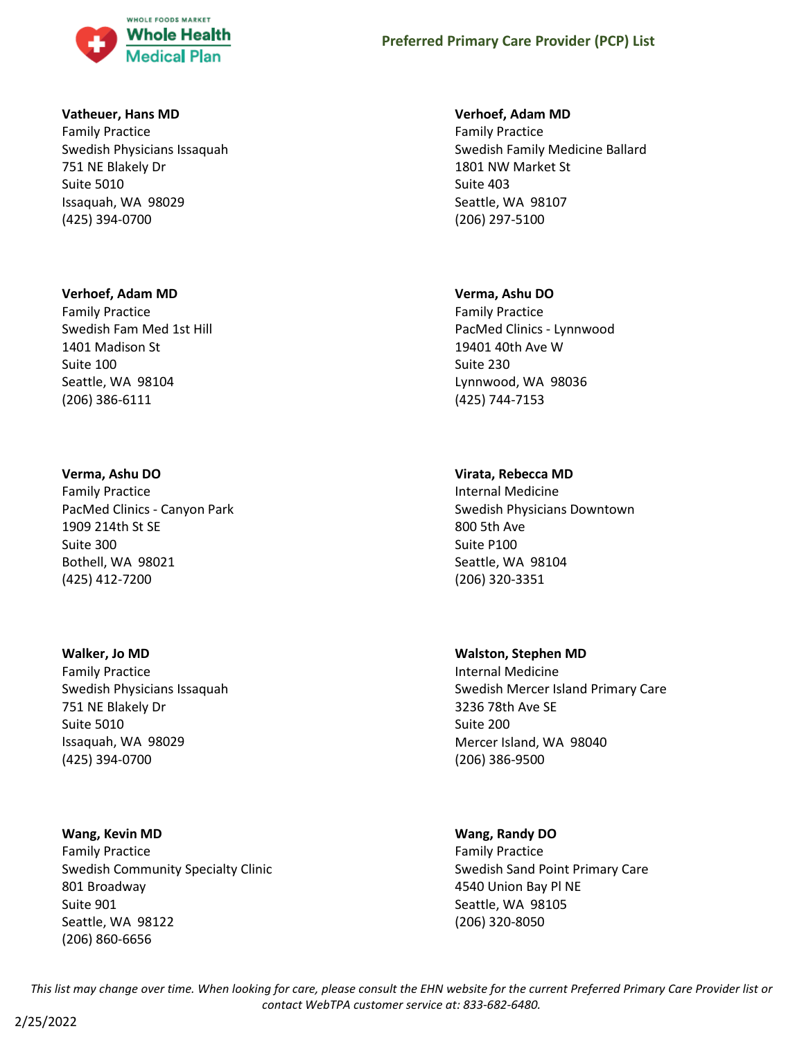

#### **Vatheuer, Hans MD**

Family Practice Swedish Physicians Issaquah 751 NE Blakely Dr Suite 5010 Issaquah, WA 98029 (425) 394-0700

#### **Verhoef, Adam MD**

Family Practice Swedish Fam Med 1st Hill 1401 Madison St Suite 100 Seattle, WA 98104 (206) 386-6111

#### **Verma, Ashu DO**

Family Practice PacMed Clinics - Canyon Park 1909 214th St SE Suite 300 Bothell, WA 98021 (425) 412-7200

#### **Walker, Jo MD**

Family Practice Swedish Physicians Issaquah 751 NE Blakely Dr Suite 5010 Issaquah, WA 98029 (425) 394-0700

#### **Wang, Kevin MD**

Family Practice Swedish Community Specialty Clinic 801 Broadway Suite 901 Seattle, WA 98122 (206) 860-6656

#### **Verhoef, Adam MD**

Family Practice Swedish Family Medicine Ballard 1801 NW Market St Suite 403 Seattle, WA 98107 (206) 297-5100

#### **Verma, Ashu DO**

Family Practice PacMed Clinics - Lynnwood 19401 40th Ave W Suite 230 Lynnwood, WA 98036 (425) 744-7153

#### **Virata, Rebecca MD**

Internal Medicine Swedish Physicians Downtown 800 5th Ave Suite P100 Seattle, WA 98104 (206) 320-3351

#### **Walston, Stephen MD**

Internal Medicine Swedish Mercer Island Primary Care 3236 78th Ave SE Suite 200 Mercer Island, WA 98040 (206) 386-9500

#### **Wang, Randy DO**

Family Practice Swedish Sand Point Primary Care 4540 Union Bay Pl NE Seattle, WA 98105 (206) 320-8050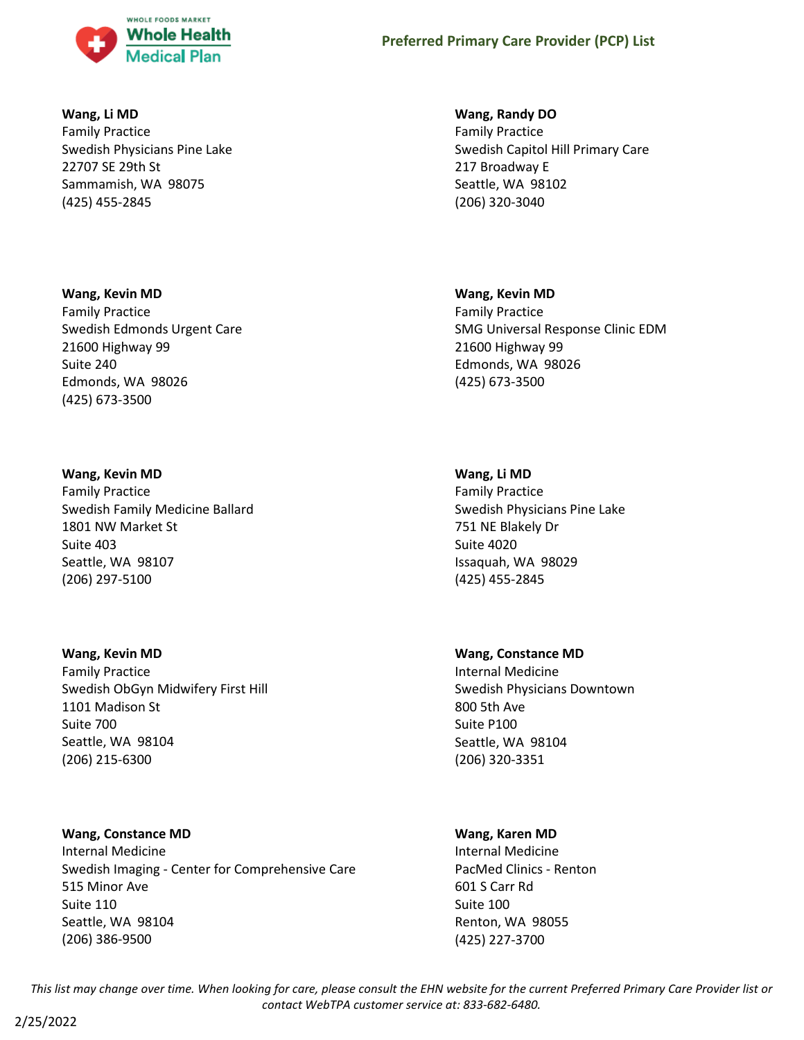

### **Wang, Li MD**

Family Practice Swedish Physicians Pine Lake 22707 SE 29th St Sammamish, WA 98075 (425) 455-2845

### **Wang, Kevin MD**

Family Practice Swedish Edmonds Urgent Care 21600 Highway 99 Suite 240 Edmonds, WA 98026 (425) 673-3500

#### **Wang, Kevin MD**

Family Practice Swedish Family Medicine Ballard 1801 NW Market St Suite 403 Seattle, WA 98107 (206) 297-5100

### **Wang, Kevin MD**

Family Practice Swedish ObGyn Midwifery First Hill 1101 Madison St Suite 700 Seattle, WA 98104 (206) 215-6300

### **Wang, Constance MD**

Internal Medicine Swedish Imaging - Center for Comprehensive Care 515 Minor Ave Suite 110 Seattle, WA 98104 (206) 386-9500

#### **Wang, Randy DO**

Family Practice Swedish Capitol Hill Primary Care 217 Broadway E Seattle, WA 98102 (206) 320-3040

#### **Wang, Kevin MD**

Family Practice SMG Universal Response Clinic EDM 21600 Highway 99 Edmonds, WA 98026 (425) 673-3500

### **Wang, Li MD**

Family Practice Swedish Physicians Pine Lake 751 NE Blakely Dr Suite 4020 Issaquah, WA 98029 (425) 455-2845

#### **Wang, Constance MD**

Internal Medicine Swedish Physicians Downtown 800 5th Ave Suite P100 Seattle, WA 98104 (206) 320-3351

#### **Wang, Karen MD**

Internal Medicine PacMed Clinics - Renton 601 S Carr Rd Suite 100 Renton, WA 98055 (425) 227-3700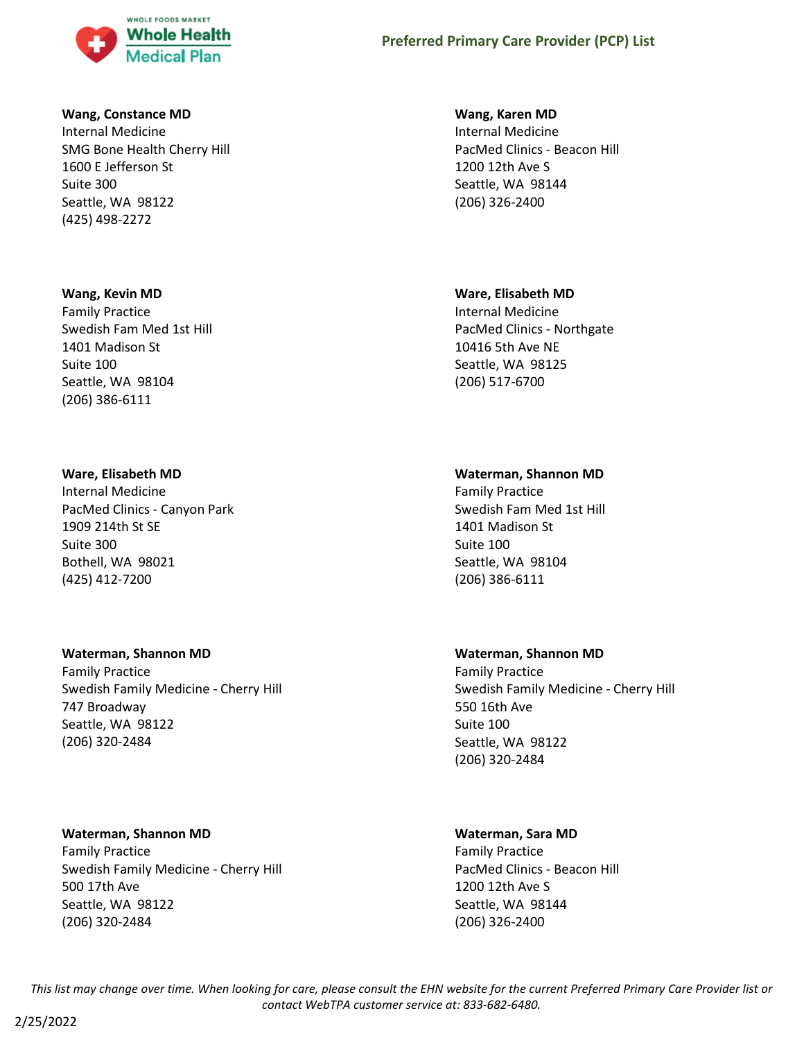

#### **Wang, Constance MD**

Internal Medicine SMG Bone Health Cherry Hill 1600 E Jefferson St Suite 300 Seattle, WA 98122 (425) 498-2272

#### **Wang, Kevin MD**

Family Practice Swedish Fam Med 1st Hill 1401 Madison St Suite 100 Seattle, WA 98104 (206) 386-6111

#### **Ware, Elisabeth MD**

Internal Medicine PacMed Clinics - Canyon Park 1909 214th St SE Suite 300 Bothell, WA 98021 (425) 412-7200

#### **Waterman, Shannon MD**

Family Practice Swedish Family Medicine - Cherry Hill 747 Broadway Seattle, WA 98122 (206) 320-2484

#### **Waterman, Shannon MD**

Family Practice Swedish Family Medicine - Cherry Hill 500 17th Ave Seattle, WA 98122 (206) 320-2484

#### **Wang, Karen MD**

Internal Medicine PacMed Clinics - Beacon Hill 1200 12th Ave S Seattle, WA 98144 (206) 326-2400

#### **Ware, Elisabeth MD**

Internal Medicine PacMed Clinics - Northgate 10416 5th Ave NE Seattle, WA 98125 (206) 517-6700

### **Waterman, Shannon MD**

Family Practice Swedish Fam Med 1st Hill 1401 Madison St Suite 100 Seattle, WA 98104 (206) 386-6111

#### **Waterman, Shannon MD**

Family Practice Swedish Family Medicine - Cherry Hill 550 16th Ave Suite 100 Seattle, WA 98122 (206) 320-2484

### **Waterman, Sara MD**

Family Practice PacMed Clinics - Beacon Hill 1200 12th Ave S Seattle, WA 98144 (206) 326-2400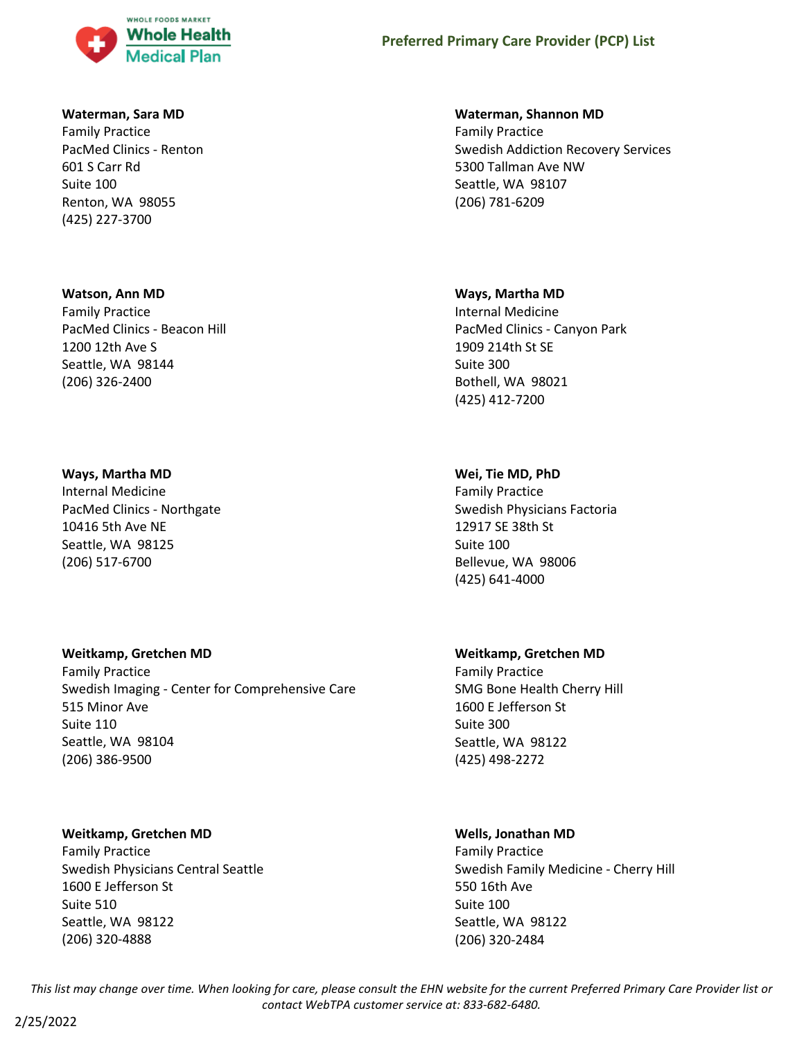

#### **Waterman, Sara MD**

Family Practice PacMed Clinics - Renton 601 S Carr Rd Suite 100 Renton, WA 98055 (425) 227-3700

#### **Watson, Ann MD**

Family Practice PacMed Clinics - Beacon Hill 1200 12th Ave S Seattle, WA 98144 (206) 326-2400

#### **Ways, Martha MD**

Internal Medicine PacMed Clinics - Northgate 10416 5th Ave NE Seattle, WA 98125 (206) 517-6700

#### **Weitkamp, Gretchen MD**

Family Practice Swedish Imaging - Center for Comprehensive Care 515 Minor Ave Suite 110 Seattle, WA 98104 (206) 386-9500

### **Weitkamp, Gretchen MD**

Family Practice Swedish Physicians Central Seattle 1600 E Jefferson St Suite 510 Seattle, WA 98122 (206) 320-4888

#### **Waterman, Shannon MD**

Family Practice Swedish Addiction Recovery Services 5300 Tallman Ave NW Seattle, WA 98107 (206) 781-6209

#### **Ways, Martha MD**

Internal Medicine PacMed Clinics - Canyon Park 1909 214th St SE Suite 300 Bothell, WA 98021 (425) 412-7200

### **Wei, Tie MD, PhD**

Family Practice Swedish Physicians Factoria 12917 SE 38th St Suite 100 Bellevue, WA 98006 (425) 641-4000

#### **Weitkamp, Gretchen MD**

Family Practice SMG Bone Health Cherry Hill 1600 E Jefferson St Suite 300 Seattle, WA 98122 (425) 498-2272

### **Wells, Jonathan MD**

Family Practice Swedish Family Medicine - Cherry Hill 550 16th Ave Suite 100 Seattle, WA 98122 (206) 320-2484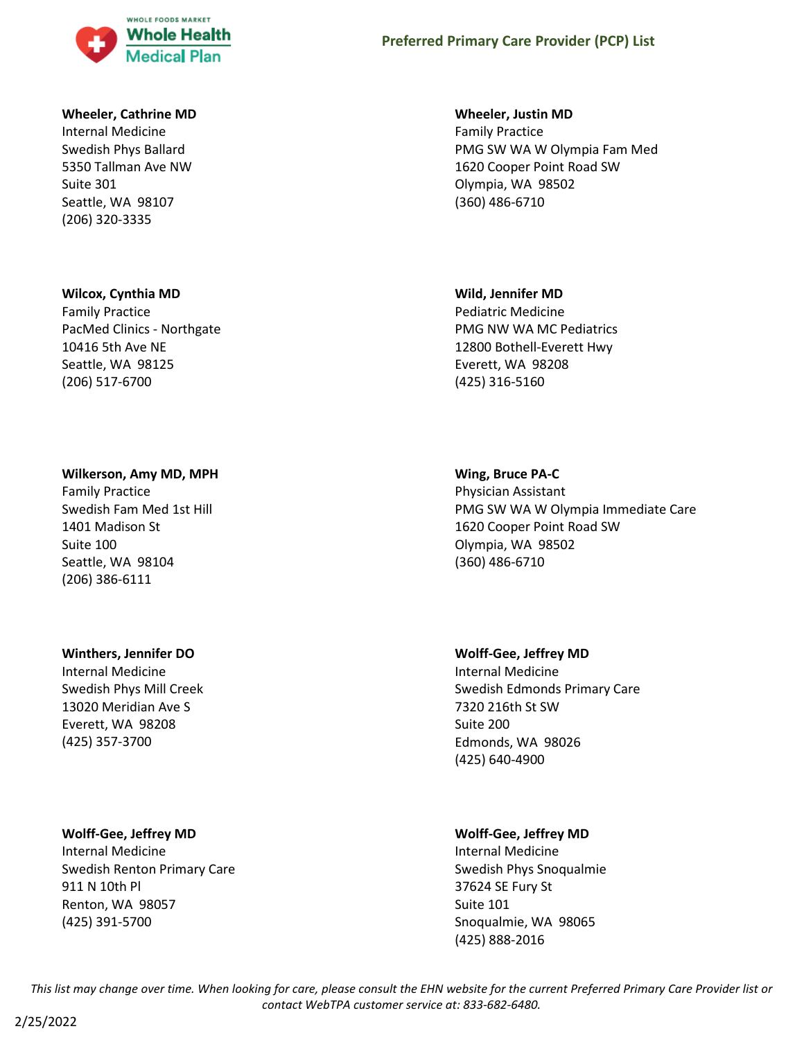

#### **Wheeler, Cathrine MD**

Internal Medicine Swedish Phys Ballard 5350 Tallman Ave NW Suite 301 Seattle, WA 98107 (206) 320-3335

#### **Wilcox, Cynthia MD**

Family Practice PacMed Clinics - Northgate 10416 5th Ave NE Seattle, WA 98125 (206) 517-6700

#### **Wilkerson, Amy MD, MPH**

Family Practice Swedish Fam Med 1st Hill 1401 Madison St Suite 100 Seattle, WA 98104 (206) 386-6111

### **Winthers, Jennifer DO**

Internal Medicine Swedish Phys Mill Creek 13020 Meridian Ave S Everett, WA 98208 (425) 357-3700

#### **Wolff-Gee, Jeffrey MD**

Internal Medicine Swedish Renton Primary Care 911 N 10th Pl Renton, WA 98057 (425) 391-5700

#### **Wheeler, Justin MD**

Family Practice PMG SW WA W Olympia Fam Med 1620 Cooper Point Road SW Olympia, WA 98502 (360) 486-6710

#### **Wild, Jennifer MD**

Pediatric Medicine PMG NW WA MC Pediatrics 12800 Bothell-Everett Hwy Everett, WA 98208 (425) 316-5160

#### **Wing, Bruce PA-C**

Physician Assistant PMG SW WA W Olympia Immediate Care 1620 Cooper Point Road SW Olympia, WA 98502 (360) 486-6710

#### **Wolff-Gee, Jeffrey MD**

Internal Medicine Swedish Edmonds Primary Care 7320 216th St SW Suite 200 Edmonds, WA 98026 (425) 640-4900

### **Wolff-Gee, Jeffrey MD**

Internal Medicine Swedish Phys Snoqualmie 37624 SE Fury St Suite 101 Snoqualmie, WA 98065 (425) 888-2016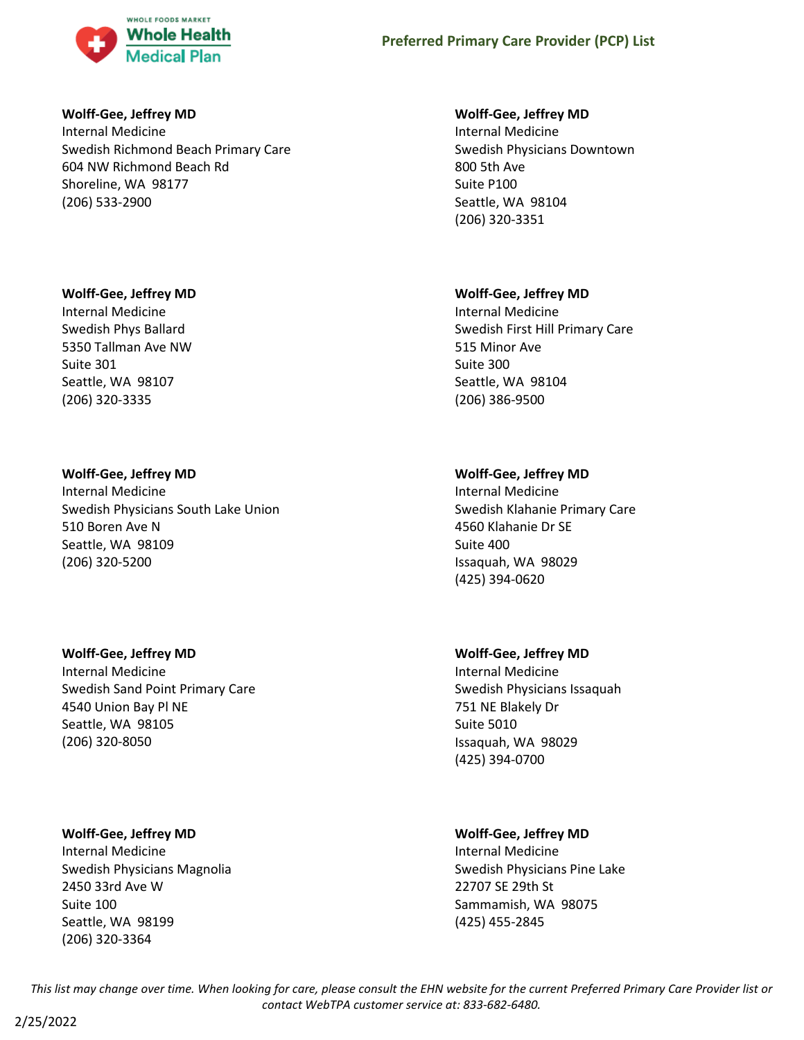

### **Wolff-Gee, Jeffrey MD**

Internal Medicine Swedish Richmond Beach Primary Care 604 NW Richmond Beach Rd Shoreline, WA 98177 (206) 533-2900

### **Wolff-Gee, Jeffrey MD**

Internal Medicine Swedish Phys Ballard 5350 Tallman Ave NW Suite 301 Seattle, WA 98107 (206) 320-3335

### **Wolff-Gee, Jeffrey MD**

Internal Medicine Swedish Physicians South Lake Union 510 Boren Ave N Seattle, WA 98109 (206) 320-5200

### **Wolff-Gee, Jeffrey MD**

Internal Medicine Swedish Sand Point Primary Care 4540 Union Bay Pl NE Seattle, WA 98105 (206) 320-8050

### **Wolff-Gee, Jeffrey MD**

Internal Medicine Swedish Physicians Magnolia 2450 33rd Ave W Suite 100 Seattle, WA 98199 (206) 320-3364

### **Wolff-Gee, Jeffrey MD**

Internal Medicine Swedish Physicians Downtown 800 5th Ave Suite P100 Seattle, WA 98104 (206) 320-3351

### **Wolff-Gee, Jeffrey MD**

Internal Medicine Swedish First Hill Primary Care 515 Minor Ave Suite 300 Seattle, WA 98104 (206) 386-9500

### **Wolff-Gee, Jeffrey MD**

Internal Medicine Swedish Klahanie Primary Care 4560 Klahanie Dr SE Suite 400 Issaquah, WA 98029 (425) 394-0620

### **Wolff-Gee, Jeffrey MD**

Internal Medicine Swedish Physicians Issaquah 751 NE Blakely Dr Suite 5010 Issaquah, WA 98029 (425) 394-0700

### **Wolff-Gee, Jeffrey MD**

Internal Medicine Swedish Physicians Pine Lake 22707 SE 29th St Sammamish, WA 98075 (425) 455-2845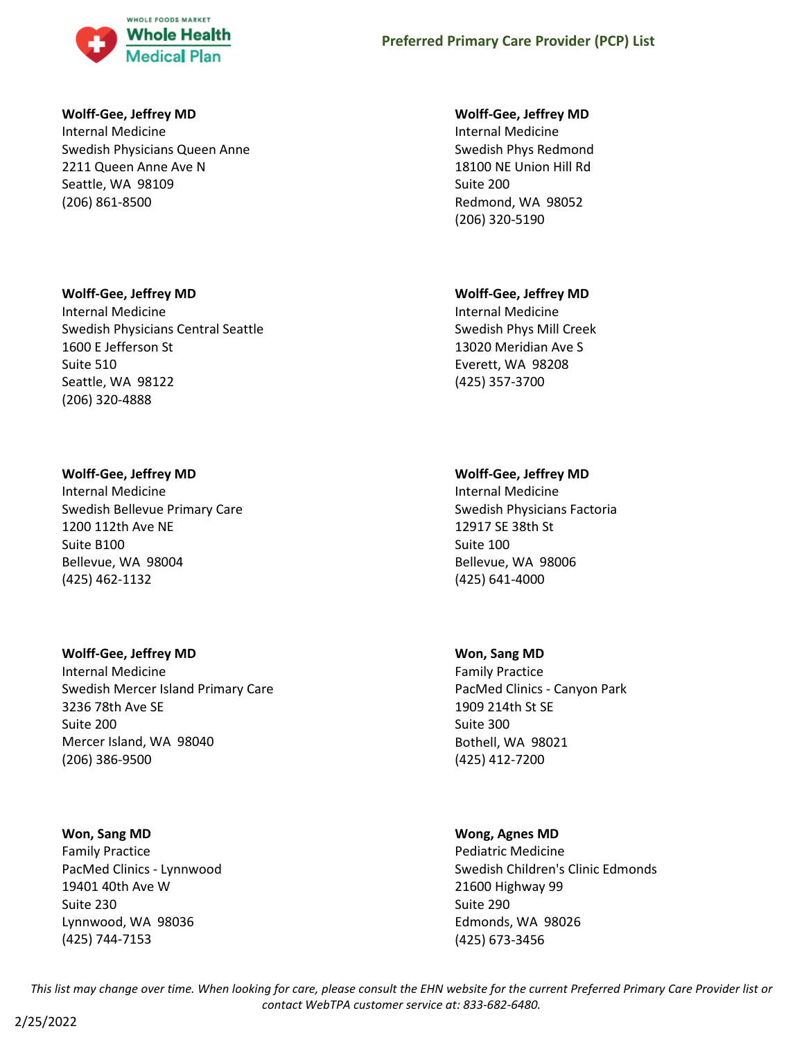

### **Wolff-Gee, Jeffrey MD**

Internal Medicine Swedish Physicians Queen Anne 2211 Queen Anne Ave N Seattle, WA 98109 (206) 861-8500

### **Wolff-Gee, Jeffrey MD**

Internal Medicine Swedish Physicians Central Seattle 1600 E Jefferson St Suite 510 Seattle, WA 98122 (206) 320-4888

### **Wolff-Gee, Jeffrey MD**

Internal Medicine Swedish Bellevue Primary Care 1200 112th Ave NE Suite B100 Bellevue, WA 98004 (425) 462-1132

### **Wolff-Gee, Jeffrey MD**

Internal Medicine Swedish Mercer Island Primary Care 3236 78th Ave SE Suite 200 Mercer Island, WA 98040 (206) 386-9500

### **Won, Sang MD**

Family Practice PacMed Clinics - Lynnwood 19401 40th Ave W Suite 230 Lynnwood, WA 98036 (425) 744-7153

### **Wolff-Gee, Jeffrey MD**

Internal Medicine Swedish Phys Redmond 18100 NE Union Hill Rd Suite 200 Redmond, WA 98052 (206) 320-5190

### **Wolff-Gee, Jeffrey MD**

Internal Medicine Swedish Phys Mill Creek 13020 Meridian Ave S Everett, WA 98208 (425) 357-3700

### **Wolff-Gee, Jeffrey MD**

Internal Medicine Swedish Physicians Factoria 12917 SE 38th St Suite 100 Bellevue, WA 98006 (425) 641-4000

### **Won, Sang MD**

Family Practice PacMed Clinics - Canyon Park 1909 214th St SE Suite 300 Bothell, WA 98021 (425) 412-7200

### **Wong, Agnes MD**

Pediatric Medicine Swedish Children's Clinic Edmonds 21600 Highway 99 Suite 290 Edmonds, WA 98026 (425) 673-3456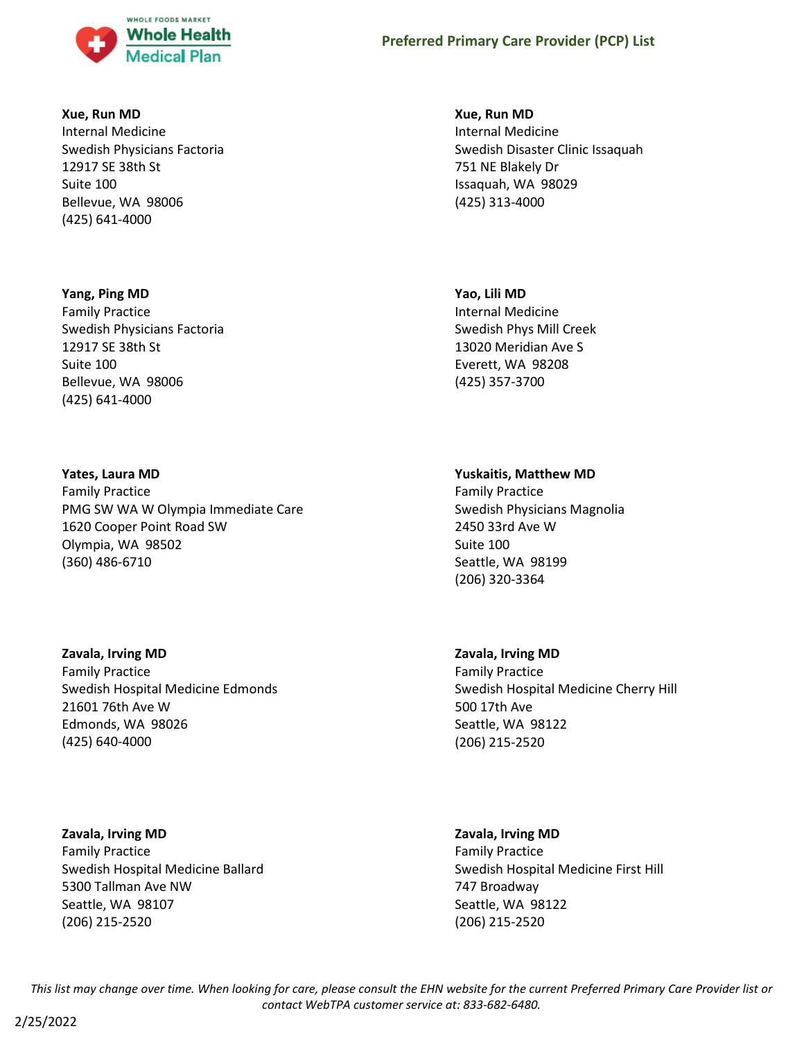

### **Xue, Run MD**

Internal Medicine Swedish Physicians Factoria 12917 SE 38th St Suite 100 Bellevue, WA 98006 (425) 641-4000

### **Yang, Ping MD**

Family Practice Swedish Physicians Factoria 12917 SE 38th St Suite 100 Bellevue, WA 98006 (425) 641-4000

### **Yates, Laura MD**

Family Practice PMG SW WA W Olympia Immediate Care 1620 Cooper Point Road SW Olympia, WA 98502 (360) 486-6710

### **Zavala, Irving MD**

Family Practice Swedish Hospital Medicine Edmonds 21601 76th Ave W Edmonds, WA 98026 (425) 640-4000

**Zavala, Irving MD** Family Practice Swedish Hospital Medicine Ballard 5300 Tallman Ave NW Seattle, WA 98107 (206) 215-2520

#### **Xue, Run MD**

Internal Medicine Swedish Disaster Clinic Issaquah 751 NE Blakely Dr Issaquah, WA 98029 (425) 313-4000

# **Yao, Lili MD**

Internal Medicine Swedish Phys Mill Creek 13020 Meridian Ave S Everett, WA 98208 (425) 357-3700

### **Yuskaitis, Matthew MD**

Family Practice Swedish Physicians Magnolia 2450 33rd Ave W Suite 100 Seattle, WA 98199 (206) 320-3364

### **Zavala, Irving MD**

Family Practice Swedish Hospital Medicine Cherry Hill 500 17th Ave Seattle, WA 98122 (206) 215-2520

## **Zavala, Irving MD**

Family Practice Swedish Hospital Medicine First Hill 747 Broadway Seattle, WA 98122 (206) 215-2520